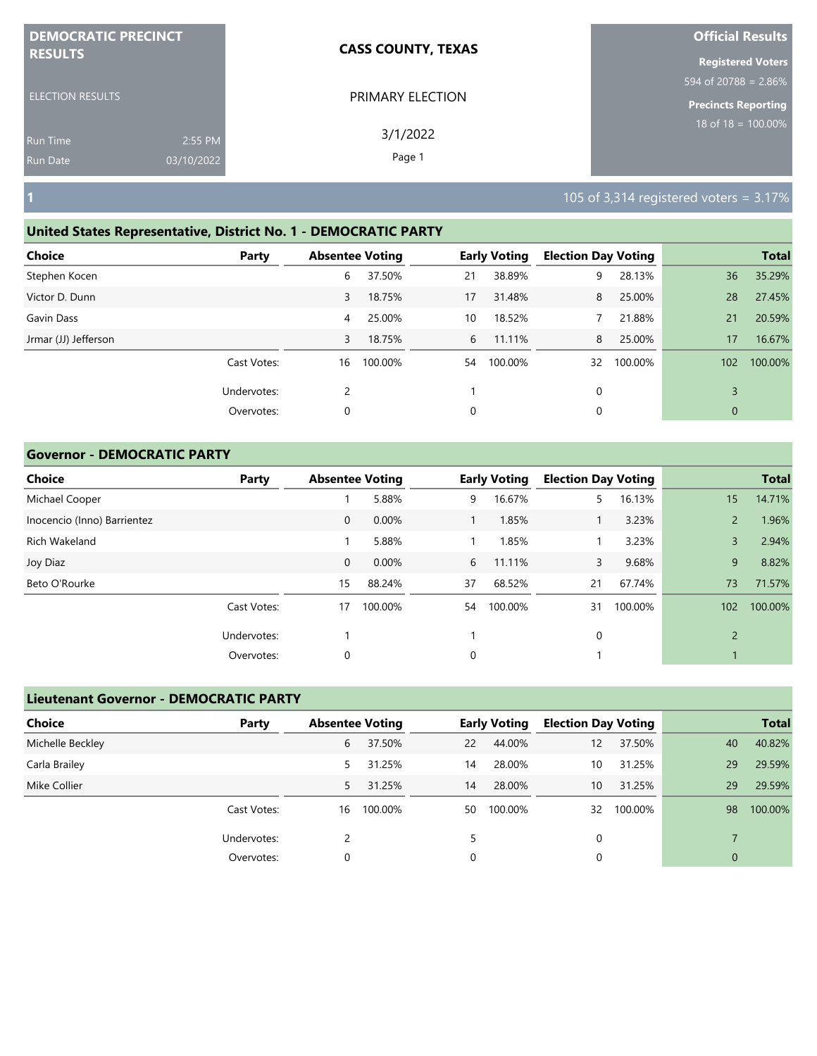| <b>DEMOCRATIC PRECINCT</b> |            | <b>CASS COUNTY, TEXAS</b> | <b>Official Results</b>          |
|----------------------------|------------|---------------------------|----------------------------------|
| <b>RESULTS</b>             |            |                           | <b>Registered Voters</b>         |
|                            |            |                           | $594 \text{ of } 20788 = 2.86\%$ |
| <b>ELECTION RESULTS</b>    |            | PRIMARY ELECTION          | <b>Precincts Reporting</b>       |
| <b>Run Time</b>            | 2:55 PM    | 3/1/2022                  | $18$ of $18 = 100.00\%$          |
| Run Date                   | 03/10/2022 | Page 1                    |                                  |

#### **United States Representative, District No. 1 - DEMOCRATIC PARTY**

| <b>Choice</b>        | Party       |    | <b>Absentee Voting</b> |    | <b>Early Voting</b> | <b>Election Day Voting</b> |         |              | <b>Total</b> |
|----------------------|-------------|----|------------------------|----|---------------------|----------------------------|---------|--------------|--------------|
| Stephen Kocen        |             | 6  | 37.50%                 | 21 | 38.89%              | 9                          | 28.13%  | 36           | 35.29%       |
| Victor D. Dunn       |             | 3  | 18.75%                 | 17 | 31.48%              | 8                          | 25.00%  | 28           | 27.45%       |
| Gavin Dass           |             | 4  | 25.00%                 | 10 | 18.52%              |                            | 21.88%  | 21           | 20.59%       |
| Jrmar (JJ) Jefferson |             | 3  | 18.75%                 | 6  | 11.11%              | 8                          | 25.00%  | 17           | 16.67%       |
|                      | Cast Votes: | 16 | 100.00%                | 54 | 100.00%             | 32                         | 100.00% | 102          | 100.00%      |
|                      | Undervotes: | 2  |                        |    |                     | 0                          |         | 3            |              |
|                      | Overvotes:  | 0  |                        | 0  |                     | 0                          |         | $\mathbf{0}$ |              |
|                      |             |    |                        |    |                     |                            |         |              |              |

#### **Governor - DEMOCRATIC PARTY**

| <b>Choice</b>               | Party       | <b>Absentee Voting</b> |         |    | <b>Early Voting</b> | <b>Election Day Voting</b> |         |                | <b>Total</b> |
|-----------------------------|-------------|------------------------|---------|----|---------------------|----------------------------|---------|----------------|--------------|
| Michael Cooper              |             |                        | 5.88%   | 9  | 16.67%              | 5.                         | 16.13%  | 15             | 14.71%       |
| Inocencio (Inno) Barrientez |             | $\mathbf 0$            | 0.00%   |    | 1.85%               |                            | 3.23%   | 2              | 1.96%        |
| Rich Wakeland               |             |                        | 5.88%   |    | 1.85%               |                            | 3.23%   | 3              | 2.94%        |
| Joy Diaz                    |             | $\mathbf 0$            | 0.00%   | 6  | 11.11%              | 3                          | 9.68%   | 9              | 8.82%        |
| Beto O'Rourke               |             | 15                     | 88.24%  | 37 | 68.52%              | 21                         | 67.74%  | 73             | 71.57%       |
|                             | Cast Votes: | 17                     | 100.00% | 54 | 100.00%             | 31                         | 100.00% | 102            | 100.00%      |
|                             | Undervotes: |                        |         |    |                     | 0                          |         | $\overline{2}$ |              |
|                             | Overvotes:  | 0                      |         | 0  |                     |                            |         |                |              |

# **Lieutenant Governor - DEMOCRATIC PARTY Choice Party Absentee Voting Early Voting Election Day Voting Total** Michelle Beckley 6 37.50% 22 44.00% 12 37.50% 40 40.82% Carla Brailey 5 31.25% 14 28.00% 10 31.25% 29 29.59% Mike Collier 5 31.25% 14 28.00% 10 31.25% 29 29.59% Cast Votes: 16 100.00% 50 100.00% 32 100.00% 98 100.00% Undervotes: 2 5 0 7 Overvotes: 0 0 0 0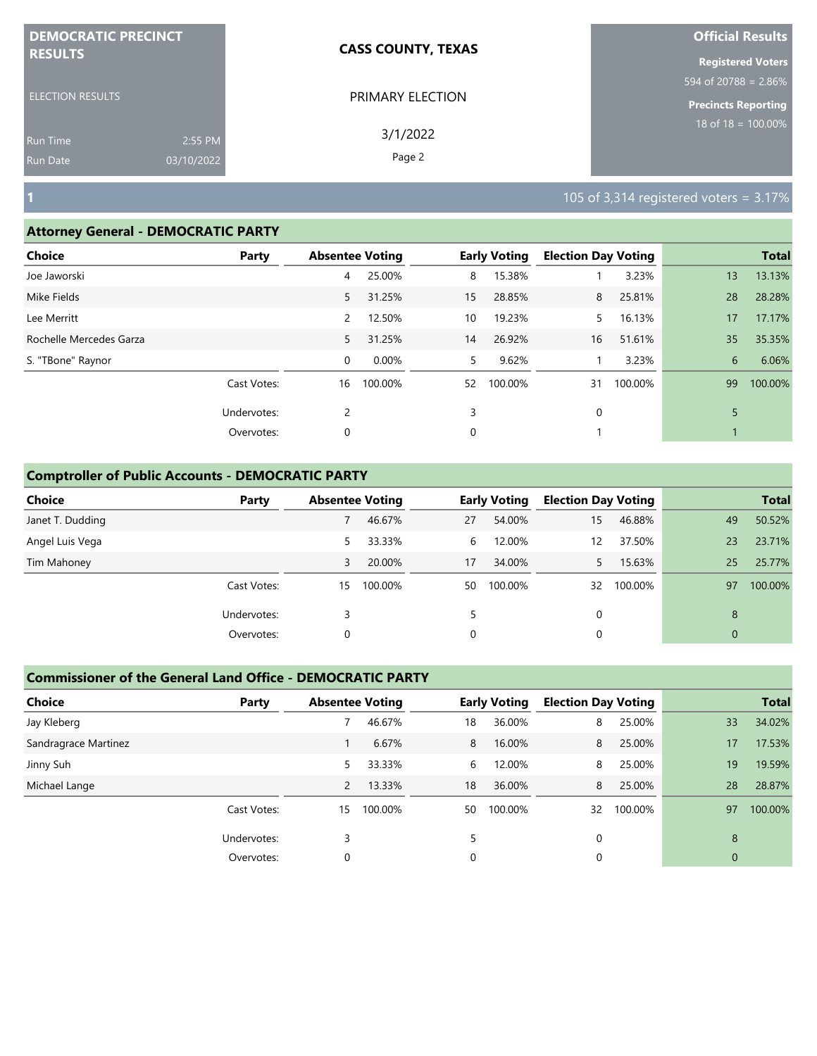| <b>DEMOCRATIC PRECINCT</b>    | <b>CASS COUNTY, TEXAS</b> | <b>Official Results</b>  |
|-------------------------------|---------------------------|--------------------------|
| <b>RESULTS</b>                |                           | <b>Registered Voters</b> |
|                               |                           | 594 of 20788 = $2.86\%$  |
| <b>ELECTION RESULTS</b>       | PRIMARY ELECTION          | Precincts Reporting      |
| 2:55 PM<br><b>Run Time</b>    | 3/1/2022                  | $18$ of 18 = $100.00\%$  |
| 03/10/2022<br><b>Run Date</b> | Page 2                    |                          |

### **Attorney General - DEMOCRATIC PARTY**

| . .                     |             |                |                        |    |                     |                            |         |    |              |
|-------------------------|-------------|----------------|------------------------|----|---------------------|----------------------------|---------|----|--------------|
| <b>Choice</b>           | Party       |                | <b>Absentee Voting</b> |    | <b>Early Voting</b> | <b>Election Day Voting</b> |         |    | <b>Total</b> |
| Joe Jaworski            |             | 4              | 25.00%                 | 8  | 15.38%              |                            | 3.23%   | 13 | 13.13%       |
| Mike Fields             |             | 5              | 31.25%                 | 15 | 28.85%              | 8                          | 25.81%  | 28 | 28.28%       |
| Lee Merritt             |             | $\overline{2}$ | 12.50%                 | 10 | 19.23%              | 5.                         | 16.13%  | 17 | 17.17%       |
| Rochelle Mercedes Garza |             | 5              | 31.25%                 | 14 | 26.92%              | 16                         | 51.61%  | 35 | 35.35%       |
| S. "TBone" Raynor       |             | 0              | 0.00%                  | 5  | 9.62%               |                            | 3.23%   | 6  | 6.06%        |
|                         | Cast Votes: | 16             | 100.00%                | 52 | 100.00%             | 31                         | 100.00% | 99 | 100.00%      |
|                         | Undervotes: | 2              |                        | 3  |                     | 0                          |         | 5  |              |
|                         | Overvotes:  | 0              |                        | 0  |                     |                            |         |    |              |
|                         |             |                |                        |    |                     |                            |         |    |              |

## **Comptroller of Public Accounts - DEMOCRATIC PARTY**

| <b>Choice</b>    | Party       | <b>Absentee Voting</b> |         |    | <b>Early Voting</b> | <b>Election Day Voting</b> |         |                | <b>Total</b> |
|------------------|-------------|------------------------|---------|----|---------------------|----------------------------|---------|----------------|--------------|
| Janet T. Dudding |             |                        | 46.67%  | 27 | 54.00%              | 15                         | 46.88%  | 49             | 50.52%       |
| Angel Luis Vega  |             | 5.                     | 33.33%  | 6  | 12.00%              | 12                         | 37.50%  | 23             | 23.71%       |
| Tim Mahoney      |             | 3                      | 20.00%  | 17 | 34.00%              |                            | 15.63%  | 25             | 25.77%       |
|                  | Cast Votes: | 15                     | 100.00% | 50 | 100.00%             | 32                         | 100.00% | 97             | 100.00%      |
|                  | Undervotes: |                        |         |    |                     | 0                          |         | 8              |              |
|                  | Overvotes:  | 0                      |         | 0  |                     | 0                          |         | $\overline{0}$ |              |

| <b>Choice</b>        | Party       | <b>Absentee Voting</b> |         |    | <b>Early Voting</b> | <b>Election Day Voting</b> |         |    | <b>Total</b> |
|----------------------|-------------|------------------------|---------|----|---------------------|----------------------------|---------|----|--------------|
| Jay Kleberg          |             |                        | 46.67%  | 18 | 36.00%              | 8                          | 25.00%  | 33 | 34.02%       |
| Sandragrace Martinez |             |                        | 6.67%   | 8  | 16.00%              | 8                          | 25.00%  | 17 | 17.53%       |
| Jinny Suh            |             | 5.                     | 33.33%  | 6  | 12.00%              | 8                          | 25.00%  | 19 | 19.59%       |
| Michael Lange        |             | 2                      | 13.33%  | 18 | 36.00%              | 8                          | 25.00%  | 28 | 28.87%       |
|                      | Cast Votes: | 15                     | 100.00% | 50 | 100.00%             | 32                         | 100.00% | 97 | 100.00%      |
|                      | Undervotes: |                        |         |    |                     | $\Omega$                   |         | 8  |              |
|                      | Overvotes:  | 0                      |         | 0  |                     | 0                          |         | 0  |              |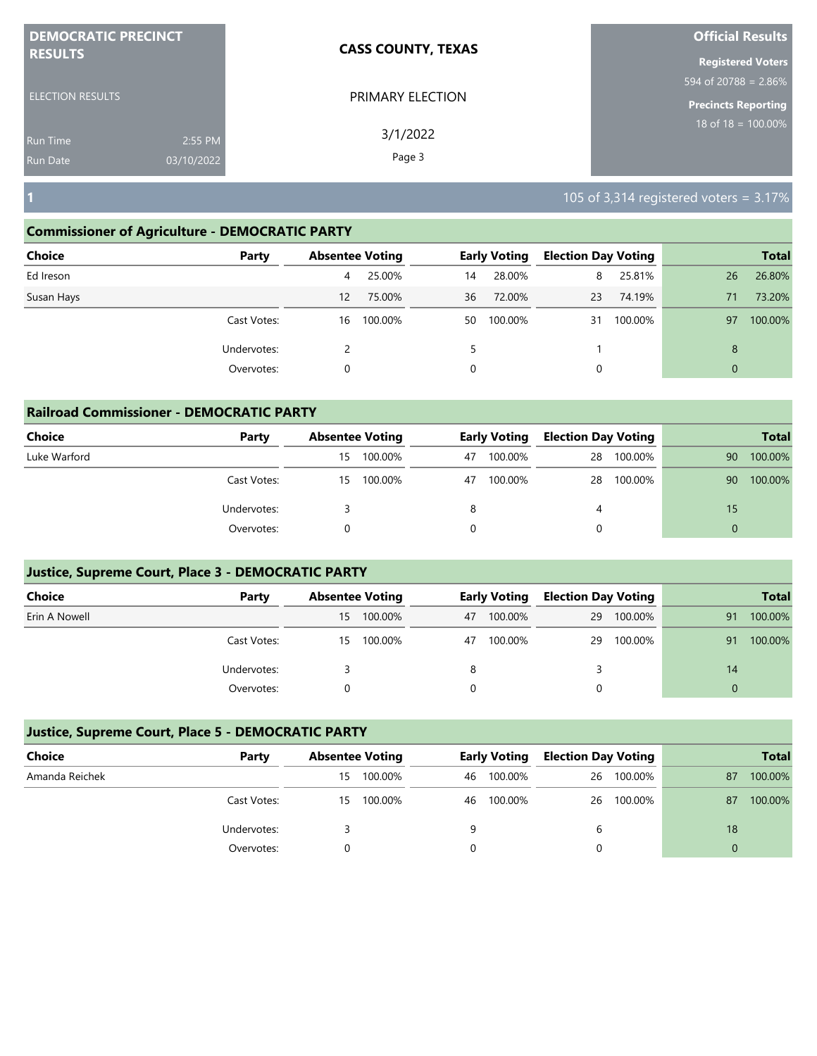| <b>DEMOCRATIC PRECINCT</b>    | <b>CASS COUNTY, TEXAS</b> | <b>Official Results</b>          |
|-------------------------------|---------------------------|----------------------------------|
| <b>RESULTS</b>                |                           | <b>Registered Voters</b>         |
|                               |                           | 594 of 20788 = $2.86\%$          |
| <b>ELECTION RESULTS</b>       | PRIMARY ELECTION          | <b>Precincts Reporting</b>       |
| 2:55 PM<br><b>Run Time</b>    | 3/1/2022                  | 18 of 18 = $\overline{100.00\%}$ |
| 03/10/2022<br><b>Run Date</b> | Page 3                    |                                  |

## **Commissioner of Agriculture - DEMOCRATIC PARTY**

| <b>Choice</b> | Party       |    | <b>Absentee Voting</b> |    | <b>Early Voting</b> | <b>Election Day Voting</b> |         |              | <b>Total</b> |
|---------------|-------------|----|------------------------|----|---------------------|----------------------------|---------|--------------|--------------|
| Ed Ireson     |             | 4  | 25.00%                 | 14 | 28.00%              | 8                          | 25.81%  | 26           | 26.80%       |
| Susan Hays    |             | 12 | 75.00%                 | 36 | 72.00%              | 23                         | 74.19%  | 71           | 73.20%       |
|               | Cast Votes: | 16 | 100.00%                | 50 | 100.00%             | 31                         | 100.00% | 97           | 100.00%      |
|               | Undervotes: |    |                        | 5. |                     |                            |         | 8            |              |
|               | Overvotes:  | 0  |                        | 0  |                     | 0                          |         | $\mathbf{0}$ |              |
|               |             |    |                        |    |                     |                            |         |              |              |

| <b>Railroad Commissioner - DEMOCRATIC PARTY</b> |             |    |                        |          |                     |                            |         |          |              |  |
|-------------------------------------------------|-------------|----|------------------------|----------|---------------------|----------------------------|---------|----------|--------------|--|
| Choice                                          | Party       |    | <b>Absentee Voting</b> |          | <b>Early Voting</b> | <b>Election Day Voting</b> |         |          | <b>Total</b> |  |
| Luke Warford                                    |             | 15 | 100.00%                | 47       | 100.00%             | 28                         | 100.00% | 90       | 100.00%      |  |
|                                                 | Cast Votes: | 15 | 100.00%                | 47       | 100.00%             | 28                         | 100.00% | 90       | 100.00%      |  |
|                                                 | Undervotes: |    |                        | 8        |                     | 4                          |         | 15       |              |  |
|                                                 | Overvotes:  |    |                        | $\Omega$ |                     |                            |         | $\Omega$ |              |  |

## **Justice, Supreme Court, Place 3 - DEMOCRATIC PARTY**

| <b>Choice</b> | Party       |    | <b>Absentee Voting</b> |    | <b>Early Voting</b> |    | <b>Election Day Voting</b> | <b>Total</b> |         |
|---------------|-------------|----|------------------------|----|---------------------|----|----------------------------|--------------|---------|
| Erin A Nowell |             | 15 | 100.00%                | 47 | 100.00%             | 29 | 100.00%                    | 91           | 100.00% |
|               | Cast Votes: | 15 | 100.00%                | 47 | 100.00%             | 29 | 100.00%                    | 91           | 100.00% |
|               | Undervotes: |    |                        | 8  |                     |    |                            | 14           |         |
|               | Overvotes:  |    |                        |    |                     |    |                            |              |         |

| Choice         | Party       |    | <b>Absentee Voting</b> |    | <b>Early Voting</b> |    | <b>Election Day Voting</b> |    | <b>Total</b> |
|----------------|-------------|----|------------------------|----|---------------------|----|----------------------------|----|--------------|
| Amanda Reichek |             | 15 | 100.00%                | 46 | 100.00%             | 26 | 100.00%                    | 87 | 100.00%      |
|                | Cast Votes: | 15 | 100.00%                | 46 | 100.00%             |    | 26 100.00%                 | 87 | 100.00%      |
|                | Undervotes: |    |                        |    |                     | 6  |                            | 18 |              |
|                | Overvotes:  |    |                        |    |                     |    |                            |    |              |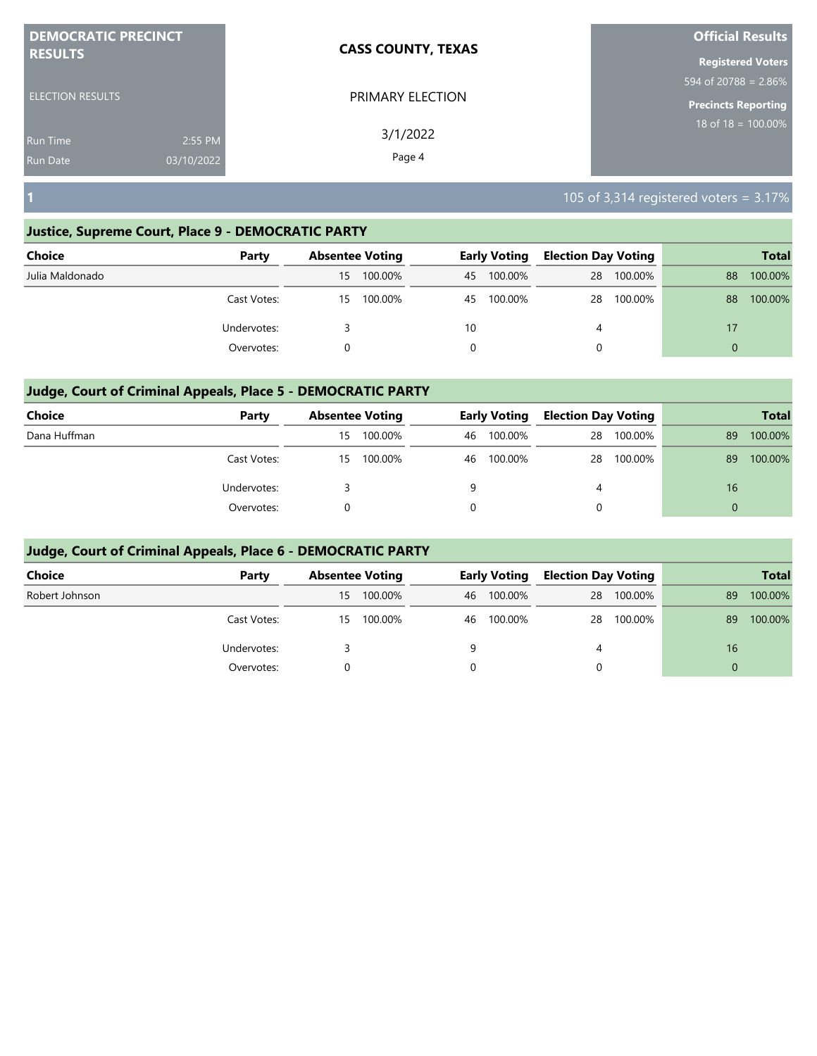| <b>DEMOCRATIC PRECINCT</b> |            | <b>CASS COUNTY, TEXAS</b> | <b>Official Results</b>    |
|----------------------------|------------|---------------------------|----------------------------|
| <b>RESULTS</b>             |            |                           | <b>Registered Voters</b>   |
|                            |            |                           | 594 of 20788 = 2.86%       |
| <b>ELECTION RESULTS</b>    |            | PRIMARY ELECTION          | <b>Precincts Reporting</b> |
| <b>Run Time</b>            | 2:55 PM    | 3/1/2022                  | 18 of $18 = 100.00\%$      |
| <b>Run Date</b>            | 03/10/2022 | Page 4                    |                            |

## **Justice, Supreme Court, Place 9 - DEMOCRATIC PARTY**

| <b>Choice</b>   | Party       |    | <b>Absentee Voting</b> |          | <b>Early Voting</b> | <b>Election Day Voting</b> |         |          | <b>Total</b> |
|-----------------|-------------|----|------------------------|----------|---------------------|----------------------------|---------|----------|--------------|
| Julia Maldonado |             | 15 | 100.00%                | 45       | 100.00%             | 28                         | 100.00% | 88       | 100.00%      |
|                 | Cast Votes: | 15 | 100.00%                | 45       | 100.00%             | 28                         | 100.00% | 88       | 100.00%      |
|                 | Undervotes: |    |                        | 10       |                     | 4                          |         | 17       |              |
|                 | Overvotes:  |    |                        | $\Omega$ |                     | 0                          |         | $\Omega$ |              |

# **Judge, Court of Criminal Appeals, Place 5 - DEMOCRATIC PARTY**

| <b>Choice</b> | Party       |    | <b>Absentee Voting</b> |    | Early Voting | <b>Election Day Voting</b> |         |          | <b>Total</b> |
|---------------|-------------|----|------------------------|----|--------------|----------------------------|---------|----------|--------------|
| Dana Huffman  |             | 15 | 100.00%                | 46 | 100.00%      | 28                         | 100.00% | 89       | 100.00%      |
|               | Cast Votes: | 15 | 100.00%                | 46 | 100.00%      | 28                         | 100.00% | 89       | 100.00%      |
|               | Undervotes: |    |                        | q  |              | 4                          |         | 16       |              |
|               | Overvotes:  |    |                        |    |              | 0                          |         | $\Omega$ |              |

| <b>Choice</b>  | Party       |    | <b>Absentee Voting</b> |    | <b>Early Voting</b> | <b>Election Day Voting</b> |         |          | <b>Total</b> |
|----------------|-------------|----|------------------------|----|---------------------|----------------------------|---------|----------|--------------|
| Robert Johnson |             | 15 | 100.00%                | 46 | 100.00%             | 28                         | 100.00% | 89       | 100.00%      |
|                | Cast Votes: | 15 | 100.00%                | 46 | 100.00%             | 28                         | 100.00% | 89       | 100.00%      |
|                | Undervotes: |    |                        | a  |                     | 4                          |         | 16       |              |
|                | Overvotes:  |    |                        | 0  |                     | 0                          |         | $\Omega$ |              |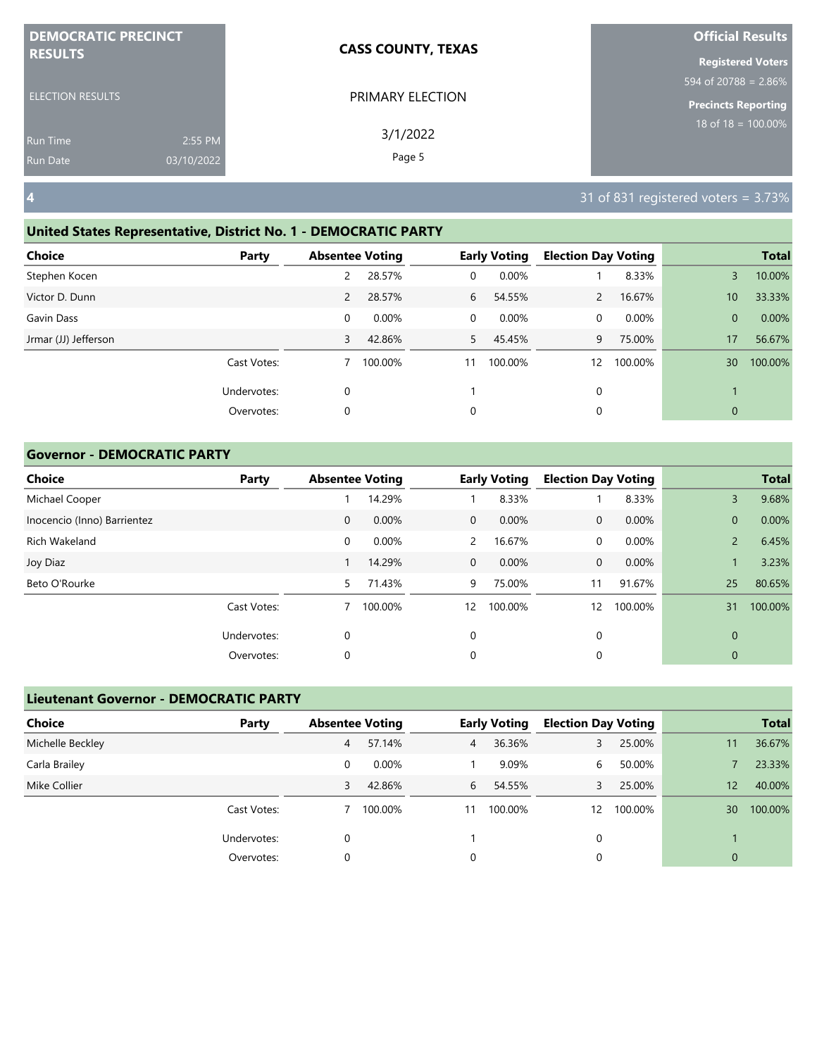| <b>DEMOCRATIC PRECINCT</b> |            | <b>CASS COUNTY, TEXAS</b> | <b>Official Results</b>  |
|----------------------------|------------|---------------------------|--------------------------|
| <b>RESULTS</b>             |            |                           | <b>Registered Voters</b> |
|                            |            |                           | 594 of 20788 = 2.86%     |
| <b>ELECTION RESULTS</b>    |            | PRIMARY ELECTION          | Precincts Reporting      |
| <b>Run Time</b>            | 2:55 PM    | 3/1/2022                  | 18 of $18 = 100.00\%$    |
| <b>Run Date</b>            | 03/10/2022 | Page 5                    |                          |

# **United States Representative, District No. 1 - DEMOCRATIC PARTY**

| Choice               | Party       | <b>Absentee Voting</b> |         |              | <b>Early Voting</b> | <b>Election Day Voting</b> |         |                 | <b>Total</b> |
|----------------------|-------------|------------------------|---------|--------------|---------------------|----------------------------|---------|-----------------|--------------|
| Stephen Kocen        |             | 2                      | 28.57%  | $\mathbf{0}$ | 0.00%               |                            | 8.33%   | 3               | 10.00%       |
| Victor D. Dunn       |             | $\overline{2}$         | 28.57%  | 6            | 54.55%              | $\mathbf{2}$               | 16.67%  | 10 <sup>°</sup> | 33.33%       |
| Gavin Dass           |             | 0                      | 0.00%   | $\mathbf{0}$ | 0.00%               | 0                          | 0.00%   | $\overline{0}$  | 0.00%        |
| Jrmar (JJ) Jefferson |             | 3                      | 42.86%  | 5.           | 45.45%              | 9                          | 75.00%  | 17              | 56.67%       |
|                      | Cast Votes: |                        | 100.00% | 11           | 100.00%             | 12                         | 100.00% | 30 <sup>°</sup> | 100.00%      |
|                      | Undervotes: | 0                      |         |              |                     | 0                          |         |                 |              |
|                      | Overvotes:  | 0                      |         | 0            |                     | 0                          |         | $\mathbf{0}$    |              |

## **Governor - DEMOCRATIC PARTY**

| <b>Choice</b>               | Party       | <b>Absentee Voting</b> |         |                   | <b>Early Voting</b> | <b>Election Day Voting</b> |         |                | <b>Total</b> |
|-----------------------------|-------------|------------------------|---------|-------------------|---------------------|----------------------------|---------|----------------|--------------|
| Michael Cooper              |             |                        | 14.29%  |                   | 8.33%               |                            | 8.33%   | 3              | 9.68%        |
| Inocencio (Inno) Barrientez |             | 0                      | 0.00%   | $\overline{0}$    | 0.00%               | $\mathbf{0}$               | 0.00%   | $\overline{0}$ | 0.00%        |
| Rich Wakeland               |             | 0                      | 0.00%   | 2                 | 16.67%              | 0                          | 0.00%   | $\overline{2}$ | 6.45%        |
| Joy Diaz                    |             |                        | 14.29%  | $\overline{0}$    | 0.00%               | $\mathbf{0}$               | 0.00%   |                | 3.23%        |
| Beto O'Rourke               |             | 5                      | 71.43%  | 9                 | 75.00%              | 11                         | 91.67%  | 25             | 80.65%       |
|                             | Cast Votes: |                        | 100.00% | $12 \overline{ }$ | 100.00%             | 12                         | 100.00% | 31             | 100.00%      |
|                             | Undervotes: | 0                      |         | 0                 |                     | $\mathbf 0$                |         | 0              |              |
|                             | Overvotes:  | 0                      |         | 0                 |                     | 0                          |         | 0              |              |

| <b>Lieutenant Governor - DEMOCRATIC PARTY</b> |             |                        |         |                |                     |                            |         |              |              |
|-----------------------------------------------|-------------|------------------------|---------|----------------|---------------------|----------------------------|---------|--------------|--------------|
| <b>Choice</b>                                 | Party       | <b>Absentee Voting</b> |         |                | <b>Early Voting</b> | <b>Election Day Voting</b> |         |              | <b>Total</b> |
| Michelle Beckley                              |             | 4                      | 57.14%  | $\overline{4}$ | 36.36%              | 3                          | 25.00%  | 11           | 36.67%       |
| Carla Brailey                                 |             | 0                      | 0.00%   |                | 9.09%               | 6                          | 50.00%  |              | 23.33%       |
| Mike Collier                                  |             | 3                      | 42.86%  | 6              | 54.55%              | 3                          | 25.00%  | 12           | 40.00%       |
|                                               | Cast Votes: |                        | 100.00% | 11             | 100.00%             | 12                         | 100.00% | 30           | 100.00%      |
|                                               | Undervotes: | 0                      |         |                |                     | 0                          |         |              |              |
|                                               | Overvotes:  | 0                      |         | 0              |                     | 0                          |         | $\mathbf{0}$ |              |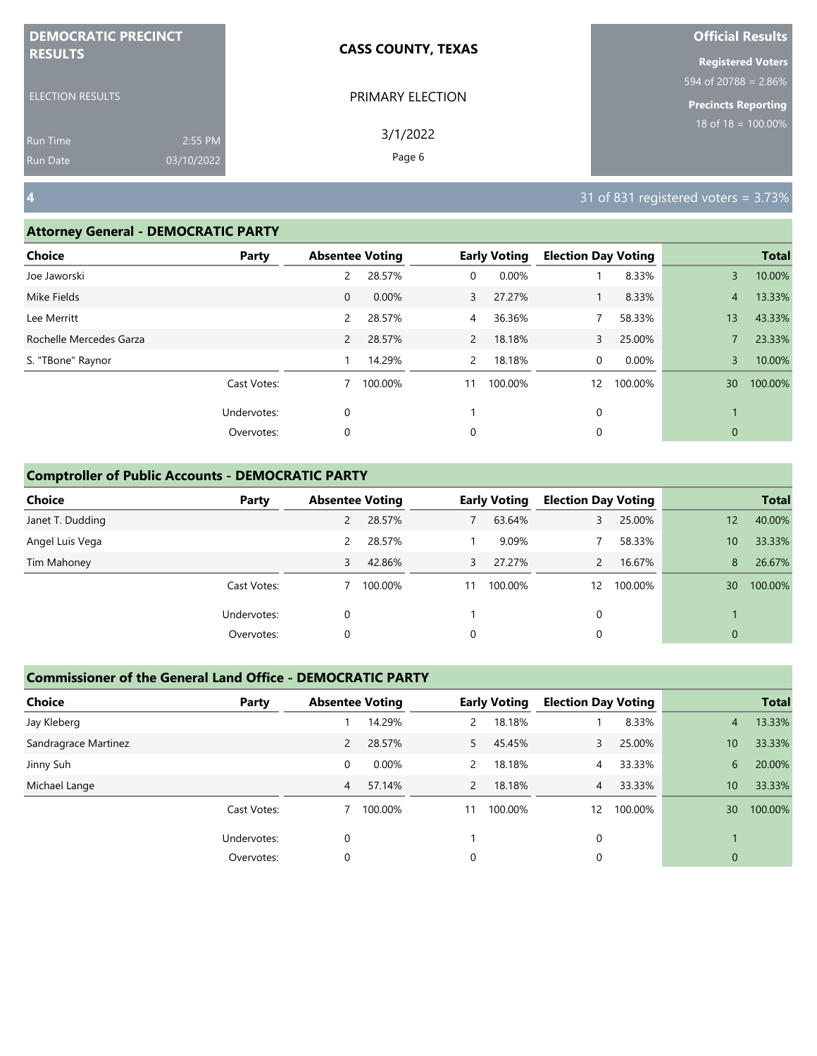| <b>DEMOCRATIC PRECINCT</b> |            | <b>CASS COUNTY, TEXAS</b> | <b>Official Results</b>    |
|----------------------------|------------|---------------------------|----------------------------|
| <b>RESULTS</b>             |            |                           | <b>Registered Voters</b>   |
|                            |            |                           | 594 of 20788 = $2.86\%$    |
| <b>ELECTION RESULTS</b>    |            | PRIMARY ELECTION          | <b>Precincts Reporting</b> |
| <b>Run Time</b>            | 2:55 PM    | 3/1/2022                  | $18$ of $18 = 100.00\%$    |
| <b>Run Date</b>            | 03/10/2022 | Page 6                    |                            |

#### **Attorney General - DEMOCRATIC PARTY**

| . .                     |             |                        |         |                |                     |                            |         |                |              |
|-------------------------|-------------|------------------------|---------|----------------|---------------------|----------------------------|---------|----------------|--------------|
| <b>Choice</b>           | Party       | <b>Absentee Voting</b> |         |                | <b>Early Voting</b> | <b>Election Day Voting</b> |         |                | <b>Total</b> |
| Joe Jaworski            |             | 2                      | 28.57%  | 0              | 0.00%               |                            | 8.33%   | 3              | 10.00%       |
| Mike Fields             |             | $\mathbf 0$            | 0.00%   | 3              | 27.27%              | $\mathbf{1}$               | 8.33%   | $\overline{4}$ | 13.33%       |
| Lee Merritt             |             | 2                      | 28.57%  | 4              | 36.36%              |                            | 58.33%  | 13             | 43.33%       |
| Rochelle Mercedes Garza |             | $\overline{2}$         | 28.57%  | $\overline{2}$ | 18.18%              | 3                          | 25.00%  |                | 23.33%       |
| S. "TBone" Raynor       |             |                        | 14.29%  | $\mathbf{2}$   | 18.18%              | 0                          | 0.00%   | 3              | 10.00%       |
|                         | Cast Votes: |                        | 100.00% | 11             | 100.00%             | 12                         | 100.00% | 30             | 100.00%      |
|                         | Undervotes: | $\mathbf 0$            |         |                |                     | 0                          |         |                |              |
|                         | Overvotes:  | $\mathbf 0$            |         | 0              |                     | 0                          |         | $\mathbf{0}$   |              |
|                         |             |                        |         |                |                     |                            |         |                |              |

## **Comptroller of Public Accounts - DEMOCRATIC PARTY**

| <b>Choice</b>    | Party       | <b>Absentee Voting</b> |         |    | <b>Early Voting</b> | <b>Election Day Voting</b> |         |                | <b>Total</b> |
|------------------|-------------|------------------------|---------|----|---------------------|----------------------------|---------|----------------|--------------|
| Janet T. Dudding |             |                        | 28.57%  |    | 63.64%              |                            | 25.00%  | 12             | 40.00%       |
| Angel Luis Vega  |             | 2                      | 28.57%  |    | 9.09%               |                            | 58.33%  | 10             | 33.33%       |
| Tim Mahoney      |             | 3                      | 42.86%  | 3  | 27.27%              |                            | 16.67%  | 8              | 26.67%       |
|                  | Cast Votes: |                        | 100.00% | 11 | 100.00%             | 12                         | 100.00% | 30             | 100.00%      |
|                  | Undervotes: | 0                      |         |    |                     | 0                          |         |                |              |
|                  | Overvotes:  | 0                      |         | 0  |                     | 0                          |         | $\overline{0}$ |              |

| <b>Choice</b>        | Party       | <b>Absentee Voting</b> |         |                           | <b>Early Voting</b> | <b>Election Day Voting</b> |         |                 | <b>Total</b> |
|----------------------|-------------|------------------------|---------|---------------------------|---------------------|----------------------------|---------|-----------------|--------------|
| Jay Kleberg          |             |                        | 14.29%  | $\mathsf{2}^{\mathsf{2}}$ | 18.18%              |                            | 8.33%   | 4               | 13.33%       |
| Sandragrace Martinez |             | $\overline{2}$         | 28.57%  | 5                         | 45.45%              | 3                          | 25.00%  | 10 <sup>°</sup> | 33.33%       |
| Jinny Suh            |             | 0                      | 0.00%   | $\mathcal{P}$             | 18.18%              | $\overline{4}$             | 33.33%  | 6               | 20.00%       |
| Michael Lange        |             | 4                      | 57.14%  | $\overline{2}$            | 18.18%              | $\overline{4}$             | 33.33%  | 10 <sup>°</sup> | 33.33%       |
|                      | Cast Votes: |                        | 100.00% | 11                        | 100.00%             | 12                         | 100.00% | 30              | 100.00%      |
|                      | Undervotes: | $\Omega$               |         |                           |                     | $\Omega$                   |         |                 |              |
|                      | Overvotes:  | 0                      |         | 0                         |                     | 0                          |         | $\overline{0}$  |              |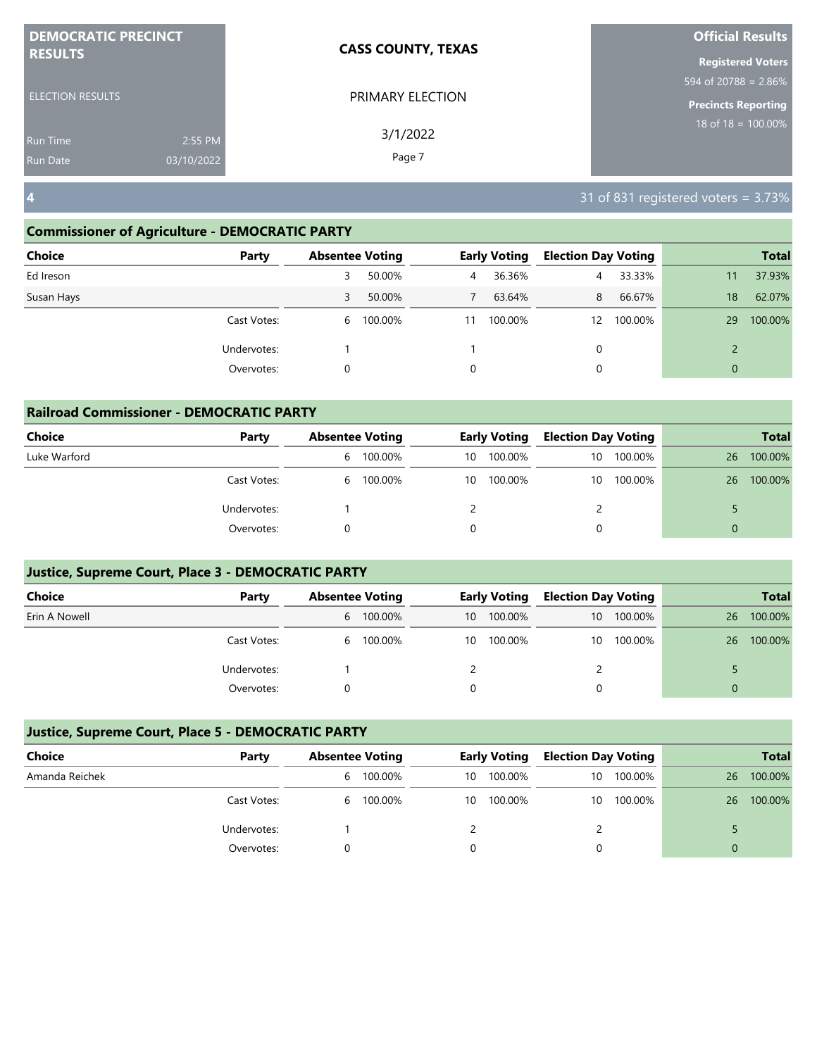| <b>DEMOCRATIC PRECINCT</b>                                  | <b>CASS COUNTY, TEXAS</b> | <b>Official Results</b>    |
|-------------------------------------------------------------|---------------------------|----------------------------|
| <b>RESULTS</b>                                              |                           | <b>Registered Voters</b>   |
|                                                             |                           | 594 of 20788 = $2.86\%$    |
| <b>ELECTION RESULTS</b>                                     | PRIMARY ELECTION          | <b>Precincts Reporting</b> |
| 2:55 PM<br><b>Run Time</b><br>03/10/2022<br><b>Run Date</b> | 3/1/2022<br>Page 7        | $18$ of $18 = 100.00\%$    |
|                                                             |                           |                            |

#### **Commissioner of Agriculture - DEMOCRATIC PARTY**

| <b>Choice</b><br>Party | <b>Absentee Voting</b> |           |    | <b>Early Voting</b> | <b>Election Day Voting</b> |         |              | <b>Total</b> |
|------------------------|------------------------|-----------|----|---------------------|----------------------------|---------|--------------|--------------|
| Ed Ireson              | 3                      | 50.00%    | 4  | 36.36%              | 4                          | 33.33%  | 11           | 37.93%       |
| Susan Hays             | 3                      | 50.00%    |    | 63.64%              | 8                          | 66.67%  | 18           | 62.07%       |
| Cast Votes:            |                        | 6 100.00% | 11 | 100.00%             | 12                         | 100.00% | 29           | 100.00%      |
| Undervotes:            |                        |           |    |                     | 0                          |         |              |              |
| Overvotes:             | 0                      |           | 0  |                     | 0                          |         | $\mathbf{0}$ |              |

| <b>Railroad Commissioner - DEMOCRATIC PARTY</b> |             |   |                        |    |                     |                            |         |          |              |  |  |
|-------------------------------------------------|-------------|---|------------------------|----|---------------------|----------------------------|---------|----------|--------------|--|--|
| <b>Choice</b>                                   | Party       |   | <b>Absentee Voting</b> |    | <b>Early Voting</b> | <b>Election Day Voting</b> |         |          | <b>Total</b> |  |  |
| Luke Warford                                    |             | 6 | 100.00%                | 10 | 100.00%             | 10                         | 100.00% | 26       | 100.00%      |  |  |
|                                                 | Cast Votes: |   | 6 100.00%              | 10 | 100.00%             | 10                         | 100.00% | 26       | 100.00%      |  |  |
|                                                 | Undervotes: |   |                        |    |                     |                            |         |          |              |  |  |
|                                                 | Overvotes:  |   |                        |    |                     |                            |         | $\Omega$ |              |  |  |

## **Justice, Supreme Court, Place 3 - DEMOCRATIC PARTY**

| <b>Choice</b> | Party       | <b>Absentee Voting</b> |           | <b>Early Voting</b> |         | <b>Election Day Voting</b> |         |    | <b>Total</b> |
|---------------|-------------|------------------------|-----------|---------------------|---------|----------------------------|---------|----|--------------|
| Erin A Nowell |             |                        | 6 100.00% | 10                  | 100.00% | 10                         | 100.00% | 26 | 100.00%      |
|               | Cast Votes: |                        | 6 100.00% | 10                  | 100.00% | 10                         | 100.00% | 26 | 100.00%      |
|               | Undervotes: |                        |           |                     |         |                            |         |    |              |
|               | Overvotes:  |                        |           |                     |         |                            |         |    |              |

| Choice         | Party       | <b>Absentee Voting</b> |         | <b>Early Voting</b> |         | <b>Election Day Voting</b> |         |    | <b>Total</b> |
|----------------|-------------|------------------------|---------|---------------------|---------|----------------------------|---------|----|--------------|
| Amanda Reichek |             | b                      | 100.00% | 10                  | 100.00% | 10                         | 100.00% | 26 | 100.00%      |
|                | Cast Votes: | 6                      | 100.00% | 10                  | 100.00% | 10                         | 100.00% | 26 | 100.00%      |
|                | Undervotes: |                        |         |                     |         |                            |         |    |              |
|                | Overvotes:  |                        |         |                     |         |                            |         |    |              |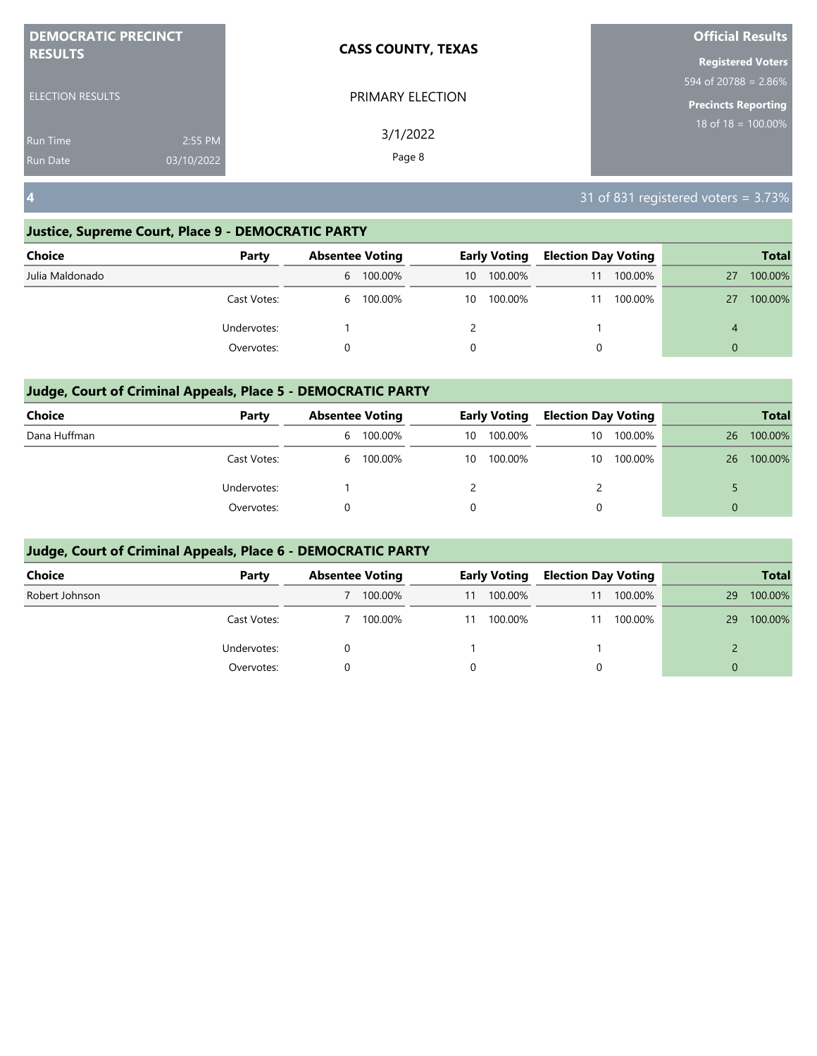| <b>DEMOCRATIC PRECINCT</b>                           | <b>CASS COUNTY, TEXAS</b> | <b>Official Results</b>    |
|------------------------------------------------------|---------------------------|----------------------------|
| <b>RESULTS</b>                                       |                           | <b>Registered Voters</b>   |
|                                                      |                           | 594 of 20788 = 2.86%       |
| <b>ELECTION RESULTS</b>                              | PRIMARY ELECTION          | <b>Precincts Reporting</b> |
| 2:55 PM<br>Run Time<br>03/10/2022<br><b>Run Date</b> | 3/1/2022<br>Page 8        | $18$ of $18 = 100.00\%$    |
|                                                      |                           |                            |

## **Justice, Supreme Court, Place 9 - DEMOCRATIC PARTY**

| <b>Choice</b>   | Party       | <b>Absentee Voting</b> |           | <b>Early Voting</b> |         | <b>Election Day Voting</b> |         |          | <b>Total</b> |
|-----------------|-------------|------------------------|-----------|---------------------|---------|----------------------------|---------|----------|--------------|
| Julia Maldonado |             |                        | 6 100.00% | 10                  | 100.00% | 11                         | 100.00% | 27       | 100.00%      |
|                 | Cast Votes: | 6                      | 100.00%   | 10                  | 100.00% | 11                         | 100.00% | 27       | 100.00%      |
|                 | Undervotes: |                        |           |                     |         |                            |         | 4        |              |
|                 | Overvotes:  |                        |           | 0                   |         | 0                          |         | $\Omega$ |              |

## **Judge, Court of Criminal Appeals, Place 5 - DEMOCRATIC PARTY**

| <b>Choice</b> | Party       | <b>Absentee Voting</b> |         | <b>Early Voting</b> |         | <b>Election Day Voting</b> |         |    | <b>Total</b> |
|---------------|-------------|------------------------|---------|---------------------|---------|----------------------------|---------|----|--------------|
| Dana Huffman  |             | b                      | 100.00% | 10                  | 100.00% | 10                         | 100.00% | 26 | 100.00%      |
|               | Cast Votes: | b                      | 100.00% | 10                  | 100.00% | 10                         | 100.00% | 26 | 100.00%      |
|               | Undervotes: |                        |         |                     |         |                            |         |    |              |
|               | Overvotes:  |                        |         |                     |         | 0                          |         | 0  |              |

| <b>Choice</b>  | Party       | <b>Absentee Voting</b> |         | <b>Early Voting</b> |         | <b>Election Day Voting</b> |         |          | <b>Total</b> |
|----------------|-------------|------------------------|---------|---------------------|---------|----------------------------|---------|----------|--------------|
| Robert Johnson |             |                        | 100.00% | 11                  | 100.00% | 11                         | 100.00% | 29       | 100.00%      |
|                | Cast Votes: |                        | 100.00% | 11                  | 100.00% | 11                         | 100.00% | 29       | 100.00%      |
|                | Undervotes: |                        |         |                     |         |                            |         |          |              |
|                | Overvotes:  |                        |         | 0                   |         | 0                          |         | $\Omega$ |              |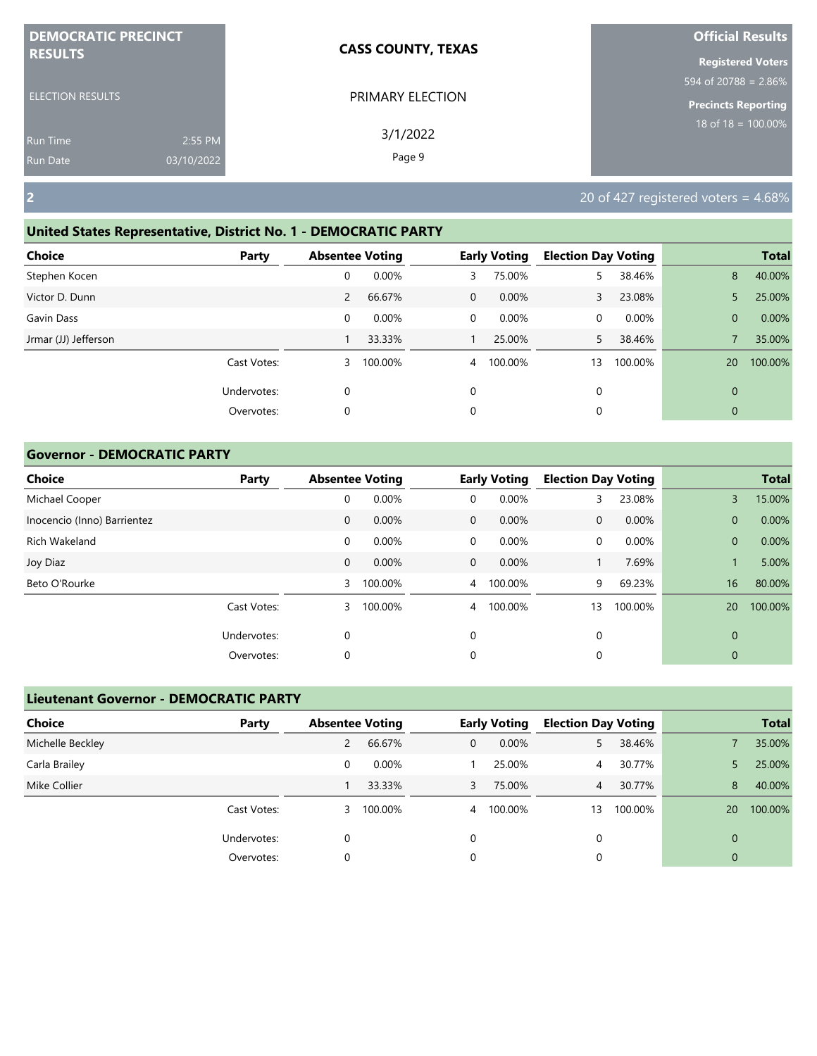| <b>DEMOCRATIC PRECINCT</b>                |                       | <b>CASS COUNTY, TEXAS</b> | <b>Official Results</b>                                               |
|-------------------------------------------|-----------------------|---------------------------|-----------------------------------------------------------------------|
| <b>RESULTS</b><br><b>ELECTION RESULTS</b> |                       | PRIMARY ELECTION          | <b>Registered Voters</b><br>$\frac{1594 \text{ of } 20788 = 2.86\%}{$ |
| <b>Run Time</b><br><b>Run Date</b>        | 2:55 PM<br>03/10/2022 | 3/1/2022<br>Page 9        | <b>Precincts Reporting</b><br>$18$ of $18 = 100.00\%$                 |
| $\overline{2}$                            |                       |                           | 20 of 427 registered voters = $4.68\%$                                |

# **United States Representative, District No. 1 - DEMOCRATIC PARTY**

| Choice               | Party       | <b>Absentee Voting</b> |         |              | <b>Early Voting</b> | <b>Election Day Voting</b> |         |              | <b>Total</b> |
|----------------------|-------------|------------------------|---------|--------------|---------------------|----------------------------|---------|--------------|--------------|
| Stephen Kocen        |             | 0                      | 0.00%   | 3            | 75.00%              | 5.                         | 38.46%  | 8            | 40.00%       |
| Victor D. Dunn       |             | 2                      | 66.67%  | $\mathbf{0}$ | $0.00\%$            | 3                          | 23.08%  | 5            | 25.00%       |
| Gavin Dass           |             | 0                      | 0.00%   | 0            | $0.00\%$            | 0                          | 0.00%   | $\mathbf{0}$ | 0.00%        |
| Jrmar (JJ) Jefferson |             |                        | 33.33%  |              | 25.00%              | 5.                         | 38.46%  |              | 35.00%       |
|                      | Cast Votes: | 3                      | 100.00% | 4            | 100.00%             | 13                         | 100.00% | 20           | 100.00%      |
|                      | Undervotes: | 0                      |         | $\Omega$     |                     | 0                          |         | $\mathbf{0}$ |              |
|                      | Overvotes:  | 0                      |         | 0            |                     | 0                          |         | $\mathbf{0}$ |              |

## **Governor - DEMOCRATIC PARTY**

| <b>Choice</b>               | Party       | <b>Absentee Voting</b> |         |                | <b>Early Voting</b> | <b>Election Day Voting</b> |         |                | <b>Total</b> |
|-----------------------------|-------------|------------------------|---------|----------------|---------------------|----------------------------|---------|----------------|--------------|
| Michael Cooper              |             | 0                      | 0.00%   | 0              | 0.00%               | 3                          | 23.08%  | 3              | 15.00%       |
| Inocencio (Inno) Barrientez |             | 0                      | 0.00%   | $\mathbf{0}$   | 0.00%               | $\mathbf{0}$               | 0.00%   | $\overline{0}$ | 0.00%        |
| Rich Wakeland               |             | 0                      | 0.00%   | 0              | 0.00%               | 0                          | 0.00%   | $\overline{0}$ | 0.00%        |
| Joy Diaz                    |             | $\mathbf{0}$           | 0.00%   | $\overline{0}$ | $0.00\%$            |                            | 7.69%   | $\mathbf{1}$   | 5.00%        |
| Beto O'Rourke               |             | 3                      | 100.00% | $\overline{4}$ | 100.00%             | 9                          | 69.23%  | 16             | 80.00%       |
|                             | Cast Votes: | 3                      | 100.00% | 4              | 100.00%             | 13                         | 100.00% | 20             | 100.00%      |
|                             | Undervotes: | 0                      |         | 0              |                     | $\mathbf 0$                |         | 0              |              |
|                             | Overvotes:  | 0                      |         | 0              |                     | 0                          |         | 0              |              |

| <b>Lieutenant Governor - DEMOCRATIC PARTY</b> |             |                        |         |   |                     |                            |         |             |              |
|-----------------------------------------------|-------------|------------------------|---------|---|---------------------|----------------------------|---------|-------------|--------------|
| <b>Choice</b>                                 | Party       | <b>Absentee Voting</b> |         |   | <b>Early Voting</b> | <b>Election Day Voting</b> |         |             | <b>Total</b> |
| Michelle Beckley                              |             | 2                      | 66.67%  | 0 | 0.00%               | 5.                         | 38.46%  |             | 35.00%       |
| Carla Brailey                                 |             | 0                      | 0.00%   |   | 25.00%              | 4                          | 30.77%  |             | 25.00%       |
| Mike Collier                                  |             |                        | 33.33%  | 3 | 75.00%              | $\overline{4}$             | 30.77%  | 8           | 40.00%       |
|                                               | Cast Votes: | 3                      | 100.00% |   | 4 100.00%           | 13                         | 100.00% | 20          | 100.00%      |
|                                               | Undervotes: | 0                      |         | 0 |                     | 0                          |         | $\mathbf 0$ |              |
|                                               | Overvotes:  | 0                      |         | 0 |                     | 0                          |         | 0           |              |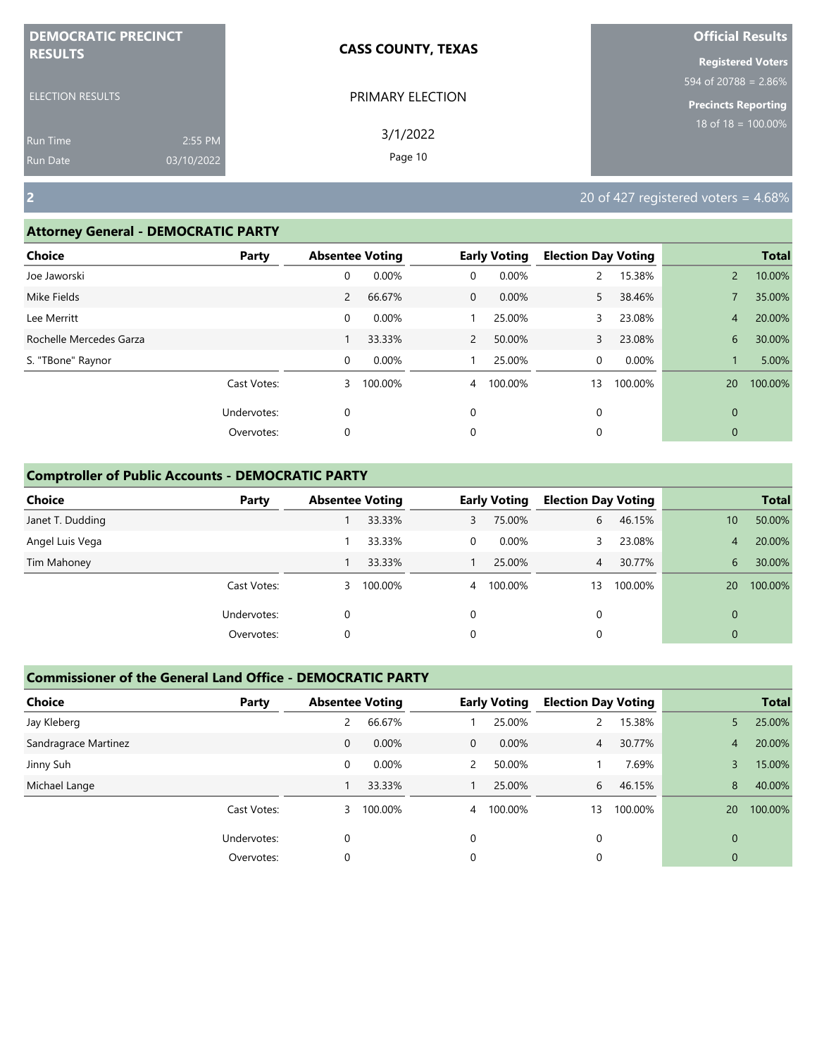| <b>DEMOCRATIC PRECINCT</b> |            | <b>CASS COUNTY, TEXAS</b> | <b>Official Results</b>          |
|----------------------------|------------|---------------------------|----------------------------------|
| <b>RESULTS</b>             |            |                           | <b>Registered Voters</b>         |
|                            |            |                           | $594 \text{ of } 20788 = 2.86\%$ |
| <b>ELECTION RESULTS</b>    |            | PRIMARY ELECTION          | <b>Precincts Reporting</b>       |
| <b>Run Time</b>            | 2:55 PM    | 3/1/2022                  | $18$ of $18 = 100.00\%$          |
| <b>Run Date</b>            | 03/10/2022 | Page 10                   |                                  |

**2** 20 of 427 registered voters = 4.68%

## **Attorney General - DEMOCRATIC PARTY**

| <b>Choice</b>           | Party       | <b>Absentee Voting</b> |         |                | <b>Early Voting</b> | <b>Election Day Voting</b> |         |                | <b>Total</b> |
|-------------------------|-------------|------------------------|---------|----------------|---------------------|----------------------------|---------|----------------|--------------|
| Joe Jaworski            |             | 0                      | 0.00%   | 0              | 0.00%               |                            | 15.38%  | $\overline{2}$ | 10.00%       |
| Mike Fields             |             | $\overline{2}$         | 66.67%  | $\mathbf{0}$   | 0.00%               | 5.                         | 38.46%  |                | 35.00%       |
| Lee Merritt             |             | 0                      | 0.00%   |                | 25.00%              | 3.                         | 23.08%  | $\overline{4}$ | 20.00%       |
| Rochelle Mercedes Garza |             |                        | 33.33%  | $\overline{2}$ | 50.00%              | 3                          | 23.08%  | 6              | 30.00%       |
| S. "TBone" Raynor       |             | 0                      | 0.00%   |                | 25.00%              | 0                          | 0.00%   |                | 5.00%        |
|                         | Cast Votes: | 3                      | 100.00% | 4              | 100.00%             | 13                         | 100.00% | 20             | 100.00%      |
|                         | Undervotes: | $\mathbf 0$            |         | 0              |                     | 0                          |         | $\mathbf{0}$   |              |
|                         | Overvotes:  | $\mathbf 0$            |         | 0              |                     | 0                          |         | $\mathbf{0}$   |              |
|                         |             |                        |         |                |                     |                            |         |                |              |

# **Comptroller of Public Accounts - DEMOCRATIC PARTY**

| <b>Choice</b>    | Party       | <b>Absentee Voting</b> |         |                | <b>Early Voting</b> | <b>Election Day Voting</b> |         |             | <b>Total</b> |
|------------------|-------------|------------------------|---------|----------------|---------------------|----------------------------|---------|-------------|--------------|
| Janet T. Dudding |             |                        | 33.33%  | 3              | 75.00%              | 6                          | 46.15%  | 10          | 50.00%       |
| Angel Luis Vega  |             |                        | 33.33%  | $\Omega$       | $0.00\%$            |                            | 23.08%  | 4           | 20.00%       |
| Tim Mahoney      |             |                        | 33.33%  |                | 25.00%              | 4 <sup>7</sup>             | 30.77%  | 6           | 30.00%       |
|                  | Cast Votes: | 3                      | 100.00% | $\overline{4}$ | 100.00%             | 13                         | 100.00% | 20          | 100.00%      |
|                  | Undervotes: | 0                      |         | 0              |                     | 0                          |         | $\Omega$    |              |
|                  | Overvotes:  | 0                      |         | 0              |                     | 0                          |         | $\mathbf 0$ |              |

| <b>Choice</b>        | Party       | <b>Absentee Voting</b> |          |                | <b>Early Voting</b> | <b>Election Day Voting</b> |         |                | <b>Total</b> |
|----------------------|-------------|------------------------|----------|----------------|---------------------|----------------------------|---------|----------------|--------------|
| Jay Kleberg          |             | 2                      | 66.67%   |                | 25.00%              |                            | 15.38%  | 5              | 25.00%       |
| Sandragrace Martinez |             | $\mathbf{0}$           | $0.00\%$ | $\mathbf{0}$   | $0.00\%$            | $\overline{4}$             | 30.77%  | $\overline{4}$ | 20.00%       |
| Jinny Suh            |             | 0                      | 0.00%    | 2              | 50.00%              |                            | 7.69%   | 3              | 15.00%       |
| Michael Lange        |             |                        | 33.33%   |                | 25.00%              | 6                          | 46.15%  | 8              | 40.00%       |
|                      | Cast Votes: | 3                      | 100.00%  | $\overline{4}$ | 100.00%             | 13                         | 100.00% | 20             | 100.00%      |
|                      | Undervotes: | 0                      |          | 0              |                     | $\Omega$                   |         | $\Omega$       |              |
|                      | Overvotes:  | 0                      |          | 0              |                     |                            |         | 0              |              |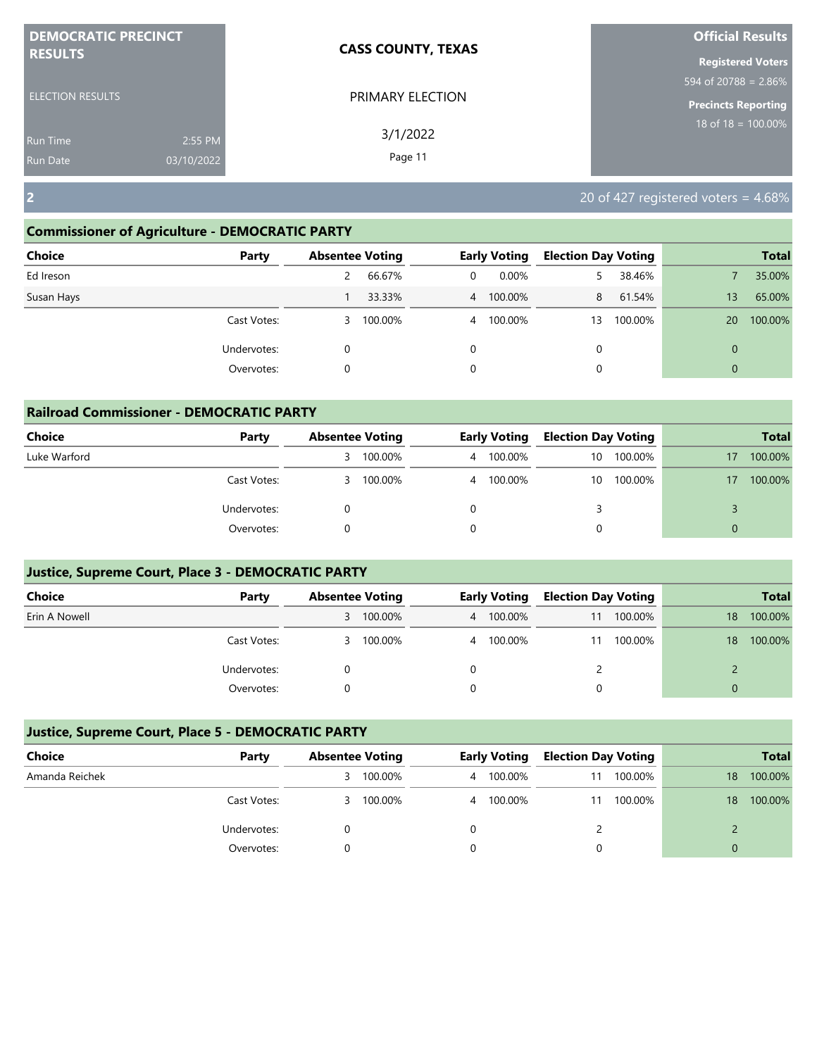| <b>DEMOCRATIC PRECINCT</b> |            | <b>CASS COUNTY, TEXAS</b> | <b>Official Results</b>                   |
|----------------------------|------------|---------------------------|-------------------------------------------|
| <b>RESULTS</b>             |            |                           | <b>Registered Voters</b>                  |
|                            |            |                           | $\frac{1594 \text{ of } 20788 = 2.86\%}{$ |
| <b>ELECTION RESULTS</b>    |            | PRIMARY ELECTION          | Precincts Reporting                       |
| <b>Run Time</b>            | 2:55 PM    | 3/1/2022                  | $18 \text{ of } 18 = 100.00\%$            |
| <b>Run Date</b>            | 03/10/2022 | Page 11                   |                                           |

**2** 20 of 427 registered voters = 4.68%

## **Commissioner of Agriculture - DEMOCRATIC PARTY**

| <b>Choice</b><br>Party |   | <b>Absentee Voting</b> |                | <b>Early Voting</b> | <b>Election Day Voting</b> |         |                | <b>Total</b> |
|------------------------|---|------------------------|----------------|---------------------|----------------------------|---------|----------------|--------------|
| Ed Ireson              | 2 | 66.67%                 | 0              | 0.00%               |                            | 38.46%  |                | 35.00%       |
| Susan Hays             |   | 33.33%                 |                | 4 100.00%           | 8                          | 61.54%  | 13             | 65.00%       |
| Cast Votes:            | 3 | 100.00%                | $\overline{4}$ | 100.00%             | 13                         | 100.00% | 20             | 100.00%      |
| Undervotes:            | 0 |                        | 0              |                     | 0                          |         | $\Omega$       |              |
| Overvotes:             | 0 |                        | 0              |                     | 0                          |         | $\overline{0}$ |              |

| <b>Railroad Commissioner - DEMOCRATIC PARTY</b> |             |                        |         |   |                     |                            |         |          |              |  |  |  |
|-------------------------------------------------|-------------|------------------------|---------|---|---------------------|----------------------------|---------|----------|--------------|--|--|--|
| <b>Choice</b>                                   | Party       | <b>Absentee Voting</b> |         |   | <b>Early Voting</b> | <b>Election Day Voting</b> |         |          | <b>Total</b> |  |  |  |
| Luke Warford                                    |             | 3                      | 100.00% | 4 | 100.00%             | $10^{\circ}$               | 100.00% | 17       | 100.00%      |  |  |  |
|                                                 | Cast Votes: | 3                      | 100.00% |   | 4 100.00%           | 10                         | 100.00% | 17       | 100.00%      |  |  |  |
|                                                 | Undervotes: |                        |         | 0 |                     |                            |         |          |              |  |  |  |
|                                                 | Overvotes:  |                        |         | 0 |                     |                            |         | $\Omega$ |              |  |  |  |

# **Justice, Supreme Court, Place 3 - DEMOCRATIC PARTY**

| <b>Choice</b> | Party       | <b>Absentee Voting</b> |           | <b>Early Voting</b> | <b>Election Day Voting</b> |         |    | <b>Total</b> |
|---------------|-------------|------------------------|-----------|---------------------|----------------------------|---------|----|--------------|
| Erin A Nowell |             | 3                      | 100.00%   | 4 100.00%           | 11                         | 100.00% | 18 | 100.00%      |
|               | Cast Votes: |                        | 3 100.00% | 4 100.00%           | 11                         | 100.00% | 18 | 100.00%      |
|               | Undervotes: |                        |           |                     |                            |         |    |              |
|               | Overvotes:  |                        |           |                     |                            |         |    |              |

| Choice         | Party       | <b>Absentee Voting</b> |         | <b>Early Voting</b> | <b>Election Day Voting</b> |         |    | <b>Total</b> |
|----------------|-------------|------------------------|---------|---------------------|----------------------------|---------|----|--------------|
| Amanda Reichek |             | 3.                     | 100.00% | 4 100.00%           |                            | 100.00% | 18 | 100.00%      |
|                | Cast Votes: | 3.                     | 100.00% | 4 100.00%           |                            | 100.00% | 18 | 100.00%      |
|                | Undervotes: |                        |         |                     |                            |         |    |              |
|                | Overvotes:  |                        |         |                     |                            |         | 0  |              |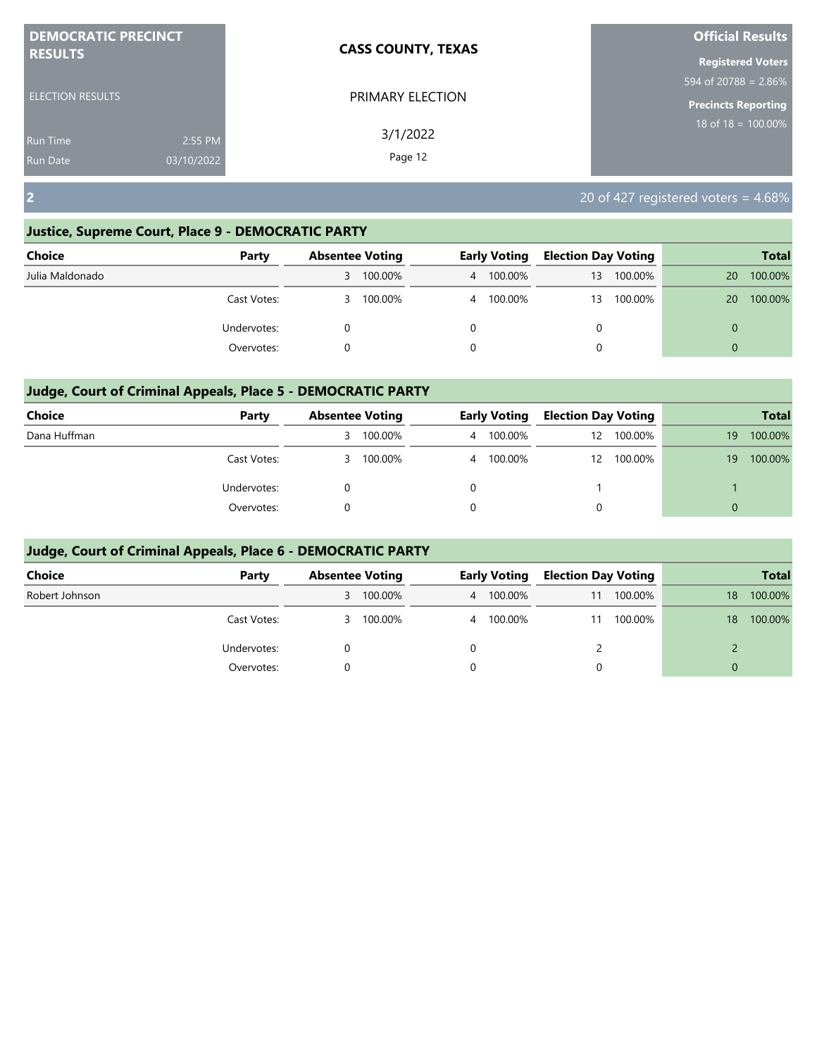| <b>DEMOCRATIC PRECINCT</b> |            | <b>CASS COUNTY, TEXAS</b> | <b>Official Results</b>        |
|----------------------------|------------|---------------------------|--------------------------------|
| <b>RESULTS</b>             |            |                           | <b>Registered Voters</b>       |
|                            |            |                           | 594 of 20788 = 2.86%           |
| <b>ELECTION RESULTS</b>    |            | PRIMARY ELECTION          | <b>Precincts Reporting</b>     |
| <b>Run Time</b>            | 2:55 PM    | 3/1/2022                  | $18 \text{ of } 18 = 100.00\%$ |
| <b>Run Date</b>            | 03/10/2022 | Page 12                   |                                |

**2** 20 of 427 registered voters = 4.68%

## **Justice, Supreme Court, Place 9 - DEMOCRATIC PARTY**

| <b>Choice</b>   | Party       | <b>Absentee Voting</b> |         | <b>Early Voting</b> | <b>Election Day Voting</b> |         |          | <b>Total</b> |
|-----------------|-------------|------------------------|---------|---------------------|----------------------------|---------|----------|--------------|
| Julia Maldonado |             | 3                      | 100.00% | 4 100.00%           | 13                         | 100.00% | 20       | 100.00%      |
|                 | Cast Votes: | 3                      | 100.00% | 4 100.00%           | 13                         | 100.00% | 20       | 100.00%      |
|                 | Undervotes: |                        |         |                     | 0                          |         | 0        |              |
|                 | Overvotes:  |                        |         |                     | 0                          |         | $\Omega$ |              |

# **Judge, Court of Criminal Appeals, Place 5 - DEMOCRATIC PARTY**

| <b>Choice</b> | Party       |    | <b>Absentee Voting</b> |  | <b>Early Voting</b> |    | <b>Election Day Voting</b> |    | <b>Total</b> |
|---------------|-------------|----|------------------------|--|---------------------|----|----------------------------|----|--------------|
| Dana Huffman  |             | 3. | 100.00%                |  | 4 100.00%           | 12 | 100.00%                    | 19 | 100.00%      |
|               | Cast Votes: | 3. | 100.00%                |  | 4 100.00%           | 12 | 100.00%                    | 19 | 100.00%      |
|               | Undervotes: |    |                        |  |                     |    |                            |    |              |
|               | Overvotes:  |    |                        |  |                     | 0  |                            | 0  |              |

| <b>Choice</b>  | Party       |   | <b>Absentee Voting</b> |   | <b>Early Voting</b> |    | <b>Election Day Voting</b> |              | <b>Total</b> |
|----------------|-------------|---|------------------------|---|---------------------|----|----------------------------|--------------|--------------|
| Robert Johnson |             |   | 3 100.00%              |   | 4 100.00%           | 11 | 100.00%                    | 18           | 100.00%      |
|                | Cast Votes: | 3 | 100.00%                |   | 4 100.00%           | 11 | 100.00%                    | $18^{\circ}$ | 100.00%      |
|                | Undervotes: |   |                        | 0 |                     |    |                            |              |              |
|                | Overvotes:  |   |                        | 0 |                     | 0  |                            | $\Omega$     |              |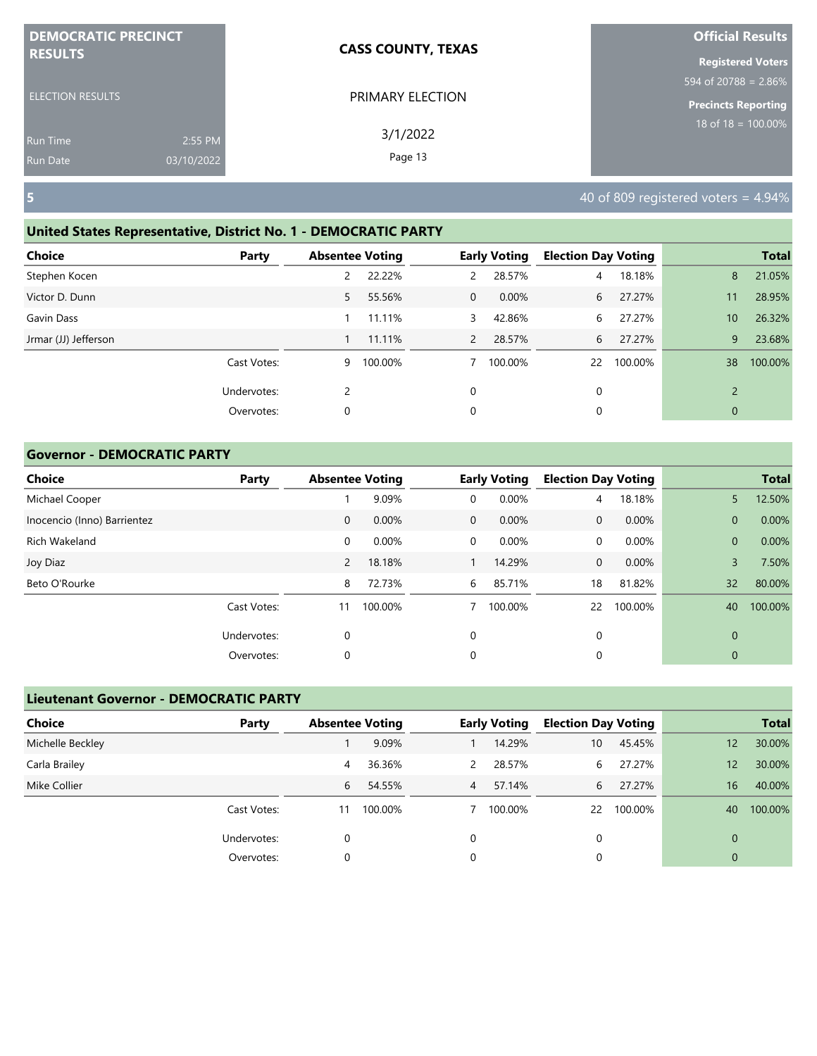| <b>DEMOCRATIC PRECINCT</b> |            | <b>CASS COUNTY, TEXAS</b> | <b>Official Results</b>    |
|----------------------------|------------|---------------------------|----------------------------|
| <b>RESULTS</b>             |            |                           | <b>Registered Voters</b>   |
|                            |            |                           | 594 of 20788 = $2.86\%$    |
| <b>ELECTION RESULTS</b>    |            | PRIMARY ELECTION          | <b>Precincts Reporting</b> |
| <b>Run Time</b>            | 2:55 PM    | 3/1/2022                  | 18 of $18 = 100.00\%$      |
| <b>Run Date</b>            | 03/10/2022 | Page 13                   |                            |

#### **United States Representative, District No. 1 - DEMOCRATIC PARTY**

| Choice               | Party       | <b>Absentee Voting</b> |         |                | <b>Early Voting</b> | <b>Election Day Voting</b> |         |                 | <b>Total</b> |
|----------------------|-------------|------------------------|---------|----------------|---------------------|----------------------------|---------|-----------------|--------------|
| Stephen Kocen        |             | 2                      | 22.22%  | $\mathcal{P}$  | 28.57%              | 4                          | 18.18%  | 8               | 21.05%       |
| Victor D. Dunn       |             | 5                      | 55.56%  | $\overline{0}$ | $0.00\%$            | 6                          | 27.27%  | 11              | 28.95%       |
| Gavin Dass           |             |                        | 11.11%  | 3              | 42.86%              | 6                          | 27.27%  | 10 <sup>°</sup> | 26.32%       |
| Jrmar (JJ) Jefferson |             |                        | 11.11%  | $\overline{2}$ | 28.57%              | 6                          | 27.27%  | 9               | 23.68%       |
|                      | Cast Votes: | 9                      | 100.00% |                | 100.00%             | 22                         | 100.00% | 38              | 100.00%      |
|                      | Undervotes: | 2                      |         | 0              |                     | 0                          |         | $\overline{2}$  |              |
|                      | Overvotes:  | 0                      |         | 0              |                     | 0                          |         | $\mathbf{0}$    |              |
|                      |             |                        |         |                |                     |                            |         |                 |              |

#### **Governor - DEMOCRATIC PARTY**

| <b>Choice</b>               | Party       |             | <b>Absentee Voting</b> |              | <b>Early Voting</b> | <b>Election Day Voting</b> |         |              | <b>Total</b> |
|-----------------------------|-------------|-------------|------------------------|--------------|---------------------|----------------------------|---------|--------------|--------------|
| Michael Cooper              |             |             | 9.09%                  | $\mathbf 0$  | 0.00%               | 4                          | 18.18%  | 5            | 12.50%       |
| Inocencio (Inno) Barrientez |             | $\mathbf 0$ | 0.00%                  | $\mathbf{0}$ | 0.00%               | $\mathbf{0}$               | 0.00%   | $\mathbf{0}$ | 0.00%        |
| Rich Wakeland               |             | 0           | 0.00%                  | $\mathbf 0$  | 0.00%               | 0                          | 0.00%   | $\mathbf{0}$ | 0.00%        |
| Joy Diaz                    |             | 2           | 18.18%                 |              | 14.29%              | $\mathbf{0}$               | 0.00%   | 3            | 7.50%        |
| Beto O'Rourke               |             | 8           | 72.73%                 | 6            | 85.71%              | 18                         | 81.82%  | 32           | 80.00%       |
|                             | Cast Votes: | 11          | 100.00%                |              | 100.00%             | 22                         | 100.00% | 40           | 100.00%      |
|                             | Undervotes: | 0           |                        | 0            |                     | 0                          |         | $\mathbf 0$  |              |
|                             | Overvotes:  | 0           |                        | 0            |                     | 0                          |         | 0            |              |

# **Lieutenant Governor - DEMOCRATIC PARTY Choice Party Absentee Voting Early Voting Election Day Voting Total** Michelle Beckley 1 9.09% 1 14.29% 10 45.45% 12 30.00% Carla Brailey 4 36.36% 2 28.57% 6 27.27% 12 30.00% Mike Collier 6 54.55% 4 57.14% 6 27.27% 16 40.00% Cast Votes: 11 100.00% 7 100.00% 22 100.00% 40 100.00% Undervotes: 0 0 0 0 Overvotes: 0 0 0 0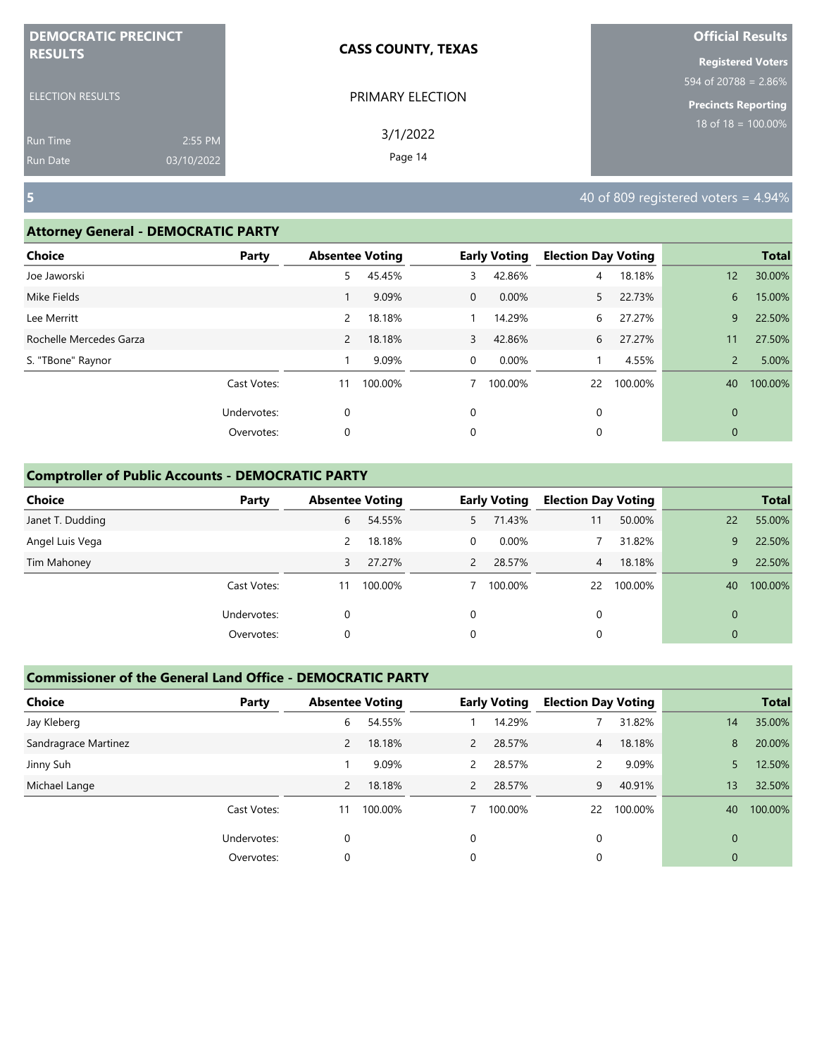| <b>DEMOCRATIC PRECINCT</b> |            | <b>CASS COUNTY, TEXAS</b> | <b>Official Results</b>    |
|----------------------------|------------|---------------------------|----------------------------|
| <b>RESULTS</b>             |            |                           | <b>Registered Voters</b>   |
|                            |            |                           | 594 of 20788 = $2.86\%$    |
| <b>ELECTION RESULTS</b>    |            | PRIMARY ELECTION          | <b>Precincts Reporting</b> |
| <b>Run Time</b>            | 2:55 PM    | 3/1/2022                  | $18$ of $18 = 100.00\%$    |
| <b>Run Date</b>            | 03/10/2022 | Page 14                   |                            |

### **Attorney General - DEMOCRATIC PARTY**

| <b>Choice</b>           | Party       | <b>Absentee Voting</b> |         |                | <b>Early Voting</b> | <b>Election Day Voting</b> |         |                 | <b>Total</b> |
|-------------------------|-------------|------------------------|---------|----------------|---------------------|----------------------------|---------|-----------------|--------------|
| Joe Jaworski            |             | 5                      | 45.45%  | 3              | 42.86%              | 4                          | 18.18%  | 12 <sup>°</sup> | 30.00%       |
| Mike Fields             |             |                        | 9.09%   | $\overline{0}$ | 0.00%               | 5.                         | 22.73%  | 6               | 15.00%       |
| Lee Merritt             |             | 2                      | 18.18%  |                | 14.29%              | 6                          | 27.27%  | 9               | 22.50%       |
| Rochelle Mercedes Garza |             | $\overline{2}$         | 18.18%  | 3              | 42.86%              | 6                          | 27.27%  | 11              | 27.50%       |
| S. "TBone" Raynor       |             |                        | 9.09%   | $\mathbf 0$    | 0.00%               |                            | 4.55%   | $\overline{2}$  | 5.00%        |
|                         | Cast Votes: | 11                     | 100.00% | 7              | 100.00%             | 22                         | 100.00% | 40              | 100.00%      |
|                         | Undervotes: | $\mathbf 0$            |         | 0              |                     | 0                          |         | $\mathbf{0}$    |              |
|                         | Overvotes:  | $\mathbf 0$            |         | 0              |                     | 0                          |         | $\mathbf{0}$    |              |
|                         |             |                        |         |                |                     |                            |         |                 |              |

## **Comptroller of Public Accounts - DEMOCRATIC PARTY**

| <b>Choice</b>    | Party       | <b>Absentee Voting</b> |         |                | <b>Early Voting</b> | <b>Election Day Voting</b> |         |             | <b>Total</b> |
|------------------|-------------|------------------------|---------|----------------|---------------------|----------------------------|---------|-------------|--------------|
| Janet T. Dudding |             | 6                      | 54.55%  | 5              | 71.43%              | 11                         | 50.00%  | 22          | 55.00%       |
| Angel Luis Vega  |             | 2                      | 18.18%  | $\Omega$       | $0.00\%$            |                            | 31.82%  | 9           | 22.50%       |
| Tim Mahoney      |             | 3                      | 27.27%  | $\overline{2}$ | 28.57%              | 4 <sup>7</sup>             | 18.18%  | 9           | 22.50%       |
|                  | Cast Votes: | 11                     | 100.00% |                | 100.00%             | 22                         | 100.00% | 40          | 100.00%      |
|                  | Undervotes: | 0                      |         | 0              |                     | 0                          |         | $\Omega$    |              |
|                  | Overvotes:  | 0                      |         | 0              |                     | 0                          |         | $\mathbf 0$ |              |

| <b>Choice</b>        | Party       | <b>Absentee Voting</b> |         |                | <b>Early Voting</b> | <b>Election Day Voting</b> |         |              | <b>Total</b> |
|----------------------|-------------|------------------------|---------|----------------|---------------------|----------------------------|---------|--------------|--------------|
| Jay Kleberg          |             | 6                      | 54.55%  |                | 14.29%              |                            | 31.82%  | 14           | 35.00%       |
| Sandragrace Martinez |             | $\overline{2}$         | 18.18%  | $\overline{2}$ | 28.57%              | $\overline{4}$             | 18.18%  | 8            | 20.00%       |
| Jinny Suh            |             |                        | 9.09%   | 2              | 28.57%              | 2                          | 9.09%   | 5            | 12.50%       |
| Michael Lange        |             | 2                      | 18.18%  | $\overline{2}$ | 28.57%              | 9                          | 40.91%  | 13           | 32.50%       |
|                      | Cast Votes: | 11                     | 100.00% |                | 100.00%             | 22                         | 100.00% | 40           | 100.00%      |
|                      | Undervotes: | $\Omega$               |         | $\Omega$       |                     | $\Omega$                   |         | $\Omega$     |              |
|                      | Overvotes:  | $\Omega$               |         | 0              |                     | 0                          |         | $\mathbf{0}$ |              |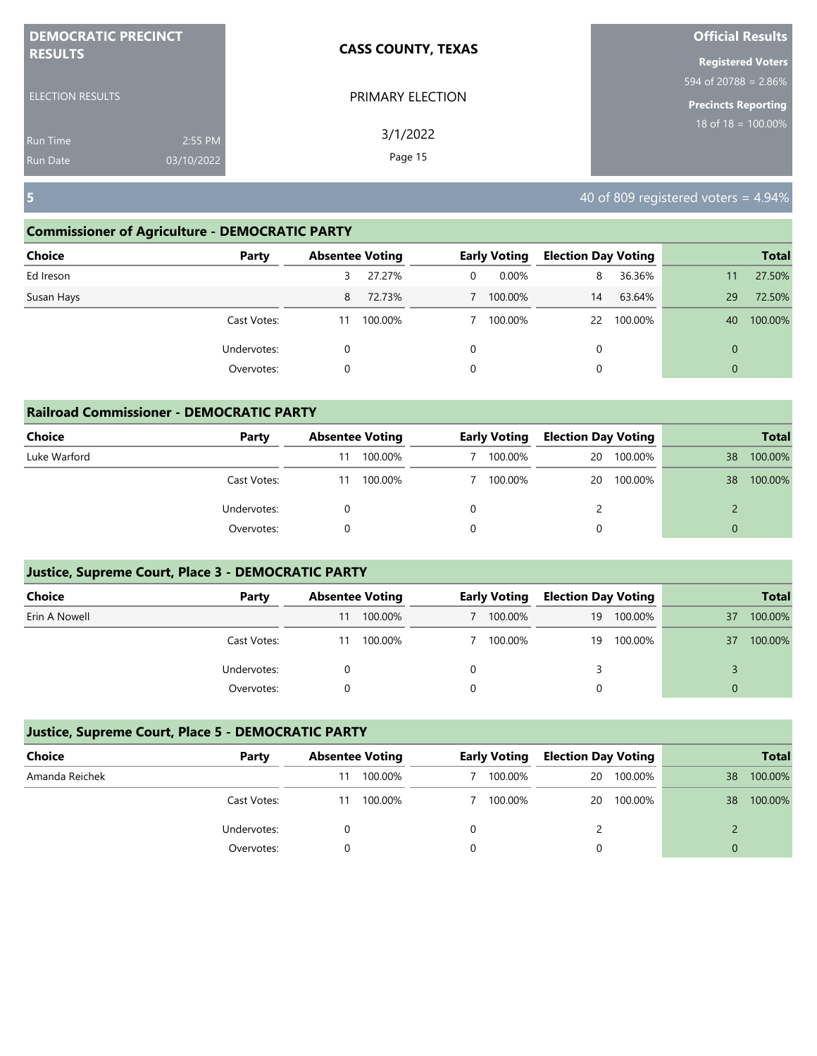| <b>DEMOCRATIC PRECINCT</b> |            | <b>CASS COUNTY, TEXAS</b> | <b>Official Results</b>        |
|----------------------------|------------|---------------------------|--------------------------------|
| <b>RESULTS</b>             |            |                           | <b>Registered Voters</b>       |
|                            |            |                           | 594 of 20788 = 2.86%           |
| <b>ELECTION RESULTS</b>    |            | PRIMARY ELECTION          | <b>Precincts Reporting</b>     |
| <b>Run Time</b>            | 2:55 PM    | 3/1/2022                  | $18 \text{ of } 18 = 100.00\%$ |
| <b>Run Date</b>            | 03/10/2022 | Page 15                   |                                |

## **Commissioner of Agriculture - DEMOCRATIC PARTY**

| <b>Choice</b> | Party       |    | <b>Absentee Voting</b> |   | <b>Early Voting</b> | <b>Election Day Voting</b> |         |              | <b>Total</b> |
|---------------|-------------|----|------------------------|---|---------------------|----------------------------|---------|--------------|--------------|
| Ed Ireson     |             | 3  | 27.27%                 | 0 | 0.00%               | 8                          | 36.36%  | 11           | 27.50%       |
| Susan Hays    |             | 8  | 72.73%                 |   | 100.00%             | 14                         | 63.64%  | 29           | 72.50%       |
|               | Cast Votes: | 11 | 100.00%                |   | 100.00%             | 22                         | 100.00% | 40           | 100.00%      |
|               | Undervotes: | 0  |                        | 0 |                     | 0                          |         | $\mathbf{0}$ |              |
|               | Overvotes:  | 0  |                        | 0 |                     | 0                          |         | $\mathbf{0}$ |              |
|               |             |    |                        |   |                     |                            |         |              |              |

| <b>Railroad Commissioner - DEMOCRATIC PARTY</b> |             |    |                        |  |                     |                            |         |          |              |  |  |
|-------------------------------------------------|-------------|----|------------------------|--|---------------------|----------------------------|---------|----------|--------------|--|--|
| Choice                                          | Party       |    | <b>Absentee Voting</b> |  | <b>Early Voting</b> | <b>Election Day Voting</b> |         |          | <b>Total</b> |  |  |
| Luke Warford                                    |             | 11 | 100.00%                |  | 100.00%             | 20                         | 100.00% | 38       | 100.00%      |  |  |
|                                                 | Cast Votes: | 11 | 100.00%                |  | 100.00%             | 20                         | 100.00% | 38       | 100.00%      |  |  |
|                                                 | Undervotes: |    |                        |  |                     |                            |         |          |              |  |  |
|                                                 | Overvotes:  |    |                        |  |                     | 0                          |         | $\Omega$ |              |  |  |

## **Justice, Supreme Court, Place 3 - DEMOCRATIC PARTY**

| <b>Choice</b> | Party       |    | <b>Absentee Voting</b> |  | Early Voting |    | <b>Election Day Voting</b> |    | <b>Total</b> |
|---------------|-------------|----|------------------------|--|--------------|----|----------------------------|----|--------------|
| Erin A Nowell |             | 11 | 100.00%                |  | 100.00%      | 19 | 100.00%                    | 37 | 100.00%      |
|               | Cast Votes: | 11 | 100.00%                |  | 100.00%      | 19 | 100.00%                    | 37 | 100.00%      |
|               | Undervotes: |    |                        |  |              |    |                            |    |              |
|               | Overvotes:  |    |                        |  |              |    |                            |    |              |

| Choice         | Party       | <b>Absentee Voting</b> |         |  | <b>Early Voting</b> |    | <b>Election Day Voting</b> |                 |         |  | <b>Total</b> |
|----------------|-------------|------------------------|---------|--|---------------------|----|----------------------------|-----------------|---------|--|--------------|
| Amanda Reichek |             | 11                     | 100.00% |  | 100.00%             | 20 | 100.00%                    | 38 <sup>°</sup> | 100.00% |  |              |
|                | Cast Votes: | 11                     | 100.00% |  | 100.00%             | 20 | 100.00%                    | 38              | 100.00% |  |              |
|                | Undervotes: |                        |         |  |                     |    |                            |                 |         |  |              |
|                | Overvotes:  |                        |         |  |                     |    |                            | 0               |         |  |              |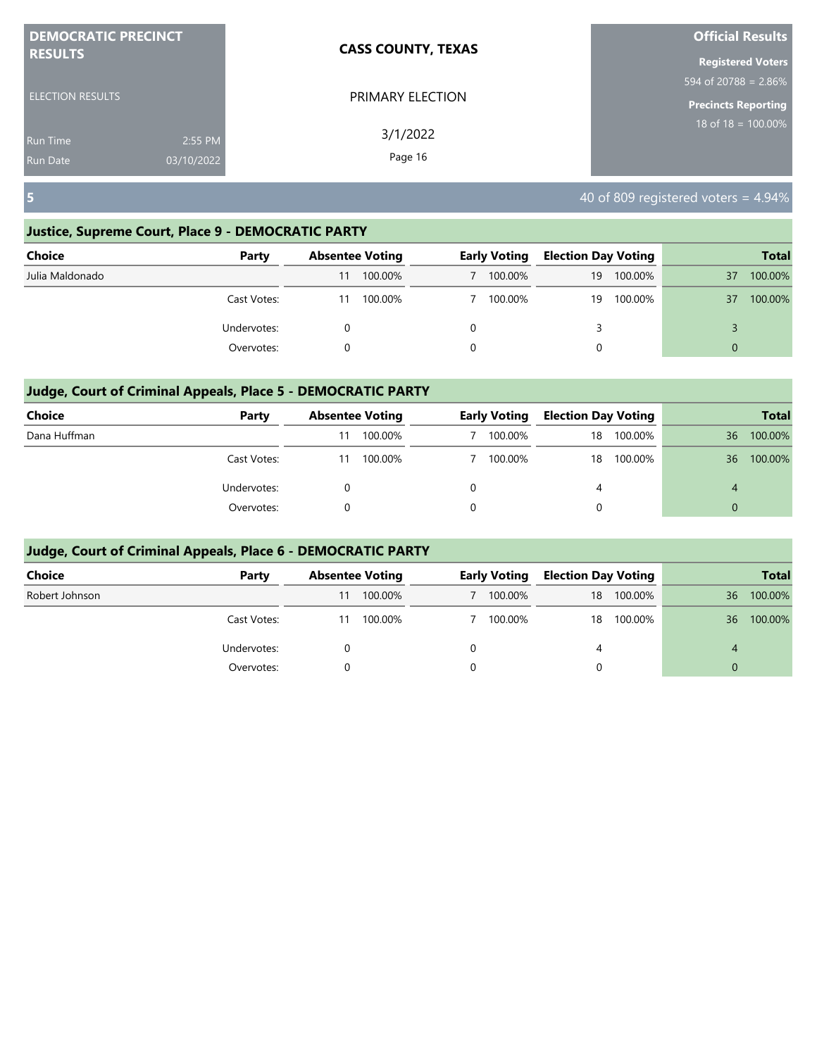| <b>DEMOCRATIC PRECINCT</b> | <b>CASS COUNTY, TEXAS</b> | <b>Official Results</b>                     |
|----------------------------|---------------------------|---------------------------------------------|
| <b>RESULTS</b>             |                           | <b>Registered Voters</b>                    |
|                            |                           | $594 \overline{\text{ of } 20788} = 2.86\%$ |
| <b>ELECTION RESULTS</b>    | PRIMARY ELECTION          | <b>Precincts Reporting</b>                  |
| 2:55 PM<br>Run Time        | 3/1/2022                  | $18$ of $18 = 100.00\%$                     |
| 03/10/2022<br>Run Date     | Page 16                   |                                             |

## **Justice, Supreme Court, Place 9 - DEMOCRATIC PARTY**

| <b>Choice</b>   | Party       | <b>Absentee Voting</b> |         |          | <b>Early Voting</b> | <b>Election Day Voting</b> |         |          | <b>Total</b> |
|-----------------|-------------|------------------------|---------|----------|---------------------|----------------------------|---------|----------|--------------|
| Julia Maldonado |             |                        | 100.00% |          | 100.00%             | 19                         | 100.00% | 37       | 100.00%      |
|                 | Cast Votes: | 11                     | 100.00% |          | 100.00%             | 19                         | 100.00% | 37       | 100.00%      |
|                 | Undervotes: |                        |         | 0        |                     |                            |         |          |              |
|                 | Overvotes:  |                        |         | $\Omega$ |                     | 0                          |         | $\Omega$ |              |

## **Judge, Court of Criminal Appeals, Place 5 - DEMOCRATIC PARTY**

| <b>Choice</b> | Party       |    | <b>Absentee Voting</b> |  | <b>Early Voting</b> |    | <b>Election Day Voting</b> |    | <b>Total</b> |
|---------------|-------------|----|------------------------|--|---------------------|----|----------------------------|----|--------------|
| Dana Huffman  |             | 11 | 100.00%                |  | 100.00%             | 18 | 100.00%                    | 36 | 100.00%      |
|               | Cast Votes: | 11 | 100.00%                |  | 100.00%             | 18 | 100.00%                    | 36 | 100.00%      |
|               | Undervotes: |    |                        |  |                     | 4  |                            | 4  |              |
|               | Overvotes:  |    |                        |  |                     | 0  |                            | 0  |              |

| <b>Choice</b>  | Party       | <b>Absentee Voting</b> |         | <b>Early Voting</b> |         | <b>Election Day Voting</b> |         |          |         |
|----------------|-------------|------------------------|---------|---------------------|---------|----------------------------|---------|----------|---------|
| Robert Johnson |             | 11                     | 100.00% |                     | 100.00% | 18                         | 100.00% | 36       | 100.00% |
|                | Cast Votes: | 11                     | 100.00% |                     | 100.00% | 18                         | 100.00% | 36       | 100.00% |
|                | Undervotes: |                        |         | 0                   |         | 4                          |         | 4        |         |
|                | Overvotes:  |                        |         | 0                   |         | 0                          |         | $\Omega$ |         |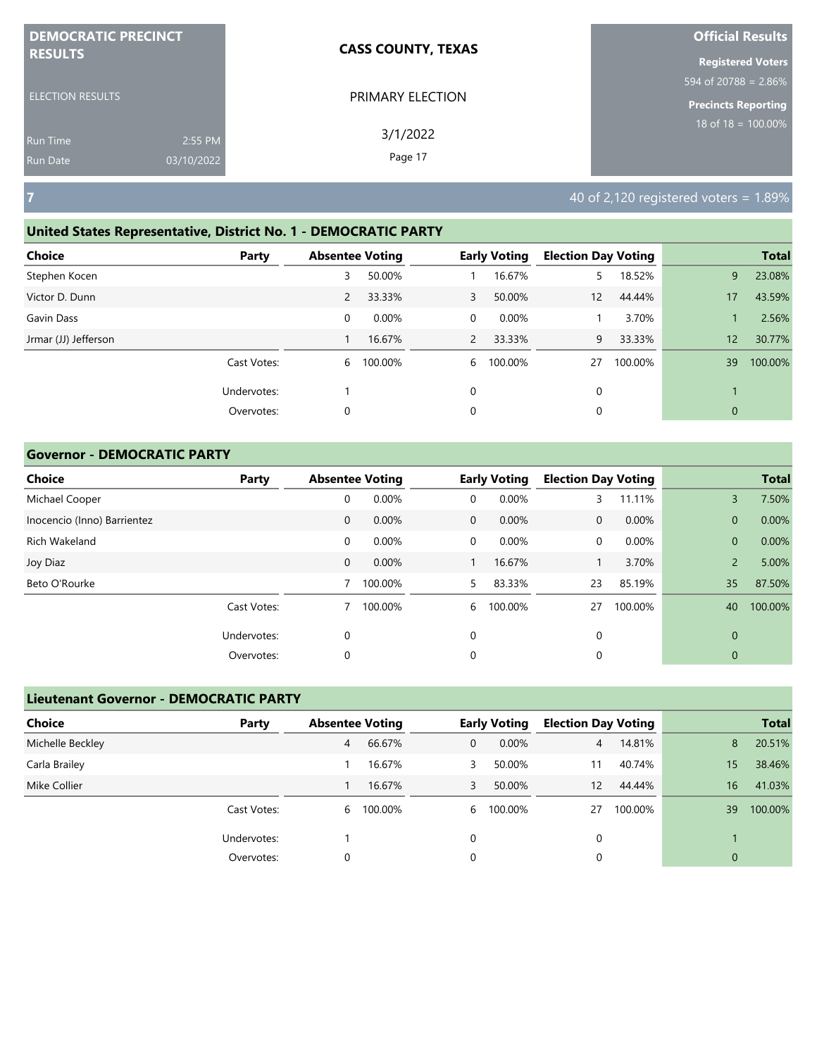| <b>DEMOCRATIC PRECINCT</b> |            | <b>CASS COUNTY, TEXAS</b> | <b>Official Results</b>  |
|----------------------------|------------|---------------------------|--------------------------|
| <b>RESULTS</b>             |            |                           | <b>Registered Voters</b> |
|                            |            |                           | 594 of 20788 = $2.86\%$  |
| <b>ELECTION RESULTS</b>    |            | PRIMARY ELECTION          | Precincts Reporting      |
| <b>Run Time</b>            | 2:55 PM    | 3/1/2022                  | 18 of $18 = 100.00\%$    |
| <b>Run Date</b>            | 03/10/2022 | Page 17                   |                          |

# **United States Representative, District No. 1 - DEMOCRATIC PARTY**

| Choice               | Party       | <b>Absentee Voting</b> |         |                | <b>Early Voting</b> | <b>Election Day Voting</b> |         |              | <b>Total</b> |
|----------------------|-------------|------------------------|---------|----------------|---------------------|----------------------------|---------|--------------|--------------|
| Stephen Kocen        |             | 3                      | 50.00%  |                | 16.67%              | 5                          | 18.52%  | 9            | 23.08%       |
| Victor D. Dunn       |             | $\overline{2}$         | 33.33%  | 3              | 50.00%              | 12                         | 44.44%  | 17           | 43.59%       |
| Gavin Dass           |             | $\mathbf 0$            | 0.00%   | $\overline{0}$ | 0.00%               |                            | 3.70%   |              | 2.56%        |
| Jrmar (JJ) Jefferson |             |                        | 16.67%  | $\overline{2}$ | 33.33%              | 9                          | 33.33%  | 12           | 30.77%       |
|                      | Cast Votes: | 6                      | 100.00% | 6              | 100.00%             | 27                         | 100.00% | 39           | 100.00%      |
|                      | Undervotes: |                        |         | 0              |                     | 0                          |         |              |              |
|                      | Overvotes:  | 0                      |         | 0              |                     | 0                          |         | $\mathbf{0}$ |              |

## **Governor - DEMOCRATIC PARTY**

| <b>Choice</b>               | Party       | <b>Absentee Voting</b> |         |              | <b>Early Voting</b> | <b>Election Day Voting</b> |         |                | <b>Total</b> |
|-----------------------------|-------------|------------------------|---------|--------------|---------------------|----------------------------|---------|----------------|--------------|
| Michael Cooper              |             | 0                      | 0.00%   | 0            | 0.00%               | 3.                         | 11.11%  | 3              | 7.50%        |
| Inocencio (Inno) Barrientez |             | $\mathbf 0$            | 0.00%   | $\mathbf{0}$ | $0.00\%$            | $\mathbf{0}$               | 0.00%   | $\mathbf{0}$   | 0.00%        |
| Rich Wakeland               |             | 0                      | 0.00%   | $\mathbf 0$  | 0.00%               | 0                          | 0.00%   | $\overline{0}$ | 0.00%        |
| Joy Diaz                    |             | $\mathbf 0$            | 0.00%   |              | 16.67%              |                            | 3.70%   | $\overline{2}$ | 5.00%        |
| Beto O'Rourke               |             |                        | 100.00% | 5.           | 83.33%              | 23                         | 85.19%  | 35             | 87.50%       |
|                             | Cast Votes: |                        | 100.00% | 6            | 100.00%             | 27                         | 100.00% | 40             | 100.00%      |
|                             | Undervotes: | 0                      |         | $\mathbf 0$  |                     | 0                          |         | $\mathbf 0$    |              |
|                             | Overvotes:  | 0                      |         | 0            |                     | 0                          |         | $\mathbf 0$    |              |

| <b>Lieutenant Governor - DEMOCRATIC PARTY</b> |             |                        |         |   |                     |                            |         |             |              |
|-----------------------------------------------|-------------|------------------------|---------|---|---------------------|----------------------------|---------|-------------|--------------|
| <b>Choice</b>                                 | Party       | <b>Absentee Voting</b> |         |   | <b>Early Voting</b> | <b>Election Day Voting</b> |         |             | <b>Total</b> |
| Michelle Beckley                              |             | 4                      | 66.67%  | 0 | $0.00\%$            | $\overline{4}$             | 14.81%  | 8           | 20.51%       |
| Carla Brailey                                 |             |                        | 16.67%  | 3 | 50.00%              | 11                         | 40.74%  | 15          | 38.46%       |
| Mike Collier                                  |             |                        | 16.67%  | 3 | 50.00%              | 12                         | 44.44%  | 16          | 41.03%       |
|                                               | Cast Votes: | 6                      | 100.00% | 6 | 100.00%             | 27                         | 100.00% | 39          | 100.00%      |
|                                               | Undervotes: |                        |         | 0 |                     | 0                          |         |             |              |
|                                               | Overvotes:  | 0                      |         | 0 |                     | 0                          |         | $\mathbf 0$ |              |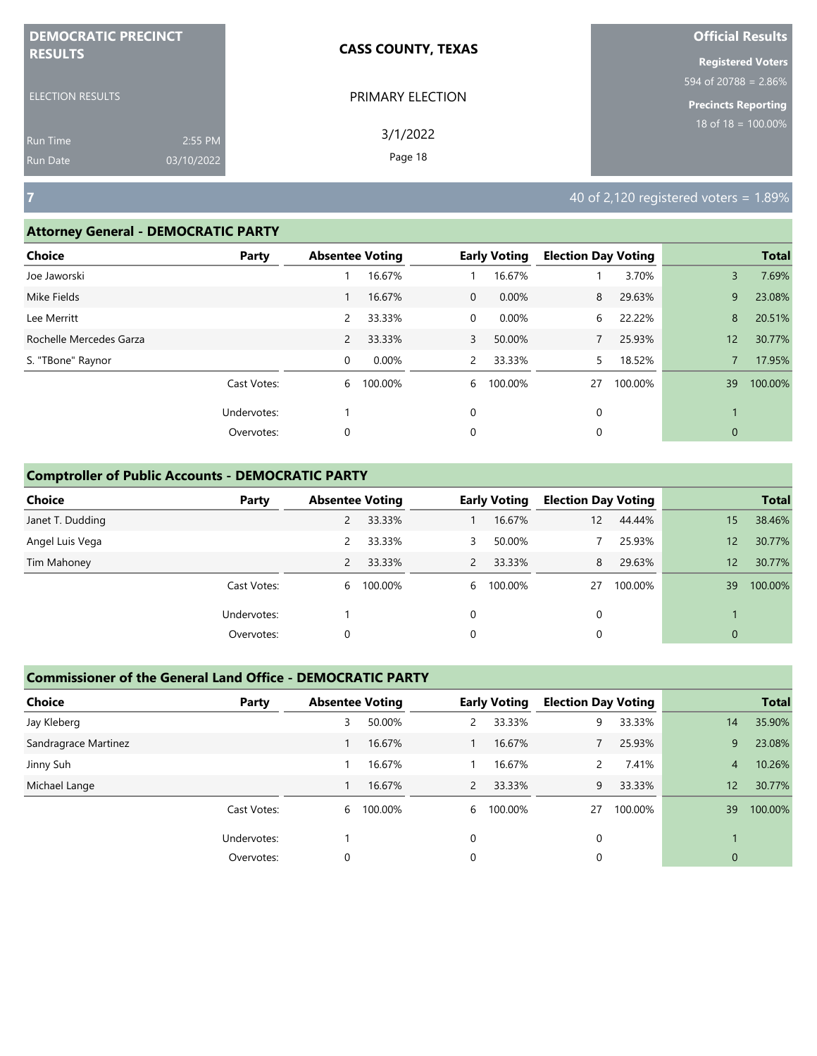| <b>DEMOCRATIC PRECINCT</b> |            | <b>CASS COUNTY, TEXAS</b> | <b>Official Results</b>          |
|----------------------------|------------|---------------------------|----------------------------------|
| <b>RESULTS</b>             |            |                           | <b>Registered Voters</b>         |
|                            |            |                           | $594 \text{ of } 20788 = 2.86\%$ |
| <b>ELECTION RESULTS</b>    |            | PRIMARY ELECTION          | <b>Precincts Reporting</b>       |
| Run Time                   | 2:55 PM    | 3/1/2022                  | $18$ of $18 = 100.00\%$          |
| <b>Run Date</b>            | 03/10/2022 | Page 18                   |                                  |

#### **Attorney General - DEMOCRATIC PARTY**

| . .                     |             |                        |         |                |                     |                            |         |              |              |
|-------------------------|-------------|------------------------|---------|----------------|---------------------|----------------------------|---------|--------------|--------------|
| <b>Choice</b>           | Party       | <b>Absentee Voting</b> |         |                | <b>Early Voting</b> | <b>Election Day Voting</b> |         |              | <b>Total</b> |
| Joe Jaworski            |             |                        | 16.67%  |                | 16.67%              |                            | 3.70%   | 3            | 7.69%        |
| Mike Fields             |             |                        | 16.67%  | $\overline{0}$ | 0.00%               | 8                          | 29.63%  | 9            | 23.08%       |
| Lee Merritt             |             | 2                      | 33.33%  | 0              | 0.00%               | 6                          | 22.22%  | 8            | 20.51%       |
| Rochelle Mercedes Garza |             | $\overline{2}$         | 33.33%  | 3              | 50.00%              |                            | 25.93%  | 12           | 30.77%       |
| S. "TBone" Raynor       |             | $\mathbf 0$            | 0.00%   | $\mathbf{2}$   | 33.33%              | 5.                         | 18.52%  |              | 17.95%       |
|                         | Cast Votes: | 6                      | 100.00% | 6              | 100.00%             | 27                         | 100.00% | 39           | 100.00%      |
|                         | Undervotes: |                        |         | 0              |                     | 0                          |         |              |              |
|                         | Overvotes:  | 0                      |         | 0              |                     | 0                          |         | $\mathbf{0}$ |              |
|                         |             |                        |         |                |                     |                            |         |              |              |

## **Comptroller of Public Accounts - DEMOCRATIC PARTY**

| <b>Choice</b>    | Party       | <b>Absentee Voting</b> |         |                | <b>Early Voting</b> | <b>Election Day Voting</b> |         |                 | <b>Total</b> |
|------------------|-------------|------------------------|---------|----------------|---------------------|----------------------------|---------|-----------------|--------------|
| Janet T. Dudding |             | $\overline{2}$         | 33.33%  |                | 16.67%              | 12                         | 44.44%  | 15              | 38.46%       |
| Angel Luis Vega  |             | 2                      | 33.33%  | 3              | 50.00%              |                            | 25.93%  | 12              | 30.77%       |
| Tim Mahoney      |             | 2                      | 33.33%  | $\overline{2}$ | 33.33%              | 8                          | 29.63%  | 12 <sup>°</sup> | 30.77%       |
|                  | Cast Votes: | 6                      | 100.00% | 6              | 100.00%             | 27                         | 100.00% | 39              | 100.00%      |
|                  | Undervotes: |                        |         | 0              |                     | 0                          |         |                 |              |
|                  | Overvotes:  | 0                      |         | 0              |                     | 0                          |         | $\mathbf 0$     |              |

| <b>Choice</b>        | Party       | <b>Absentee Voting</b> |         |                | <b>Early Voting</b> | <b>Election Day Voting</b> |         |                | <b>Total</b> |
|----------------------|-------------|------------------------|---------|----------------|---------------------|----------------------------|---------|----------------|--------------|
| Jay Kleberg          |             | 3                      | 50.00%  | 2              | 33.33%              | 9                          | 33.33%  | 14             | 35.90%       |
| Sandragrace Martinez |             |                        | 16.67%  |                | 16.67%              |                            | 25.93%  | 9              | 23.08%       |
| Jinny Suh            |             |                        | 16.67%  |                | 16.67%              | 2                          | 7.41%   | 4              | 10.26%       |
| Michael Lange        |             |                        | 16.67%  | $\overline{2}$ | 33.33%              | 9                          | 33.33%  | 12             | 30.77%       |
|                      | Cast Votes: | 6                      | 100.00% | 6              | 100.00%             | 27                         | 100.00% | 39             | 100.00%      |
|                      | Undervotes: |                        |         | 0              |                     | $\Omega$                   |         |                |              |
|                      | Overvotes:  | 0                      |         | 0              |                     | 0                          |         | $\overline{0}$ |              |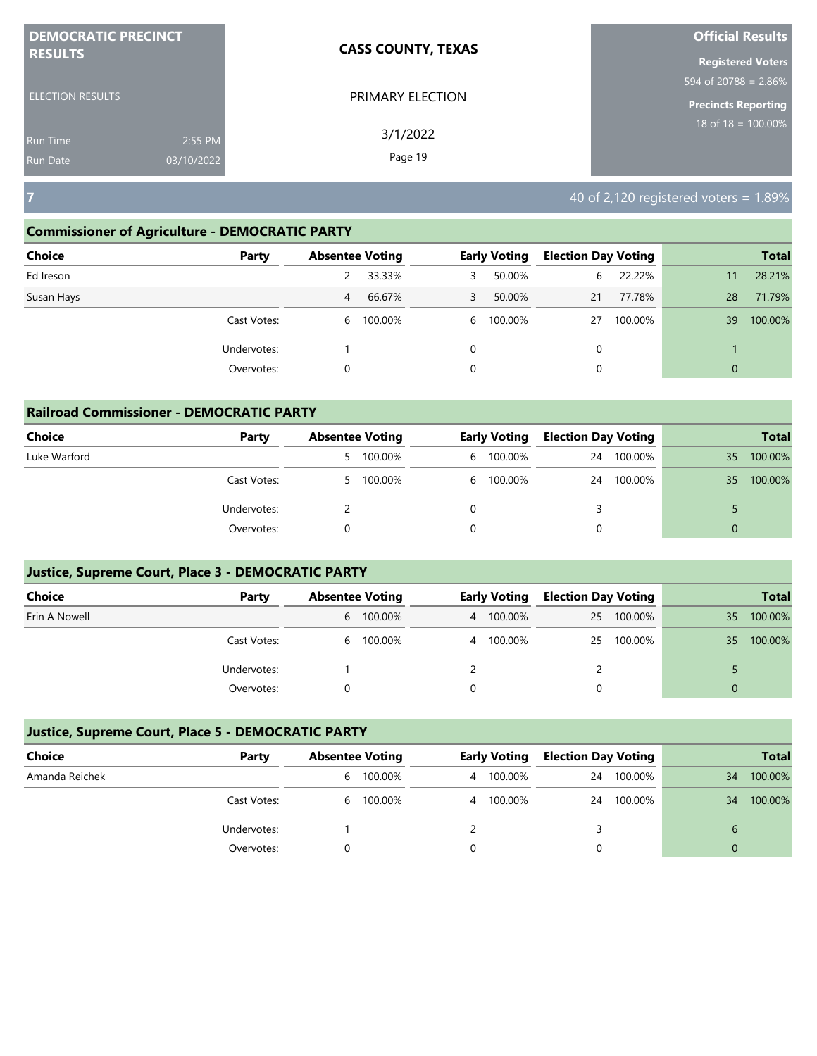| <b>DEMOCRATIC PRECINCT</b><br><b>RESULTS</b> |            | <b>CASS COUNTY, TEXAS</b> | <b>Official Results</b>          |
|----------------------------------------------|------------|---------------------------|----------------------------------|
|                                              |            |                           | <b>Registered Voters</b>         |
|                                              |            |                           | $594 \text{ of } 20788 = 2.86\%$ |
| <b>ELECTION RESULTS</b>                      |            | PRIMARY ELECTION          | <b>Precincts Reporting</b>       |
| <b>Run Time</b>                              | 2:55 PM    | 3/1/2022                  | 18 of 18 = $\overline{100.00\%}$ |
| <b>Run Date</b>                              | 03/10/2022 | Page 19                   |                                  |

## **Commissioner of Agriculture - DEMOCRATIC PARTY**

| Choice<br>Party | <b>Absentee Voting</b> |         |   | <b>Early Voting</b> | <b>Election Day Voting</b> |         |              | <b>Total</b> |
|-----------------|------------------------|---------|---|---------------------|----------------------------|---------|--------------|--------------|
| Ed Ireson       |                        | 33.33%  | 3 | 50.00%              | 6                          | 22.22%  | 11           | 28.21%       |
| Susan Hays      | 4                      | 66.67%  | 3 | 50.00%              | 21                         | 77.78%  | 28           | 71.79%       |
| Cast Votes:     | 6                      | 100.00% |   | 6 100.00%           | 27                         | 100.00% | 39           | 100.00%      |
| Undervotes:     |                        |         | 0 |                     | 0                          |         |              |              |
| Overvotes:      | 0                      |         | 0 |                     | 0                          |         | $\mathbf{0}$ |              |

| <b>Railroad Commissioner - DEMOCRATIC PARTY</b> |             |                        |           |   |                     |                            |         |          |              |
|-------------------------------------------------|-------------|------------------------|-----------|---|---------------------|----------------------------|---------|----------|--------------|
| <b>Choice</b>                                   | Party       | <b>Absentee Voting</b> |           |   | <b>Early Voting</b> | <b>Election Day Voting</b> |         |          | <b>Total</b> |
| Luke Warford                                    |             |                        | 5 100.00% | 6 | 100.00%             | 24                         | 100.00% | 35       | 100.00%      |
|                                                 | Cast Votes: |                        | 5 100.00% |   | 6 100.00%           | 24                         | 100.00% | 35       | 100.00%      |
|                                                 | Undervotes: |                        |           |   |                     |                            |         |          |              |
|                                                 | Overvotes:  |                        |           |   |                     |                            |         | $\Omega$ |              |

## **Justice, Supreme Court, Place 3 - DEMOCRATIC PARTY**

| <b>Choice</b> | Party       |   | <b>Absentee Voting</b><br>Early Voting |  |           | <b>Election Day Voting</b> |         |    | <b>Total</b> |
|---------------|-------------|---|----------------------------------------|--|-----------|----------------------------|---------|----|--------------|
| Erin A Nowell |             |   | 6 100.00%                              |  | 4 100.00% | 25                         | 100.00% | 35 | 100.00%      |
|               | Cast Votes: | 6 | 100.00%                                |  | 4 100.00% | 25                         | 100.00% | 35 | 100.00%      |
|               | Undervotes: |   |                                        |  |           |                            |         |    |              |
|               | Overvotes:  |   |                                        |  |           |                            |         |    |              |

| Choice         | Party       | <b>Absentee Voting</b> | <b>Early Voting</b> | <b>Election Day Voting</b> |         |    | <b>Total</b> |
|----------------|-------------|------------------------|---------------------|----------------------------|---------|----|--------------|
| Amanda Reichek |             | 100.00%<br>b           | 4 100.00%           | 24                         | 100.00% | 34 | 100.00%      |
|                | Cast Votes: | 100.00%<br>6           | 4 100.00%           | 24                         | 100.00% | 34 | 100.00%      |
|                | Undervotes: |                        |                     |                            |         |    |              |
|                | Overvotes:  |                        |                     |                            |         | 0  |              |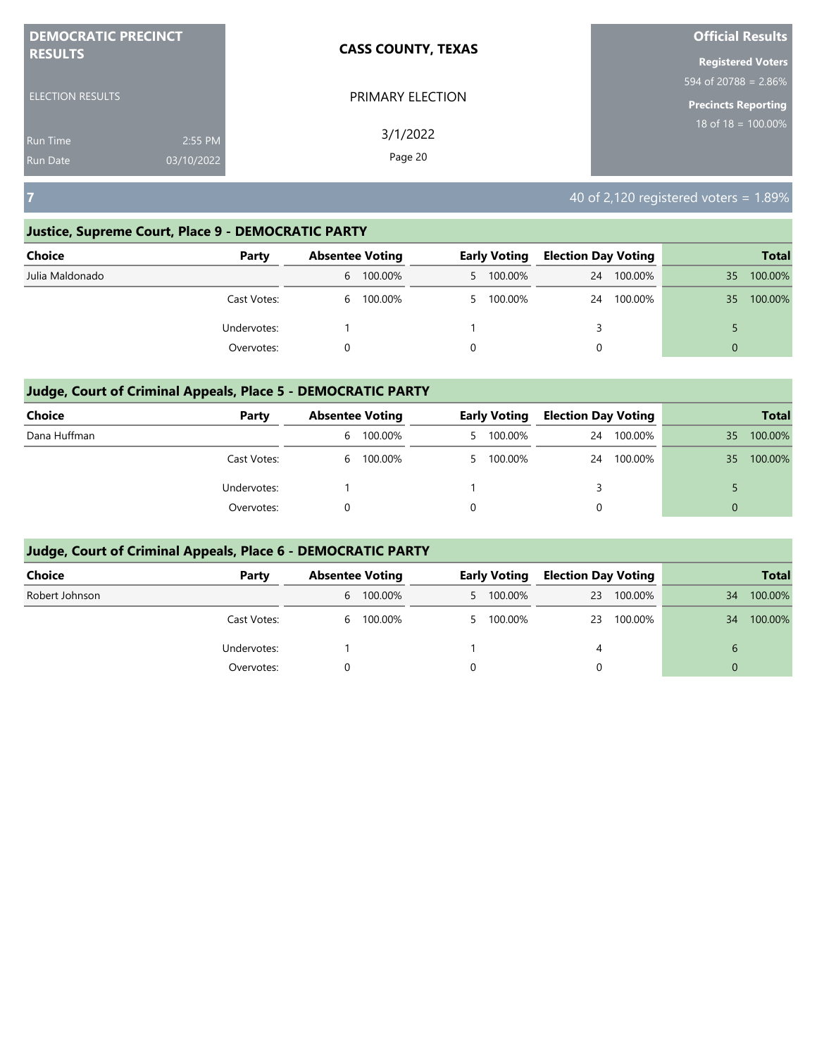| <b>DEMOCRATIC PRECINCT</b>    | <b>CASS COUNTY, TEXAS</b> | <b>Official Results</b>    |
|-------------------------------|---------------------------|----------------------------|
| <b>RESULTS</b>                |                           | <b>Registered Voters</b>   |
|                               |                           | 594 of 20788 = $2.86\%$    |
| <b>ELECTION RESULTS</b>       | PRIMARY ELECTION          | <b>Precincts Reporting</b> |
| <b>Run Time</b>               | 3/1/2022<br>2:55 PM       | $18$ of $18 = 100.00\%$    |
| 03/10/2022<br><b>Run Date</b> | Page 20                   |                            |

## **Justice, Supreme Court, Place 9 - DEMOCRATIC PARTY**

| <b>Choice</b>   | Party       | <b>Absentee Voting</b> |           |          | <b>Early Voting</b> | <b>Election Day Voting</b> |         |          | <b>Total</b> |
|-----------------|-------------|------------------------|-----------|----------|---------------------|----------------------------|---------|----------|--------------|
| Julia Maldonado |             |                        | 6 100.00% |          | 5 100.00%           | 24                         | 100.00% | 35       | 100.00%      |
|                 | Cast Votes: |                        | 6 100.00% |          | 5 100.00%           | 24                         | 100.00% | 35       | 100.00%      |
|                 | Undervotes: |                        |           |          |                     |                            |         |          |              |
|                 | Overvotes:  |                        |           | $\Omega$ |                     | 0                          |         | $\Omega$ |              |

## **Judge, Court of Criminal Appeals, Place 5 - DEMOCRATIC PARTY**

| <b>Choice</b> | Party       |   | <b>Absentee Voting</b> | <b>Early Voting</b> | <b>Election Day Voting</b> |         |    | <b>Total</b> |
|---------------|-------------|---|------------------------|---------------------|----------------------------|---------|----|--------------|
| Dana Huffman  |             | b | 100.00%                | 5 100.00%           | 24                         | 100.00% | 35 | 100.00%      |
|               | Cast Votes: | b | 100.00%                | 5 100.00%           | 24                         | 100.00% | 35 | 100.00%      |
|               | Undervotes: |   |                        |                     |                            |         |    |              |
|               | Overvotes:  |   |                        |                     | 0                          |         | 0  |              |

| <b>Choice</b>  | Party       | <b>Absentee Voting</b> |   | <b>Early Voting</b> | <b>Election Day Voting</b> |         |          | <b>Total</b> |
|----------------|-------------|------------------------|---|---------------------|----------------------------|---------|----------|--------------|
| Robert Johnson |             | 6 100.00%              |   | 5 100.00%           | 23                         | 100.00% | 34       | 100.00%      |
|                | Cast Votes: | 6 100.00%              |   | 5 100.00%           | 23                         | 100.00% | 34       | 100.00%      |
|                | Undervotes: |                        |   |                     | 4                          |         | 6        |              |
|                | Overvotes:  |                        | 0 |                     | 0                          |         | $\Omega$ |              |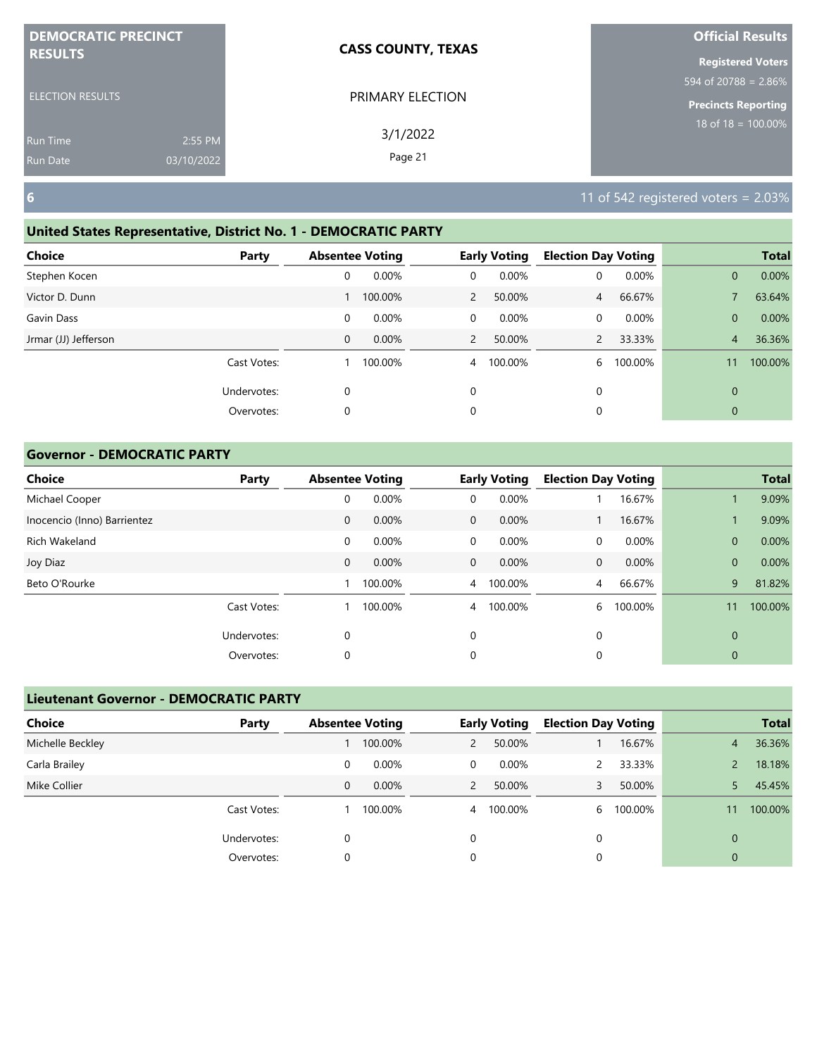| <b>DEMOCRATIC PRECINCT</b> |            | <b>CASS COUNTY, TEXAS</b> | <b>Official Results</b>    |
|----------------------------|------------|---------------------------|----------------------------|
| <b>RESULTS</b>             |            |                           | <b>Registered Voters</b>   |
|                            |            |                           | 594 of 20788 = 2.86%       |
| <b>ELECTION RESULTS</b>    |            | PRIMARY ELECTION          | <b>Precincts Reporting</b> |
| <b>Run Time</b>            | 2:55 PM    | 3/1/2022                  | $18$ of $18 = 100.00\%$    |
| <b>Run Date</b>            | 03/10/2022 | Page 21                   |                            |

# **United States Representative, District No. 1 - DEMOCRATIC PARTY**

| <b>Choice</b>        | Party       | <b>Absentee Voting</b> |         |                | <b>Early Voting</b> | <b>Election Day Voting</b> |         |                | <b>Total</b> |
|----------------------|-------------|------------------------|---------|----------------|---------------------|----------------------------|---------|----------------|--------------|
| Stephen Kocen        |             | 0                      | 0.00%   | 0              | 0.00%               | 0                          | 0.00%   | $\mathbf{0}$   | 0.00%        |
| Victor D. Dunn       |             |                        | 100.00% | $\overline{2}$ | 50.00%              | $\overline{4}$             | 66.67%  |                | 63.64%       |
| Gavin Dass           |             | 0                      | 0.00%   | $\mathbf 0$    | 0.00%               | 0                          | 0.00%   | $\mathbf{0}$   | 0.00%        |
| Jrmar (JJ) Jefferson |             | $\mathbf 0$            | 0.00%   | 2              | 50.00%              | $\mathcal{P}$              | 33.33%  | $\overline{4}$ | 36.36%       |
|                      | Cast Votes: |                        | 100.00% | 4              | 100.00%             | 6                          | 100.00% | 11             | 100.00%      |
|                      | Undervotes: | 0                      |         | 0              |                     | 0                          |         | $\mathbf{0}$   |              |
|                      | Overvotes:  | 0                      |         | 0              |                     | 0                          |         | $\mathbf{0}$   |              |

## **Governor - DEMOCRATIC PARTY**

| <b>Choice</b>               | Party       | <b>Absentee Voting</b> |         |                | <b>Early Voting</b> | <b>Election Day Voting</b> |         |              | <b>Total</b> |
|-----------------------------|-------------|------------------------|---------|----------------|---------------------|----------------------------|---------|--------------|--------------|
| Michael Cooper              |             | 0                      | 0.00%   | $\mathbf 0$    | 0.00%               |                            | 16.67%  |              | 9.09%        |
| Inocencio (Inno) Barrientez |             | $\mathbf 0$            | 0.00%   | $\mathbf{0}$   | 0.00%               |                            | 16.67%  |              | 9.09%        |
| Rich Wakeland               |             | 0                      | 0.00%   | $\mathbf 0$    | 0.00%               | 0                          | 0.00%   | $\mathbf{0}$ | 0.00%        |
| Joy Diaz                    |             | $\mathbf 0$            | 0.00%   | $\mathbf{0}$   | 0.00%               | 0                          | 0.00%   | $\mathbf{0}$ | 0.00%        |
| Beto O'Rourke               |             |                        | 100.00% | $\overline{4}$ | 100.00%             | $\overline{4}$             | 66.67%  | 9            | 81.82%       |
|                             | Cast Votes: |                        | 100.00% | $\overline{4}$ | 100.00%             | 6                          | 100.00% | 11           | 100.00%      |
|                             | Undervotes: | 0                      |         | 0              |                     | 0                          |         | $\mathbf{0}$ |              |
|                             | Overvotes:  | 0                      |         | 0              |                     | 0                          |         | $\mathbf 0$  |              |

| <b>Lieutenant Governor - DEMOCRATIC PARTY</b> |             |                        |          |   |                     |                            |         |              |              |
|-----------------------------------------------|-------------|------------------------|----------|---|---------------------|----------------------------|---------|--------------|--------------|
| <b>Choice</b>                                 | Party       | <b>Absentee Voting</b> |          |   | <b>Early Voting</b> | <b>Election Day Voting</b> |         |              | <b>Total</b> |
| Michelle Beckley                              |             |                        | 100.00%  | 2 | 50.00%              |                            | 16.67%  | 4            | 36.36%       |
| Carla Brailey                                 |             | 0                      | $0.00\%$ | 0 | $0.00\%$            |                            | 33.33%  |              | 18.18%       |
| Mike Collier                                  |             | 0                      | $0.00\%$ | 2 | 50.00%              |                            | 50.00%  |              | 45.45%       |
|                                               | Cast Votes: |                        | 100.00%  | 4 | 100.00%             | 6.                         | 100.00% |              | 100.00%      |
|                                               | Undervotes: | 0                      |          | 0 |                     | 0                          |         | $\Omega$     |              |
|                                               | Overvotes:  | 0                      |          | 0 |                     |                            |         | $\mathbf{0}$ |              |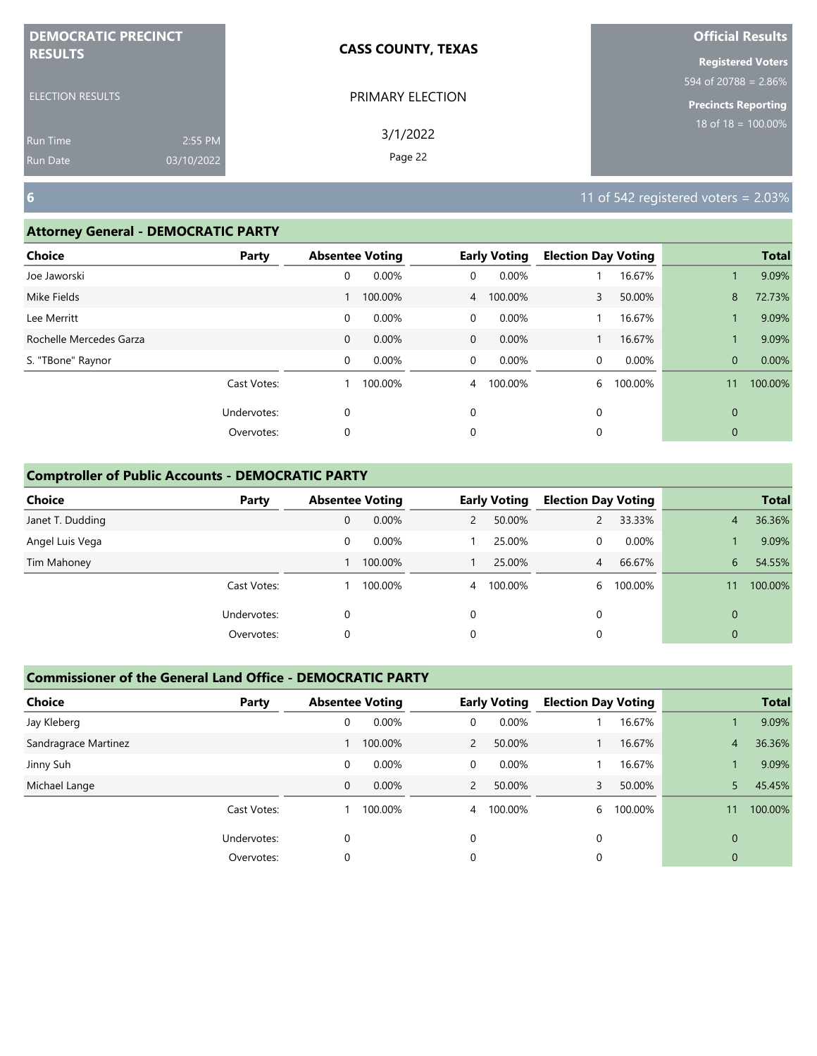| <b>DEMOCRATIC PRECINCT</b><br><b>RESULTS</b> |            | <b>CASS COUNTY, TEXAS</b> | <b>Official Results</b>    |
|----------------------------------------------|------------|---------------------------|----------------------------|
|                                              |            |                           | <b>Registered Voters</b>   |
|                                              |            |                           | 594 of 20788 = $2.86\%$    |
| <b>ELECTION RESULTS</b>                      |            | PRIMARY ELECTION          | <b>Precincts Reporting</b> |
| <b>Run Time</b>                              | 2:55 PM    | 3/1/2022                  | $18$ of $18 = 100.00\%$    |
| <b>Run Date</b>                              | 03/10/2022 | Page 22                   |                            |

## **Attorney General - DEMOCRATIC PARTY**

| <b>Choice</b>           | Party       |              | <b>Absentee Voting</b> |                | <b>Early Voting</b> | <b>Election Day Voting</b> |         |              | <b>Total</b> |
|-------------------------|-------------|--------------|------------------------|----------------|---------------------|----------------------------|---------|--------------|--------------|
| Joe Jaworski            |             | 0            | 0.00%                  | 0              | 0.00%               |                            | 16.67%  |              | 9.09%        |
| Mike Fields             |             |              | 100.00%                |                | 4 100.00%           | 3                          | 50.00%  | 8            | 72.73%       |
| Lee Merritt             |             | 0            | 0.00%                  | $\Omega$       | 0.00%               |                            | 16.67%  |              | 9.09%        |
| Rochelle Mercedes Garza |             | $\mathbf{0}$ | 0.00%                  | $\overline{0}$ | 0.00%               |                            | 16.67%  |              | 9.09%        |
| S. "TBone" Raynor       |             | 0            | 0.00%                  | $\mathbf 0$    | 0.00%               | 0                          | 0.00%   | $\mathbf{0}$ | 0.00%        |
|                         | Cast Votes: |              | 100.00%                | 4              | 100.00%             | 6                          | 100.00% | 11           | 100.00%      |
|                         | Undervotes: | 0            |                        | 0              |                     | 0                          |         | $\mathbf{0}$ |              |
|                         | Overvotes:  | 0            |                        | 0              |                     | 0                          |         | $\mathbf{0}$ |              |
|                         |             |              |                        |                |                     |                            |         |              |              |

# **Comptroller of Public Accounts - DEMOCRATIC PARTY**

| <b>Choice</b>    | Party       | <b>Absentee Voting</b> |          |                | <b>Early Voting</b> | <b>Election Day Voting</b> |         |              | <b>Total</b> |
|------------------|-------------|------------------------|----------|----------------|---------------------|----------------------------|---------|--------------|--------------|
| Janet T. Dudding |             | 0                      | 0.00%    |                | 50.00%              |                            | 33.33%  | 4            | 36.36%       |
| Angel Luis Vega  |             | 0                      | $0.00\%$ |                | 25.00%              | 0                          | 0.00%   |              | 9.09%        |
| Tim Mahoney      |             |                        | 100.00%  |                | 25.00%              | 4 <sup>7</sup>             | 66.67%  | 6            | 54.55%       |
|                  | Cast Votes: |                        | 100.00%  | $\overline{4}$ | 100.00%             | b                          | 100.00% |              | 100.00%      |
|                  | Undervotes: | 0                      |          | 0              |                     | $\mathbf 0$                |         | $\Omega$     |              |
|                  | Overvotes:  | 0                      |          | 0              |                     | 0                          |         | $\mathbf{0}$ |              |

| <b>Choice</b>        | Party       | <b>Absentee Voting</b> |         |                | <b>Early Voting</b> | <b>Election Day Voting</b> |         |          | <b>Total</b> |
|----------------------|-------------|------------------------|---------|----------------|---------------------|----------------------------|---------|----------|--------------|
| Jay Kleberg          |             | 0                      | 0.00%   | 0              | 0.00%               |                            | 16.67%  |          | 9.09%        |
| Sandragrace Martinez |             |                        | 100.00% | $\overline{2}$ | 50.00%              |                            | 16.67%  | 4        | 36.36%       |
| Jinny Suh            |             | 0                      | 0.00%   | 0              | $0.00\%$            |                            | 16.67%  |          | 9.09%        |
| Michael Lange        |             | 0                      | 0.00%   | $\overline{2}$ | 50.00%              |                            | 50.00%  |          | 45.45%       |
|                      | Cast Votes: |                        | 100.00% | 4              | 100.00%             | 6                          | 100.00% | 11       | 100.00%      |
|                      | Undervotes: | $\Omega$               |         | 0              |                     | $\Omega$                   |         | $\Omega$ |              |
|                      | Overvotes:  | 0                      |         | 0              |                     | 0                          |         | 0        |              |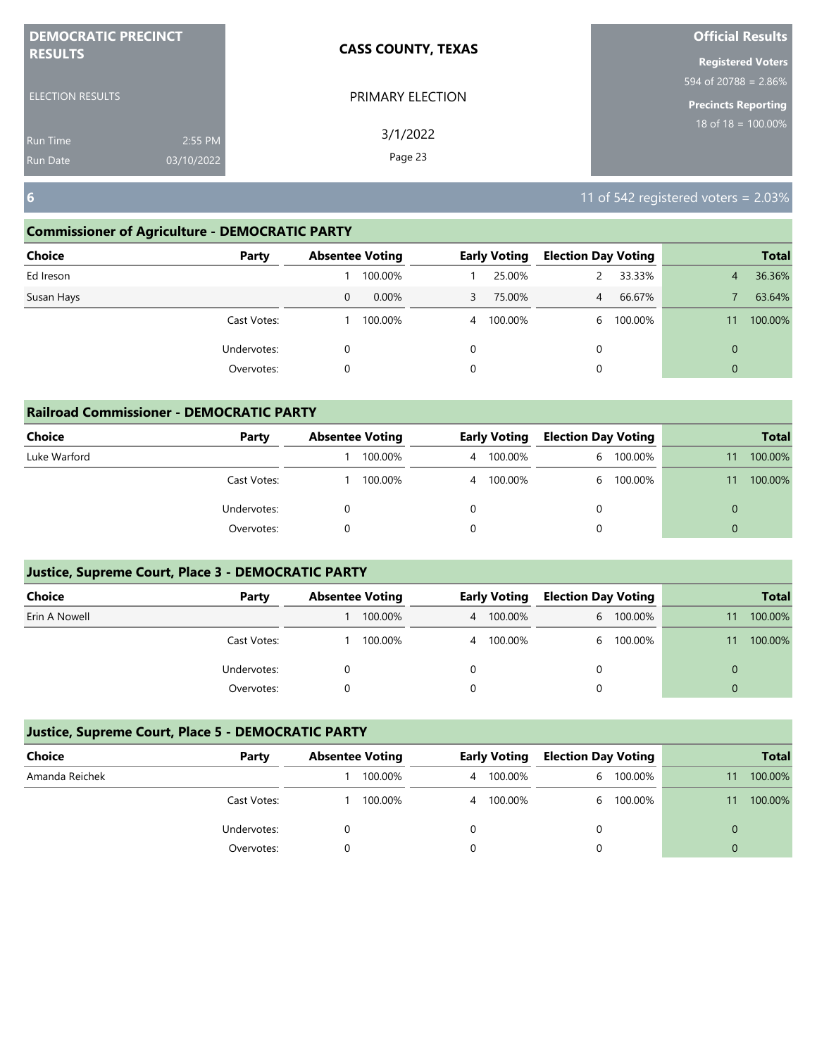| <b>DEMOCRATIC PRECINCT</b><br><b>RESULTS</b> |            | <b>CASS COUNTY, TEXAS</b> | <b>Official Results</b>    |  |  |
|----------------------------------------------|------------|---------------------------|----------------------------|--|--|
|                                              |            |                           | <b>Registered Voters</b>   |  |  |
|                                              |            |                           | 594 of 20788 = $2.86\%$    |  |  |
| <b>ELECTION RESULTS</b>                      |            | PRIMARY ELECTION          | <b>Precincts Reporting</b> |  |  |
| <b>Run Time</b>                              | 2:55 PM    | 3/1/2022                  | 18 of $18 = 100.00\%$      |  |  |
| <b>Run Date</b>                              | 03/10/2022 | Page 23                   |                            |  |  |

## **Commissioner of Agriculture - DEMOCRATIC PARTY**

| Choice<br>Party |          | <b>Absentee Voting</b> |                | <b>Early Voting</b> | <b>Election Day Voting</b> |         |             | <b>Total</b> |
|-----------------|----------|------------------------|----------------|---------------------|----------------------------|---------|-------------|--------------|
| Ed Ireson       |          | 100.00%                |                | 25.00%              |                            | 33.33%  | 4           | 36.36%       |
| Susan Hays      | 0        | $0.00\%$               | 3              | 75.00%              | $\overline{4}$             | 66.67%  |             | 63.64%       |
| Cast Votes:     |          | 100.00%                | $\overline{4}$ | 100.00%             | 6                          | 100.00% |             | 100.00%      |
| Undervotes:     | $\Omega$ |                        | 0              |                     | 0                          |         | $\mathbf 0$ |              |
| Overvotes:      | 0        |                        | 0              |                     | 0                          |         | $\Omega$    |              |

| <b>Railroad Commissioner - DEMOCRATIC PARTY</b> |             |  |                        |   |                     |                            |           |          |              |  |
|-------------------------------------------------|-------------|--|------------------------|---|---------------------|----------------------------|-----------|----------|--------------|--|
| <b>Choice</b>                                   | Party       |  | <b>Absentee Voting</b> |   | <b>Early Voting</b> | <b>Election Day Voting</b> |           |          | <b>Total</b> |  |
| Luke Warford                                    |             |  | 100.00%                | 4 | 100.00%             | 6                          | 100.00%   | 11       | 100.00%      |  |
|                                                 | Cast Votes: |  | 100.00%                | 4 | 100.00%             |                            | 6 100.00% | 11       | 100.00%      |  |
|                                                 | Undervotes: |  |                        |   |                     |                            |           | $\Omega$ |              |  |
|                                                 | Overvotes:  |  |                        |   |                     |                            |           | $\Omega$ |              |  |

## **Justice, Supreme Court, Place 3 - DEMOCRATIC PARTY**

| Choice        | Party       | <b>Absentee Voting</b> |         | <b>Early Voting</b> |           | <b>Election Day Voting</b> |           |    | <b>Total</b> |
|---------------|-------------|------------------------|---------|---------------------|-----------|----------------------------|-----------|----|--------------|
| Erin A Nowell |             |                        | 100.00% |                     | 4 100.00% |                            | 6 100.00% |    | 100.00%      |
|               | Cast Votes: |                        | 100.00% |                     | 4 100.00% | 6.                         | 100.00%   | 11 | 100.00%      |
|               | Undervotes: |                        |         |                     |           |                            |           | 0  |              |
|               | Overvotes:  |                        |         |                     |           |                            |           | 0  |              |

| Choice         | Party       | <b>Absentee Voting</b> |         | <b>Early Voting</b> |         | <b>Election Day Voting</b> |           |    | <b>Total</b> |
|----------------|-------------|------------------------|---------|---------------------|---------|----------------------------|-----------|----|--------------|
| Amanda Reichek |             |                        | 100.00% | 4                   | 100.00% |                            | 6 100.00% | 11 | 100.00%      |
|                | Cast Votes: |                        | 100.00% | 4                   | 100.00% |                            | 6 100.00% | 11 | 100.00%      |
|                | Undervotes: |                        |         |                     |         |                            |           |    |              |
|                | Overvotes:  |                        |         |                     |         |                            |           |    |              |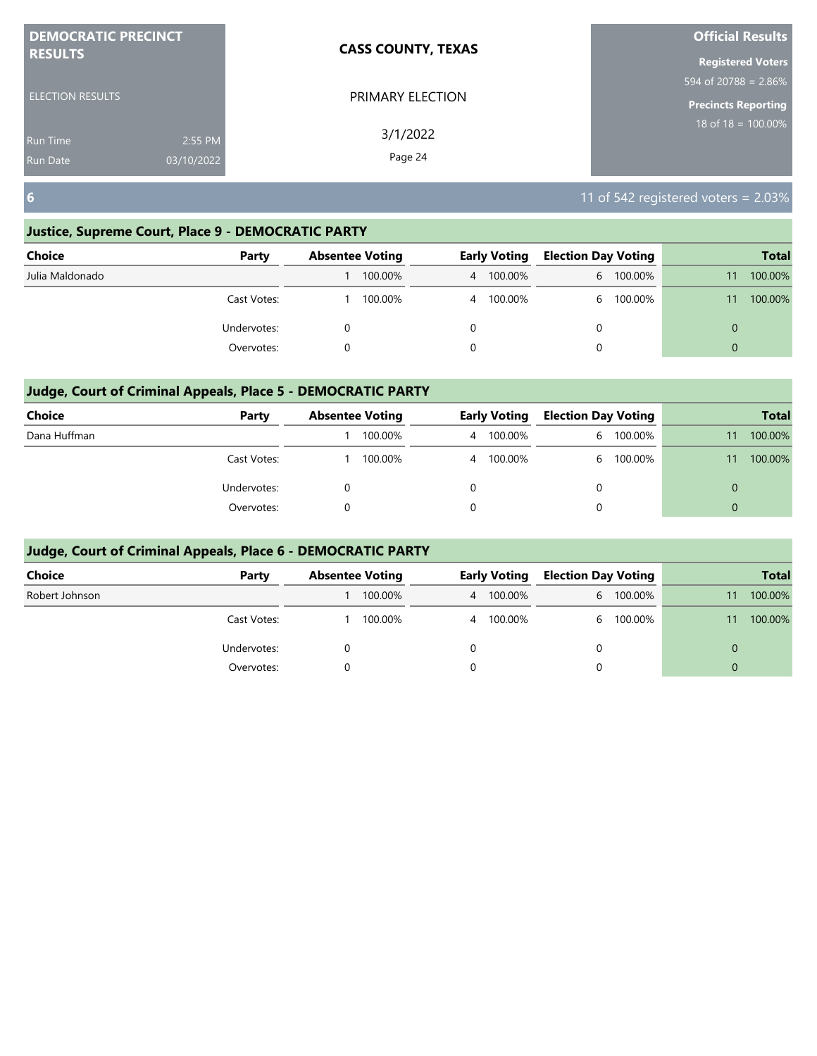| <b>DEMOCRATIC PRECINCT</b> |            | <b>CASS COUNTY, TEXAS</b> | <b>Official Results</b>        |
|----------------------------|------------|---------------------------|--------------------------------|
| <b>RESULTS</b>             |            |                           | <b>Registered Voters</b>       |
|                            |            |                           | 594 of 20788 = $2.86\%$        |
| <b>ELECTION RESULTS</b>    |            | PRIMARY ELECTION          | <b>Precincts Reporting</b>     |
| <b>Run Time</b>            | 2:55 PM    | 3/1/2022                  | $18 \text{ of } 18 = 100.00\%$ |
| <b>Run Date</b>            | 03/10/2022 | Page 24                   |                                |

# **Justice, Supreme Court, Place 9 - DEMOCRATIC PARTY**

| Choice          | Party       | <b>Absentee Voting</b> |   | <b>Early Voting</b> | <b>Election Day Voting</b> |           | <b>Total</b> |
|-----------------|-------------|------------------------|---|---------------------|----------------------------|-----------|--------------|
| Julia Maldonado |             | 100.00%                |   | 4 100.00%           |                            | 6 100.00% | 100.00%      |
|                 | Cast Votes: | 100.00%                | 4 | 100.00%             | 6.                         | 100.00%   | 100.00%      |
|                 | Undervotes: |                        |   |                     | 0                          |           |              |
|                 | Overvotes:  |                        | 0 |                     |                            |           |              |

# **Judge, Court of Criminal Appeals, Place 5 - DEMOCRATIC PARTY**

| <b>Choice</b> | Party       | <b>Absentee Voting</b> | <b>Early Voting</b> | <b>Election Day Voting</b> |         | <b>Total</b> |
|---------------|-------------|------------------------|---------------------|----------------------------|---------|--------------|
| Dana Huffman  |             | 100.00%                | 4 100.00%           | 6                          | 100.00% | 100.00%      |
|               | Cast Votes: | 100.00%                | 4 100.00%           | 6                          | 100.00% | 100.00%      |
|               | Undervotes: |                        |                     | $\Omega$                   |         |              |
|               | Overvotes:  |                        |                     | $\Omega$                   |         |              |

| <b>Choice</b>  | Party       | <b>Absentee Voting</b> |         | <b>Early Voting</b> | <b>Election Day Voting</b> |           |          | <b>Total</b> |
|----------------|-------------|------------------------|---------|---------------------|----------------------------|-----------|----------|--------------|
| Robert Johnson |             |                        | 100.00% | 4 100.00%           |                            | 6 100.00% |          | 100.00%      |
|                | Cast Votes: |                        | 100.00% | 4 100.00%           | 6                          | 100.00%   |          | 100.00%      |
|                | Undervotes: |                        |         |                     | 0                          |           | 0        |              |
|                | Overvotes:  |                        |         |                     | 0                          |           | $\Omega$ |              |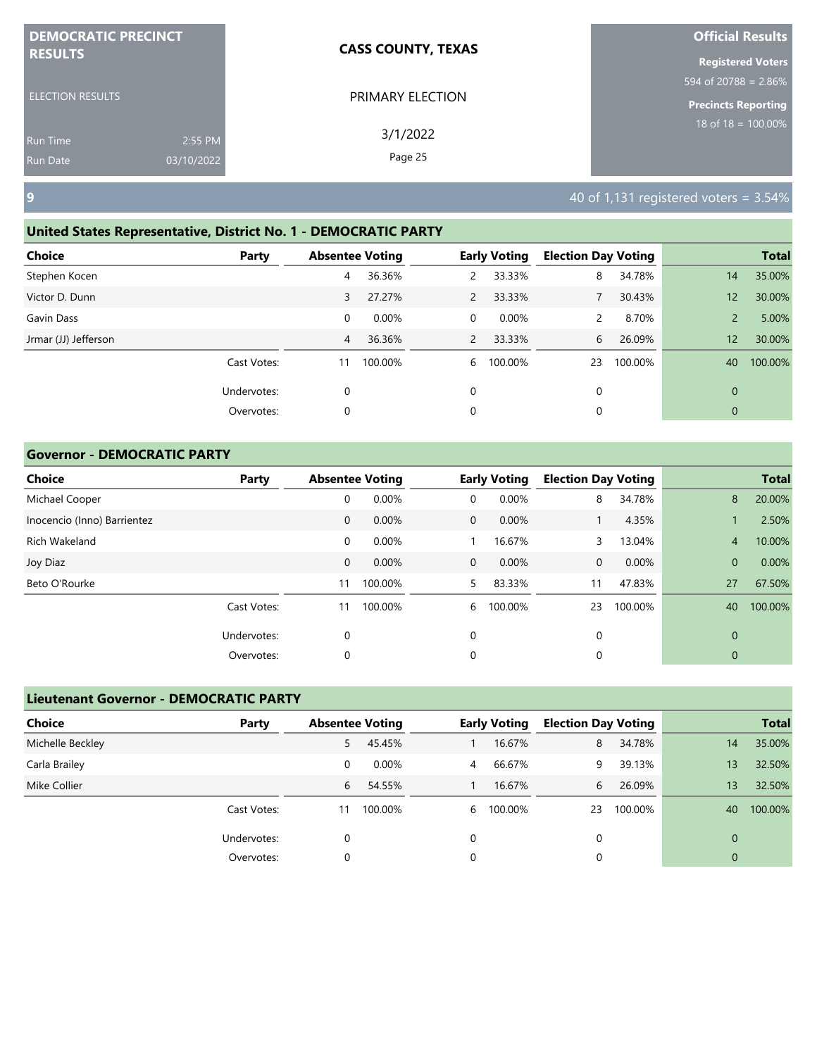| <b>DEMOCRATIC PRECINCT</b> |            | <b>CASS COUNTY, TEXAS</b> | <b>Official Results</b>          |
|----------------------------|------------|---------------------------|----------------------------------|
| <b>RESULTS</b>             |            |                           | <b>Registered Voters</b>         |
|                            |            |                           | $594 \text{ of } 20788 = 2.86\%$ |
| <b>ELECTION RESULTS</b>    |            | PRIMARY ELECTION          | <b>Precincts Reporting</b>       |
| <b>Run Time</b>            | 2:55 PM    | 3/1/2022                  | 18 of $18 = 100.00\%$            |
| Run Date                   | 03/10/2022 | Page 25                   |                                  |

# **United States Representative, District No. 1 - DEMOCRATIC PARTY**

| <b>Choice</b>        | Party       |    | <b>Absentee Voting</b> |                | <b>Early Voting</b> | <b>Election Day Voting</b> |         |              | <b>Total</b> |
|----------------------|-------------|----|------------------------|----------------|---------------------|----------------------------|---------|--------------|--------------|
| Stephen Kocen        |             | 4  | 36.36%                 | 2              | 33.33%              | 8                          | 34.78%  | 14           | 35.00%       |
| Victor D. Dunn       |             | 3  | 27.27%                 | $\overline{2}$ | 33.33%              |                            | 30.43%  | 12           | 30.00%       |
| Gavin Dass           |             | 0  | 0.00%                  | $\overline{0}$ | 0.00%               |                            | 8.70%   | 2            | 5.00%        |
| Jrmar (JJ) Jefferson |             | 4  | 36.36%                 | $\mathcal{P}$  | 33.33%              | 6                          | 26.09%  | 12           | 30.00%       |
|                      | Cast Votes: | 11 | 100.00%                | 6              | 100.00%             | 23                         | 100.00% | 40           | 100.00%      |
|                      | Undervotes: | 0  |                        | $\mathbf 0$    |                     | 0                          |         | $\mathbf{0}$ |              |
|                      | Overvotes:  | 0  |                        | 0              |                     | 0                          |         | $\mathbf{0}$ |              |
|                      |             |    |                        |                |                     |                            |         |              |              |

## **Governor - DEMOCRATIC PARTY**

| <b>Choice</b>               | Party       | <b>Absentee Voting</b> |         |              | <b>Early Voting</b> | <b>Election Day Voting</b> |         |                | <b>Total</b> |
|-----------------------------|-------------|------------------------|---------|--------------|---------------------|----------------------------|---------|----------------|--------------|
| Michael Cooper              |             | 0                      | 0.00%   | 0            | 0.00%               | 8                          | 34.78%  | 8              | 20.00%       |
| Inocencio (Inno) Barrientez |             | $\mathbf 0$            | 0.00%   | $\mathbf{0}$ | $0.00\%$            |                            | 4.35%   |                | 2.50%        |
| Rich Wakeland               |             | 0                      | 0.00%   |              | 16.67%              | 3                          | 13.04%  | 4              | 10.00%       |
| Joy Diaz                    |             | $\mathbf 0$            | 0.00%   | $\mathbf{0}$ | 0.00%               | $\mathbf{0}$               | 0.00%   | $\overline{0}$ | 0.00%        |
| Beto O'Rourke               |             | 11                     | 100.00% | 5.           | 83.33%              | 11                         | 47.83%  | 27             | 67.50%       |
|                             | Cast Votes: | 11                     | 100.00% | 6            | 100.00%             | 23                         | 100.00% | 40             | 100.00%      |
|                             | Undervotes: | 0                      |         | $\mathbf 0$  |                     | 0                          |         | $\mathbf 0$    |              |
|                             | Overvotes:  | 0                      |         | 0            |                     | 0                          |         | 0              |              |

| <b>Lieutenant Governor - DEMOCRATIC PARTY</b> |             |                        |         |                |                     |                            |         |          |              |
|-----------------------------------------------|-------------|------------------------|---------|----------------|---------------------|----------------------------|---------|----------|--------------|
| <b>Choice</b>                                 | Party       | <b>Absentee Voting</b> |         |                | <b>Early Voting</b> | <b>Election Day Voting</b> |         |          | <b>Total</b> |
| Michelle Beckley                              |             | 5                      | 45.45%  |                | 16.67%              | 8                          | 34.78%  | 14       | 35.00%       |
| Carla Brailey                                 |             | 0                      | 0.00%   | $\overline{4}$ | 66.67%              | 9                          | 39.13%  | 13       | 32.50%       |
| Mike Collier                                  |             | 6                      | 54.55%  |                | 16.67%              | 6                          | 26.09%  | 13       | 32.50%       |
|                                               | Cast Votes: | 11                     | 100.00% | 6              | 100.00%             | 23                         | 100.00% | 40       | 100.00%      |
|                                               | Undervotes: | 0                      |         | 0              |                     | 0                          |         | $\Omega$ |              |
|                                               | Overvotes:  | 0                      |         | 0              |                     | 0                          |         | 0        |              |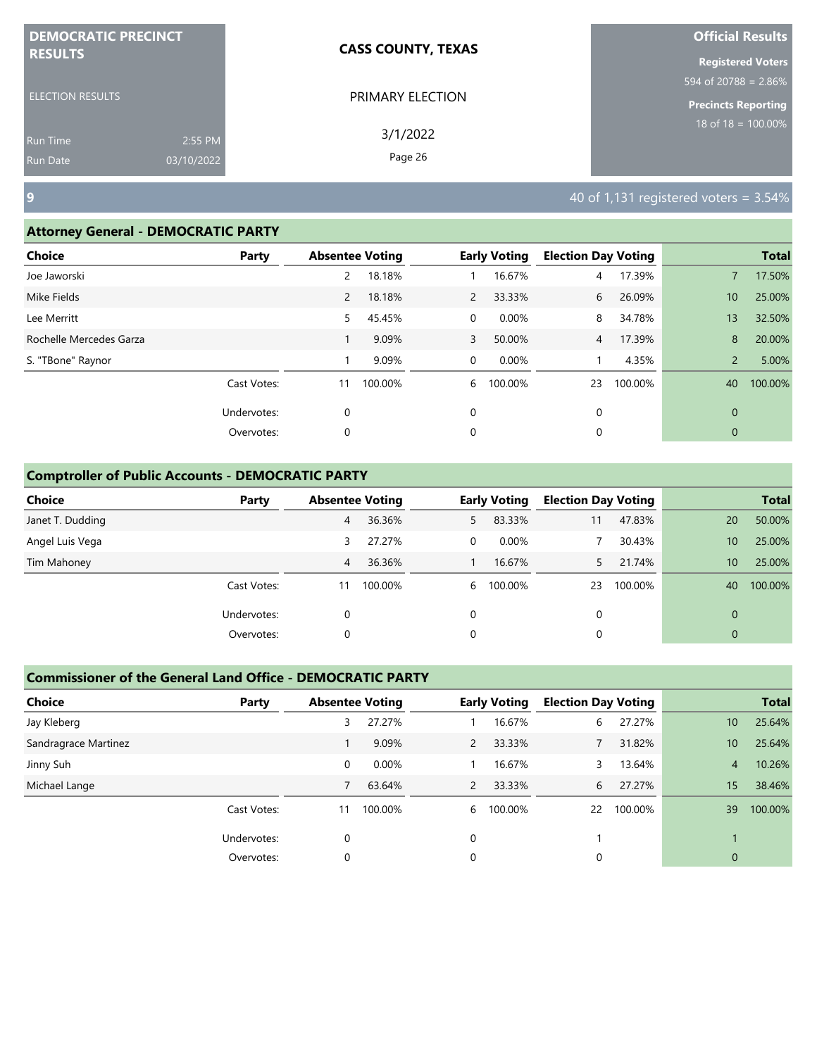| <b>DEMOCRATIC PRECINCT</b> |            | <b>CASS COUNTY, TEXAS</b> | <b>Official Results</b>  |
|----------------------------|------------|---------------------------|--------------------------|
| <b>RESULTS</b>             |            |                           | <b>Registered Voters</b> |
|                            |            |                           | 594 of 20788 = 2.86%     |
| <b>ELECTION RESULTS</b>    |            | PRIMARY ELECTION          | Precincts Reporting      |
| <b>Run Time</b>            | 2:55 PM    | 3/1/2022                  | $18$ of 18 = 100.00%     |
| <b>Run Date</b>            | 03/10/2022 | Page 26                   |                          |

### **Attorney General - DEMOCRATIC PARTY**

| . .                     |             |                        |         |              |                     |                            |         |                 |              |
|-------------------------|-------------|------------------------|---------|--------------|---------------------|----------------------------|---------|-----------------|--------------|
| <b>Choice</b>           | Party       | <b>Absentee Voting</b> |         |              | <b>Early Voting</b> | <b>Election Day Voting</b> |         |                 | <b>Total</b> |
| Joe Jaworski            |             | 2                      | 18.18%  |              | 16.67%              | 4                          | 17.39%  |                 | 17.50%       |
| Mike Fields             |             | $\mathbf{2}$           | 18.18%  | $\mathbf{2}$ | 33.33%              | 6                          | 26.09%  | 10 <sup>°</sup> | 25.00%       |
| Lee Merritt             |             | 5                      | 45.45%  | 0            | $0.00\%$            | 8                          | 34.78%  | 13              | 32.50%       |
| Rochelle Mercedes Garza |             |                        | 9.09%   | 3            | 50.00%              | 4                          | 17.39%  | 8               | 20.00%       |
| S. "TBone" Raynor       |             |                        | 9.09%   | $\mathbf 0$  | 0.00%               |                            | 4.35%   | $\overline{2}$  | 5.00%        |
|                         | Cast Votes: | 11                     | 100.00% | 6            | 100.00%             | 23                         | 100.00% | 40              | 100.00%      |
|                         | Undervotes: | $\mathbf 0$            |         | 0            |                     | 0                          |         | $\mathbf{0}$    |              |
|                         | Overvotes:  | 0                      |         | 0            |                     | 0                          |         | $\mathbf{0}$    |              |
|                         |             |                        |         |              |                     |                            |         |                 |              |

## **Comptroller of Public Accounts - DEMOCRATIC PARTY**

| <b>Choice</b>    | Party       | <b>Absentee Voting</b> |         |          | <b>Early Voting</b> | <b>Election Day Voting</b> |         |              | <b>Total</b> |
|------------------|-------------|------------------------|---------|----------|---------------------|----------------------------|---------|--------------|--------------|
| Janet T. Dudding |             | 4                      | 36.36%  | 5.       | 83.33%              | 11                         | 47.83%  | 20           | 50.00%       |
| Angel Luis Vega  |             | 3                      | 27.27%  | $\Omega$ | $0.00\%$            |                            | 30.43%  | 10           | 25.00%       |
| Tim Mahoney      |             | 4                      | 36.36%  |          | 16.67%              |                            | 21.74%  | $10^{\circ}$ | 25.00%       |
|                  | Cast Votes: | 11                     | 100.00% |          | 6 100.00%           | 23                         | 100.00% | 40           | 100.00%      |
|                  | Undervotes: | 0                      |         | 0        |                     | 0                          |         | $\Omega$     |              |
|                  | Overvotes:  | 0                      |         | 0        |                     | 0                          |         | $\mathbf{0}$ |              |

| <b>Choice</b>        | Party       |    | <b>Absentee Voting</b> |               | <b>Early Voting</b> | <b>Election Day Voting</b> |         |                 | <b>Total</b> |
|----------------------|-------------|----|------------------------|---------------|---------------------|----------------------------|---------|-----------------|--------------|
| Jay Kleberg          |             | 3  | 27.27%                 |               | 16.67%              | 6                          | 27.27%  | 10 <sup>°</sup> | 25.64%       |
| Sandragrace Martinez |             |    | 9.09%                  | 2             | 33.33%              |                            | 31.82%  | 10 <sup>°</sup> | 25.64%       |
| Jinny Suh            |             | 0  | 0.00%                  |               | 16.67%              | 3                          | 13.64%  | $\overline{4}$  | 10.26%       |
| Michael Lange        |             |    | 63.64%                 | $\mathcal{P}$ | 33.33%              | 6                          | 27.27%  | 15              | 38.46%       |
|                      | Cast Votes: | 11 | 100.00%                | 6             | 100.00%             | 22                         | 100.00% | 39              | 100.00%      |
|                      | Undervotes: | 0  |                        | 0             |                     |                            |         |                 |              |
|                      | Overvotes:  | 0  |                        | 0             |                     |                            |         | $\overline{0}$  |              |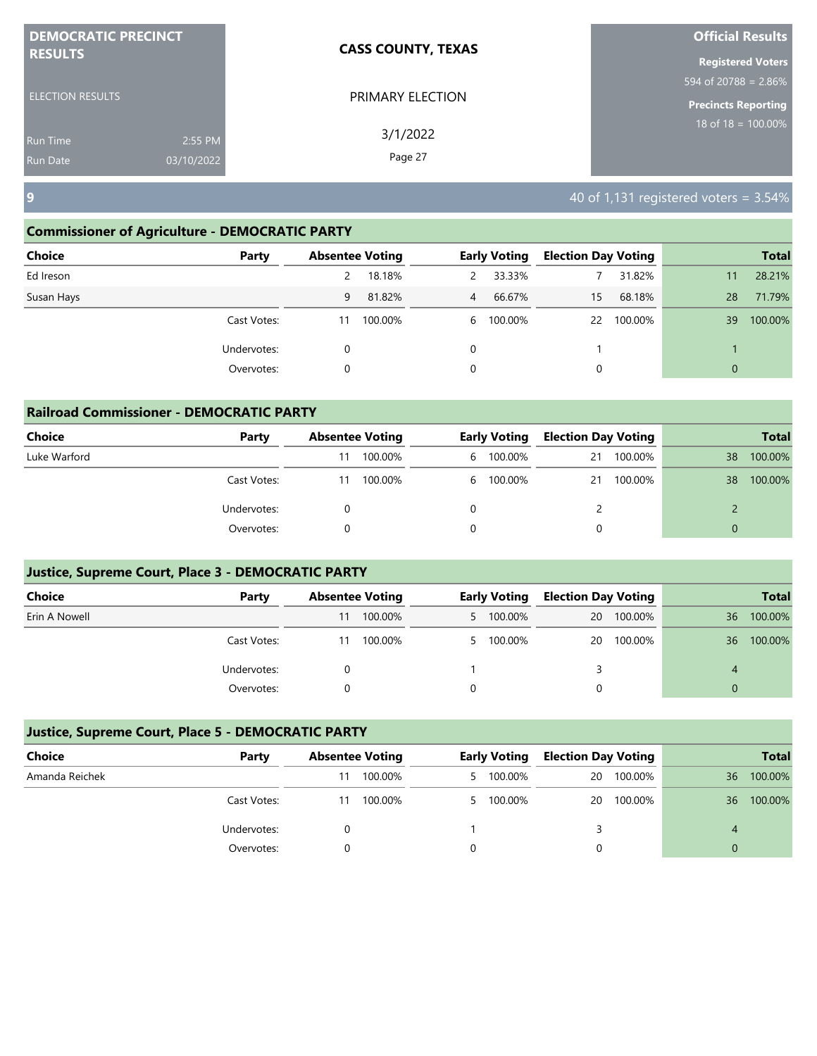| <b>DEMOCRATIC PRECINCT</b> |            | <b>CASS COUNTY, TEXAS</b> | <b>Official Results</b>        |
|----------------------------|------------|---------------------------|--------------------------------|
| <b>RESULTS</b>             |            |                           | <b>Registered Voters</b>       |
|                            |            |                           | 594 of 20788 = 2.86%           |
| <b>ELECTION RESULTS</b>    |            | PRIMARY ELECTION          | <b>Precincts Reporting</b>     |
| <b>Run Time</b>            | 2:55 PM    | 3/1/2022                  | $18 \text{ of } 18 = 100.00\%$ |
| <b>Run Date</b>            | 03/10/2022 | Page 27                   |                                |

## **Commissioner of Agriculture - DEMOCRATIC PARTY**

| <b>Choice</b><br>Party |    | <b>Absentee Voting</b> |                | <b>Early Voting</b> | <b>Election Day Voting</b> |         |              | <b>Total</b> |
|------------------------|----|------------------------|----------------|---------------------|----------------------------|---------|--------------|--------------|
| Ed Ireson              | 2  | 18.18%                 | 2              | 33.33%              |                            | 31.82%  | 11           | 28.21%       |
| Susan Hays             | 9  | 81.82%                 | $\overline{4}$ | 66.67%              | 15                         | 68.18%  | 28           | 71.79%       |
| Cast Votes:            | 11 | 100.00%                |                | 6 100.00%           | 22                         | 100.00% | 39           | 100.00%      |
| Undervotes:            | 0  |                        | 0              |                     |                            |         |              |              |
| Overvotes:             | 0  |                        | 0              |                     | 0                          |         | $\mathbf{0}$ |              |

| <b>Railroad Commissioner - DEMOCRATIC PARTY</b> |             |    |                        |   |                     |                            |         |          |              |  |  |
|-------------------------------------------------|-------------|----|------------------------|---|---------------------|----------------------------|---------|----------|--------------|--|--|
| <b>Choice</b>                                   | Party       |    | <b>Absentee Voting</b> |   | <b>Early Voting</b> | <b>Election Day Voting</b> |         |          | <b>Total</b> |  |  |
| Luke Warford                                    |             |    | 100.00%                | 6 | 100.00%             | 21                         | 100.00% | 38       | 100.00%      |  |  |
|                                                 | Cast Votes: | 11 | 100.00%                |   | 6 100.00%           | 21                         | 100.00% | 38       | 100.00%      |  |  |
|                                                 | Undervotes: |    |                        | 0 |                     |                            |         |          |              |  |  |
|                                                 | Overvotes:  |    |                        | 0 |                     |                            |         | $\Omega$ |              |  |  |

# **Justice, Supreme Court, Place 3 - DEMOCRATIC PARTY**

| <b>Choice</b> | Party       | <b>Absentee Voting</b> |         | <b>Early Voting</b> | <b>Election Day Voting</b> |         |    | <b>Total</b> |
|---------------|-------------|------------------------|---------|---------------------|----------------------------|---------|----|--------------|
| Erin A Nowell |             | 11                     | 100.00% | 5 100.00%           | 20                         | 100.00% | 36 | 100.00%      |
|               | Cast Votes: | 11                     | 100.00% | 5 100.00%           | 20                         | 100.00% | 36 | 100.00%      |
|               | Undervotes: |                        |         |                     |                            |         | 4  |              |
|               | Overvotes:  |                        |         |                     |                            |         |    |              |

| Choice         | Party       |    | <b>Absentee Voting</b> | <b>Early Voting</b> | <b>Election Day Voting</b> |         |    | <b>Total</b> |
|----------------|-------------|----|------------------------|---------------------|----------------------------|---------|----|--------------|
| Amanda Reichek |             | 11 | 100.00%                | 5 100.00%           | 20                         | 100.00% | 36 | 100.00%      |
|                | Cast Votes: | 11 | 100.00%                | 5 100.00%           | 20                         | 100.00% | 36 | 100.00%      |
|                | Undervotes: |    |                        |                     |                            |         |    |              |
|                | Overvotes:  |    |                        |                     |                            |         |    |              |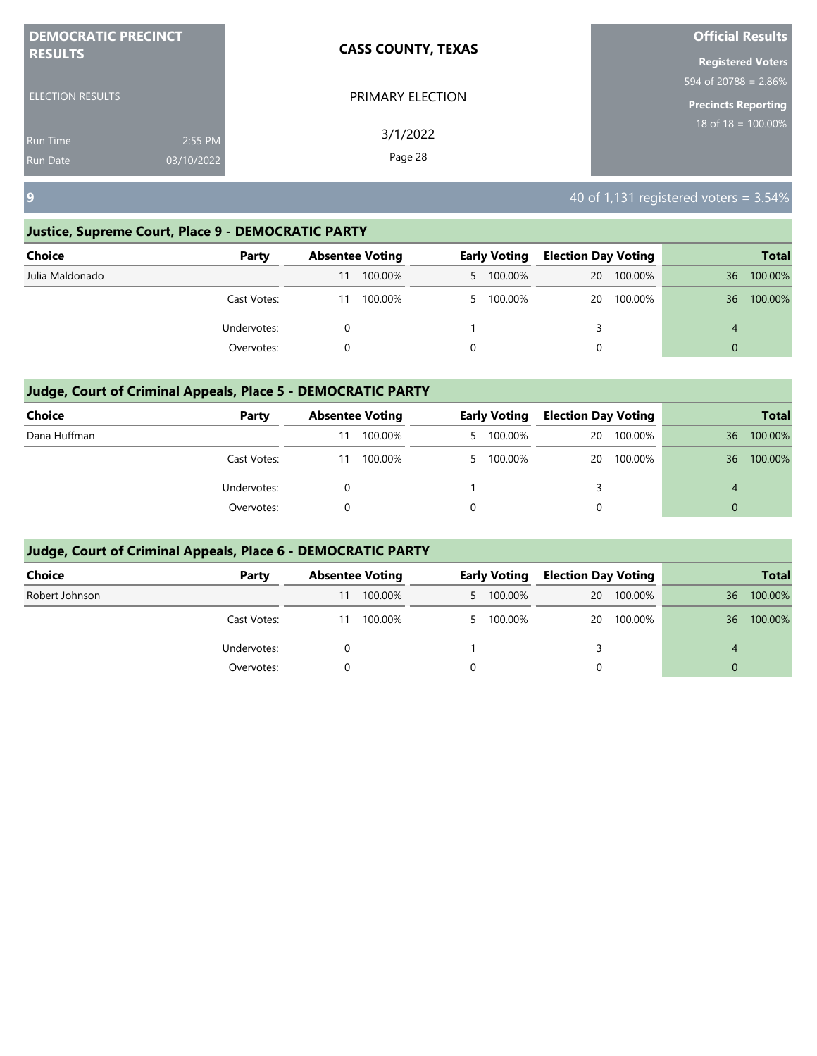| <b>DEMOCRATIC PRECINCT</b><br><b>RESULTS</b> |            | <b>CASS COUNTY, TEXAS</b> | <b>Official Results</b>        |
|----------------------------------------------|------------|---------------------------|--------------------------------|
|                                              |            |                           | <b>Registered Voters</b>       |
|                                              |            |                           | 594 of 20788 = 2.86%           |
| <b>ELECTION RESULTS</b>                      |            | PRIMARY ELECTION          | <b>Precincts Reporting</b>     |
| <b>Run Time</b>                              | 2:55 PM    | 3/1/2022                  | $18 \text{ of } 18 = 100.00\%$ |
| <b>Run Date</b>                              | 03/10/2022 | Page 28                   |                                |

## **Justice, Supreme Court, Place 9 - DEMOCRATIC PARTY**

| <b>Choice</b>   | Party       |    | <b>Absentee Voting</b> | <b>Early Voting</b> | <b>Election Day Voting</b> |            |          | <b>Total</b> |
|-----------------|-------------|----|------------------------|---------------------|----------------------------|------------|----------|--------------|
| Julia Maldonado |             | 11 | 100.00%                | 5 100.00%           |                            | 20 100.00% | 36       | 100.00%      |
|                 | Cast Votes: | 11 | 100.00%                | 5 100.00%           |                            | 20 100.00% | 36       | 100.00%      |
|                 | Undervotes: |    |                        |                     |                            |            | 4        |              |
|                 | Overvotes:  |    |                        |                     | 0                          |            | $\Omega$ |              |
|                 |             |    |                        |                     |                            |            |          |              |

# **Judge, Court of Criminal Appeals, Place 5 - DEMOCRATIC PARTY**

| Choice       | Party       |    | <b>Absentee Voting</b> | <b>Early Voting</b> | <b>Election Day Voting</b> |         |    | <b>Total</b> |
|--------------|-------------|----|------------------------|---------------------|----------------------------|---------|----|--------------|
| Dana Huffman |             | 11 | 100.00%                | 5 100.00%           | 20                         | 100.00% | 36 | 100.00%      |
|              | Cast Votes: | 11 | 100.00%                | 5 100.00%           | 20                         | 100.00% | 36 | 100.00%      |
|              | Undervotes: |    |                        |                     |                            |         |    |              |
|              | Overvotes:  |    |                        |                     |                            |         |    |              |

| <b>Choice</b>  | Party       | <b>Absentee Voting</b> |         |   | <b>Early Voting</b> | <b>Election Day Voting</b> |         |          | <b>Total</b> |
|----------------|-------------|------------------------|---------|---|---------------------|----------------------------|---------|----------|--------------|
| Robert Johnson |             | 11                     | 100.00% |   | 5 100.00%           | 20                         | 100.00% | 36       | 100.00%      |
|                | Cast Votes: | 11                     | 100.00% |   | 5 100.00%           | <b>20</b>                  | 100.00% | 36       | 100.00%      |
|                | Undervotes: |                        |         |   |                     |                            |         | 4        |              |
|                | Overvotes:  |                        |         | 0 |                     | 0                          |         | $\Omega$ |              |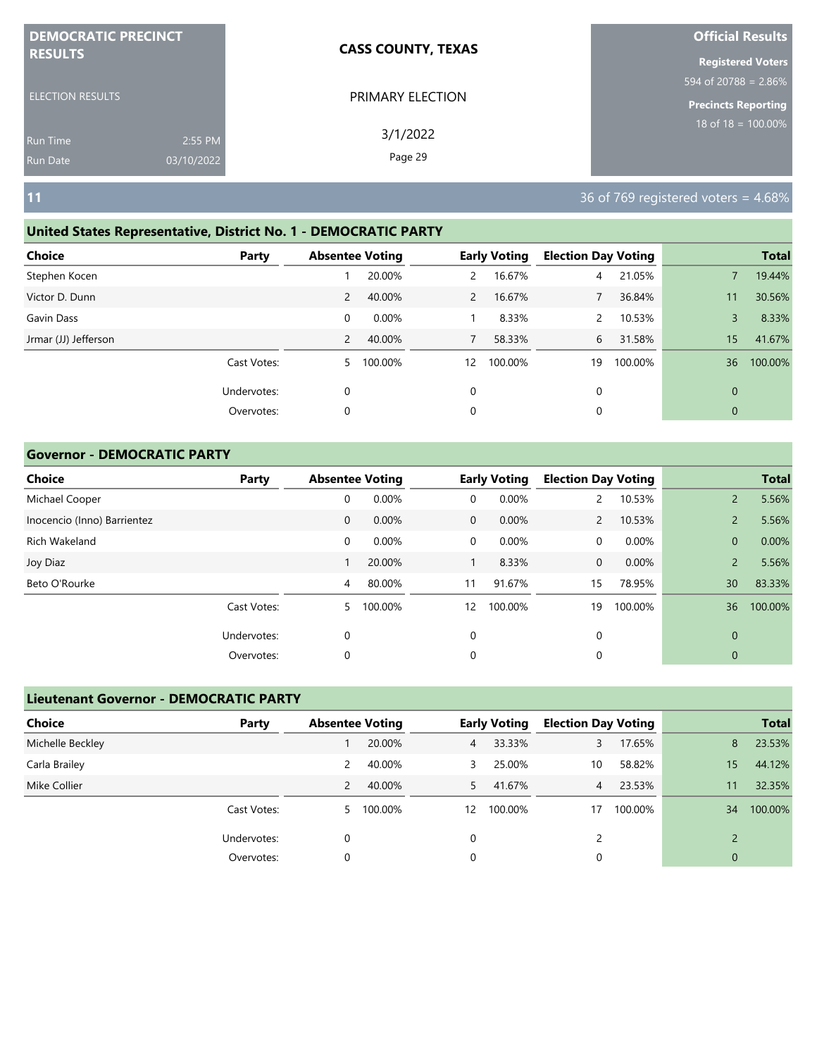| <b>DEMOCRATIC PRECINCT</b> |            | <b>CASS COUNTY, TEXAS</b> | <b>Official Results</b>    |
|----------------------------|------------|---------------------------|----------------------------|
| <b>RESULTS</b>             |            |                           | <b>Registered Voters</b>   |
|                            |            |                           | 594 of 20788 = $2.86\%$    |
| <b>ELECTION RESULTS</b>    |            | PRIMARY ELECTION          | <b>Precincts Reporting</b> |
| <b>Run Time</b>            | 2:55 PM    | 3/1/2022                  | 18 of $18 = 100.00\%$      |
| <b>Run Date</b>            | 03/10/2022 | Page 29                   |                            |

**11** 36 of 769 registered voters = 4.68%

# **United States Representative, District No. 1 - DEMOCRATIC PARTY**

| Choice               | Party       |                | <b>Absentee Voting</b> |              | <b>Early Voting</b> | <b>Election Day Voting</b> |         |              | <b>Total</b> |
|----------------------|-------------|----------------|------------------------|--------------|---------------------|----------------------------|---------|--------------|--------------|
| Stephen Kocen        |             |                | 20.00%                 | $\mathsf{2}$ | 16.67%              | 4                          | 21.05%  |              | 19.44%       |
| Victor D. Dunn       |             | $\overline{2}$ | 40.00%                 | 2            | 16.67%              |                            | 36.84%  | 11           | 30.56%       |
| Gavin Dass           |             | 0              | 0.00%                  |              | 8.33%               |                            | 10.53%  | 3            | 8.33%        |
| Jrmar (JJ) Jefferson |             | 2              | 40.00%                 | 7            | 58.33%              | 6                          | 31.58%  | 15           | 41.67%       |
|                      | Cast Votes: | 5              | 100.00%                | 12           | 100.00%             | 19                         | 100.00% | 36           | 100.00%      |
|                      | Undervotes: | 0              |                        | $\Omega$     |                     | 0                          |         | $\mathbf{0}$ |              |
|                      | Overvotes:  | 0              |                        | 0            |                     | 0                          |         | $\mathbf{0}$ |              |
|                      |             |                |                        |              |                     |                            |         |              |              |

## **Governor - DEMOCRATIC PARTY**

| <b>Choice</b>               | Party       | <b>Absentee Voting</b> |         |              | <b>Early Voting</b> | <b>Election Day Voting</b> |         |                | <b>Total</b> |
|-----------------------------|-------------|------------------------|---------|--------------|---------------------|----------------------------|---------|----------------|--------------|
| Michael Cooper              |             | 0                      | 0.00%   | 0            | 0.00%               |                            | 10.53%  | $\overline{2}$ | 5.56%        |
| Inocencio (Inno) Barrientez |             | $\mathbf 0$            | 0.00%   | $\mathbf{0}$ | $0.00\%$            | $\mathbf{2}$               | 10.53%  | $\overline{2}$ | 5.56%        |
| Rich Wakeland               |             | 0                      | 0.00%   | $\mathbf 0$  | 0.00%               | 0                          | 0.00%   | $\overline{0}$ | 0.00%        |
| Joy Diaz                    |             |                        | 20.00%  |              | 8.33%               | $\mathbf{0}$               | 0.00%   | $\overline{2}$ | 5.56%        |
| Beto O'Rourke               |             | $\overline{4}$         | 80.00%  | 11           | 91.67%              | 15                         | 78.95%  | 30             | 83.33%       |
|                             | Cast Votes: | 5.                     | 100.00% | 12           | 100.00%             | 19                         | 100.00% | 36             | 100.00%      |
|                             | Undervotes: | 0                      |         | $\mathbf 0$  |                     | 0                          |         | $\mathbf 0$    |              |
|                             | Overvotes:  | 0                      |         | 0            |                     | 0                          |         | $\mathbf 0$    |              |

| <b>Lieutenant Governor - DEMOCRATIC PARTY</b> |             |                        |           |                |                     |                            |         |               |              |
|-----------------------------------------------|-------------|------------------------|-----------|----------------|---------------------|----------------------------|---------|---------------|--------------|
| <b>Choice</b>                                 | Party       | <b>Absentee Voting</b> |           |                | <b>Early Voting</b> | <b>Election Day Voting</b> |         |               | <b>Total</b> |
| Michelle Beckley                              |             |                        | 20.00%    | 4 <sup>7</sup> | 33.33%              | 3                          | 17.65%  | 8             | 23.53%       |
| Carla Brailey                                 |             | 2                      | 40.00%    | 3              | 25.00%              | 10                         | 58.82%  | 15            | 44.12%       |
| Mike Collier                                  |             | 2                      | 40.00%    | 5.             | 41.67%              | $\overline{4}$             | 23.53%  | 11            | 32.35%       |
|                                               | Cast Votes: |                        | 5 100.00% | 12             | 100.00%             | 17                         | 100.00% | 34            | 100.00%      |
|                                               | Undervotes: | 0                      |           | 0              |                     | 2                          |         | $\mathcal{D}$ |              |
|                                               | Overvotes:  | 0                      |           | 0              |                     | 0                          |         | $\mathbf 0$   |              |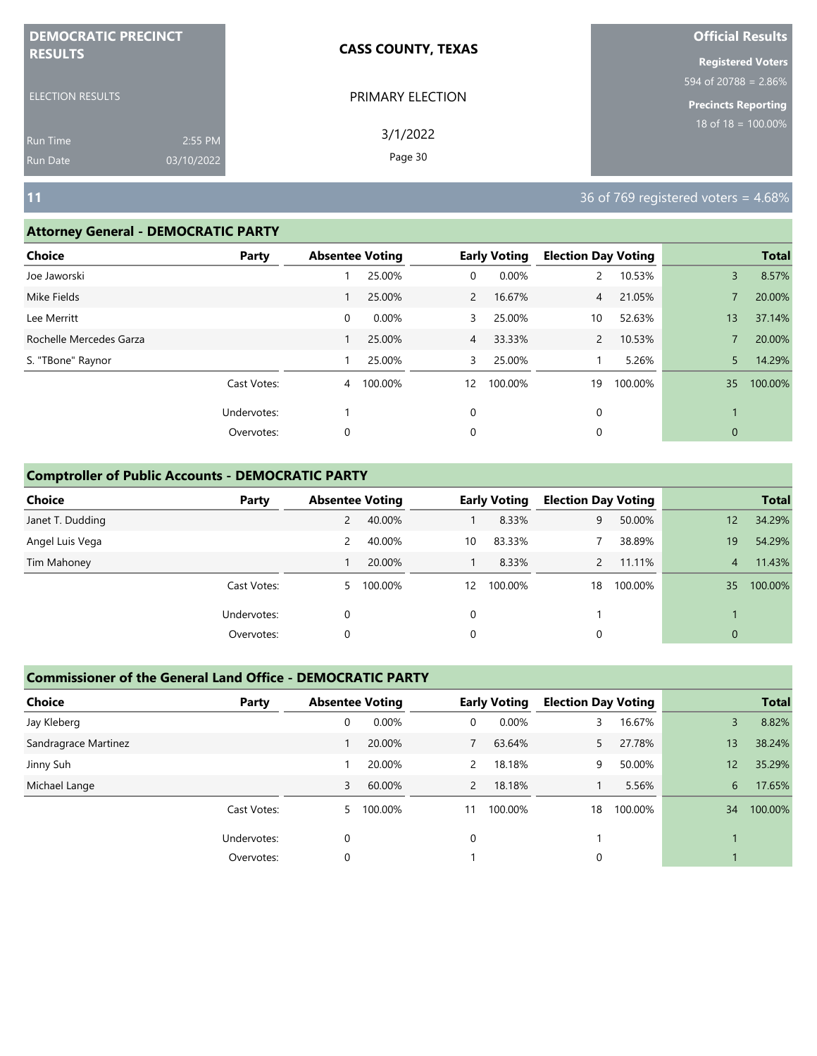| <b>DEMOCRATIC PRECINCT</b>                |                       | <b>CASS COUNTY, TEXAS</b> | <b>Official Results</b>                             |
|-------------------------------------------|-----------------------|---------------------------|-----------------------------------------------------|
| <b>RESULTS</b><br><b>ELECTION RESULTS</b> |                       | PRIMARY ELECTION          | <b>Registered Voters</b><br>594 of 20788 = $2.86\%$ |
| <b>Run Time</b><br><b>Run Date</b>        | 2:55 PM<br>03/10/2022 | 3/1/2022<br>Page 30       | <b>Precincts Reporting</b><br>18 of $18 = 100.00\%$ |
| <b>11</b>                                 |                       |                           | 36 of 769 registered voters = 4.68%                 |

### **Attorney General - DEMOCRATIC PARTY**

| <b>Choice</b>           | Party       | <b>Absentee Voting</b> |         |                | <b>Early Voting</b> | <b>Election Day Voting</b> |         |              | <b>Total</b> |
|-------------------------|-------------|------------------------|---------|----------------|---------------------|----------------------------|---------|--------------|--------------|
| Joe Jaworski            |             |                        | 25.00%  | 0              | 0.00%               |                            | 10.53%  | 3            | 8.57%        |
| Mike Fields             |             |                        | 25.00%  | $2^{\circ}$    | 16.67%              | $\overline{4}$             | 21.05%  |              | 20.00%       |
| Lee Merritt             |             | 0                      | 0.00%   | 3              | 25.00%              | 10                         | 52.63%  | 13           | 37.14%       |
| Rochelle Mercedes Garza |             |                        | 25.00%  | $\overline{4}$ | 33.33%              | $\mathsf{2}^-$             | 10.53%  |              | 20.00%       |
| S. "TBone" Raynor       |             |                        | 25.00%  | 3              | 25.00%              |                            | 5.26%   | 5            | 14.29%       |
|                         | Cast Votes: | 4                      | 100.00% | 12             | 100.00%             | 19                         | 100.00% | 35           | 100.00%      |
|                         | Undervotes: |                        |         | 0              |                     | 0                          |         |              |              |
|                         | Overvotes:  | 0                      |         | 0              |                     | 0                          |         | $\mathbf{0}$ |              |
|                         |             |                        |         |                |                     |                            |         |              |              |

## **Comptroller of Public Accounts - DEMOCRATIC PARTY**

| <b>Choice</b>    | Party       | <b>Absentee Voting</b> |         |    | <b>Early Voting</b> | <b>Election Day Voting</b> |         |                | <b>Total</b> |
|------------------|-------------|------------------------|---------|----|---------------------|----------------------------|---------|----------------|--------------|
| Janet T. Dudding |             | 2                      | 40.00%  |    | 8.33%               | 9                          | 50.00%  | 12             | 34.29%       |
| Angel Luis Vega  |             | 2                      | 40.00%  | 10 | 83.33%              |                            | 38.89%  | 19             | 54.29%       |
| Tim Mahoney      |             |                        | 20.00%  |    | 8.33%               |                            | 11.11%  | $\overline{4}$ | 11.43%       |
|                  | Cast Votes: | 5                      | 100.00% | 12 | 100.00%             | 18                         | 100.00% | 35             | 100.00%      |
|                  | Undervotes: | 0                      |         | 0  |                     |                            |         |                |              |
|                  | Overvotes:  | 0                      |         | 0  |                     | 0                          |         | $\mathbf{0}$   |              |

| <b>Choice</b>        | Party       | <b>Absentee Voting</b> |         |                | <b>Early Voting</b> | <b>Election Day Voting</b> |         |    | <b>Total</b> |
|----------------------|-------------|------------------------|---------|----------------|---------------------|----------------------------|---------|----|--------------|
| Jay Kleberg          |             | 0                      | 0.00%   | 0              | $0.00\%$            |                            | 16.67%  | 3  | 8.82%        |
| Sandragrace Martinez |             |                        | 20.00%  | 7              | 63.64%              |                            | 27.78%  | 13 | 38.24%       |
| Jinny Suh            |             |                        | 20.00%  | 2              | 18.18%              | 9                          | 50.00%  | 12 | 35.29%       |
| Michael Lange        |             | 3                      | 60.00%  | $\overline{2}$ | 18.18%              |                            | 5.56%   | 6  | 17.65%       |
|                      | Cast Votes: | 5.                     | 100.00% | 11             | 100.00%             | 18                         | 100.00% | 34 | 100.00%      |
|                      | Undervotes: | 0                      |         | $\Omega$       |                     |                            |         |    |              |
|                      | Overvotes:  | 0                      |         |                |                     | 0                          |         |    |              |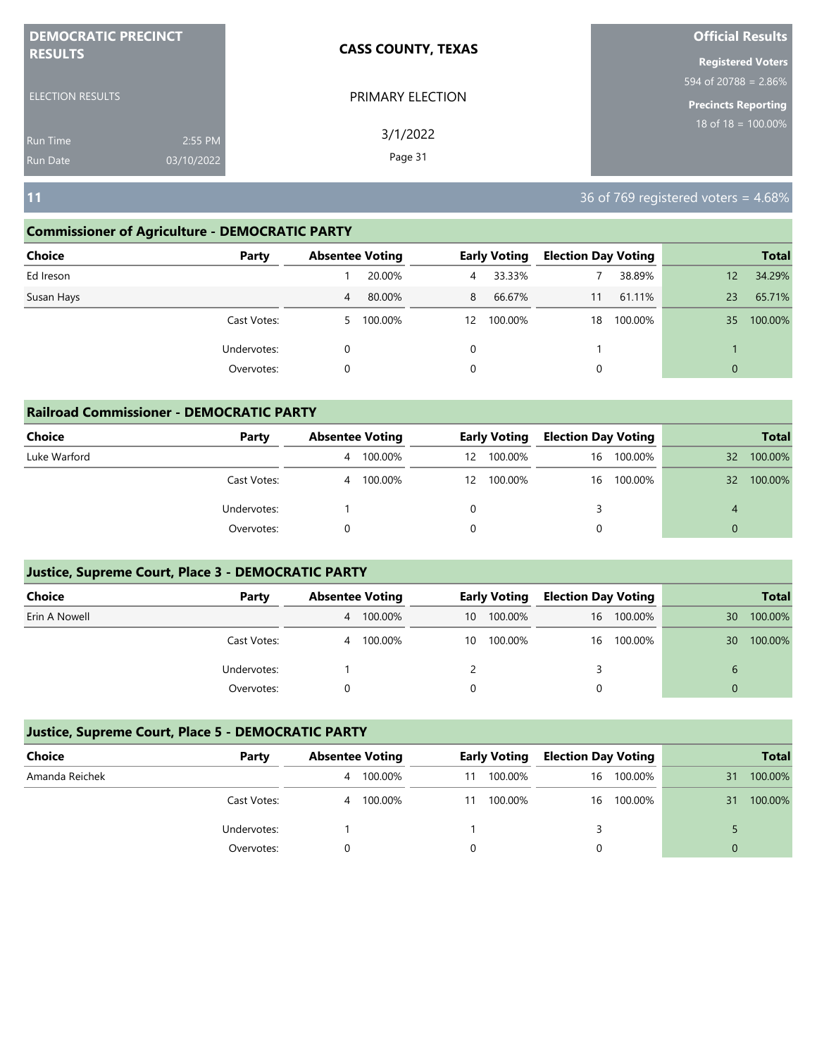| <b>DEMOCRATIC PRECINCT</b> |            | <b>CASS COUNTY, TEXAS</b> | <b>Official Results</b>        |
|----------------------------|------------|---------------------------|--------------------------------|
| <b>RESULTS</b>             |            |                           | <b>Registered Voters</b>       |
|                            |            |                           | 594 of 20788 = $2.86\%$        |
| <b>ELECTION RESULTS</b>    |            | PRIMARY ELECTION          | <b>Precincts Reporting</b>     |
| <b>Run Time</b>            | 2:55 PM    | 3/1/2022                  | $18 \text{ of } 18 = 100.00\%$ |
| <b>Run Date</b>            | 03/10/2022 | Page 31                   |                                |

**11** 36 of 769 registered voters = 4.68%

## **Commissioner of Agriculture - DEMOCRATIC PARTY**

| <b>Choice</b><br>Party |    | <b>Absentee Voting</b> |    | <b>Early Voting</b> | <b>Election Day Voting</b> |         |                   | <b>Total</b> |
|------------------------|----|------------------------|----|---------------------|----------------------------|---------|-------------------|--------------|
| Ed Ireson              |    | 20.00%                 | 4  | 33.33%              |                            | 38.89%  | $12 \overline{ }$ | 34.29%       |
| Susan Hays             | 4  | 80.00%                 | 8  | 66.67%              | 11                         | 61.11%  | 23                | 65.71%       |
| Cast Votes:            | 5. | 100.00%                | 12 | 100.00%             | 18                         | 100.00% | 35                | 100.00%      |
| Undervotes:            | 0  |                        | 0  |                     |                            |         |                   |              |
| Overvotes:             | 0  |                        | 0  |                     | 0                          |         | $\mathbf{0}$      |              |

| <b>Railroad Commissioner - DEMOCRATIC PARTY</b> |             |   |                        |          |                     |                            |            |          |              |  |
|-------------------------------------------------|-------------|---|------------------------|----------|---------------------|----------------------------|------------|----------|--------------|--|
| <b>Choice</b>                                   | Party       |   | <b>Absentee Voting</b> |          | <b>Early Voting</b> | <b>Election Day Voting</b> |            |          | <b>Total</b> |  |
| Luke Warford                                    |             | 4 | 100.00%                | 12       | 100.00%             | 16                         | 100.00%    | 32       | 100.00%      |  |
|                                                 | Cast Votes: | 4 | 100.00%                | 12       | 100.00%             |                            | 16 100.00% | 32       | 100.00%      |  |
|                                                 | Undervotes: |   |                        | $\Omega$ |                     | 3                          |            | 4        |              |  |
|                                                 | Overvotes:  |   |                        |          |                     |                            |            | $\Omega$ |              |  |

# **Justice, Supreme Court, Place 3 - DEMOCRATIC PARTY**

| <b>Choice</b> | Party       | <b>Absentee Voting</b> |         | <b>Early Voting</b> |         | <b>Election Day Voting</b> |            |              | <b>Total</b> |
|---------------|-------------|------------------------|---------|---------------------|---------|----------------------------|------------|--------------|--------------|
| Erin A Nowell |             | 4                      | 100.00% | 10                  | 100.00% |                            | 16 100.00% | 30           | 100.00%      |
|               | Cast Votes: | 4                      | 100.00% | 10                  | 100.00% |                            | 16 100.00% | 30           | 100.00%      |
|               | Undervotes: |                        |         |                     |         |                            |            | $\mathbf{b}$ |              |
|               | Overvotes:  |                        |         |                     |         |                            |            |              |              |

| Choice         | Party       | <b>Absentee Voting</b> |         | <b>Early Voting</b> |         | <b>Election Day Voting</b> |            |    | <b>Total</b> |
|----------------|-------------|------------------------|---------|---------------------|---------|----------------------------|------------|----|--------------|
| Amanda Reichek |             | 4                      | 100.00% | 11                  | 100.00% | 16                         | 100.00%    | 31 | 100.00%      |
|                | Cast Votes: | 4                      | 100.00% | 11                  | 100.00% |                            | 16 100.00% | 31 | 100.00%      |
|                | Undervotes: |                        |         |                     |         |                            |            |    |              |
|                | Overvotes:  |                        |         |                     |         |                            |            | 0  |              |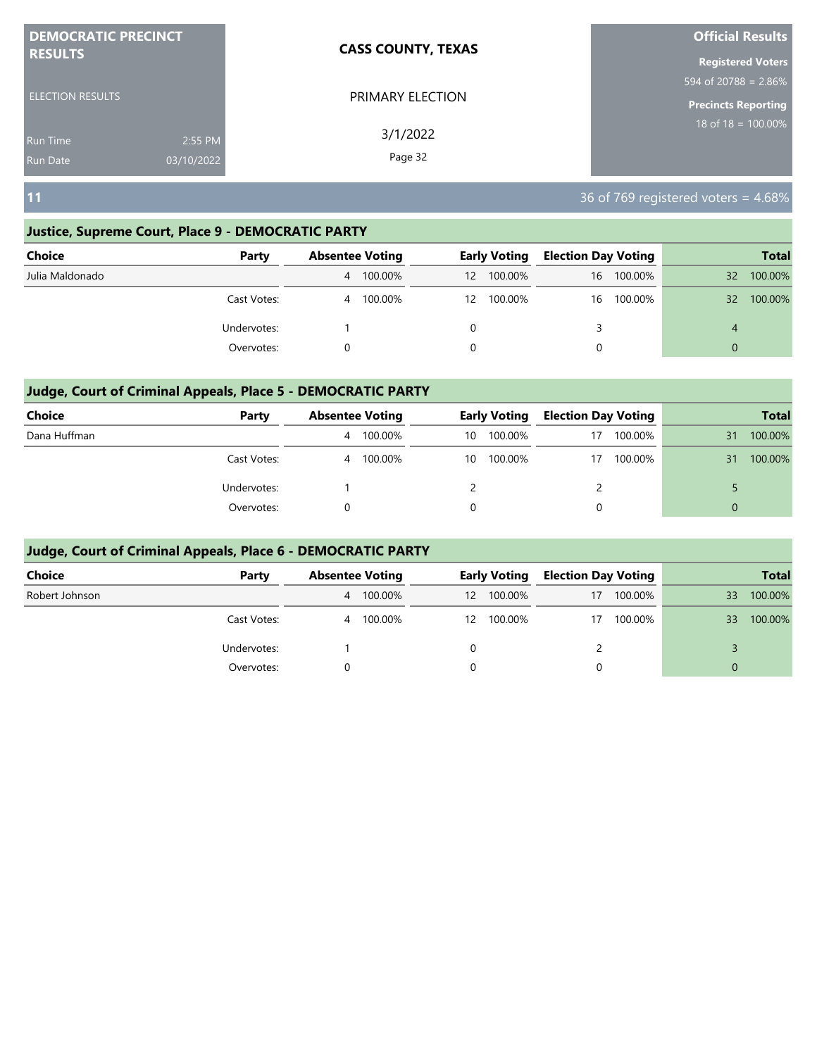| <b>DEMOCRATIC PRECINCT</b> | <b>CASS COUNTY, TEXAS</b> | <b>Official Results</b>        |
|----------------------------|---------------------------|--------------------------------|
| <b>RESULTS</b>             |                           | <b>Registered Voters</b>       |
|                            |                           | 594 of 20788 = 2.86%           |
| <b>ELECTION RESULTS</b>    | PRIMARY ELECTION          | <b>Precincts Reporting</b>     |
| 2:55 PM<br>Run Time        | 3/1/2022                  | $18 \text{ of } 18 = 100.00\%$ |
| 03/10/2022<br>Run Date     | Page 32                   |                                |

**11** 36 of 769 registered voters = 4.68%

## **Justice, Supreme Court, Place 9 - DEMOCRATIC PARTY**

| <b>Choice</b>   | Party       | <b>Absentee Voting</b> |         |    | <b>Early Voting</b> |    | <b>Election Day Voting</b> |                 | <b>Total</b> |
|-----------------|-------------|------------------------|---------|----|---------------------|----|----------------------------|-----------------|--------------|
| Julia Maldonado |             | $\overline{4}$         | 100.00% | 12 | 100.00%             | 16 | 100.00%                    | $32^{\circ}$    | 100.00%      |
|                 | Cast Votes: | 4                      | 100.00% | 12 | 100.00%             |    | 16 100.00%                 | 32 <sup>2</sup> | 100.00%      |
|                 | Undervotes: |                        |         |    |                     |    |                            | 4               |              |
|                 | Overvotes:  |                        |         | 0  |                     | 0  |                            | $\Omega$        |              |

# **Judge, Court of Criminal Appeals, Place 5 - DEMOCRATIC PARTY**

| <b>Choice</b> | Party       | <b>Absentee Voting</b> |         | <b>Early Voting</b> |         | <b>Election Day Voting</b> |         |          | <b>Total</b> |
|---------------|-------------|------------------------|---------|---------------------|---------|----------------------------|---------|----------|--------------|
| Dana Huffman  |             | 4                      | 100.00% | 10                  | 100.00% | 17                         | 100.00% | 31       | 100.00%      |
|               | Cast Votes: | 4                      | 100.00% | 10                  | 100.00% | 17                         | 100.00% | 31       | 100.00%      |
|               | Undervotes: |                        |         |                     |         |                            |         |          |              |
|               | Overvotes:  |                        |         |                     |         | 0                          |         | $\Omega$ |              |

| Choice         | Party       | <b>Absentee Voting</b> |           |    | <b>Early Voting</b> | <b>Election Day Voting</b> |         |          | <b>Total</b> |
|----------------|-------------|------------------------|-----------|----|---------------------|----------------------------|---------|----------|--------------|
| Robert Johnson |             |                        | 4 100.00% | 12 | 100.00%             | 17                         | 100.00% | 33       | 100.00%      |
|                | Cast Votes: |                        | 4 100.00% |    | 12 100.00%          | 17                         | 100.00% | 33       | 100.00%      |
|                | Undervotes: |                        |           |    |                     |                            |         |          |              |
|                | Overvotes:  |                        |           |    |                     | 0                          |         | $\Omega$ |              |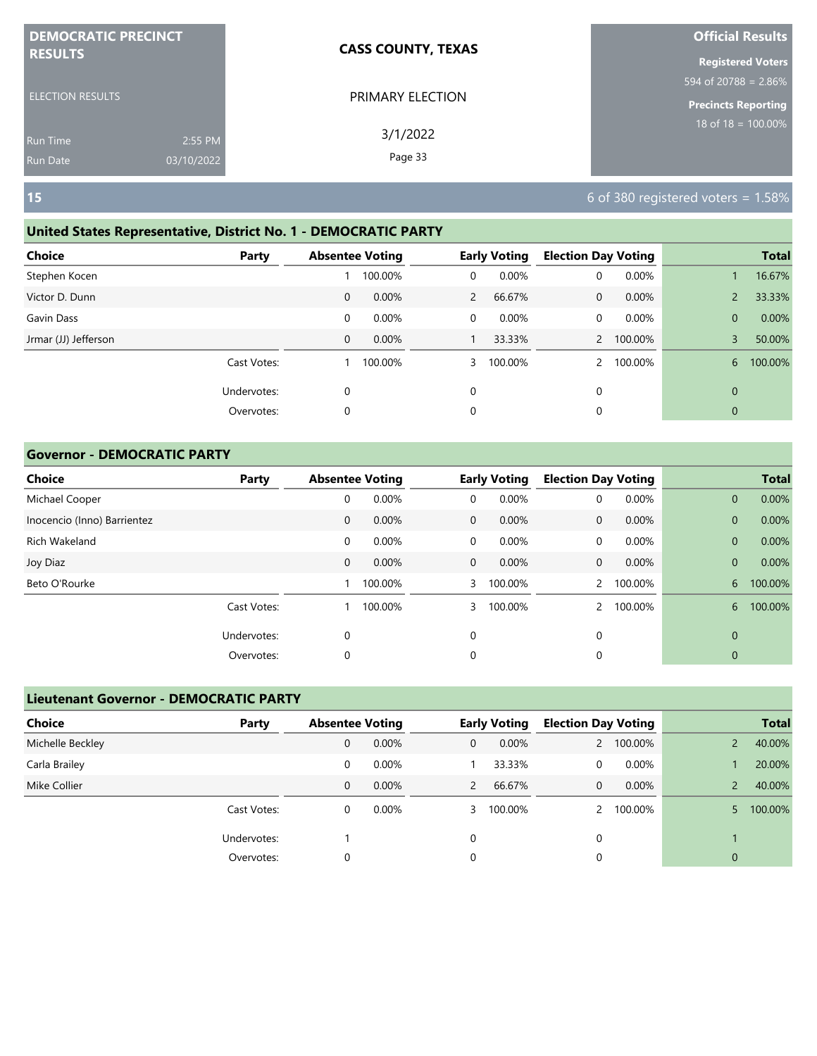| <b>DEMOCRATIC PRECINCT</b> |            | <b>CASS COUNTY, TEXAS</b> | <b>Official Results</b>    |
|----------------------------|------------|---------------------------|----------------------------|
| <b>RESULTS</b>             |            |                           | <b>Registered Voters</b>   |
|                            |            |                           | 594 of 20788 = $2.86\%$    |
| <b>ELECTION RESULTS</b>    |            | PRIMARY ELECTION          | <b>Precincts Reporting</b> |
| <b>Run Time</b>            | 2:55 PM    | 3/1/2022                  | $18$ of $18 = 100.00\%$    |
| <b>Run Date</b>            | 03/10/2022 | Page 33                   |                            |

# **United States Representative, District No. 1 - DEMOCRATIC PARTY**

| Choice               | Party       |              | <b>Absentee Voting</b> |                | <b>Early Voting</b> | <b>Election Day Voting</b> |         |                | <b>Total</b> |
|----------------------|-------------|--------------|------------------------|----------------|---------------------|----------------------------|---------|----------------|--------------|
| Stephen Kocen        |             |              | 100.00%                | 0              | 0.00%               | 0                          | 0.00%   |                | 16.67%       |
| Victor D. Dunn       |             | $\mathbf 0$  | 0.00%                  | $\overline{2}$ | 66.67%              | 0                          | 0.00%   | $\overline{2}$ | 33.33%       |
| Gavin Dass           |             | 0            | 0.00%                  | 0              | 0.00%               | 0                          | 0.00%   | $\mathbf{0}$   | 0.00%        |
| Jrmar (JJ) Jefferson |             | $\mathbf{0}$ | 0.00%                  |                | 33.33%              | $\overline{2}$             | 100.00% | 3              | 50.00%       |
|                      | Cast Votes: |              | 100.00%                | 3              | 100.00%             |                            | 100.00% | 6              | 100.00%      |
|                      | Undervotes: | 0            |                        | $\Omega$       |                     | 0                          |         | $\mathbf{0}$   |              |
|                      | Overvotes:  | $\mathbf 0$  |                        | 0              |                     | 0                          |         | $\mathbf{0}$   |              |
|                      |             |              |                        |                |                     |                            |         |                |              |

## **Governor - DEMOCRATIC PARTY**

| <b>Choice</b>               | Party       | <b>Absentee Voting</b> |         |              | <b>Early Voting</b> | <b>Election Day Voting</b> |          |              | <b>Total</b> |
|-----------------------------|-------------|------------------------|---------|--------------|---------------------|----------------------------|----------|--------------|--------------|
| Michael Cooper              |             | 0                      | 0.00%   | $\mathbf 0$  | 0.00%               | 0                          | $0.00\%$ | $\mathbf{0}$ | 0.00%        |
| Inocencio (Inno) Barrientez |             | $\mathbf 0$            | 0.00%   | $\mathbf{0}$ | 0.00%               | $\mathbf{0}$               | 0.00%    | $\mathbf{0}$ | 0.00%        |
| Rich Wakeland               |             | 0                      | 0.00%   | $\mathbf 0$  | 0.00%               | 0                          | 0.00%    | $\mathbf{0}$ | 0.00%        |
| Joy Diaz                    |             | $\mathbf 0$            | 0.00%   | $\mathbf{0}$ | $0.00\%$            | $\mathbf{0}$               | 0.00%    | $\mathbf{0}$ | 0.00%        |
| Beto O'Rourke               |             |                        | 100.00% | 3            | 100.00%             | $\overline{2}$             | 100.00%  | 6            | 100.00%      |
|                             | Cast Votes: |                        | 100.00% | 3            | 100.00%             |                            | 100.00%  | 6            | 100.00%      |
|                             | Undervotes: | 0                      |         | 0            |                     | 0                          |          | $\mathbf 0$  |              |
|                             | Overvotes:  | 0                      |         | 0            |                     | 0                          |          | 0            |              |

| <b>Lieutenant Governor - DEMOCRATIC PARTY</b> |             |                        |       |              |                     |   |                            |              |              |
|-----------------------------------------------|-------------|------------------------|-------|--------------|---------------------|---|----------------------------|--------------|--------------|
| <b>Choice</b>                                 | Party       | <b>Absentee Voting</b> |       |              | <b>Early Voting</b> |   | <b>Election Day Voting</b> |              | <b>Total</b> |
| Michelle Beckley                              |             | 0                      | 0.00% | 0            | 0.00%               |   | 100.00%                    |              | 40.00%       |
| Carla Brailey                                 |             | 0                      | 0.00% |              | 33.33%              | 0 | 0.00%                      |              | 20.00%       |
| Mike Collier                                  |             | 0                      | 0.00% | $\mathbf{2}$ | 66.67%              | 0 | 0.00%                      |              | 40.00%       |
|                                               | Cast Votes: | 0                      | 0.00% | $3 -$        | 100.00%             |   | 100.00%                    | 5.           | 100.00%      |
|                                               | Undervotes: |                        |       | 0            |                     | 0 |                            |              |              |
|                                               | Overvotes:  | 0                      |       | 0            |                     | 0 |                            | $\mathbf{0}$ |              |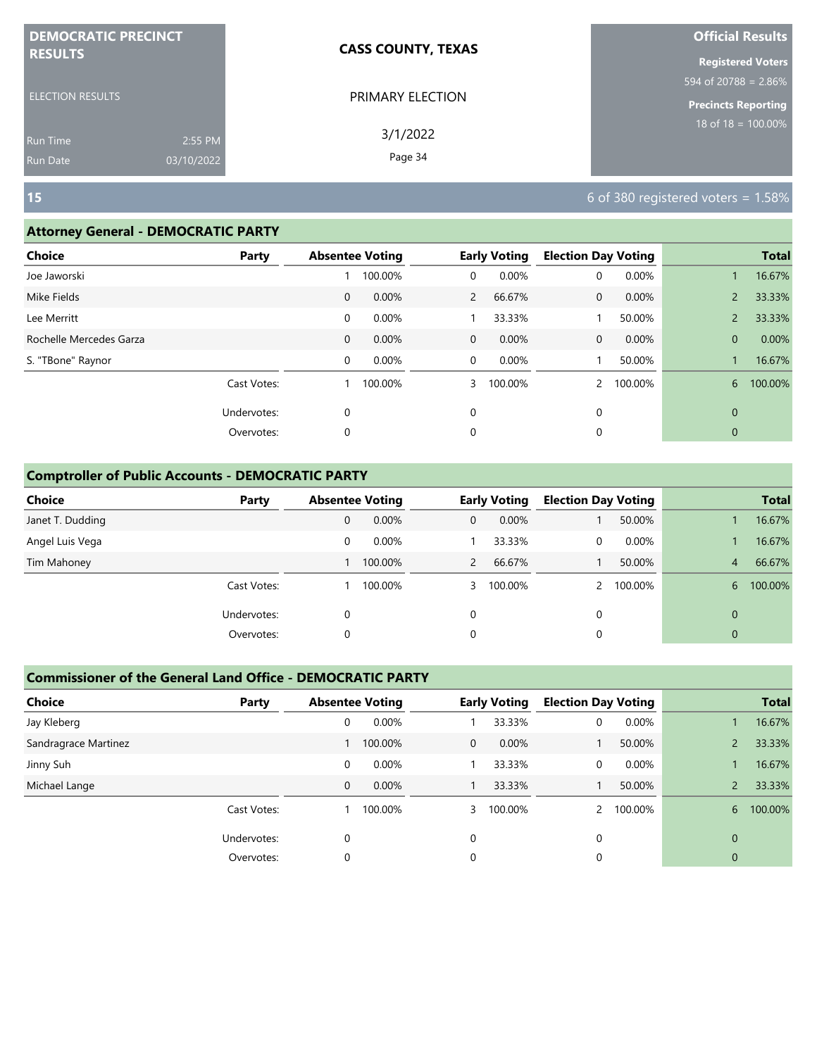| <b>DEMOCRATIC PRECINCT</b> |            | <b>CASS COUNTY, TEXAS</b> | <b>Official Results</b>    |
|----------------------------|------------|---------------------------|----------------------------|
| <b>RESULTS</b>             |            |                           | <b>Registered Voters</b>   |
|                            |            |                           | 594 of 20788 = $2.86\%$    |
| <b>ELECTION RESULTS</b>    |            | PRIMARY ELECTION          | <b>Precincts Reporting</b> |
| <b>Run Time</b>            | 2:55 PM    | 3/1/2022                  | 18 of $18 = 100.00\%$      |
| <b>Run Date</b>            | 03/10/2022 | Page 34                   |                            |

### **Attorney General - DEMOCRATIC PARTY**

| <b>Choice</b>           | Party       |              | <b>Absentee Voting</b> |                | <b>Early Voting</b> | <b>Election Day Voting</b> |         |                | <b>Total</b> |
|-------------------------|-------------|--------------|------------------------|----------------|---------------------|----------------------------|---------|----------------|--------------|
| Joe Jaworski            |             |              | 100.00%                | 0              | 0.00%               | 0                          | 0.00%   |                | 16.67%       |
| Mike Fields             |             | $\mathbf{0}$ | 0.00%                  | $\overline{2}$ | 66.67%              | 0                          | 0.00%   | $\overline{2}$ | 33.33%       |
| Lee Merritt             |             | 0            | 0.00%                  |                | 33.33%              |                            | 50.00%  | $\overline{2}$ | 33.33%       |
| Rochelle Mercedes Garza |             | 0            | 0.00%                  | $\mathbf{0}$   | 0.00%               | 0                          | 0.00%   | $\mathbf{0}$   | 0.00%        |
| S. "TBone" Raynor       |             | 0            | 0.00%                  | $\mathbf 0$    | 0.00%               |                            | 50.00%  |                | 16.67%       |
|                         | Cast Votes: |              | 100.00%                | 3              | 100.00%             |                            | 100.00% | 6              | 100.00%      |
|                         | Undervotes: | 0            |                        | 0              |                     | 0                          |         | $\mathbf{0}$   |              |
|                         | Overvotes:  | 0            |                        | 0              |                     | 0                          |         | $\mathbf{0}$   |              |
|                         |             |              |                        |                |                     |                            |         |                |              |

## **Comptroller of Public Accounts - DEMOCRATIC PARTY**

| <b>Choice</b>    | Party       | <b>Absentee Voting</b> |         |             | <b>Early Voting</b> | <b>Election Day Voting</b> |         |                | <b>Total</b> |
|------------------|-------------|------------------------|---------|-------------|---------------------|----------------------------|---------|----------------|--------------|
| Janet T. Dudding |             | 0                      | 0.00%   | $\mathbf 0$ | 0.00%               |                            | 50.00%  |                | 16.67%       |
| Angel Luis Vega  |             | 0                      | 0.00%   |             | 33.33%              | 0                          | 0.00%   |                | 16.67%       |
| Tim Mahoney      |             |                        | 100.00% | 2           | 66.67%              |                            | 50.00%  | 4              | 66.67%       |
|                  | Cast Votes: |                        | 100.00% |             | 3 100.00%           |                            | 100.00% | 6              | 100.00%      |
|                  | Undervotes: | 0                      |         | 0           |                     | 0                          |         | $\Omega$       |              |
|                  | Overvotes:  | 0                      |         | 0           |                     | 0                          |         | $\overline{0}$ |              |

| <b>Choice</b>        | Party       | <b>Absentee Voting</b> |         |              | <b>Early Voting</b> | <b>Election Day Voting</b> |         |                | <b>Total</b> |
|----------------------|-------------|------------------------|---------|--------------|---------------------|----------------------------|---------|----------------|--------------|
| Jay Kleberg          |             | 0                      | 0.00%   |              | 33.33%              | 0                          | 0.00%   |                | 16.67%       |
| Sandragrace Martinez |             |                        | 100.00% | $\mathbf{0}$ | 0.00%               |                            | 50.00%  |                | 33.33%       |
| Jinny Suh            |             | $\mathbf 0$            | 0.00%   |              | 33.33%              | $\mathbf 0$                | 0.00%   |                | 16.67%       |
| Michael Lange        |             | $\mathbf{0}$           | 0.00%   |              | 33.33%              |                            | 50.00%  | $\mathsf{2}$   | 33.33%       |
|                      | Cast Votes: |                        | 100.00% | 3            | 100.00%             | $\mathcal{P}$              | 100.00% | 6              | 100.00%      |
|                      | Undervotes: | $\Omega$               |         | $\Omega$     |                     | $\Omega$                   |         | $\overline{0}$ |              |
|                      | Overvotes:  | $\Omega$               |         | 0            |                     | 0                          |         | $\mathbf{0}$   |              |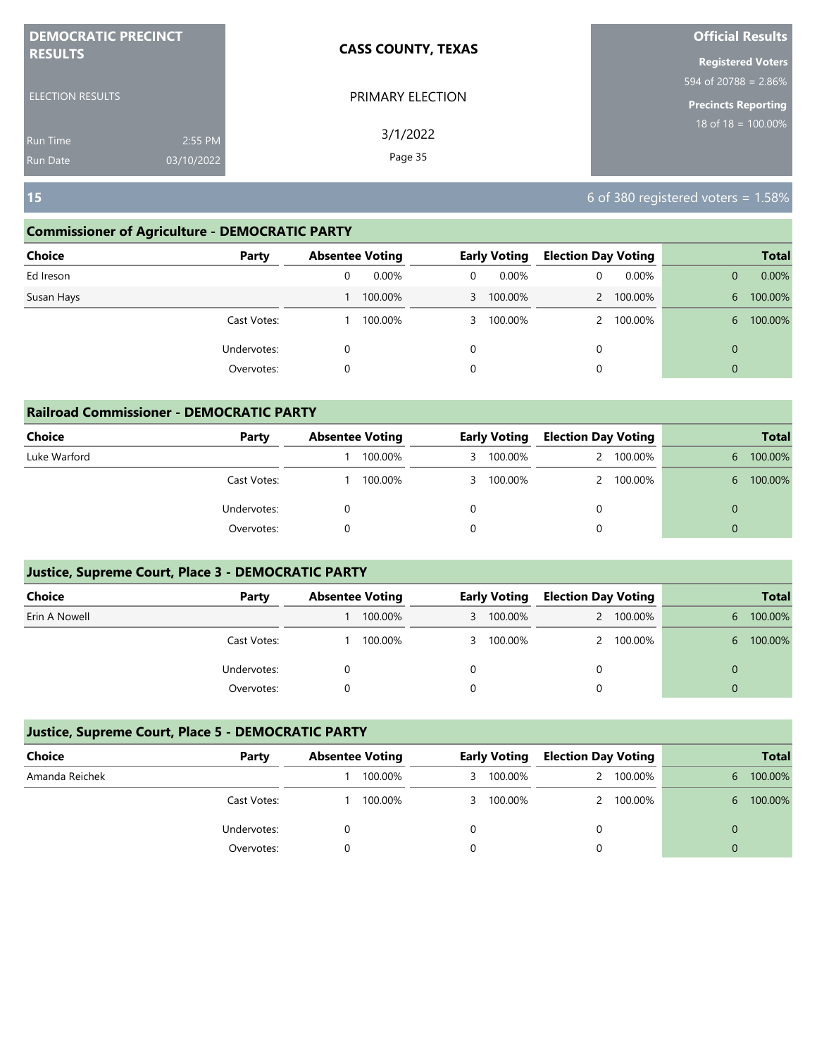| <b>DEMOCRATIC PRECINCT</b> |            | <b>CASS COUNTY, TEXAS</b> | <b>Official Results</b>    |
|----------------------------|------------|---------------------------|----------------------------|
| <b>RESULTS</b>             |            |                           | <b>Registered Voters</b>   |
|                            |            |                           | 594 of 20788 = $2.86\%$    |
| <b>ELECTION RESULTS</b>    |            | PRIMARY ELECTION          | <b>Precincts Reporting</b> |
| <b>Run Time</b>            | 2:55 PM    | 3/1/2022                  | $18$ of $18 = 100.00\%$    |
| <b>Run Date</b>            | 03/10/2022 | Page 35                   |                            |

## **Commissioner of Agriculture - DEMOCRATIC PARTY**

| <b>Choice</b> | Party       |   | <b>Absentee Voting</b> |          | <b>Early Voting</b> | <b>Election Day Voting</b> |          |              | <b>Total</b> |
|---------------|-------------|---|------------------------|----------|---------------------|----------------------------|----------|--------------|--------------|
| Ed Ireson     |             | 0 | $0.00\%$               | $\Omega$ | $0.00\%$            | 0                          | $0.00\%$ | 0            | 0.00%        |
| Susan Hays    |             |   | 100.00%                |          | 3 100.00%           |                            | 100.00%  | 6            | 100.00%      |
|               | Cast Votes: |   | 100.00%                |          | 3 100.00%           |                            | 100.00%  | 6.           | 100.00%      |
|               | Undervotes: | 0 |                        | 0        |                     | 0                          |          | $\mathbf{0}$ |              |
|               | Overvotes:  | 0 |                        | 0        |                     | 0                          |          | $\mathbf{0}$ |              |
|               |             |   |                        |          |                     |                            |          |              |              |

| <b>Railroad Commissioner - DEMOCRATIC PARTY</b> |             |  |                        |   |                     |                            |           |          |              |  |
|-------------------------------------------------|-------------|--|------------------------|---|---------------------|----------------------------|-----------|----------|--------------|--|
| <b>Choice</b>                                   | Party       |  | <b>Absentee Voting</b> |   | <b>Early Voting</b> | <b>Election Day Voting</b> |           |          | <b>Total</b> |  |
| Luke Warford                                    |             |  | 100.00%                | 3 | 100.00%             |                            | 2 100.00% | 6        | 100.00%      |  |
|                                                 | Cast Votes: |  | 100.00%                |   | 3 100.00%           |                            | 2 100.00% | 6        | 100.00%      |  |
|                                                 | Undervotes: |  |                        |   |                     |                            |           | $\Omega$ |              |  |
|                                                 | Overvotes:  |  |                        |   |                     |                            |           | $\Omega$ |              |  |

## **Justice, Supreme Court, Place 3 - DEMOCRATIC PARTY**

| <b>Choice</b> | Party       | <b>Absentee Voting</b> |         | Early Voting |           | <b>Election Day Voting</b> |           |   | <b>Total</b> |
|---------------|-------------|------------------------|---------|--------------|-----------|----------------------------|-----------|---|--------------|
| Erin A Nowell |             |                        | 100.00% |              | 3 100.00% |                            | 2 100.00% | 6 | 100.00%      |
|               | Cast Votes: |                        | 100.00% |              | 3 100.00% |                            | 2 100.00% | 6 | 100.00%      |
|               | Undervotes: |                        |         |              |           | 0                          |           |   |              |
|               | Overvotes:  |                        |         |              |           |                            |           |   |              |

| Choice         | Party       | <b>Absentee Voting</b> |         | <b>Early Voting</b> |           | <b>Election Day Voting</b> |           |    | <b>Total</b> |
|----------------|-------------|------------------------|---------|---------------------|-----------|----------------------------|-----------|----|--------------|
| Amanda Reichek |             |                        | 100.00% |                     | 3 100.00% |                            | 2 100.00% | 6. | 100.00%      |
|                | Cast Votes: |                        | 100.00% |                     | 3 100.00% |                            | 2 100.00% | 6. | 100.00%      |
|                | Undervotes: |                        |         |                     |           |                            |           |    |              |
|                | Overvotes:  |                        |         |                     |           |                            |           | 0  |              |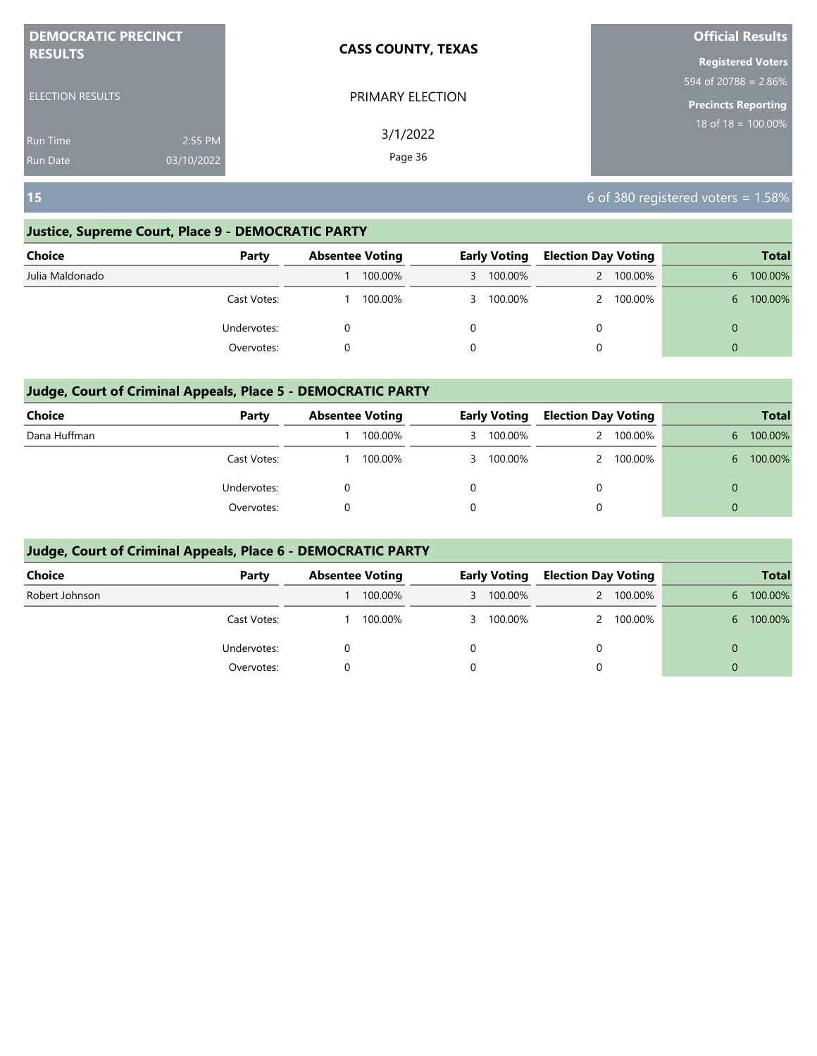| <b>DEMOCRATIC PRECINCT</b><br><b>CASS COUNTY, TEXAS</b> |                     | <b>Official Results</b>                   |  |  |  |
|---------------------------------------------------------|---------------------|-------------------------------------------|--|--|--|
| <b>RESULTS</b>                                          |                     | <b>Registered Voters</b>                  |  |  |  |
|                                                         |                     | $\frac{1594 \text{ of } 20788 = 2.86\%}{$ |  |  |  |
| <b>ELECTION RESULTS</b>                                 | PRIMARY ELECTION    | <b>Precincts Reporting</b>                |  |  |  |
| 2:55 PM<br>Run Time<br>03/10/2022<br>Run Date           | 3/1/2022<br>Page 36 | $18 \text{ of } 18 = 100.00\%$            |  |  |  |

## **Justice, Supreme Court, Place 9 - DEMOCRATIC PARTY**

| <b>Choice</b>   | Party       | <b>Absentee Voting</b> | <b>Early Voting</b> | <b>Election Day Voting</b> | <b>Total</b>  |
|-----------------|-------------|------------------------|---------------------|----------------------------|---------------|
| Julia Maldonado |             | 100.00%                | 3 100.00%           | 100.00%                    | 100.00%<br>6  |
|                 | Cast Votes: | 100.00%                | 3 100.00%           | 100.00%                    | 100.00%<br>6. |
|                 | Undervotes: |                        |                     | 0                          | $\Omega$      |
|                 | Overvotes:  |                        | 0                   | 0                          | $\Omega$      |

## **Judge, Court of Criminal Appeals, Place 5 - DEMOCRATIC PARTY**

| <b>Choice</b> | Party       | <b>Absentee Voting</b> |         | <b>Early Voting</b> |           | <b>Election Day Voting</b> |         | <b>Total</b> |         |  |
|---------------|-------------|------------------------|---------|---------------------|-----------|----------------------------|---------|--------------|---------|--|
| Dana Huffman  |             |                        | 100.00% |                     | 3 100.00% |                            | 100.00% | 6.           | 100.00% |  |
|               | Cast Votes: |                        | 100.00% |                     | 3 100.00% |                            | 100.00% | 6.           | 100.00% |  |
|               | Undervotes: |                        |         |                     |           | 0                          |         | $\Omega$     |         |  |
|               | Overvotes:  |                        |         |                     |           | 0                          |         | $\Omega$     |         |  |

| Choice         | Party       | <b>Absentee Voting</b> |         | <b>Early Voting</b> |           | <b>Election Day Voting</b> |         | <b>Total</b> |         |
|----------------|-------------|------------------------|---------|---------------------|-----------|----------------------------|---------|--------------|---------|
| Robert Johnson |             |                        | 100.00% |                     | 3 100.00% | 2                          | 100.00% | 6.           | 100.00% |
|                | Cast Votes: |                        | 100.00% |                     | 3 100.00% |                            | 100.00% | 6.           | 100.00% |
|                | Undervotes: |                        |         |                     |           | 0                          |         | 0            |         |
|                | Overvotes:  |                        |         |                     |           | 0                          |         | $\Omega$     |         |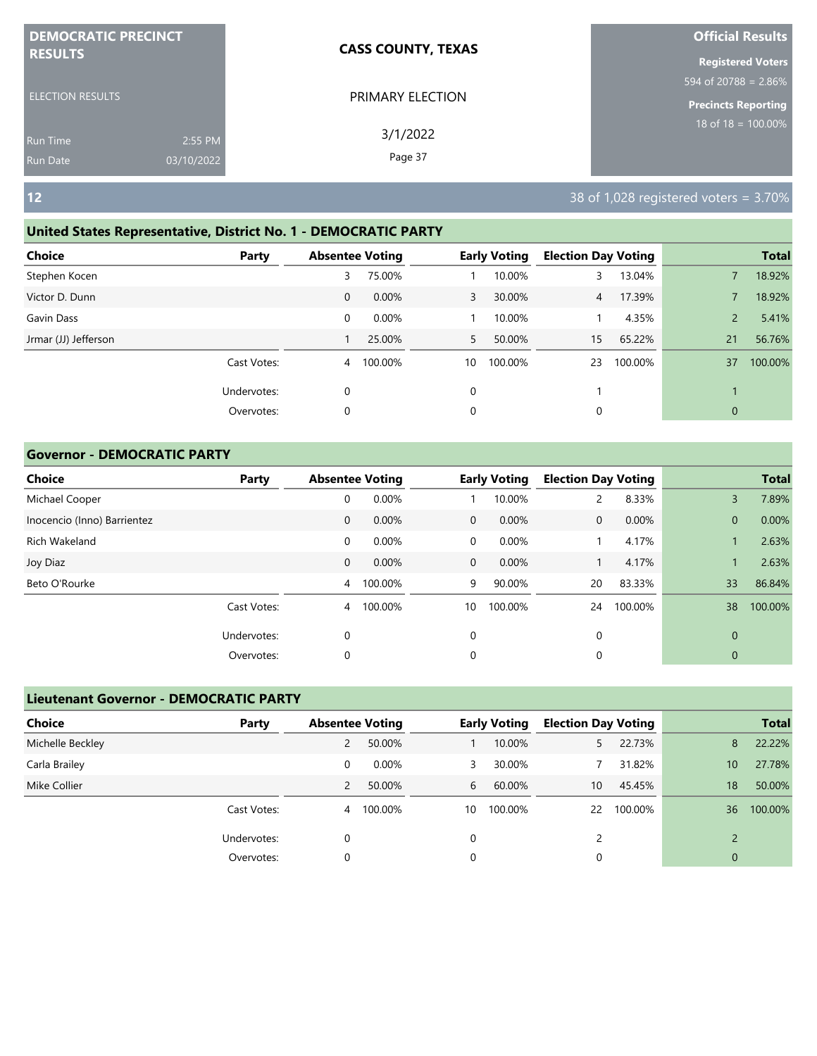| <b>DEMOCRATIC PRECINCT</b> |            | <b>CASS COUNTY, TEXAS</b> | <b>Official Results</b>    |
|----------------------------|------------|---------------------------|----------------------------|
| <b>RESULTS</b>             |            |                           | <b>Registered Voters</b>   |
|                            |            |                           | 594 of 20788 = $2.86\%$    |
| <b>ELECTION RESULTS</b>    |            | PRIMARY ELECTION          | <b>Precincts Reporting</b> |
| <b>Run Time</b>            | 2:55 PM    | 3/1/2022                  | $18$ of $18 = 100.00\%$    |
| Run Date                   | 03/10/2022 | Page 37                   |                            |

#### **United States Representative, District No. 1 - DEMOCRATIC PARTY**

|                | <b>Total</b> |
|----------------|--------------|
|                |              |
|                | 18.92%       |
|                | 18.92%       |
| $\overline{2}$ | 5.41%        |
| 21             | 56.76%       |
| 37             | 100.00%      |
|                |              |
| $\mathbf{0}$   |              |
|                |              |

#### **Governor - DEMOCRATIC PARTY**

| <b>Choice</b>               | Party       | <b>Absentee Voting</b> |         |              | <b>Early Voting</b> | <b>Election Day Voting</b> |         |              | <b>Total</b> |
|-----------------------------|-------------|------------------------|---------|--------------|---------------------|----------------------------|---------|--------------|--------------|
| Michael Cooper              |             | 0                      | 0.00%   |              | 10.00%              | 2                          | 8.33%   | 3            | 7.89%        |
| Inocencio (Inno) Barrientez |             | $\mathbf 0$            | 0.00%   | $\mathbf{0}$ | 0.00%               | $\mathbf{0}$               | 0.00%   | $\mathbf{0}$ | 0.00%        |
| Rich Wakeland               |             | 0                      | 0.00%   | $\mathbf 0$  | 0.00%               |                            | 4.17%   |              | 2.63%        |
| Joy Diaz                    |             | $\mathbf 0$            | 0.00%   | $\mathbf{0}$ | 0.00%               |                            | 4.17%   |              | 2.63%        |
| Beto O'Rourke               |             | 4                      | 100.00% | 9            | 90.00%              | 20                         | 83.33%  | 33           | 86.84%       |
|                             | Cast Votes: | 4                      | 100.00% | 10           | 100.00%             | 24                         | 100.00% | 38           | 100.00%      |
|                             | Undervotes: | 0                      |         | $\mathbf 0$  |                     | 0                          |         | $\mathbf 0$  |              |
|                             | Overvotes:  | 0                      |         | 0            |                     | 0                          |         | $\mathbf 0$  |              |

| <b>Lieutenant Governor - DEMOCRATIC PARTY</b> |             |                        |          |    |                     |    |                            |               |         |
|-----------------------------------------------|-------------|------------------------|----------|----|---------------------|----|----------------------------|---------------|---------|
| <b>Choice</b>                                 | Party       | <b>Absentee Voting</b> |          |    | <b>Early Voting</b> |    | <b>Election Day Voting</b> | <b>Total</b>  |         |
| Michelle Beckley                              |             | 2                      | 50.00%   |    | 10.00%              | 5  | 22.73%                     | 8             | 22.22%  |
| Carla Brailey                                 |             | 0                      | $0.00\%$ | 3  | 30.00%              |    | 31.82%                     | 10            | 27.78%  |
| Mike Collier                                  |             | 2                      | 50.00%   | 6  | 60.00%              | 10 | 45.45%                     | 18            | 50.00%  |
|                                               | Cast Votes: | 4                      | 100.00%  | 10 | 100.00%             | 22 | 100.00%                    | 36            | 100.00% |
|                                               | Undervotes: |                        |          | 0  |                     | 2  |                            | $\mathcal{D}$ |         |
|                                               | Overvotes:  | C                      |          | 0  |                     | 0  |                            | 0             |         |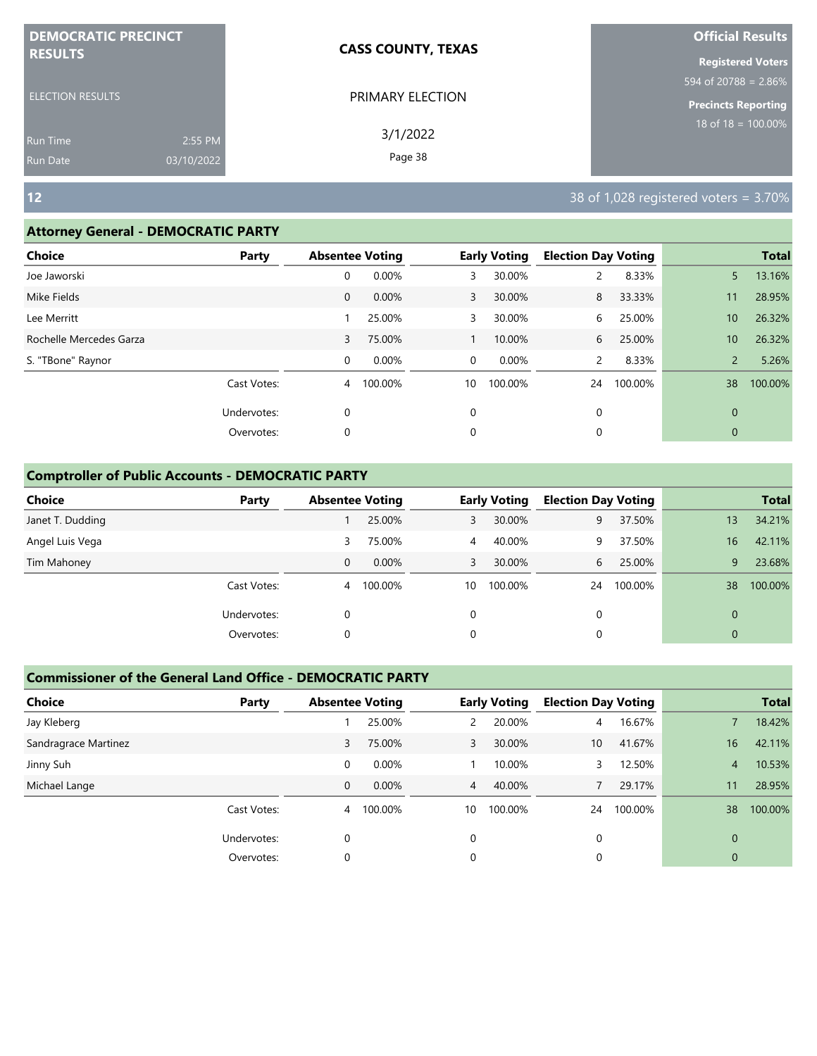| <b>DEMOCRATIC PRECINCT</b> |            | <b>CASS COUNTY, TEXAS</b> | <b>Official Results</b>          |  |  |
|----------------------------|------------|---------------------------|----------------------------------|--|--|
| <b>RESULTS</b>             |            |                           | <b>Registered Voters</b>         |  |  |
|                            |            |                           | $594 \text{ of } 20788 = 2.86\%$ |  |  |
| <b>ELECTION RESULTS</b>    |            | PRIMARY ELECTION          | <b>Precincts Reporting</b>       |  |  |
| <b>Run Time</b>            | 2:55 PM    | 3/1/2022                  | $18$ of $18 = 100.00\%$          |  |  |
| <b>Run Date</b>            | 03/10/2022 | Page 38                   |                                  |  |  |

#### **Attorney General - DEMOCRATIC PARTY**

| . .                     |             |                        |         |             |                     |                            |         |                 |              |
|-------------------------|-------------|------------------------|---------|-------------|---------------------|----------------------------|---------|-----------------|--------------|
| <b>Choice</b>           | Party       | <b>Absentee Voting</b> |         |             | <b>Early Voting</b> | <b>Election Day Voting</b> |         |                 | <b>Total</b> |
| Joe Jaworski            |             | 0                      | 0.00%   | 3           | 30.00%              |                            | 8.33%   | 5               | 13.16%       |
| Mike Fields             |             | $\mathbf 0$            | 0.00%   | 3           | 30.00%              | 8                          | 33.33%  | 11              | 28.95%       |
| Lee Merritt             |             |                        | 25.00%  | 3           | 30.00%              | 6                          | 25.00%  | 10              | 26.32%       |
| Rochelle Mercedes Garza |             | 3                      | 75.00%  |             | 10.00%              | 6                          | 25.00%  | 10 <sup>°</sup> | 26.32%       |
| S. "TBone" Raynor       |             | 0                      | 0.00%   | $\mathbf 0$ | 0.00%               | $\overline{2}$             | 8.33%   | $\overline{2}$  | 5.26%        |
|                         | Cast Votes: | 4                      | 100.00% | 10          | 100.00%             | 24                         | 100.00% | 38              | 100.00%      |
|                         | Undervotes: | $\mathbf 0$            |         | 0           |                     | 0                          |         | $\mathbf{0}$    |              |
|                         | Overvotes:  | 0                      |         | 0           |                     | 0                          |         | $\mathbf{0}$    |              |
|                         |             |                        |         |             |                     |                            |         |                 |              |

#### **Comptroller of Public Accounts - DEMOCRATIC PARTY**

| <b>Choice</b>    | Party       | <b>Absentee Voting</b> |           |                | <b>Early Voting</b> | <b>Election Day Voting</b> |         |              | <b>Total</b> |
|------------------|-------------|------------------------|-----------|----------------|---------------------|----------------------------|---------|--------------|--------------|
| Janet T. Dudding |             |                        | 25.00%    | 3              | 30.00%              | 9                          | 37.50%  | 13           | 34.21%       |
| Angel Luis Vega  |             | 3                      | 75.00%    | $\overline{4}$ | 40.00%              | 9                          | 37.50%  | 16           | 42.11%       |
| Tim Mahoney      |             | 0                      | $0.00\%$  | 3              | 30.00%              | 6                          | 25.00%  | 9            | 23.68%       |
|                  | Cast Votes: |                        | 4 100.00% | 10             | 100.00%             | 24                         | 100.00% | 38           | 100.00%      |
|                  | Undervotes: | 0                      |           | $\Omega$       |                     | 0                          |         | $\Omega$     |              |
|                  | Overvotes:  | 0                      |           | 0              |                     | 0                          |         | $\mathbf{0}$ |              |

| <b>Choice</b>        | Party       | <b>Absentee Voting</b> |         |    | <b>Early Voting</b> | <b>Election Day Voting</b> |         |          | <b>Total</b> |
|----------------------|-------------|------------------------|---------|----|---------------------|----------------------------|---------|----------|--------------|
| Jay Kleberg          |             |                        | 25.00%  | 2  | 20.00%              | $\overline{4}$             | 16.67%  |          | 18.42%       |
| Sandragrace Martinez |             | 3                      | 75.00%  | 3  | 30.00%              | 10 <sup>°</sup>            | 41.67%  | 16       | 42.11%       |
| Jinny Suh            |             | 0                      | 0.00%   |    | 10.00%              | 3                          | 12.50%  | 4        | 10.53%       |
| Michael Lange        |             | 0                      | 0.00%   | 4  | 40.00%              |                            | 29.17%  | 11       | 28.95%       |
|                      | Cast Votes: | 4                      | 100.00% | 10 | 100.00%             | 24                         | 100.00% | 38       | 100.00%      |
|                      | Undervotes: | 0                      |         | 0  |                     | 0                          |         | $\Omega$ |              |
|                      | Overvotes:  | 0                      |         | 0  |                     | 0                          |         | 0        |              |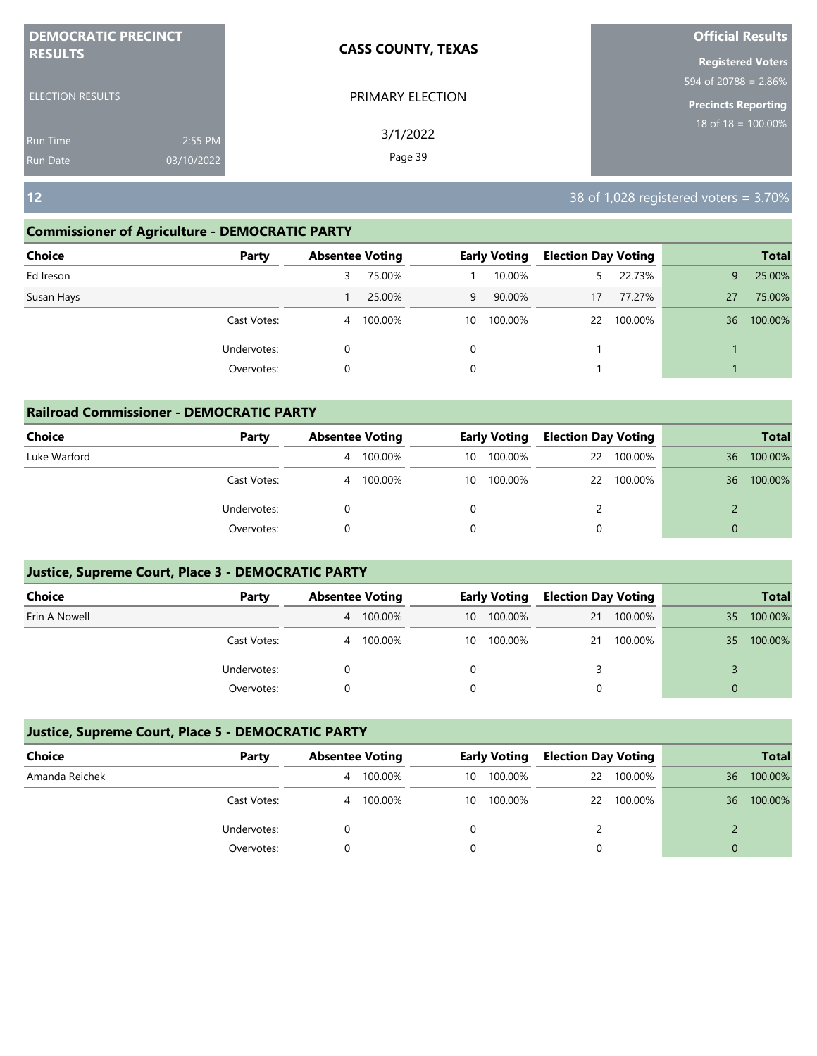| <b>DEMOCRATIC PRECINCT</b> |            | <b>CASS COUNTY, TEXAS</b> | <b>Official Results</b>    |
|----------------------------|------------|---------------------------|----------------------------|
| <b>RESULTS</b>             |            |                           | <b>Registered Voters</b>   |
|                            |            |                           | 594 of 20788 = $2.86\%$    |
| <b>ELECTION RESULTS</b>    |            | PRIMARY ELECTION          | <b>Precincts Reporting</b> |
| <b>Run Time</b>            | 2:55 PM    | 3/1/2022                  | $18$ of 18 = 100.00%       |
| <b>Run Date</b>            | 03/10/2022 | Page 39                   |                            |

#### **Commissioner of Agriculture - DEMOCRATIC PARTY**

| <b>Choice</b> | Party       | <b>Absentee Voting</b> |           |    | <b>Early Voting</b> | <b>Election Day Voting</b> |         |    | <b>Total</b> |
|---------------|-------------|------------------------|-----------|----|---------------------|----------------------------|---------|----|--------------|
| Ed Ireson     |             | 3                      | 75.00%    |    | 10.00%              |                            | 22.73%  | 9  | 25.00%       |
| Susan Hays    |             |                        | 25.00%    | 9  | 90.00%              | 17                         | 77.27%  | 27 | 75.00%       |
|               | Cast Votes: |                        | 4 100.00% | 10 | 100.00%             | 22                         | 100.00% | 36 | 100.00%      |
|               | Undervotes: | 0                      |           | 0  |                     |                            |         |    |              |
|               | Overvotes:  | 0                      |           | 0  |                     |                            |         |    |              |
|               |             |                        |           |    |                     |                            |         |    |              |

| <b>Railroad Commissioner - DEMOCRATIC PARTY</b> |             |                        |         |    |                     |  |                            |    |              |  |  |
|-------------------------------------------------|-------------|------------------------|---------|----|---------------------|--|----------------------------|----|--------------|--|--|
| <b>Choice</b>                                   | Party       | <b>Absentee Voting</b> |         |    | <b>Early Voting</b> |  | <b>Election Day Voting</b> |    | <b>Total</b> |  |  |
| Luke Warford                                    |             | 4                      | 100.00% | 10 | 100.00%             |  | 22 100.00%                 | 36 | 100.00%      |  |  |
|                                                 | Cast Votes: | $\overline{4}$         | 100.00% | 10 | 100.00%             |  | 22 100.00%                 | 36 | 100.00%      |  |  |
|                                                 | Undervotes: |                        |         |    |                     |  |                            |    |              |  |  |
|                                                 | Overvotes:  |                        |         |    |                     |  |                            |    |              |  |  |

#### **Justice, Supreme Court, Place 3 - DEMOCRATIC PARTY**

| <b>Choice</b> | Party       | <b>Absentee Voting</b> |         | <b>Early Voting</b> |         | <b>Election Day Voting</b> |         |    | <b>Total</b> |
|---------------|-------------|------------------------|---------|---------------------|---------|----------------------------|---------|----|--------------|
| Erin A Nowell |             | 4                      | 100.00% | 10                  | 100.00% | 21                         | 100.00% | 35 | 100.00%      |
|               | Cast Votes: | 4                      | 100.00% | 10                  | 100.00% | 21                         | 100.00% | 35 | 100.00%      |
|               | Undervotes: |                        |         |                     |         |                            |         |    |              |
|               | Overvotes:  |                        |         |                     |         |                            |         |    |              |

| Choice         | Party       | <b>Absentee Voting</b> |         |    | <b>Early Voting</b> | <b>Election Day Voting</b> |            |    | <b>Total</b> |
|----------------|-------------|------------------------|---------|----|---------------------|----------------------------|------------|----|--------------|
| Amanda Reichek |             | 4                      | 100.00% | 10 | 100.00%             |                            | 22 100.00% | 36 | 100.00%      |
|                | Cast Votes: | 4                      | 100.00% | 10 | 100.00%             |                            | 22 100.00% | 36 | 100.00%      |
|                | Undervotes: |                        |         |    |                     |                            |            |    |              |
|                | Overvotes:  |                        |         |    |                     |                            |            | 0  |              |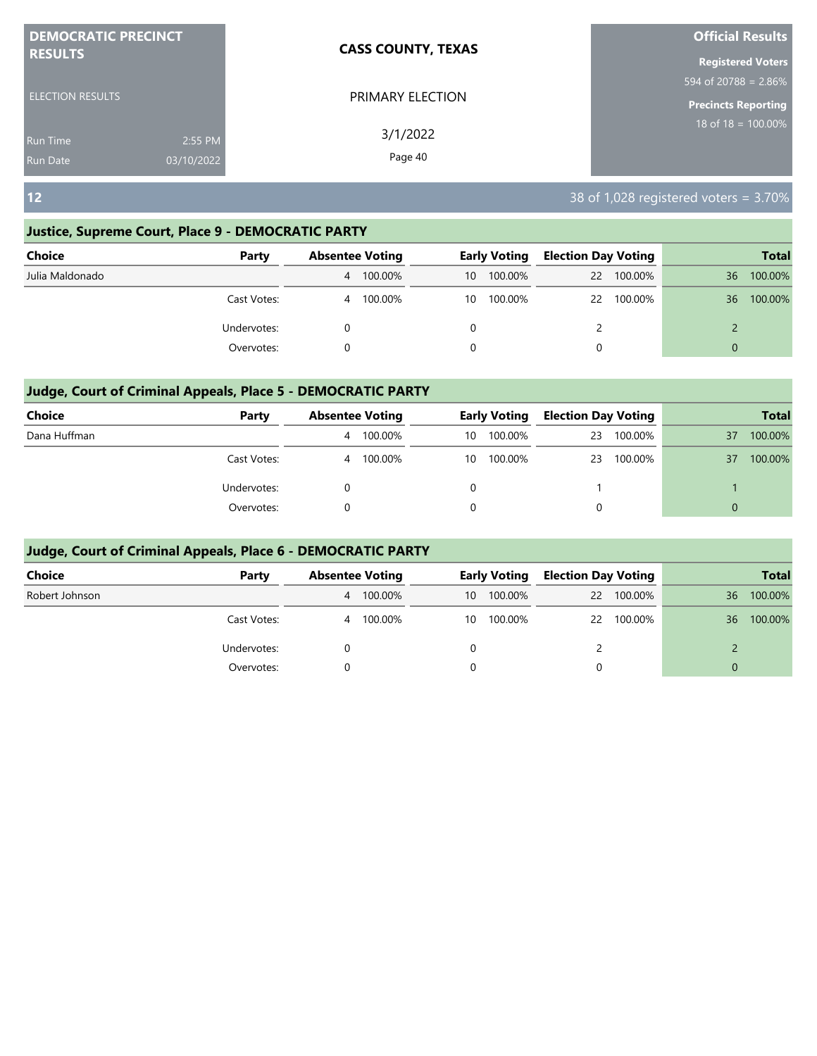| <b>DEMOCRATIC PRECINCT</b>    | <b>CASS COUNTY, TEXAS</b> | <b>Official Results</b>    |
|-------------------------------|---------------------------|----------------------------|
| <b>RESULTS</b>                |                           | <b>Registered Voters</b>   |
|                               |                           | 594 of 20788 = $2.86\%$    |
| <b>ELECTION RESULTS</b>       | PRIMARY ELECTION          | <b>Precincts Reporting</b> |
| 2:55 PM<br><b>Run Time</b>    | 3/1/2022                  | $18$ of $18 = 100.00\%$    |
| 03/10/2022<br><b>Run Date</b> | Page 40                   |                            |

#### **Justice, Supreme Court, Place 9 - DEMOCRATIC PARTY**

| <b>Choice</b>   | Party       | <b>Absentee Voting</b> |         |    | <b>Early Voting</b> | <b>Election Day Voting</b> |            |          | <b>Total</b> |
|-----------------|-------------|------------------------|---------|----|---------------------|----------------------------|------------|----------|--------------|
| Julia Maldonado |             | 4                      | 100.00% | 10 | 100.00%             |                            | 22 100.00% | 36       | 100.00%      |
|                 | Cast Votes: | 4                      | 100.00% | 10 | 100.00%             |                            | 22 100.00% | 36       | 100.00%      |
|                 | Undervotes: |                        |         |    |                     |                            |            |          |              |
|                 | Overvotes:  |                        |         | 0  |                     | 0                          |            | $\Omega$ |              |

#### **Judge, Court of Criminal Appeals, Place 5 - DEMOCRATIC PARTY**

| <b>Choice</b> | Party       |   | <b>Absentee Voting</b> |    | <b>Early Voting</b> | <b>Election Day Voting</b> |         |          | <b>Total</b> |
|---------------|-------------|---|------------------------|----|---------------------|----------------------------|---------|----------|--------------|
| Dana Huffman  |             | 4 | 100.00%                | 10 | 100.00%             | 23                         | 100.00% | 37       | 100.00%      |
|               | Cast Votes: |   | 4 100.00%              | 10 | 100.00%             | 23                         | 100.00% | 37       | 100.00%      |
|               | Undervotes: |   |                        |    |                     |                            |         |          |              |
|               | Overvotes:  |   |                        |    |                     | 0                          |         | $\Omega$ |              |

| <b>Choice</b>  | Party       | <b>Absentee Voting</b> |         |    | <b>Early Voting</b> | <b>Election Day Voting</b> |            |          | <b>Total</b> |
|----------------|-------------|------------------------|---------|----|---------------------|----------------------------|------------|----------|--------------|
| Robert Johnson |             | 4                      | 100.00% | 10 | 100.00%             | $22 \overline{ }$          | 100.00%    | 36       | 100.00%      |
|                | Cast Votes: | 4                      | 100.00% | 10 | 100.00%             |                            | 22 100.00% | 36       | 100.00%      |
|                | Undervotes: |                        |         | 0  |                     |                            |            |          |              |
|                | Overvotes:  |                        |         | 0  |                     | 0                          |            | $\Omega$ |              |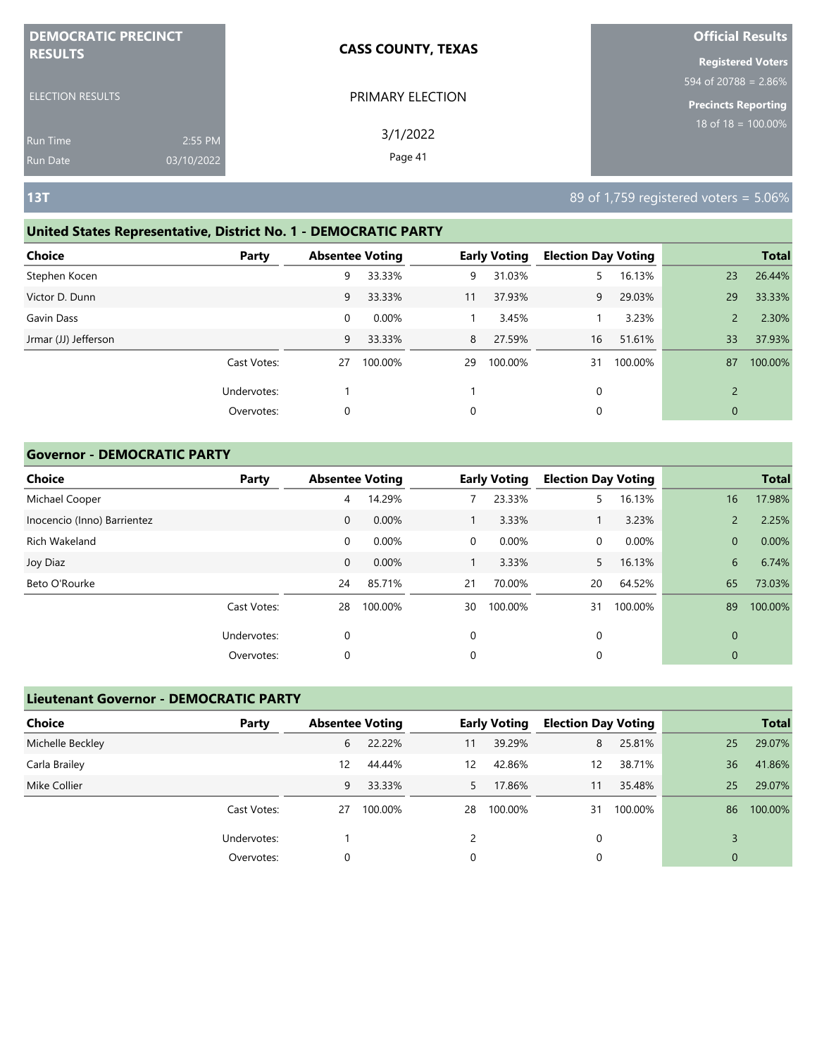| <b>DEMOCRATIC PRECINCT</b> |            | <b>CASS COUNTY, TEXAS</b> | <b>Official Results</b>                     |
|----------------------------|------------|---------------------------|---------------------------------------------|
| <b>RESULTS</b>             |            |                           | <b>Registered Voters</b>                    |
|                            |            |                           | $594 \overline{\text{ of } 20788} = 2.86\%$ |
| <b>ELECTION RESULTS</b>    |            | PRIMARY ELECTION          | <b>Precincts Reporting</b>                  |
| <b>Run Time</b>            | 2:55 PM    | 3/1/2022                  | 18 of 18 = $\overline{100.00\%}$            |
| <b>Run Date</b>            | 03/10/2022 | Page 41                   |                                             |

### **United States Representative, District No. 1 - DEMOCRATIC PARTY**

| <b>Choice</b>        | Party       | <b>Absentee Voting</b> |         |    | <b>Early Voting</b> | <b>Election Day Voting</b> |         |                | <b>Total</b> |
|----------------------|-------------|------------------------|---------|----|---------------------|----------------------------|---------|----------------|--------------|
| Stephen Kocen        |             | 9                      | 33.33%  | 9  | 31.03%              |                            | 16.13%  | 23             | 26.44%       |
| Victor D. Dunn       |             | 9                      | 33.33%  | 11 | 37.93%              | 9                          | 29.03%  | 29             | 33.33%       |
| Gavin Dass           |             | 0                      | 0.00%   |    | 3.45%               |                            | 3.23%   | $\overline{2}$ | 2.30%        |
| Jrmar (JJ) Jefferson |             | 9                      | 33.33%  | 8  | 27.59%              | 16                         | 51.61%  | 33             | 37.93%       |
|                      | Cast Votes: | 27                     | 100.00% | 29 | 100.00%             | 31                         | 100.00% | 87             | 100.00%      |
|                      | Undervotes: |                        |         |    |                     | 0                          |         | $\overline{2}$ |              |
|                      | Overvotes:  | $\mathbf 0$            |         | 0  |                     | 0                          |         | $\mathbf{0}$   |              |

#### **Governor - DEMOCRATIC PARTY**

| Choice                      | Party       | <b>Absentee Voting</b> |         |    | <b>Early Voting</b> | <b>Election Day Voting</b> |         |                | <b>Total</b> |
|-----------------------------|-------------|------------------------|---------|----|---------------------|----------------------------|---------|----------------|--------------|
| Michael Cooper              |             | 4                      | 14.29%  |    | 23.33%              | 5.                         | 16.13%  | 16             | 17.98%       |
| Inocencio (Inno) Barrientez |             | $\mathbf{0}$           | 0.00%   |    | 3.33%               |                            | 3.23%   | $\overline{2}$ | 2.25%        |
| Rich Wakeland               |             | 0                      | 0.00%   | 0  | 0.00%               | 0                          | 0.00%   | $\overline{0}$ | 0.00%        |
| Joy Diaz                    |             | $\mathbf{0}$           | 0.00%   |    | 3.33%               | 5                          | 16.13%  | 6              | 6.74%        |
| Beto O'Rourke               |             | 24                     | 85.71%  | 21 | 70.00%              | 20                         | 64.52%  | 65             | 73.03%       |
|                             | Cast Votes: | 28                     | 100.00% | 30 | 100.00%             | 31                         | 100.00% | 89             | 100.00%      |
|                             | Undervotes: | 0                      |         | 0  |                     | 0                          |         | $\mathbf{0}$   |              |
|                             | Overvotes:  | 0                      |         | 0  |                     | 0                          |         | 0              |              |

## **Lieutenant Governor - DEMOCRATIC PARTY**

| <b>Choice</b>    | Party       | <b>Absentee Voting</b> |         |    | <b>Early Voting</b> | <b>Election Day Voting</b> |         |                | <b>Total</b> |
|------------------|-------------|------------------------|---------|----|---------------------|----------------------------|---------|----------------|--------------|
| Michelle Beckley |             | 6                      | 22.22%  | 11 | 39.29%              | 8                          | 25.81%  | 25             | 29.07%       |
| Carla Brailey    |             | $12 \overline{ }$      | 44.44%  | 12 | 42.86%              | 12                         | 38.71%  | 36             | 41.86%       |
| Mike Collier     |             | 9                      | 33.33%  | 5. | 17.86%              | 11                         | 35.48%  | 25             | 29.07%       |
|                  | Cast Votes: | 27                     | 100.00% | 28 | 100.00%             | 31                         | 100.00% | 86             | 100.00%      |
|                  | Undervotes: |                        |         |    |                     | $\Omega$                   |         |                |              |
|                  | Overvotes:  |                        |         | 0  |                     |                            |         | $\overline{0}$ |              |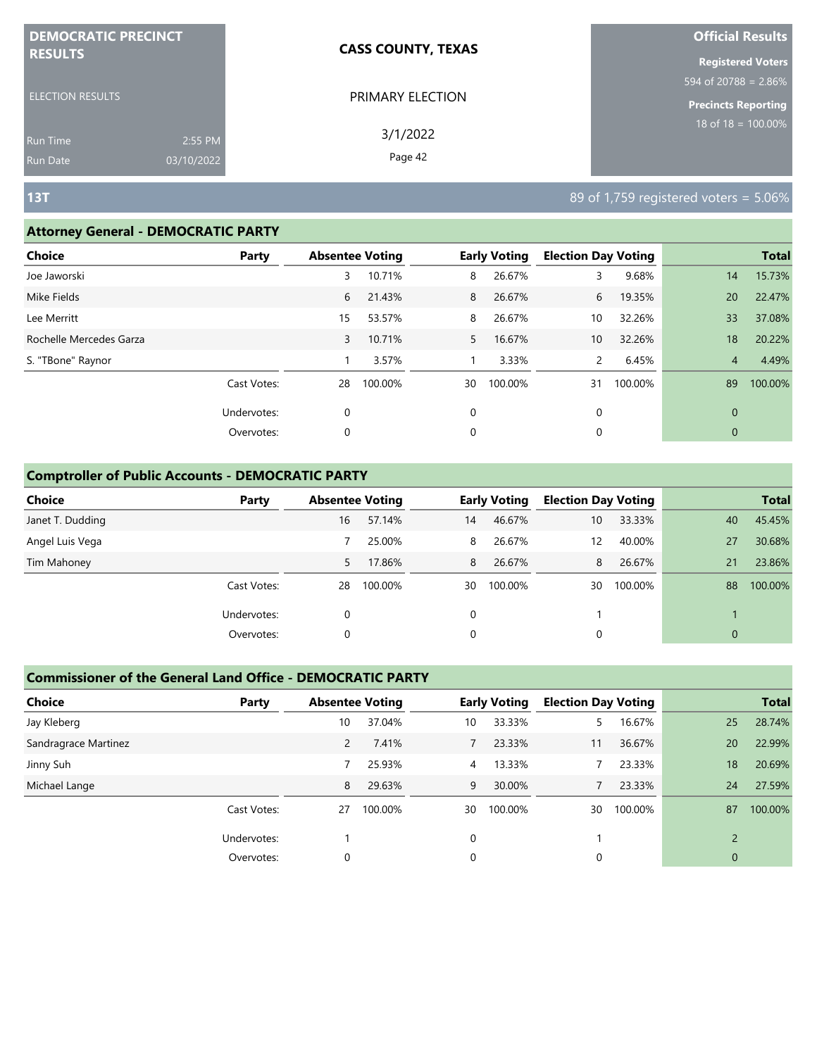| <b>DEMOCRATIC PRECINCT</b> |            | <b>CASS COUNTY, TEXAS</b> | <b>Official Results</b>                    |
|----------------------------|------------|---------------------------|--------------------------------------------|
| <b>RESULTS</b>             |            |                           | <b>Registered Voters</b>                   |
|                            |            |                           | $594 \overline{\text{of } 20788} = 2.86\%$ |
| <b>ELECTION RESULTS</b>    |            | PRIMARY ELECTION          | <b>Precincts Reporting</b>                 |
| <b>Run Time</b>            | 2:55 PM    | 3/1/2022                  | $18$ of 18 = 100.00%                       |
| Run Date                   | 03/10/2022 | Page 42                   |                                            |

#### **Attorney General - DEMOCRATIC PARTY**

| <b>Choice</b>           | Party       |    | <b>Absentee Voting</b> |             | <b>Early Voting</b> | <b>Election Day Voting</b> |         |              | <b>Total</b> |
|-------------------------|-------------|----|------------------------|-------------|---------------------|----------------------------|---------|--------------|--------------|
| Joe Jaworski            |             | 3  | 10.71%                 | 8           | 26.67%              | 3                          | 9.68%   | 14           | 15.73%       |
| Mike Fields             |             | 6  | 21.43%                 | 8           | 26.67%              | 6                          | 19.35%  | 20           | 22.47%       |
| Lee Merritt             |             | 15 | 53.57%                 | 8           | 26.67%              | 10                         | 32.26%  | 33           | 37.08%       |
| Rochelle Mercedes Garza |             | 3  | 10.71%                 | 5           | 16.67%              | 10                         | 32.26%  | 18           | 20.22%       |
| S. "TBone" Raynor       |             |    | 3.57%                  |             | 3.33%               | $\mathsf{2}^{\mathsf{2}}$  | 6.45%   | 4            | 4.49%        |
|                         | Cast Votes: | 28 | 100.00%                | 30          | 100.00%             | 31                         | 100.00% | 89           | 100.00%      |
|                         | Undervotes: | 0  |                        | $\mathbf 0$ |                     | 0                          |         | $\mathbf{0}$ |              |
|                         | Overvotes:  | 0  |                        | 0           |                     | 0                          |         | $\mathbf{0}$ |              |
|                         |             |    |                        |             |                     |                            |         |              |              |

#### **Comptroller of Public Accounts - DEMOCRATIC PARTY**

| <b>Choice</b>    | Party       | <b>Absentee Voting</b> |         |    | <b>Early Voting</b> | <b>Election Day Voting</b> |         |              | <b>Total</b> |
|------------------|-------------|------------------------|---------|----|---------------------|----------------------------|---------|--------------|--------------|
| Janet T. Dudding |             | 16                     | 57.14%  | 14 | 46.67%              | 10                         | 33.33%  | 40           | 45.45%       |
| Angel Luis Vega  |             |                        | 25.00%  | 8  | 26.67%              | 12                         | 40.00%  | 27           | 30.68%       |
| Tim Mahoney      |             | 5                      | 17.86%  | 8  | 26.67%              | 8                          | 26.67%  | 21           | 23.86%       |
|                  | Cast Votes: | 28                     | 100.00% | 30 | 100.00%             | 30                         | 100.00% | 88           | 100.00%      |
|                  | Undervotes: | 0                      |         | 0  |                     |                            |         |              |              |
|                  | Overvotes:  | 0                      |         | 0  |                     | 0                          |         | $\mathbf{0}$ |              |

| <b>Choice</b>        | Party       | <b>Absentee Voting</b> |         |    | <b>Early Voting</b> | <b>Election Day Voting</b> |         |                          | <b>Total</b> |
|----------------------|-------------|------------------------|---------|----|---------------------|----------------------------|---------|--------------------------|--------------|
| Jay Kleberg          |             | 10                     | 37.04%  | 10 | 33.33%              |                            | 16.67%  | 25                       | 28.74%       |
| Sandragrace Martinez |             | $\overline{2}$         | 7.41%   |    | 23.33%              | 11                         | 36.67%  | 20                       | 22.99%       |
| Jinny Suh            |             |                        | 25.93%  | 4  | 13.33%              |                            | 23.33%  | 18                       | 20.69%       |
| Michael Lange        |             | 8                      | 29.63%  | 9  | 30.00%              |                            | 23.33%  | 24                       | 27.59%       |
|                      | Cast Votes: | 27                     | 100.00% | 30 | 100.00%             | 30                         | 100.00% | 87                       | 100.00%      |
|                      | Undervotes: |                        |         | 0  |                     |                            |         | $\overline{\phantom{0}}$ |              |
|                      | Overvotes:  | 0                      |         | 0  |                     | 0                          |         | $\overline{0}$           |              |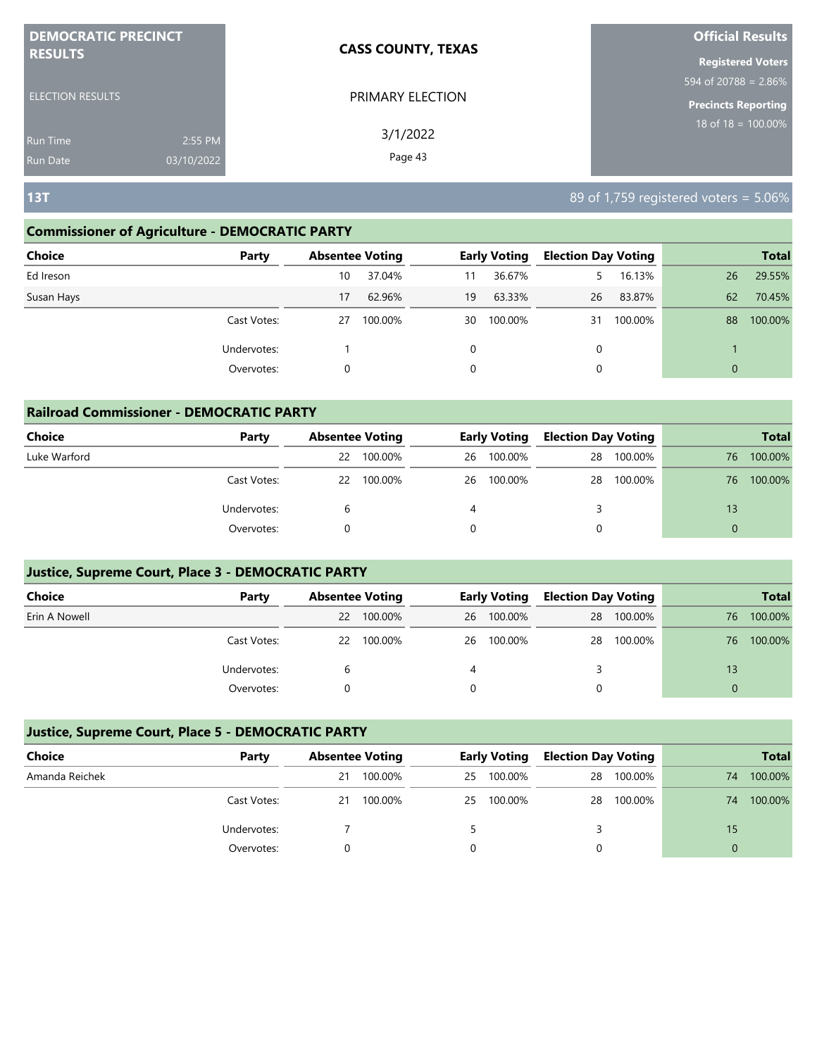| <b>DEMOCRATIC PRECINCT</b> |            | <b>CASS COUNTY, TEXAS</b> | <b>Official Results</b>          |
|----------------------------|------------|---------------------------|----------------------------------|
| <b>RESULTS</b>             |            |                           | <b>Registered Voters</b>         |
|                            |            |                           | $594 \text{ of } 20788 = 2.86\%$ |
| <b>ELECTION RESULTS</b>    |            | PRIMARY ELECTION          | <b>Precincts Reporting</b>       |
| <b>Run Time</b>            | 2:55 PM    | 3/1/2022                  | 18 of 18 = $\overline{100.00\%}$ |
| <b>Run Date</b>            | 03/10/2022 | Page 43                   |                                  |

#### **Commissioner of Agriculture - DEMOCRATIC PARTY**

| Choice<br>Party | <b>Absentee Voting</b> |         |    | <b>Early Voting</b> | <b>Election Day Voting</b> |         |              | <b>Total</b> |
|-----------------|------------------------|---------|----|---------------------|----------------------------|---------|--------------|--------------|
| Ed Ireson       | 10                     | 37.04%  | 11 | 36.67%              | 5.                         | 16.13%  | 26           | 29.55%       |
| Susan Hays      | 17                     | 62.96%  | 19 | 63.33%              | 26                         | 83.87%  | 62           | 70.45%       |
| Cast Votes:     | 27                     | 100.00% | 30 | 100.00%             | 31                         | 100.00% | 88           | 100.00%      |
| Undervotes:     |                        |         | 0  |                     | 0                          |         |              |              |
| Overvotes:      | 0                      |         | 0  |                     | 0                          |         | $\mathbf{0}$ |              |

| <b>Railroad Commissioner - DEMOCRATIC PARTY</b> |             |    |                        |    |                     |                            |         |          |              |  |  |
|-------------------------------------------------|-------------|----|------------------------|----|---------------------|----------------------------|---------|----------|--------------|--|--|
| Choice                                          | Party       |    | <b>Absentee Voting</b> |    | <b>Early Voting</b> | <b>Election Day Voting</b> |         |          | <b>Total</b> |  |  |
| Luke Warford                                    |             | 22 | 100.00%                | 26 | 100.00%             | 28                         | 100.00% | 76       | 100.00%      |  |  |
|                                                 | Cast Votes: | 22 | 100.00%                | 26 | 100.00%             | 28                         | 100.00% | 76       | 100.00%      |  |  |
|                                                 | Undervotes: | 6  |                        |    |                     |                            |         | 13       |              |  |  |
|                                                 | Overvotes:  |    |                        |    |                     | 0                          |         | $\Omega$ |              |  |  |

#### **Justice, Supreme Court, Place 3 - DEMOCRATIC PARTY**

| <b>Choice</b> | Party       | <b>Absentee Voting</b> |            | <b>Early Voting</b> |            | <b>Election Day Voting</b> |         |    |         |  | <b>Total</b> |
|---------------|-------------|------------------------|------------|---------------------|------------|----------------------------|---------|----|---------|--|--------------|
| Erin A Nowell |             | 22                     | 100.00%    |                     | 26 100.00% | 28                         | 100.00% | 76 | 100.00% |  |              |
|               | Cast Votes: |                        | 22 100.00% |                     | 26 100.00% | 28                         | 100.00% | 76 | 100.00% |  |              |
|               | Undervotes: |                        |            |                     |            |                            |         | 13 |         |  |              |
|               | Overvotes:  |                        |            |                     |            |                            |         |    |         |  |              |

| Choice         | Party       |    | <b>Absentee Voting</b> |    | <b>Early Voting</b> |    | <b>Election Day Voting</b> |    |         | <b>Total</b> |
|----------------|-------------|----|------------------------|----|---------------------|----|----------------------------|----|---------|--------------|
| Amanda Reichek |             | 21 | 100.00%                | 25 | 100.00%             | 28 | 100.00%                    | 74 | 100.00% |              |
|                | Cast Votes: | 21 | 100.00%                | 25 | 100.00%             |    | 28 100.00%                 | 74 | 100.00% |              |
|                | Undervotes: |    |                        |    |                     |    |                            | 15 |         |              |
|                | Overvotes:  |    |                        |    |                     |    |                            | 0  |         |              |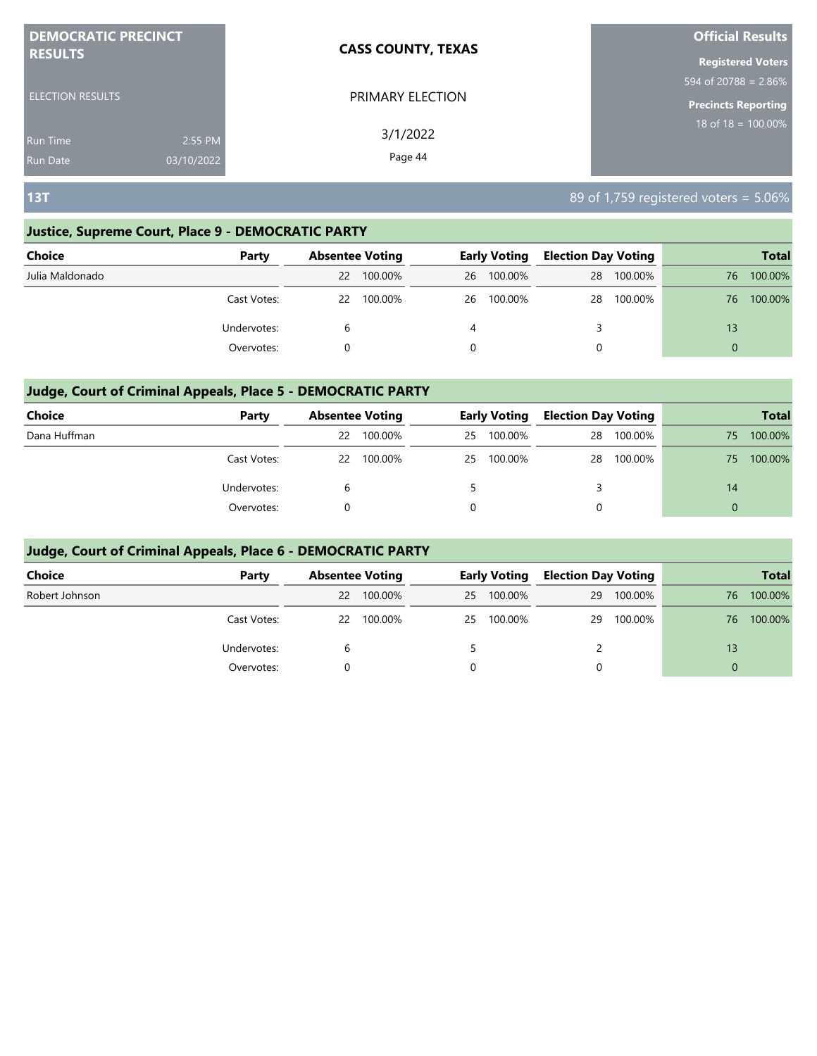| <b>DEMOCRATIC PRECINCT</b>    | <b>CASS COUNTY, TEXAS</b> | <b>Official Results</b>    |
|-------------------------------|---------------------------|----------------------------|
| <b>RESULTS</b>                |                           | <b>Registered Voters</b>   |
|                               |                           | 594 of 20788 = $2.86\%$    |
| <b>ELECTION RESULTS</b>       | PRIMARY ELECTION          | <b>Precincts Reporting</b> |
| 2:55 PM<br><b>Run Time</b>    | 3/1/2022                  | 18 of $18 = 100.00\%$      |
| 03/10/2022<br><b>Run Date</b> | Page 44                   |                            |

### **Justice, Supreme Court, Place 9 - DEMOCRATIC PARTY**

| Choice          | Party       | <b>Absentee Voting</b> |         |    | <b>Early Voting</b> |    | <b>Election Day Voting</b> |          | <b>Total</b> |
|-----------------|-------------|------------------------|---------|----|---------------------|----|----------------------------|----------|--------------|
| Julia Maldonado |             | 22                     | 100.00% | 26 | 100.00%             | 28 | 100.00%                    | 76       | 100.00%      |
|                 | Cast Votes: | 22                     | 100.00% | 26 | 100.00%             | 28 | 100.00%                    | 76       | 100.00%      |
|                 | Undervotes: | b                      |         | 4  |                     |    |                            | 13       |              |
|                 | Overvotes:  |                        |         |    |                     |    |                            | $\Omega$ |              |

#### **Judge, Court of Criminal Appeals, Place 5 - DEMOCRATIC PARTY**

| <b>Choice</b> | Party       |    | <b>Absentee Voting</b> |    | <b>Early Voting</b> |    | <b>Election Day Voting</b> |    | <b>Total</b> |
|---------------|-------------|----|------------------------|----|---------------------|----|----------------------------|----|--------------|
| Dana Huffman  |             | 22 | 100.00%                | 25 | 100.00%             | 28 | 100.00%                    | 75 | 100.00%      |
|               | Cast Votes: |    | 22 100.00%             | 25 | 100.00%             | 28 | 100.00%                    | 75 | 100.00%      |
|               | Undervotes: |    |                        |    |                     |    |                            | 14 |              |
|               | Overvotes:  |    |                        | 0  |                     |    |                            |    |              |

| <b>Choice</b>  | Party       |    | <b>Absentee Voting</b> |    | <b>Early Voting</b> |    | <b>Election Day Voting</b> | <b>Total</b> |         |
|----------------|-------------|----|------------------------|----|---------------------|----|----------------------------|--------------|---------|
| Robert Johnson |             | 22 | 100.00%                | 25 | 100.00%             | 29 | 100.00%                    | 76           | 100.00% |
|                | Cast Votes: |    | 22 100.00%             | 25 | 100.00%             | 29 | 100.00%                    | 76.          | 100.00% |
|                | Undervotes: | b  |                        |    |                     |    |                            | 13           |         |
|                | Overvotes:  |    |                        | 0  |                     | 0  |                            | $\Omega$     |         |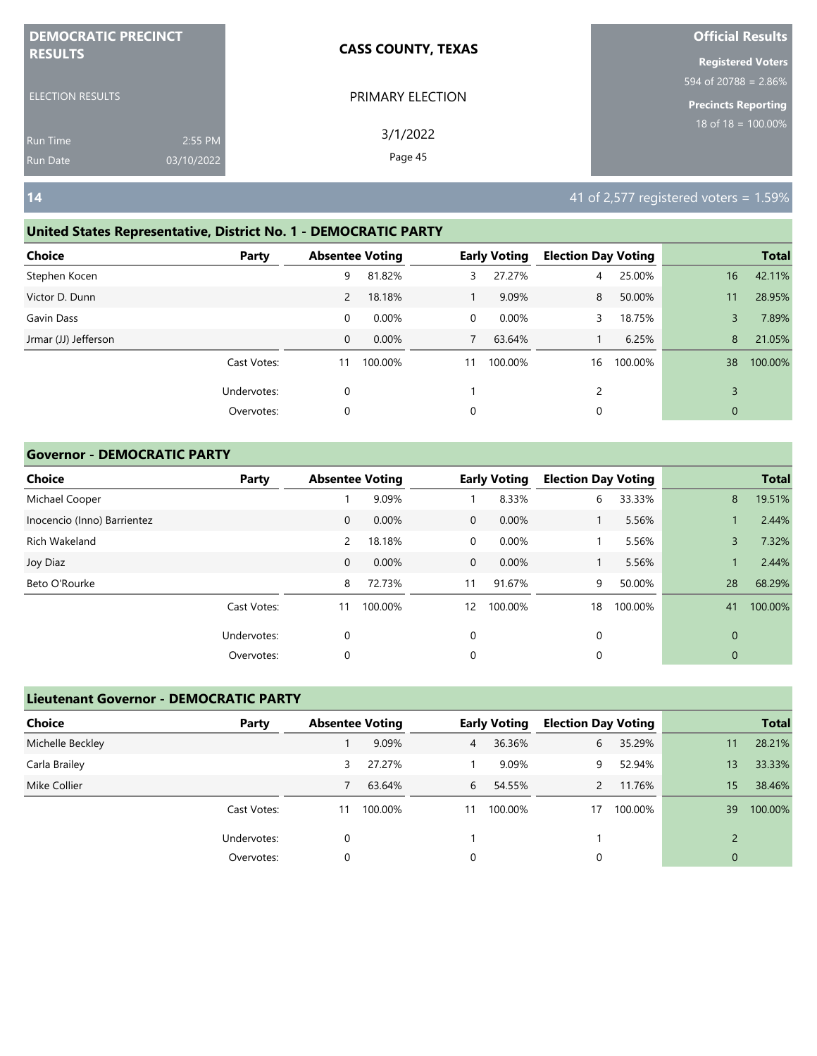| <b>DEMOCRATIC PRECINCT</b>                |                       | <b>CASS COUNTY, TEXAS</b> | <b>Official Results</b>                             |
|-------------------------------------------|-----------------------|---------------------------|-----------------------------------------------------|
| <b>RESULTS</b><br><b>ELECTION RESULTS</b> |                       | PRIMARY ELECTION          | <b>Registered Voters</b><br>594 of 20788 = 2.86%    |
| <b>Run Time</b><br><b>Run Date</b>        | 2:55 PM<br>03/10/2022 | 3/1/2022<br>Page 45       | <b>Precincts Reporting</b><br>18 of 18 = $100.00\%$ |
| $14$                                      |                       |                           | 41 of 2,577 registered voters = $1.59\%$            |

#### **United States Representative, District No. 1 - DEMOCRATIC PARTY**

| Choice               | Party       |             | <b>Absentee Voting</b> |                | <b>Early Voting</b> | <b>Election Day Voting</b> |         |             | <b>Total</b> |
|----------------------|-------------|-------------|------------------------|----------------|---------------------|----------------------------|---------|-------------|--------------|
| Stephen Kocen        |             | 9           | 81.82%                 | 3              | 27.27%              | 4                          | 25.00%  | 16          | 42.11%       |
| Victor D. Dunn       |             | 2           | 18.18%                 |                | 9.09%               | 8                          | 50.00%  | 11          | 28.95%       |
| Gavin Dass           |             | $\mathbf 0$ | 0.00%                  | $\overline{0}$ | 0.00%               | 3                          | 18.75%  | 3           | 7.89%        |
| Jrmar (JJ) Jefferson |             | 0           | 0.00%                  | 7              | 63.64%              |                            | 6.25%   | 8           | 21.05%       |
|                      | Cast Votes: | 11          | 100.00%                | 11             | 100.00%             | 16                         | 100.00% | 38          | 100.00%      |
|                      | Undervotes: | 0           |                        |                |                     | 2                          |         | 3           |              |
|                      | Overvotes:  | 0           |                        | 0              |                     | 0                          |         | $\mathbf 0$ |              |
|                      |             |             |                        |                |                     |                            |         |             |              |

#### **Governor - DEMOCRATIC PARTY**

| <b>Choice</b>               | Party       | <b>Absentee Voting</b> |         |              | <b>Early Voting</b> | <b>Election Day Voting</b> |         |             | <b>Total</b> |
|-----------------------------|-------------|------------------------|---------|--------------|---------------------|----------------------------|---------|-------------|--------------|
| Michael Cooper              |             |                        | 9.09%   |              | 8.33%               | 6                          | 33.33%  | 8           | 19.51%       |
| Inocencio (Inno) Barrientez |             | $\mathbf 0$            | 0.00%   | $\mathbf{0}$ | 0.00%               |                            | 5.56%   |             | 2.44%        |
| Rich Wakeland               |             | 2                      | 18.18%  | $\mathbf 0$  | 0.00%               |                            | 5.56%   | 3           | 7.32%        |
| Joy Diaz                    |             | $\mathbf 0$            | 0.00%   | $\mathbf{0}$ | 0.00%               |                            | 5.56%   |             | 2.44%        |
| Beto O'Rourke               |             | 8                      | 72.73%  | 11           | 91.67%              | 9                          | 50.00%  | 28          | 68.29%       |
|                             | Cast Votes: | 11                     | 100.00% | 12           | 100.00%             | 18                         | 100.00% | 41          | 100.00%      |
|                             | Undervotes: | 0                      |         | $\mathbf 0$  |                     | 0                          |         | $\mathbf 0$ |              |
|                             | Overvotes:  | 0                      |         | 0            |                     | 0                          |         | $\mathbf 0$ |              |

### **Lieutenant Governor - DEMOCRATIC PARTY**

| <b>Choice</b>    | Party       | <b>Absentee Voting</b> |         |    | <b>Early Voting</b> | <b>Election Day Voting</b> |         |                | <b>Total</b> |
|------------------|-------------|------------------------|---------|----|---------------------|----------------------------|---------|----------------|--------------|
| Michelle Beckley |             |                        | 9.09%   | 4  | 36.36%              | 6                          | 35.29%  | 11             | 28.21%       |
| Carla Brailey    |             | 3                      | 27.27%  |    | 9.09%               | 9                          | 52.94%  | 13             | 33.33%       |
| Mike Collier     |             |                        | 63.64%  | 6  | 54.55%              |                            | 11.76%  | 15             | 38.46%       |
|                  | Cast Votes: | 11                     | 100.00% | 11 | 100.00%             | 17                         | 100.00% | 39             | 100.00%      |
|                  | Undervotes: |                        |         |    |                     |                            |         |                |              |
|                  | Overvotes:  |                        |         | 0  |                     |                            |         | $\overline{0}$ |              |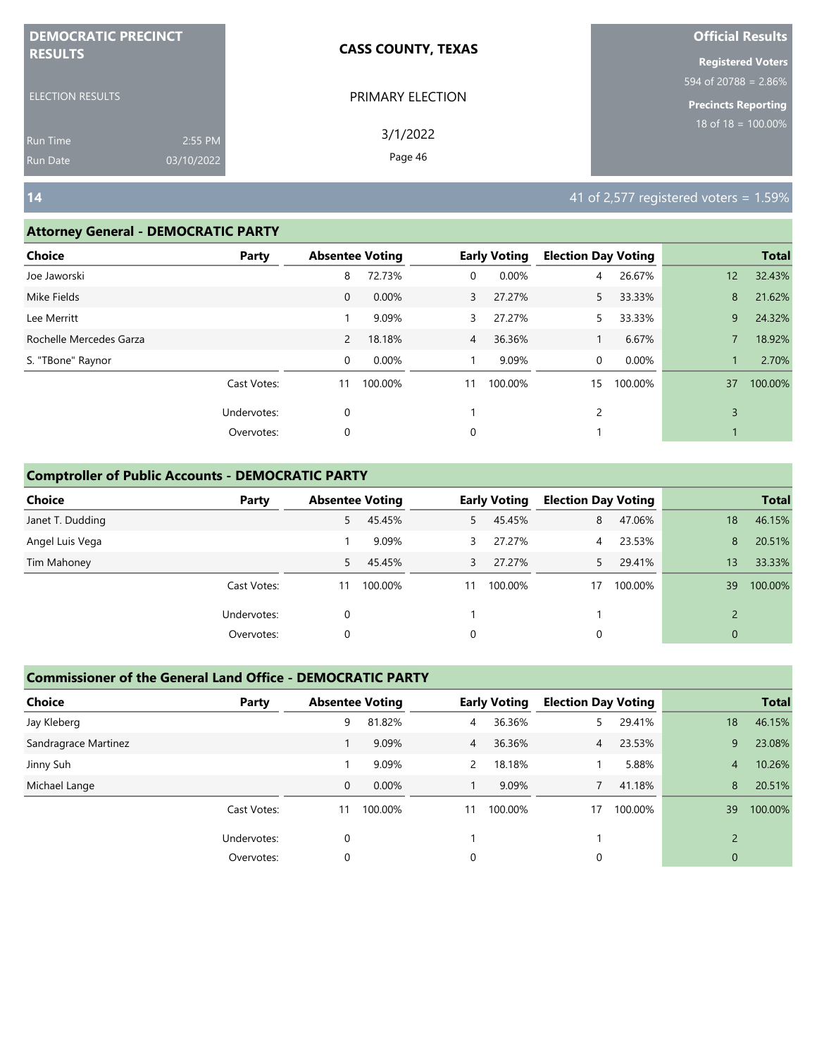| <b>DEMOCRATIC PRECINCT</b>                |                       | <b>CASS COUNTY, TEXAS</b> | <b>Official Results</b>                                                                     |
|-------------------------------------------|-----------------------|---------------------------|---------------------------------------------------------------------------------------------|
| <b>RESULTS</b><br><b>ELECTION RESULTS</b> |                       | PRIMARY ELECTION          | <b>Registered Voters</b><br>$1594 \text{ of } 20788 = 2.86\%$<br><b>Precincts Reporting</b> |
| <b>Run Time</b><br><b>Run Date</b>        | 2:55 PM<br>03/10/2022 | 3/1/2022<br>Page 46       | 18 of $18 = 100.00\%$                                                                       |
| $14$                                      |                       |                           | $141$ of 2,577 registered voters = 1.59%                                                    |

#### **Attorney General - DEMOCRATIC PARTY**

| <b>Choice</b>           | Party       | <b>Absentee Voting</b> |         |                | <b>Early Voting</b> | <b>Election Day Voting</b> |         |    | <b>Total</b> |
|-------------------------|-------------|------------------------|---------|----------------|---------------------|----------------------------|---------|----|--------------|
| Joe Jaworski            |             | 8                      | 72.73%  | 0              | 0.00%               | 4                          | 26.67%  | 12 | 32.43%       |
| Mike Fields             |             | $\mathbf 0$            | 0.00%   | 3              | 27.27%              | 5.                         | 33.33%  | 8  | 21.62%       |
| Lee Merritt             |             |                        | 9.09%   | 3              | 27.27%              |                            | 33.33%  | 9  | 24.32%       |
| Rochelle Mercedes Garza |             | $\overline{2}$         | 18.18%  | $\overline{4}$ | 36.36%              |                            | 6.67%   | 7  | 18.92%       |
| S. "TBone" Raynor       |             | $\mathbf 0$            | 0.00%   |                | 9.09%               | 0                          | 0.00%   |    | 2.70%        |
|                         | Cast Votes: | 11                     | 100.00% | 11             | 100.00%             | 15                         | 100.00% | 37 | 100.00%      |
|                         | Undervotes: | $\mathbf 0$            |         |                |                     | 2                          |         | 3  |              |
|                         | Overvotes:  | 0                      |         | 0              |                     |                            |         |    |              |
|                         |             |                        |         |                |                     |                            |         |    |              |

#### **Comptroller of Public Accounts - DEMOCRATIC PARTY**

| <b>Choice</b>    | Party       | <b>Absentee Voting</b> |         |    | <b>Early Voting</b> | <b>Election Day Voting</b> |         |              | <b>Total</b> |
|------------------|-------------|------------------------|---------|----|---------------------|----------------------------|---------|--------------|--------------|
| Janet T. Dudding |             | 5                      | 45.45%  | 5. | 45.45%              | 8                          | 47.06%  | 18           | 46.15%       |
| Angel Luis Vega  |             |                        | 9.09%   | 3  | 27.27%              | 4                          | 23.53%  | 8            | 20.51%       |
| Tim Mahoney      |             | 5.                     | 45.45%  | 3  | 27.27%              |                            | 29.41%  | 13           | 33.33%       |
|                  | Cast Votes: | 11                     | 100.00% | 11 | 100.00%             | 17                         | 100.00% | 39           | 100.00%      |
|                  | Undervotes: | 0                      |         |    |                     |                            |         |              |              |
|                  | Overvotes:  | 0                      |         | 0  |                     | 0                          |         | $\mathbf{0}$ |              |

| <b>Choice</b>        | Party       | <b>Absentee Voting</b> |         |    | <b>Early Voting</b> | <b>Election Day Voting</b> |         |                          | <b>Total</b> |
|----------------------|-------------|------------------------|---------|----|---------------------|----------------------------|---------|--------------------------|--------------|
| Jay Kleberg          |             | 9                      | 81.82%  | 4  | 36.36%              |                            | 29.41%  | 18                       | 46.15%       |
| Sandragrace Martinez |             |                        | 9.09%   | 4  | 36.36%              | $\overline{4}$             | 23.53%  | 9                        | 23.08%       |
| Jinny Suh            |             |                        | 9.09%   | 2  | 18.18%              |                            | 5.88%   | 4                        | 10.26%       |
| Michael Lange        |             | 0                      | 0.00%   |    | 9.09%               |                            | 41.18%  | 8                        | 20.51%       |
|                      | Cast Votes: | 11                     | 100.00% | 11 | 100.00%             | 17                         | 100.00% | 39                       | 100.00%      |
|                      | Undervotes: | $\Omega$               |         |    |                     |                            |         | $\overline{\phantom{0}}$ |              |
|                      | Overvotes:  | 0                      |         | 0  |                     | 0                          |         | 0                        |              |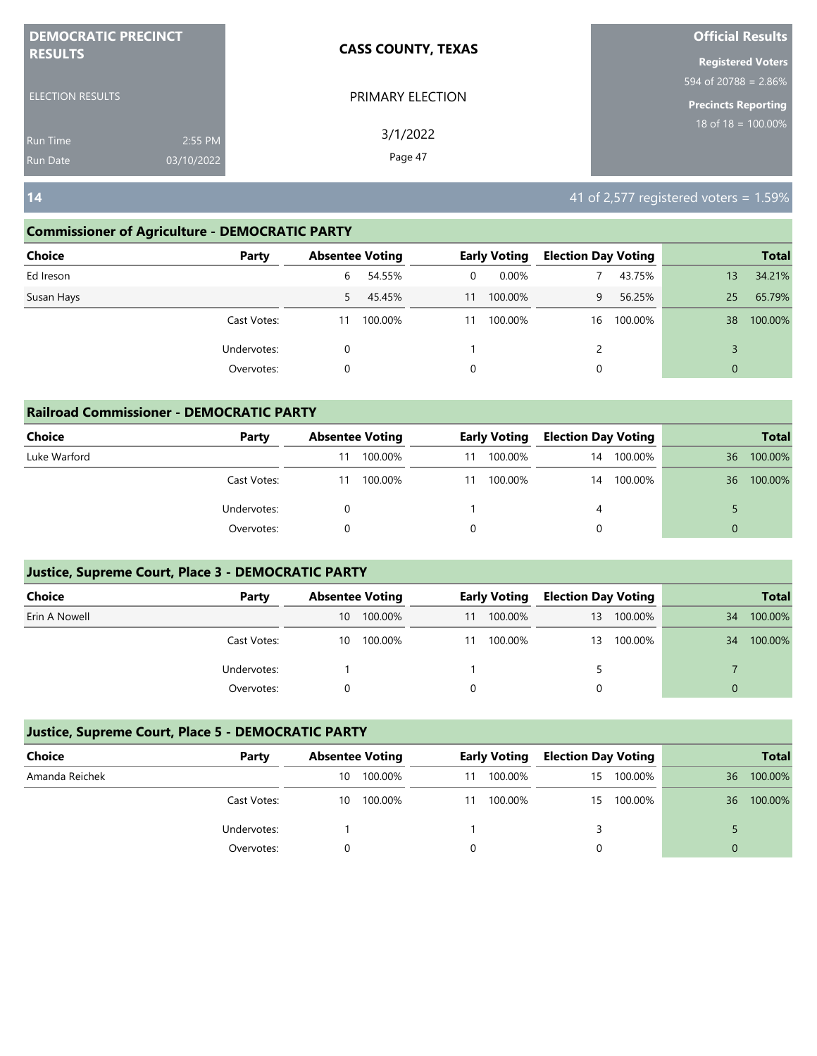| <b>DEMOCRATIC PRECINCT</b> |            | <b>CASS COUNTY, TEXAS</b> | <b>Official Results</b>                     |
|----------------------------|------------|---------------------------|---------------------------------------------|
| <b>RESULTS</b>             |            |                           | <b>Registered Voters</b>                    |
|                            |            |                           | $594 \overline{\text{ of } 20788} = 2.86\%$ |
| <b>ELECTION RESULTS</b>    |            | PRIMARY ELECTION          | <b>Precincts Reporting</b>                  |
| <b>Run Time</b>            | 2:55 PM    | 3/1/2022                  | 18 of $18 = 100.00\%$                       |
| <b>Run Date</b>            | 03/10/2022 | Page 47                   |                                             |

**14** 41 of 2,577 registered voters = 1.59%

#### **Commissioner of Agriculture - DEMOCRATIC PARTY**

| <b>Choice</b><br>Party |    | <b>Absentee Voting</b> |    | <b>Early Voting</b> | <b>Election Day Voting</b> |         |              | <b>Total</b> |
|------------------------|----|------------------------|----|---------------------|----------------------------|---------|--------------|--------------|
| Ed Ireson              | 6  | 54.55%                 | 0  | $0.00\%$            |                            | 43.75%  | 13           | 34.21%       |
| Susan Hays             | 5  | 45.45%                 | 11 | 100.00%             | 9                          | 56.25%  | 25           | 65.79%       |
| Cast Votes:            | 11 | 100.00%                | 11 | 100.00%             | 16                         | 100.00% | 38           | 100.00%      |
| Undervotes:            | 0  |                        |    |                     | 2                          |         |              |              |
| Overvotes:             | 0  |                        | 0  |                     | 0                          |         | $\mathbf{0}$ |              |

| <b>Railroad Commissioner - DEMOCRATIC PARTY</b> |             |    |                        |    |                     |                            |         |          |              |
|-------------------------------------------------|-------------|----|------------------------|----|---------------------|----------------------------|---------|----------|--------------|
| <b>Choice</b>                                   | Party       |    | <b>Absentee Voting</b> |    | <b>Early Voting</b> | <b>Election Day Voting</b> |         |          | <b>Total</b> |
| Luke Warford                                    |             |    | 100.00%                | 11 | 100.00%             | 14                         | 100.00% | 36       | 100.00%      |
|                                                 | Cast Votes: | 11 | 100.00%                | 11 | 100.00%             | 14                         | 100.00% | 36       | 100.00%      |
|                                                 | Undervotes: | 0  |                        |    |                     | 4                          |         |          |              |
|                                                 | Overvotes:  |    |                        |    |                     |                            |         | $\Omega$ |              |

#### **Justice, Supreme Court, Place 3 - DEMOCRATIC PARTY**

| Choice        | Party       | <b>Absentee Voting</b> |         |    | <b>Early Voting</b> | <b>Election Day Voting</b> |         |    | <b>Total</b> |
|---------------|-------------|------------------------|---------|----|---------------------|----------------------------|---------|----|--------------|
| Erin A Nowell |             | 10                     | 100.00% | 11 | 100.00%             | 13                         | 100.00% | 34 | 100.00%      |
|               | Cast Votes: | 10                     | 100.00% | 11 | 100.00%             | 13                         | 100.00% | 34 | 100.00%      |
|               | Undervotes: |                        |         |    |                     |                            |         |    |              |
|               | Overvotes:  |                        |         |    |                     |                            |         | 0  |              |

| Choice         | Party       |    | <b>Absentee Voting</b> |    | <b>Early Voting</b> | <b>Election Day Voting</b> |            |    | <b>Total</b> |
|----------------|-------------|----|------------------------|----|---------------------|----------------------------|------------|----|--------------|
| Amanda Reichek |             | 10 | 100.00%                | 11 | 100.00%             | $15 -$                     | 100.00%    | 36 | 100.00%      |
|                | Cast Votes: | 10 | 100.00%                | 11 | 100.00%             |                            | 15 100.00% | 36 | 100.00%      |
|                | Undervotes: |    |                        |    |                     |                            |            |    |              |
|                | Overvotes:  |    |                        |    |                     |                            |            | 0  |              |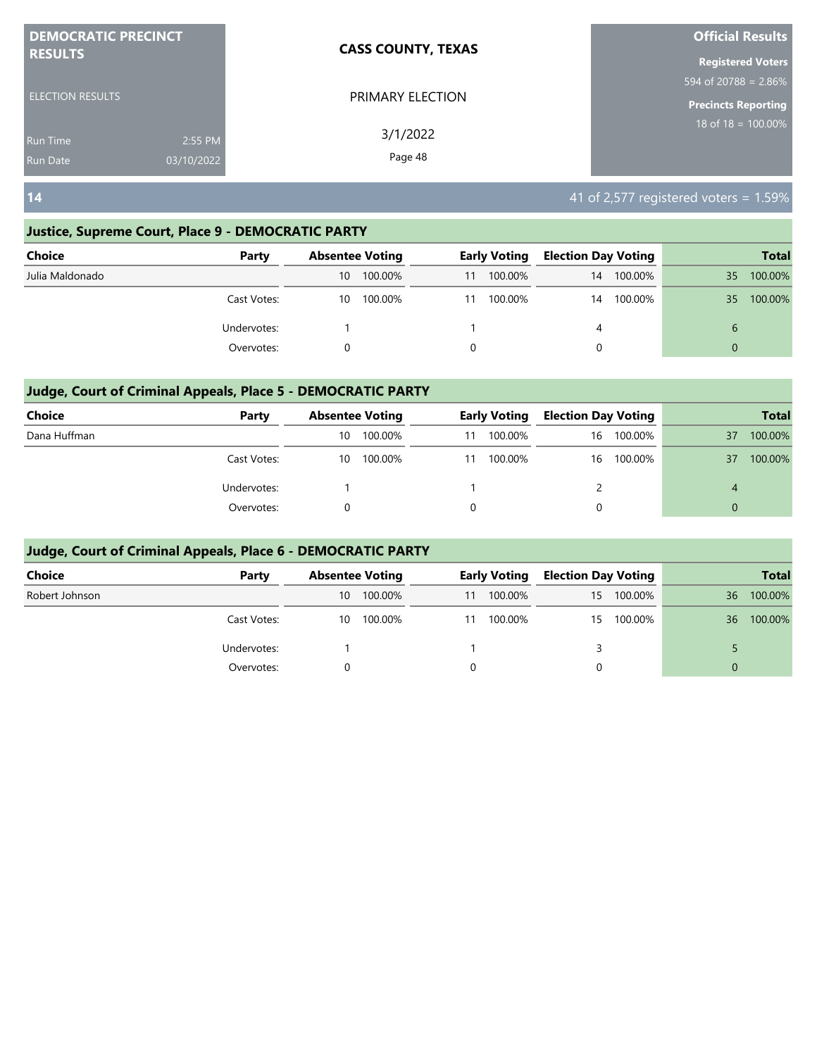| <b>DEMOCRATIC PRECINCT</b> |            | <b>CASS COUNTY, TEXAS</b> | <b>Official Results</b>  |
|----------------------------|------------|---------------------------|--------------------------|
| <b>RESULTS</b>             |            |                           | <b>Registered Voters</b> |
|                            |            |                           | 594 of 20788 = $2.86\%$  |
| <b>ELECTION RESULTS</b>    |            | PRIMARY ELECTION          | Precincts Reporting      |
| <b>Run Time</b>            | 2:55 PM    | 3/1/2022                  | $18$ of $18 = 100.00\%$  |
| <b>Run Date</b>            | 03/10/2022 | Page 48                   |                          |

**14** 41 of 2,577 registered voters = 1.59%

### **Justice, Supreme Court, Place 9 - DEMOCRATIC PARTY**

| <b>Choice</b>   | Party       |    | <b>Absentee Voting</b> |    | <b>Early Voting</b> | <b>Election Day Voting</b> |            |          | <b>Total</b> |
|-----------------|-------------|----|------------------------|----|---------------------|----------------------------|------------|----------|--------------|
| Julia Maldonado |             | 10 | 100.00%                | 11 | 100.00%             |                            | 14 100.00% | 35       | 100.00%      |
|                 | Cast Votes: | 10 | 100.00%                | 11 | 100.00%             | 14                         | 100.00%    | 35       | 100.00%      |
|                 | Undervotes: |    |                        |    |                     | 4                          |            | 6        |              |
|                 | Overvotes:  |    |                        |    |                     | 0                          |            | $\Omega$ |              |
|                 |             |    |                        |    |                     |                            |            |          |              |

#### **Judge, Court of Criminal Appeals, Place 5 - DEMOCRATIC PARTY**

| <b>Choice</b> | Party       |    | <b>Absentee Voting</b> |    | Early Voting | <b>Election Day Voting</b> |            |          | <b>Total</b> |
|---------------|-------------|----|------------------------|----|--------------|----------------------------|------------|----------|--------------|
| Dana Huffman  |             | 10 | 100.00%                | 11 | 100.00%      |                            | 16 100.00% | 37       | 100.00%      |
|               | Cast Votes: | 10 | 100.00%                | 11 | 100.00%      |                            | 16 100.00% | 37       | 100.00%      |
|               | Undervotes: |    |                        |    |              |                            |            | 4        |              |
|               | Overvotes:  |    |                        |    |              | 0                          |            | $\Omega$ |              |

| Choice         | Party       |    | <b>Absentee Voting</b> |    | <b>Early Voting</b> | <b>Election Day Voting</b> |            |          | <b>Total</b> |
|----------------|-------------|----|------------------------|----|---------------------|----------------------------|------------|----------|--------------|
| Robert Johnson |             | 10 | 100.00%                | 11 | 100.00%             |                            | 15 100.00% | 36       | 100.00%      |
|                | Cast Votes: | 10 | 100.00%                | 11 | 100.00%             |                            | 15 100.00% | 36       | 100.00%      |
|                | Undervotes: |    |                        |    |                     |                            |            |          |              |
|                | Overvotes:  |    |                        |    |                     | 0                          |            | $\Omega$ |              |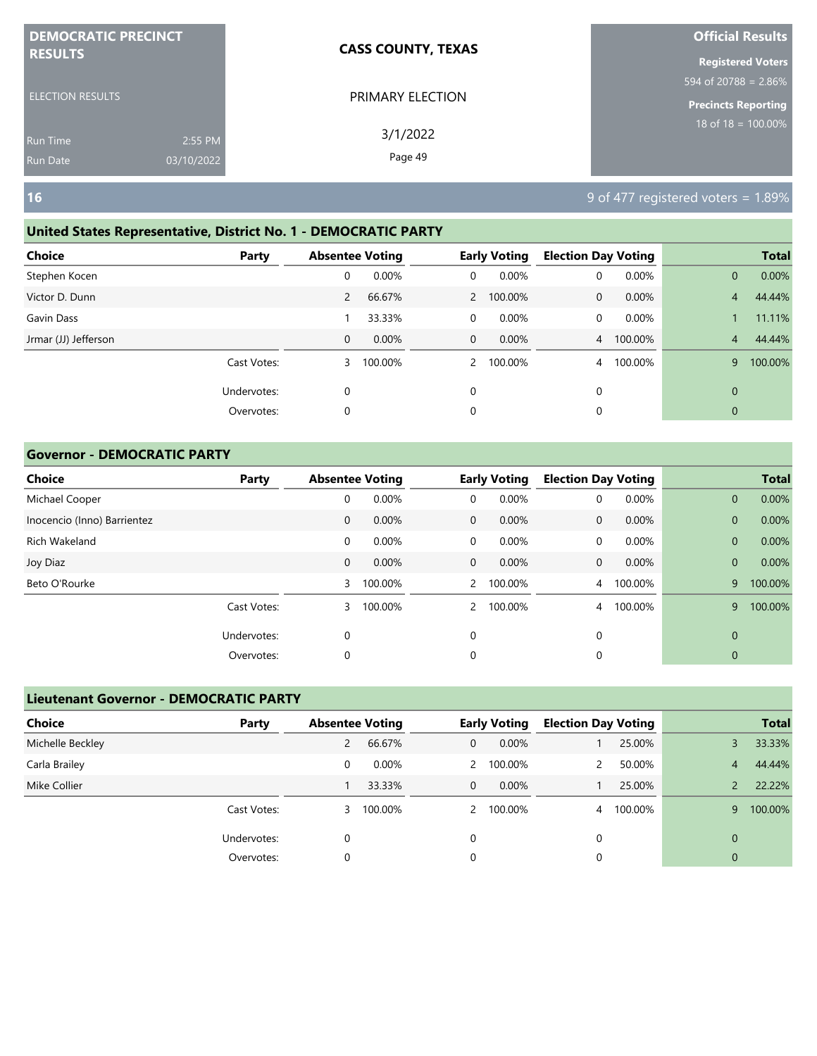| <b>DEMOCRATIC PRECINCT</b> |            | <b>CASS COUNTY, TEXAS</b> | <b>Official Results</b>                          |
|----------------------------|------------|---------------------------|--------------------------------------------------|
| <b>RESULTS</b>             |            |                           | <b>Registered Voters</b><br>594 of 20788 = 2.86% |
| <b>ELECTION RESULTS</b>    |            | PRIMARY ELECTION          | <b>Precincts Reporting</b>                       |
| <b>Run Time</b>            | 2:55 PM    | 3/1/2022                  | 18 of 18 = $100.00\%$                            |
| <b>Run Date</b>            | 03/10/2022 | Page 49                   |                                                  |
| <b>16</b>                  |            |                           | 9 of 477 registered voters = 1.89%               |

#### **United States Representative, District No. 1 - DEMOCRATIC PARTY**

| <b>Choice</b>        | Party       | <b>Absentee Voting</b> |         |               | <b>Early Voting</b> | <b>Election Day Voting</b> |         |                | <b>Total</b> |
|----------------------|-------------|------------------------|---------|---------------|---------------------|----------------------------|---------|----------------|--------------|
| Stephen Kocen        |             | 0                      | 0.00%   | 0             | 0.00%               | 0                          | 0.00%   | $\overline{0}$ | 0.00%        |
| Victor D. Dunn       |             | $\overline{2}$         | 66.67%  |               | 2 100.00%           | 0                          | 0.00%   | 4              | 44.44%       |
| Gavin Dass           |             |                        | 33.33%  | 0             | 0.00%               | 0                          | 0.00%   |                | 11.11%       |
| Jrmar (JJ) Jefferson |             | $\mathbf 0$            | 0.00%   | $\mathbf{0}$  | 0.00%               | $\overline{4}$             | 100.00% | $\overline{4}$ | 44.44%       |
|                      | Cast Votes: | 3                      | 100.00% | $\mathcal{P}$ | 100.00%             | 4                          | 100.00% | 9              | 100.00%      |
|                      | Undervotes: | 0                      |         | 0             |                     | 0                          |         | $\mathbf{0}$   |              |
|                      | Overvotes:  | $\mathbf 0$            |         | 0             |                     | 0                          |         | $\mathbf{0}$   |              |
|                      |             |                        |         |               |                     |                            |         |                |              |

#### **Governor - DEMOCRATIC PARTY**

| <b>Choice</b>               | Party       | <b>Absentee Voting</b> |         |              | <b>Early Voting</b> | <b>Election Day Voting</b> |         |              | <b>Total</b> |
|-----------------------------|-------------|------------------------|---------|--------------|---------------------|----------------------------|---------|--------------|--------------|
| Michael Cooper              |             | 0                      | 0.00%   | 0            | 0.00%               | 0                          | 0.00%   | $\mathbf{0}$ | 0.00%        |
| Inocencio (Inno) Barrientez |             | $\mathbf 0$            | 0.00%   | $\mathbf{0}$ | $0.00\%$            | $\mathbf{0}$               | 0.00%   | $\mathbf{0}$ | 0.00%        |
| Rich Wakeland               |             | 0                      | 0.00%   | $\mathbf 0$  | 0.00%               | 0                          | 0.00%   | $\mathbf{0}$ | 0.00%        |
| Joy Diaz                    |             | $\mathbf 0$            | 0.00%   | $\mathbf{0}$ | 0.00%               | $\mathbf{0}$               | 0.00%   | $\mathbf{0}$ | 0.00%        |
| Beto O'Rourke               |             | 3                      | 100.00% | $\mathbf{2}$ | 100.00%             | $\overline{4}$             | 100.00% | 9            | 100.00%      |
|                             | Cast Votes: | 3                      | 100.00% | $\mathbf{2}$ | 100.00%             | 4                          | 100.00% | 9            | 100.00%      |
|                             | Undervotes: | 0                      |         | $\mathbf 0$  |                     | 0                          |         | $\mathbf 0$  |              |
|                             | Overvotes:  | 0                      |         | 0            |                     | 0                          |         | 0            |              |

| <b>Lieutenant Governor - DEMOCRATIC PARTY</b> |             |                        |         |               |                     |                            |         |          |              |  |
|-----------------------------------------------|-------------|------------------------|---------|---------------|---------------------|----------------------------|---------|----------|--------------|--|
| <b>Choice</b>                                 | Party       | <b>Absentee Voting</b> |         |               | <b>Early Voting</b> | <b>Election Day Voting</b> |         |          | <b>Total</b> |  |
| Michelle Beckley                              |             | 2                      | 66.67%  | $\mathbf{0}$  | $0.00\%$            |                            | 25.00%  |          | 33.33%       |  |
| Carla Brailey                                 |             | 0                      | 0.00%   | $\mathcal{P}$ | 100.00%             | 2                          | 50.00%  | 4        | 44.44%       |  |
| Mike Collier                                  |             |                        | 33.33%  | $\mathbf{0}$  | $0.00\%$            |                            | 25.00%  |          | 22.22%       |  |
|                                               | Cast Votes: | 3                      | 100.00% | $\mathcal{P}$ | 100.00%             | $\overline{4}$             | 100.00% | 9        | 100.00%      |  |
|                                               | Undervotes: | 0                      |         | $\Omega$      |                     | 0                          |         | $\Omega$ |              |  |
|                                               | Overvotes:  | 0                      |         | 0             |                     | 0                          |         | 0        |              |  |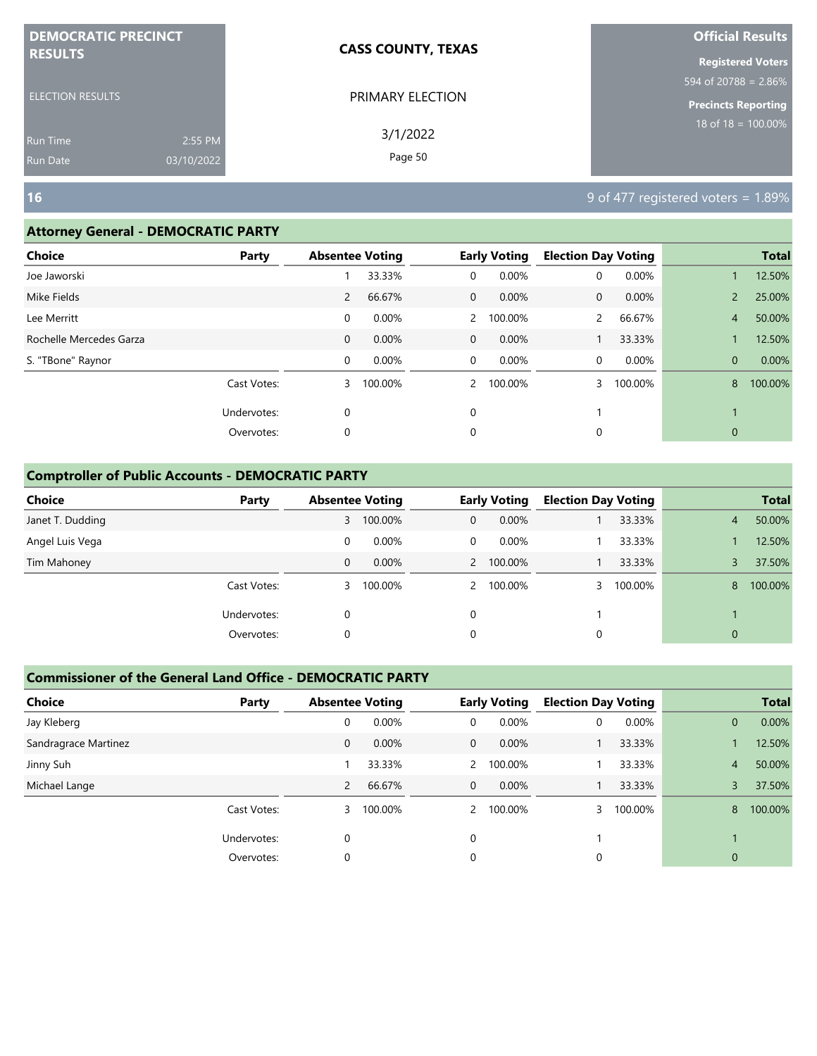| <b>DEMOCRATIC PRECINCT</b>                |                       | <b>CASS COUNTY, TEXAS</b> | <b>Official Results</b>                                                                               |
|-------------------------------------------|-----------------------|---------------------------|-------------------------------------------------------------------------------------------------------|
| <b>RESULTS</b><br><b>ELECTION RESULTS</b> |                       | PRIMARY ELECTION          | <b>Registered Voters</b><br>$1594 \overline{\text{of } 20788} = 2.86\%$<br><b>Precincts Reporting</b> |
| <b>Run Time</b><br><b>Run Date</b>        | 2:55 PM<br>03/10/2022 | 3/1/2022<br>Page 50       | 18 of 18 = $100.00\%$                                                                                 |
| <b>16</b>                                 |                       |                           | 9 of 477 registered voters = 1.89%                                                                    |

#### **Attorney General - DEMOCRATIC PARTY**

| <b>Choice</b>           | Party       | <b>Absentee Voting</b> |         |                | <b>Early Voting</b> | <b>Election Day Voting</b> |         |                | <b>Total</b> |
|-------------------------|-------------|------------------------|---------|----------------|---------------------|----------------------------|---------|----------------|--------------|
| Joe Jaworski            |             |                        | 33.33%  | 0              | 0.00%               | 0                          | 0.00%   |                | 12.50%       |
| Mike Fields             |             | $\overline{2}$         | 66.67%  | $\overline{0}$ | 0.00%               | 0                          | 0.00%   | $\overline{2}$ | 25.00%       |
| Lee Merritt             |             | 0                      | 0.00%   | $\mathbf{2}$   | 100.00%             |                            | 66.67%  | 4              | 50.00%       |
| Rochelle Mercedes Garza |             | $\mathbf{0}$           | 0.00%   | $\overline{0}$ | 0.00%               |                            | 33.33%  |                | 12.50%       |
| S. "TBone" Raynor       |             | 0                      | 0.00%   | $\overline{0}$ | 0.00%               | 0                          | 0.00%   | $\overline{0}$ | 0.00%        |
|                         | Cast Votes: | 3                      | 100.00% | $\overline{2}$ | 100.00%             | 3                          | 100.00% | 8              | 100.00%      |
|                         | Undervotes: | 0                      |         | $\mathbf 0$    |                     |                            |         |                |              |
|                         | Overvotes:  | 0                      |         | 0              |                     | 0                          |         | $\mathbf{0}$   |              |
|                         |             |                        |         |                |                     |                            |         |                |              |

#### **Comptroller of Public Accounts - DEMOCRATIC PARTY**

| <b>Choice</b>    | Party       | <b>Absentee Voting</b> |         |             | <b>Early Voting</b> | <b>Election Day Voting</b> |         |                | <b>Total</b> |
|------------------|-------------|------------------------|---------|-------------|---------------------|----------------------------|---------|----------------|--------------|
| Janet T. Dudding |             | 3                      | 100.00% | $\mathbf 0$ | 0.00%               |                            | 33.33%  | $\overline{4}$ | 50.00%       |
| Angel Luis Vega  |             | 0                      | 0.00%   | 0           | $0.00\%$            |                            | 33.33%  |                | 12.50%       |
| Tim Mahoney      |             | 0                      | 0.00%   |             | 2 100.00%           |                            | 33.33%  |                | 37.50%       |
|                  | Cast Votes: | 3                      | 100.00% |             | 2 100.00%           |                            | 100.00% | 8              | 100.00%      |
|                  | Undervotes: | 0                      |         | $\Omega$    |                     |                            |         |                |              |
|                  | Overvotes:  | 0                      |         | 0           |                     | 0                          |         | $\mathbf{0}$   |              |

| <b>Choice</b>        | Party       | <b>Absentee Voting</b> |         |                | <b>Early Voting</b> | <b>Election Day Voting</b> |         |                | <b>Total</b> |
|----------------------|-------------|------------------------|---------|----------------|---------------------|----------------------------|---------|----------------|--------------|
| Jay Kleberg          |             | 0                      | 0.00%   | 0              | 0.00%               | 0                          | 0.00%   | $\overline{0}$ | 0.00%        |
| Sandragrace Martinez |             | 0                      | 0.00%   | $\mathbf{0}$   | $0.00\%$            |                            | 33.33%  |                | 12.50%       |
| Jinny Suh            |             |                        | 33.33%  | $\overline{2}$ | 100.00%             |                            | 33.33%  | $\overline{4}$ | 50.00%       |
| Michael Lange        |             | $\overline{2}$         | 66.67%  | $\mathbf{0}$   | 0.00%               |                            | 33.33%  | 3              | 37.50%       |
|                      | Cast Votes: | 3                      | 100.00% | 2              | 100.00%             |                            | 100.00% | 8              | 100.00%      |
|                      | Undervotes: | 0                      |         | 0              |                     |                            |         |                |              |
|                      | Overvotes:  | 0                      |         | 0              |                     | 0                          |         | $\overline{0}$ |              |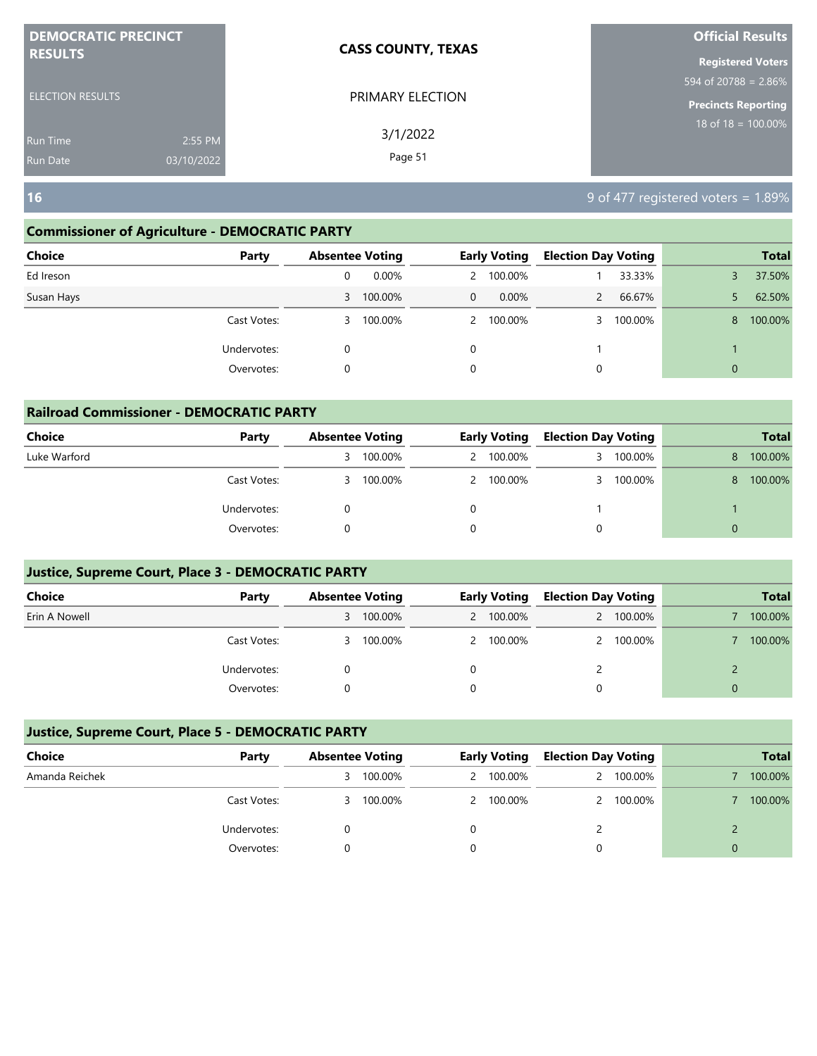| <b>DEMOCRATIC PRECINCT</b> |            | <b>CASS COUNTY, TEXAS</b> | <b>Official Results</b>    |
|----------------------------|------------|---------------------------|----------------------------|
| <b>RESULTS</b>             |            |                           | <b>Registered Voters</b>   |
|                            |            |                           | 594 of 20788 = $2.86\%$    |
| <b>ELECTION RESULTS</b>    |            | PRIMARY ELECTION          | <b>Precincts Reporting</b> |
| <b>Run Time</b>            | 2:55 PM    | 3/1/2022                  | $18$ of $18 = 100.00\%$    |
| <b>Run Date</b>            | 03/10/2022 | Page 51                   |                            |

**16** 9 of 477 registered voters = 1.89%

#### **Commissioner of Agriculture - DEMOCRATIC PARTY**

| <b>Choice</b> | Party       |   | <b>Absentee Voting</b> |              | <b>Early Voting</b> | <b>Election Day Voting</b> |         |              | <b>Total</b> |
|---------------|-------------|---|------------------------|--------------|---------------------|----------------------------|---------|--------------|--------------|
| Ed Ireson     |             | 0 | $0.00\%$               |              | 2 100.00%           |                            | 33.33%  |              | 37.50%       |
| Susan Hays    |             |   | 3 100.00%              | $\mathbf{0}$ | $0.00\%$            |                            | 66.67%  |              | 62.50%       |
|               | Cast Votes: | 3 | 100.00%                |              | 2 100.00%           |                            | 100.00% | 8            | 100.00%      |
|               | Undervotes: | 0 |                        | $\Omega$     |                     |                            |         |              |              |
|               | Overvotes:  | 0 |                        | 0            |                     | 0                          |         | $\mathbf{0}$ |              |
|               |             |   |                        |              |                     |                            |         |              |              |

| <b>Railroad Commissioner - DEMOCRATIC PARTY</b> |             |                        |         |  |                     |                            |           |          |              |  |
|-------------------------------------------------|-------------|------------------------|---------|--|---------------------|----------------------------|-----------|----------|--------------|--|
| <b>Choice</b>                                   | Party       | <b>Absentee Voting</b> |         |  | <b>Early Voting</b> | <b>Election Day Voting</b> |           |          | <b>Total</b> |  |
| Luke Warford                                    |             | 3                      | 100.00% |  | 2 100.00%           |                            | 3 100.00% | 8        | 100.00%      |  |
|                                                 | Cast Votes: | 3                      | 100.00% |  | 2 100.00%           |                            | 3 100.00% | 8        | 100.00%      |  |
|                                                 | Undervotes: | 0                      |         |  |                     |                            |           |          |              |  |
|                                                 | Overvotes:  |                        |         |  |                     |                            |           | $\Omega$ |              |  |

#### **Justice, Supreme Court, Place 3 - DEMOCRATIC PARTY**

| <b>Choice</b> | Party       | <b>Absentee Voting</b> |         | <b>Early Voting</b> |           | Election Day Voting |           | <b>Total</b> |
|---------------|-------------|------------------------|---------|---------------------|-----------|---------------------|-----------|--------------|
| Erin A Nowell |             | 3                      | 100.00% |                     | 2 100.00% |                     | 2 100.00% | 100.00%      |
|               | Cast Votes: | 3                      | 100.00% |                     | 2 100.00% |                     | 2 100.00% | 100.00%      |
|               | Undervotes: |                        |         |                     |           |                     |           |              |
|               | Overvotes:  |                        |         |                     |           |                     |           |              |

| Choice         | Party       | <b>Absentee Voting</b> |         | <b>Early Voting</b> |           | <b>Election Day Voting</b> |           |   | <b>Total</b> |
|----------------|-------------|------------------------|---------|---------------------|-----------|----------------------------|-----------|---|--------------|
| Amanda Reichek |             | 3.                     | 100.00% |                     | 2 100.00% | 2                          | 100.00%   |   | 100.00%      |
|                | Cast Votes: | 3.                     | 100.00% |                     | 2 100.00% |                            | 2 100.00% |   | 100.00%      |
|                | Undervotes: |                        |         |                     |           |                            |           |   |              |
|                | Overvotes:  |                        |         |                     |           |                            |           | 0 |              |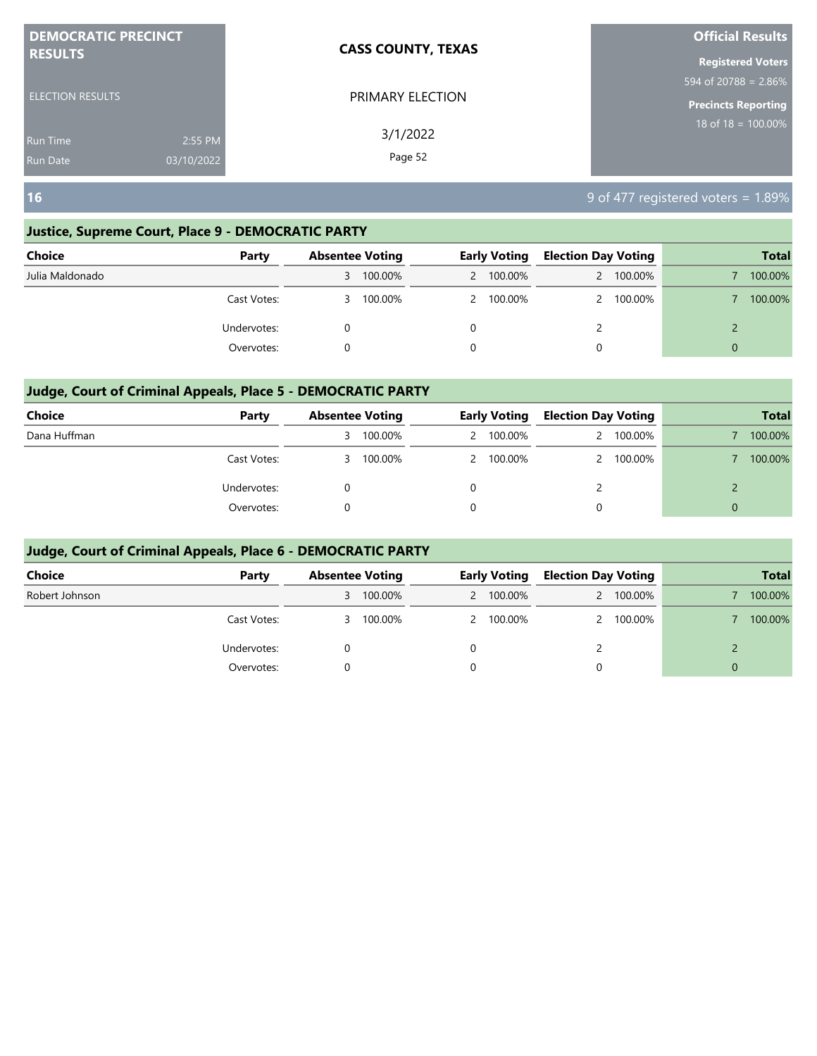| <b>DEMOCRATIC PRECINCT</b>    | <b>CASS COUNTY, TEXAS</b> | <b>Official Results</b>  |
|-------------------------------|---------------------------|--------------------------|
| <b>RESULTS</b>                |                           | <b>Registered Voters</b> |
|                               |                           | 594 of 20788 = 2.86%     |
| <b>ELECTION RESULTS</b>       | PRIMARY ELECTION          | Precincts Reporting      |
| 2:55 PM<br>Run Time           | 3/1/2022                  | 18 of $18 = 100.00\%$    |
| 03/10/2022<br><b>Run Date</b> | Page 52                   |                          |

**16** 9 of 477 registered voters = 1.89%

#### **Justice, Supreme Court, Place 9 - DEMOCRATIC PARTY**

| <b>Choice</b>   | Party       | <b>Absentee Voting</b> |         | <b>Early Voting</b> |           | <b>Election Day Voting</b> |         |          | <b>Total</b> |
|-----------------|-------------|------------------------|---------|---------------------|-----------|----------------------------|---------|----------|--------------|
| Julia Maldonado |             | 3                      | 100.00% |                     | 2 100.00% |                            | 100.00% |          | 100.00%      |
|                 | Cast Votes: | 3                      | 100.00% |                     | 2 100.00% |                            | 100.00% |          | 100.00%      |
|                 | Undervotes: |                        |         | 0                   |           |                            |         |          |              |
|                 | Overvotes:  |                        |         | 0                   |           | 0                          |         | $\Omega$ |              |

#### **Judge, Court of Criminal Appeals, Place 5 - DEMOCRATIC PARTY**

| <b>Choice</b> | Party       | <b>Absentee Voting</b> |         | <b>Early Voting</b> |           | <b>Election Day Voting</b> |         |          | <b>Total</b> |
|---------------|-------------|------------------------|---------|---------------------|-----------|----------------------------|---------|----------|--------------|
| Dana Huffman  |             | 3                      | 100.00% |                     | 2 100.00% |                            | 100.00% |          | 100.00%      |
|               | Cast Votes: | 3.                     | 100.00% |                     | 2 100.00% |                            | 100.00% |          | 100.00%      |
|               | Undervotes: |                        |         |                     |           |                            |         |          |              |
|               | Overvotes:  |                        |         |                     |           | 0                          |         | $\Omega$ |              |

| Choice         | Party       | <b>Absentee Voting</b> |         | <b>Early Voting</b> |           | <b>Election Day Voting</b> |         |          | <b>Total</b> |
|----------------|-------------|------------------------|---------|---------------------|-----------|----------------------------|---------|----------|--------------|
| Robert Johnson |             | 3                      | 100.00% |                     | 2 100.00% |                            | 100.00% |          | 100.00%      |
|                | Cast Votes: | 3                      | 100.00% |                     | 2 100.00% | $\mathcal{P}$              | 100.00% |          | 100.00%      |
|                | Undervotes: |                        |         |                     |           |                            |         |          |              |
|                | Overvotes:  |                        |         |                     |           | 0                          |         | $\Omega$ |              |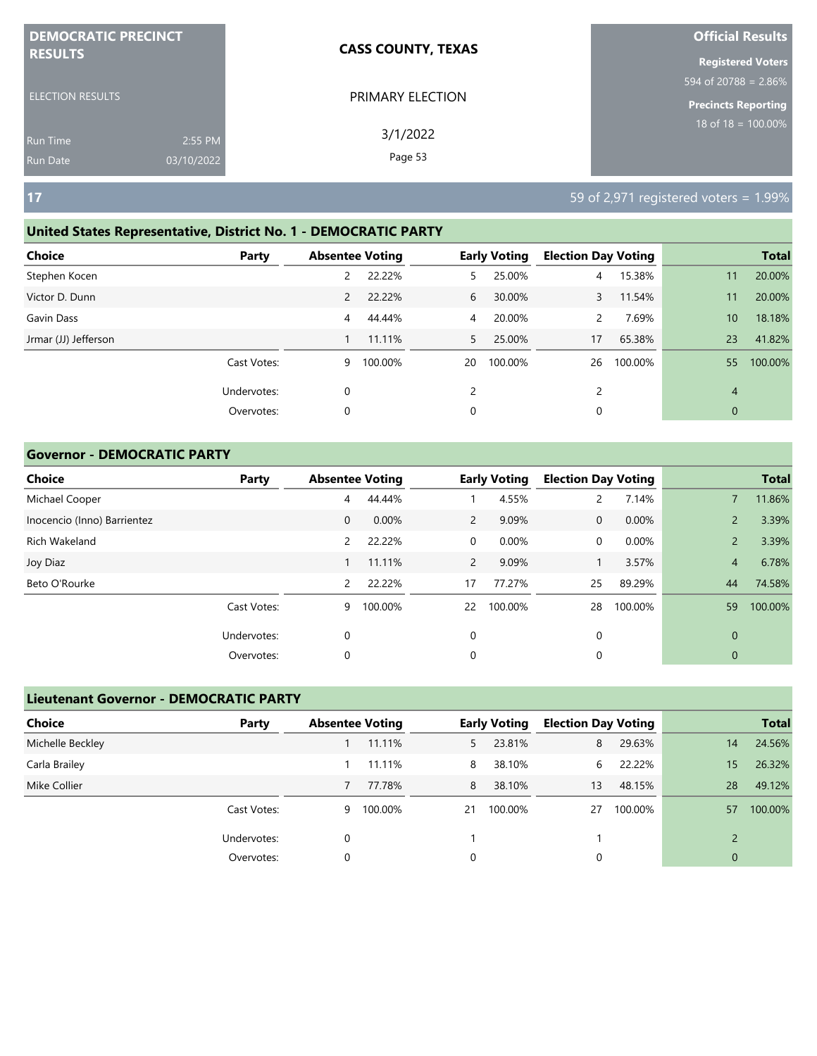| <b>DEMOCRATIC PRECINCT</b> |            | <b>CASS COUNTY, TEXAS</b> | <b>Official Results</b>          |
|----------------------------|------------|---------------------------|----------------------------------|
| <b>RESULTS</b>             |            |                           | <b>Registered Voters</b>         |
|                            |            |                           | $594 \text{ of } 20788 = 2.86\%$ |
| <b>ELECTION RESULTS</b>    |            | PRIMARY ELECTION          | <b>Precincts Reporting</b>       |
| <b>Run Time</b>            | 2:55 PM    | 3/1/2022                  | $18$ of $18 = 100.00\%$          |
| <b>Run Date</b>            | 03/10/2022 | Page 53                   |                                  |

#### **United States Representative, District No. 1 - DEMOCRATIC PARTY**

| <b>Total</b>              |
|---------------------------|
|                           |
| 20.00%<br>11              |
| 20.00%<br>11              |
| 18.18%<br>10 <sup>°</sup> |
| 41.82%<br>23              |
| 100.00%<br>55             |
| $\overline{4}$            |
| $\mathbf{0}$              |
|                           |

#### **Governor - DEMOCRATIC PARTY**

| <b>Choice</b>               | Party       | <b>Absentee Voting</b> |         |                | <b>Early Voting</b> | <b>Election Day Voting</b> |         |                | <b>Total</b> |
|-----------------------------|-------------|------------------------|---------|----------------|---------------------|----------------------------|---------|----------------|--------------|
| Michael Cooper              |             | 4                      | 44.44%  |                | 4.55%               | $\mathsf{2}^{\mathsf{1}}$  | 7.14%   |                | 11.86%       |
| Inocencio (Inno) Barrientez |             | $\mathbf 0$            | 0.00%   | $\overline{2}$ | 9.09%               | $\mathbf 0$                | 0.00%   | $\overline{2}$ | 3.39%        |
| Rich Wakeland               |             | 2                      | 22.22%  | $\mathbf 0$    | 0.00%               | 0                          | 0.00%   | $\overline{2}$ | 3.39%        |
| Joy Diaz                    |             |                        | 11.11%  | $\overline{2}$ | 9.09%               |                            | 3.57%   | 4              | 6.78%        |
| Beto O'Rourke               |             | 2                      | 22.22%  | 17             | 77.27%              | 25                         | 89.29%  | 44             | 74.58%       |
|                             | Cast Votes: | 9                      | 100.00% | 22             | 100.00%             | 28                         | 100.00% | 59             | 100.00%      |
|                             | Undervotes: | $\mathbf 0$            |         | 0              |                     | 0                          |         | $\mathbf 0$    |              |
|                             | Overvotes:  | 0                      |         | 0              |                     | 0                          |         | 0              |              |

### **Lieutenant Governor - DEMOCRATIC PARTY**

| <b>Choice</b>    | Party       | <b>Absentee Voting</b> |         |    | <b>Early Voting</b> | <b>Election Day Voting</b> |         |                | <b>Total</b> |
|------------------|-------------|------------------------|---------|----|---------------------|----------------------------|---------|----------------|--------------|
| Michelle Beckley |             |                        | 11.11%  | 5. | 23.81%              | 8                          | 29.63%  | 14             | 24.56%       |
| Carla Brailey    |             |                        | 11.11%  | 8  | 38.10%              | 6                          | 22.22%  | 15             | 26.32%       |
| Mike Collier     |             |                        | 77.78%  | 8  | 38.10%              | 13                         | 48.15%  | 28             | 49.12%       |
|                  | Cast Votes: | 9                      | 100.00% | 21 | 100.00%             | 27                         | 100.00% | 57             | 100.00%      |
|                  | Undervotes: |                        |         |    |                     |                            |         |                |              |
|                  | Overvotes:  |                        |         | 0  |                     |                            |         | $\overline{0}$ |              |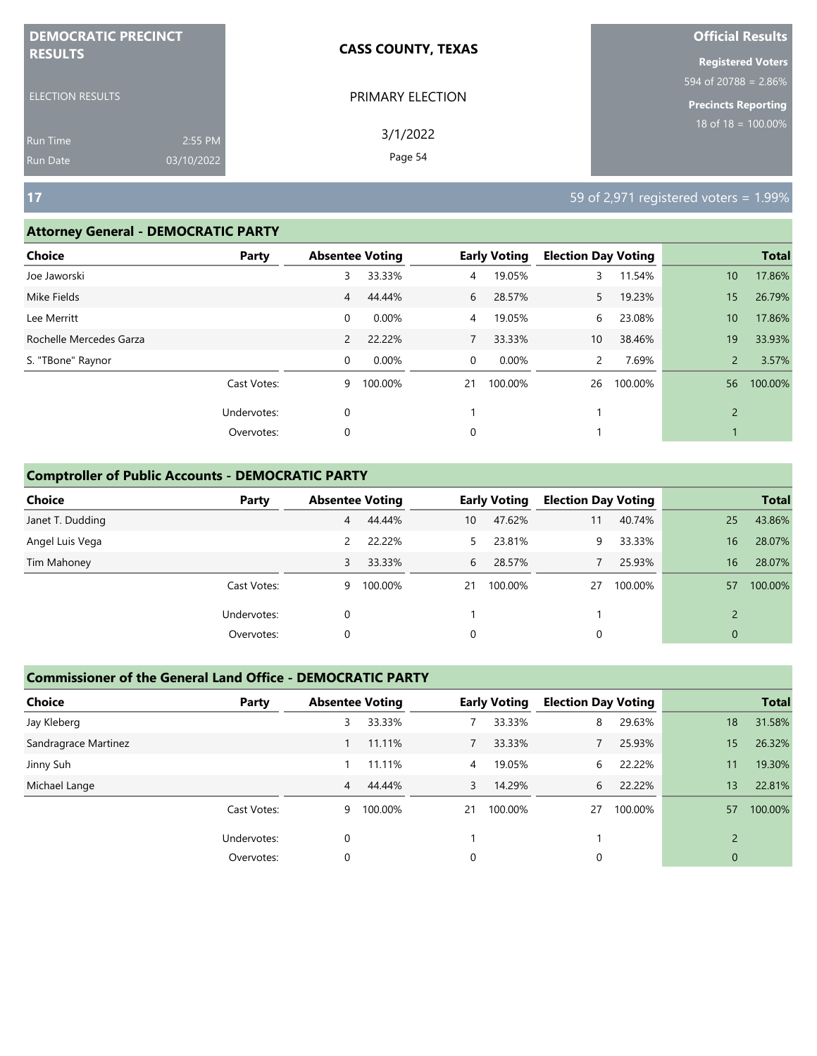| <b>DEMOCRATIC PRECINCT</b> |            | <b>CASS COUNTY, TEXAS</b> | <b>Official Results</b>                    |
|----------------------------|------------|---------------------------|--------------------------------------------|
| <b>RESULTS</b>             |            |                           | <b>Registered Voters</b>                   |
|                            |            |                           | $594 \overline{\text{of } 20788} = 2.86\%$ |
| <b>ELECTION RESULTS</b>    |            | PRIMARY ELECTION          | Precincts Reporting                        |
| <b>Run Time</b>            | 2:55 PM    | 3/1/2022                  | $18$ of 18 = 100.00%                       |
| <b>Run Date</b>            | 03/10/2022 | Page 54                   |                                            |

#### **Attorney General - DEMOCRATIC PARTY**

| <b>Choice</b>           | Party       | <b>Absentee Voting</b> |         |                | <b>Early Voting</b> | <b>Election Day Voting</b> |         |                 | <b>Total</b> |
|-------------------------|-------------|------------------------|---------|----------------|---------------------|----------------------------|---------|-----------------|--------------|
| Joe Jaworski            |             | 3                      | 33.33%  | 4              | 19.05%              | 3                          | 11.54%  | 10 <sup>°</sup> | 17.86%       |
| Mike Fields             |             | 4                      | 44.44%  | 6              | 28.57%              | 5.                         | 19.23%  | 15              | 26.79%       |
| Lee Merritt             |             | 0                      | 0.00%   | $\overline{4}$ | 19.05%              | 6                          | 23.08%  | 10 <sup>°</sup> | 17.86%       |
| Rochelle Mercedes Garza |             | 2                      | 22.22%  | 7              | 33.33%              | 10 <sup>°</sup>            | 38.46%  | 19              | 33.93%       |
| S. "TBone" Raynor       |             | $\mathbf 0$            | 0.00%   | $\overline{0}$ | 0.00%               | $\mathbf{2}$               | 7.69%   | $\overline{2}$  | 3.57%        |
|                         | Cast Votes: | 9                      | 100.00% | 21             | 100.00%             | 26                         | 100.00% | 56              | 100.00%      |
|                         | Undervotes: | $\mathbf 0$            |         |                |                     |                            |         | $\overline{2}$  |              |
|                         | Overvotes:  | $\mathbf 0$            |         | 0              |                     |                            |         |                 |              |
|                         |             |                        |         |                |                     |                            |         |                 |              |

#### **Comptroller of Public Accounts - DEMOCRATIC PARTY**

| <b>Choice</b>    | Party       | <b>Absentee Voting</b> |         |    | <b>Early Voting</b> | <b>Election Day Voting</b> |         |             | <b>Total</b> |
|------------------|-------------|------------------------|---------|----|---------------------|----------------------------|---------|-------------|--------------|
| Janet T. Dudding |             | 4                      | 44.44%  | 10 | 47.62%              | 11                         | 40.74%  | 25          | 43.86%       |
| Angel Luis Vega  |             | 2                      | 22.22%  | 5. | 23.81%              | 9                          | 33.33%  | 16          | 28.07%       |
| Tim Mahoney      |             | 3                      | 33.33%  | 6  | 28.57%              |                            | 25.93%  | 16          | 28.07%       |
|                  | Cast Votes: | 9                      | 100.00% | 21 | 100.00%             | 27                         | 100.00% | 57          | 100.00%      |
|                  | Undervotes: | 0                      |         |    |                     |                            |         |             |              |
|                  | Overvotes:  | 0                      |         | 0  |                     | 0                          |         | $\mathbf 0$ |              |

| <b>Choice</b>        | Party       | <b>Absentee Voting</b> |         |    | <b>Early Voting</b> | <b>Election Day Voting</b> |         |                          | <b>Total</b> |
|----------------------|-------------|------------------------|---------|----|---------------------|----------------------------|---------|--------------------------|--------------|
| Jay Kleberg          |             | 3                      | 33.33%  |    | 33.33%              | 8                          | 29.63%  | 18                       | 31.58%       |
| Sandragrace Martinez |             |                        | 11.11%  |    | 33.33%              |                            | 25.93%  | 15                       | 26.32%       |
| Jinny Suh            |             |                        | 11.11%  | 4  | 19.05%              | 6                          | 22.22%  | 11                       | 19.30%       |
| Michael Lange        |             | 4                      | 44.44%  | 3  | 14.29%              | 6                          | 22.22%  | 13                       | 22.81%       |
|                      | Cast Votes: | 9                      | 100.00% | 21 | 100.00%             | 27                         | 100.00% | 57                       | 100.00%      |
|                      | Undervotes: | $\Omega$               |         |    |                     |                            |         | $\overline{\phantom{0}}$ |              |
|                      | Overvotes:  | 0                      |         | 0  |                     | 0                          |         | $\overline{0}$           |              |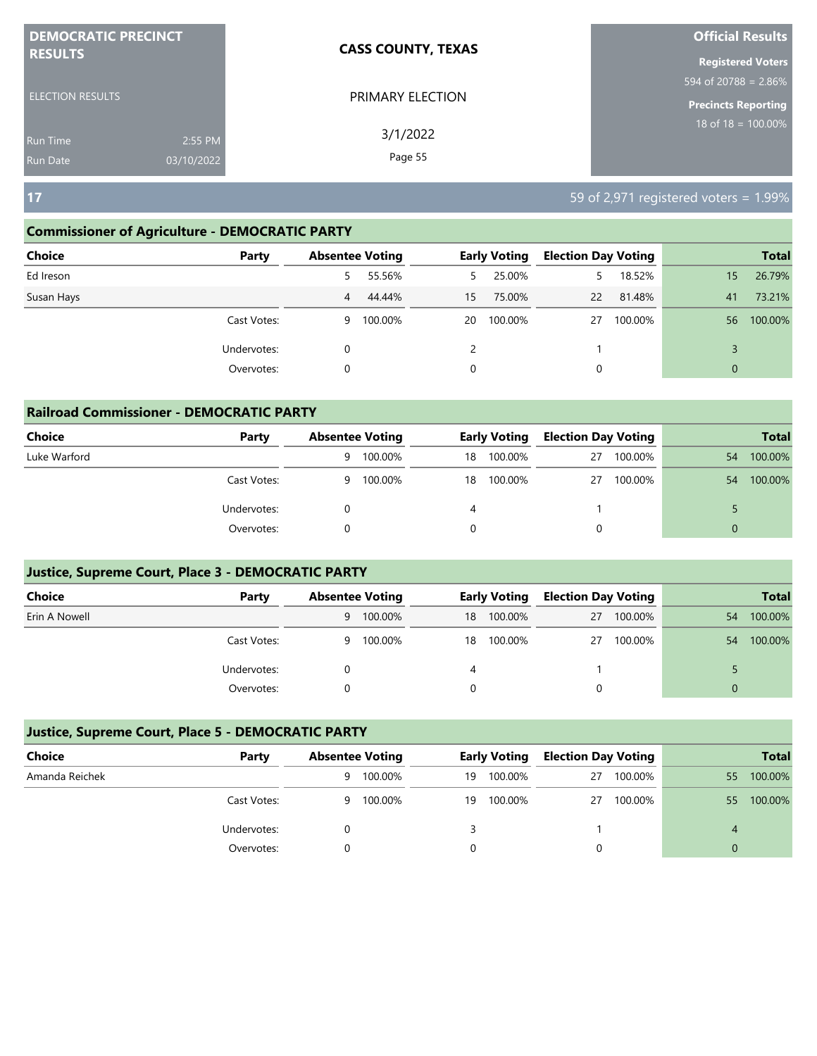| <b>DEMOCRATIC PRECINCT</b> |            | <b>CASS COUNTY, TEXAS</b> | <b>Official Results</b>          |
|----------------------------|------------|---------------------------|----------------------------------|
| <b>RESULTS</b>             |            |                           | <b>Registered Voters</b>         |
|                            |            |                           | $594 \text{ of } 20788 = 2.86\%$ |
| <b>ELECTION RESULTS</b>    |            | PRIMARY ELECTION          | <b>Precincts Reporting</b>       |
| <b>Run Time</b>            | 2:55 PM    | 3/1/2022                  | 18 of $18 = 100.00\%$            |
| <b>Run Date</b>            | 03/10/2022 | Page 55                   |                                  |

#### **Commissioner of Agriculture - DEMOCRATIC PARTY**

| <b>Choice</b><br>Party | <b>Absentee Voting</b> |         |    | <b>Early Voting</b> | <b>Election Day Voting</b> |         |              | <b>Total</b> |
|------------------------|------------------------|---------|----|---------------------|----------------------------|---------|--------------|--------------|
| Ed Ireson              | 5                      | 55.56%  | 5  | 25.00%              | 5                          | 18.52%  | 15           | 26.79%       |
| Susan Hays             | 4                      | 44.44%  | 15 | 75.00%              | 22                         | 81.48%  | 41           | 73.21%       |
| Cast Votes:            | 9                      | 100.00% | 20 | 100.00%             | 27                         | 100.00% | 56           | 100.00%      |
| Undervotes:            | 0                      |         | 2  |                     |                            |         |              |              |
| Overvotes:             | 0                      |         | 0  |                     | 0                          |         | $\mathbf{0}$ |              |

| <b>Railroad Commissioner - DEMOCRATIC PARTY</b> |             |   |                        |    |                     |                            |         |    |              |  |  |
|-------------------------------------------------|-------------|---|------------------------|----|---------------------|----------------------------|---------|----|--------------|--|--|
| <b>Choice</b>                                   | Party       |   | <b>Absentee Voting</b> |    | <b>Early Voting</b> | <b>Election Day Voting</b> |         |    | <b>Total</b> |  |  |
| Luke Warford                                    |             | 9 | 100.00%                | 18 | 100.00%             | 27                         | 100.00% | 54 | 100.00%      |  |  |
|                                                 | Cast Votes: | 9 | 100.00%                | 18 | 100.00%             | 27                         | 100.00% | 54 | 100.00%      |  |  |
|                                                 | Undervotes: |   |                        | 4  |                     |                            |         |    |              |  |  |
|                                                 | Overvotes:  |   |                        | 0  |                     | 0                          |         |    |              |  |  |

#### **Justice, Supreme Court, Place 3 - DEMOCRATIC PARTY**

| <b>Choice</b> | Party       | <b>Absentee Voting</b> |         | Early Voting |         | <b>Election Day Voting</b> |         |    | <b>Total</b> |
|---------------|-------------|------------------------|---------|--------------|---------|----------------------------|---------|----|--------------|
| Erin A Nowell |             | 9                      | 100.00% | 18           | 100.00% | 27                         | 100.00% | 54 | 100.00%      |
|               | Cast Votes: | 9                      | 100.00% | 18           | 100.00% | 27                         | 100.00% | 54 | 100.00%      |
|               | Undervotes: |                        |         |              |         |                            |         |    |              |
|               | Overvotes:  |                        |         |              |         |                            |         |    |              |

| Choice         | Party       | <b>Absentee Voting</b> |         |    | <b>Early Voting</b> | <b>Election Day Voting</b> |         |    | <b>Total</b> |
|----------------|-------------|------------------------|---------|----|---------------------|----------------------------|---------|----|--------------|
| Amanda Reichek |             | 9                      | 100.00% | 19 | 100.00%             | 27                         | 100.00% | 55 | 100.00%      |
|                | Cast Votes: | 9                      | 100.00% | 19 | 100.00%             | 27                         | 100.00% | 55 | 100.00%      |
|                | Undervotes: |                        |         |    |                     |                            |         | 4  |              |
|                | Overvotes:  |                        |         |    |                     |                            |         | 0  |              |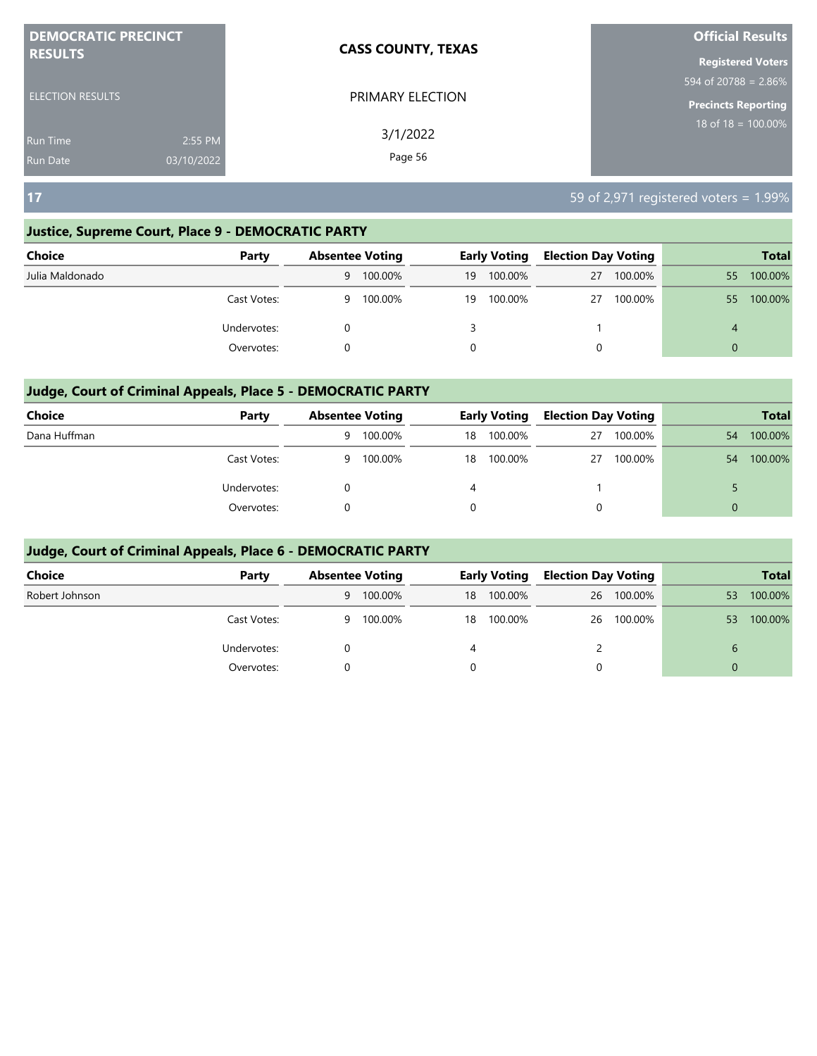| <b>DEMOCRATIC PRECINCT</b> |            | <b>CASS COUNTY, TEXAS</b> | <b>Official Results</b>        |
|----------------------------|------------|---------------------------|--------------------------------|
| <b>RESULTS</b>             |            |                           | <b>Registered Voters</b>       |
|                            |            |                           | 594 of 20788 = $2.86\%$        |
| <b>ELECTION RESULTS</b>    |            | PRIMARY ELECTION          | <b>Precincts Reporting</b>     |
| <b>Run Time</b>            | 2:55 PM    | 3/1/2022                  | $18 \text{ of } 18 = 100.00\%$ |
| <b>Run Date</b>            | 03/10/2022 | Page 56                   |                                |

#### **Justice, Supreme Court, Place 9 - DEMOCRATIC PARTY**

| <b>Choice</b>   | Party       |   | <b>Absentee Voting</b> |    | <b>Early Voting</b> | <b>Election Day Voting</b> |         |              | <b>Total</b> |
|-----------------|-------------|---|------------------------|----|---------------------|----------------------------|---------|--------------|--------------|
| Julia Maldonado |             | 9 | 100.00%                | 19 | 100.00%             | 27                         | 100.00% | $55^{\circ}$ | 100.00%      |
|                 | Cast Votes: | 9 | 100.00%                | 19 | 100.00%             | 27                         | 100.00% | 55           | 100.00%      |
|                 | Undervotes: |   |                        |    |                     |                            |         | 4            |              |
|                 | Overvotes:  |   |                        |    |                     | 0                          |         | $\Omega$     |              |

#### **Judge, Court of Criminal Appeals, Place 5 - DEMOCRATIC PARTY**

| <b>Choice</b> | Party       | <b>Absentee Voting</b> |         | <b>Early Voting</b> |         | <b>Election Day Voting</b> |         |          | <b>Total</b> |
|---------------|-------------|------------------------|---------|---------------------|---------|----------------------------|---------|----------|--------------|
| Dana Huffman  |             | 9                      | 100.00% | 18                  | 100.00% | 27                         | 100.00% | 54       | 100.00%      |
|               | Cast Votes: | 9                      | 100.00% | 18                  | 100.00% | 27                         | 100.00% | 54       | 100.00%      |
|               | Undervotes: |                        |         | 4                   |         |                            |         |          |              |
|               | Overvotes:  |                        |         |                     |         | 0                          |         | $\Omega$ |              |

| <b>Choice</b>  | Party       | <b>Absentee Voting</b> |           | <b>Early Voting</b> |         | <b>Election Day Voting</b> |            |          | <b>Total</b> |
|----------------|-------------|------------------------|-----------|---------------------|---------|----------------------------|------------|----------|--------------|
| Robert Johnson |             |                        | 9 100.00% | 18                  | 100.00% |                            | 26 100.00% | 53       | 100.00%      |
|                | Cast Votes: | 9                      | 100.00%   | 18                  | 100.00% |                            | 26 100.00% | 53       | 100.00%      |
|                | Undervotes: |                        |           | 4                   |         |                            |            | 6        |              |
|                | Overvotes:  |                        |           | 0                   |         | 0                          |            | $\Omega$ |              |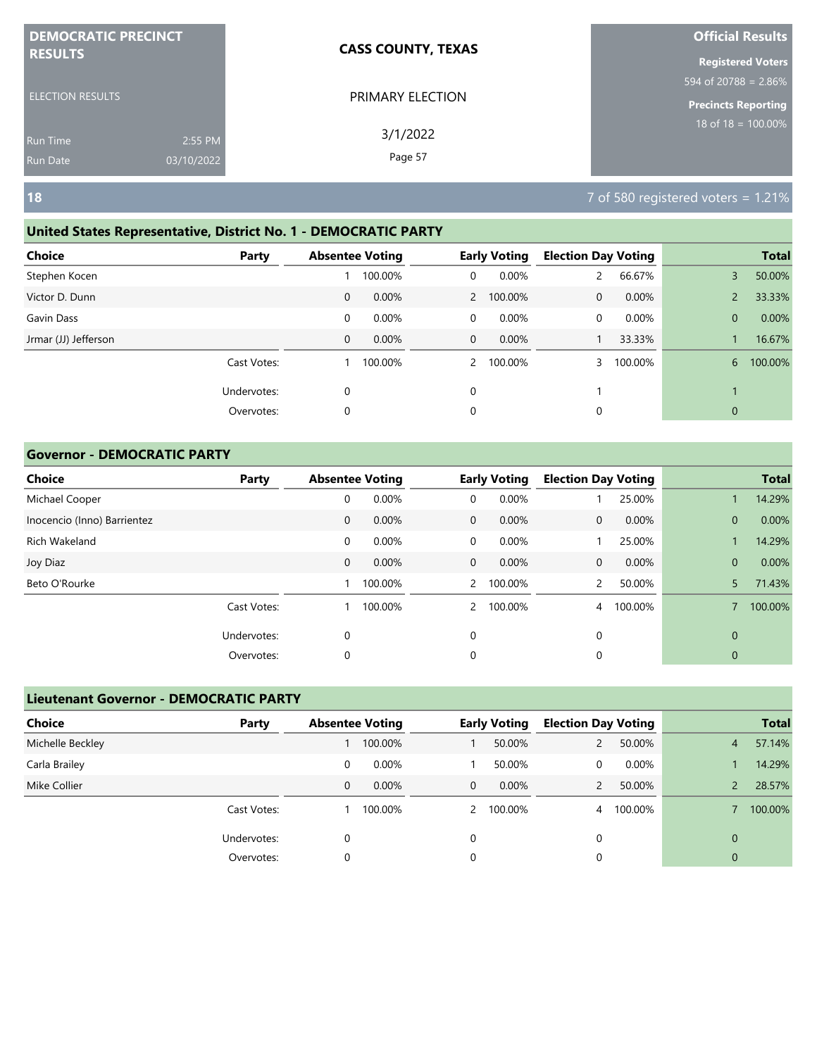| <b>DEMOCRATIC PRECINCT</b> |            | <b>CASS COUNTY, TEXAS</b> | <b>Official Results</b>          |
|----------------------------|------------|---------------------------|----------------------------------|
| <b>RESULTS</b>             |            |                           | <b>Registered Voters</b>         |
|                            |            |                           | $594 \text{ of } 20788 = 2.86\%$ |
| <b>ELECTION RESULTS</b>    |            | PRIMARY ELECTION          | <b>Precincts Reporting</b>       |
| <b>Run Time</b>            | 2:55 PM    | 3/1/2022                  | $18$ of $18 = 100.00\%$          |
| <b>Run Date</b>            | 03/10/2022 | Page 57                   |                                  |

#### **United States Representative, District No. 1 - DEMOCRATIC PARTY**

| <b>Choice</b>        | Party       |   | <b>Absentee Voting</b> |                | <b>Early Voting</b> | <b>Election Day Voting</b> |         |                | <b>Total</b> |
|----------------------|-------------|---|------------------------|----------------|---------------------|----------------------------|---------|----------------|--------------|
| Stephen Kocen        |             |   | 100.00%                | 0              | 0.00%               |                            | 66.67%  | 3              | 50.00%       |
| Victor D. Dunn       |             | 0 | 0.00%                  |                | 2 100.00%           | 0                          | 0.00%   | $\overline{2}$ | 33.33%       |
| Gavin Dass           |             | 0 | 0.00%                  | $\overline{0}$ | 0.00%               | 0                          | 0.00%   | $\overline{0}$ | 0.00%        |
| Jrmar (JJ) Jefferson |             | 0 | 0.00%                  | $\overline{0}$ | $0.00\%$            |                            | 33.33%  |                | 16.67%       |
|                      | Cast Votes: |   | 100.00%                | $\mathbf{2}$   | 100.00%             |                            | 100.00% | 6              | 100.00%      |
|                      | Undervotes: | 0 |                        | $\mathbf 0$    |                     |                            |         |                |              |
|                      | Overvotes:  | 0 |                        | 0              |                     | 0                          |         | $\mathbf{0}$   |              |
|                      |             |   |                        |                |                     |                            |         |                |              |

#### **Governor - DEMOCRATIC PARTY**

| <b>Choice</b>               | Party       | <b>Absentee Voting</b> |         |                | <b>Early Voting</b> | <b>Election Day Voting</b> |         |              | <b>Total</b> |
|-----------------------------|-------------|------------------------|---------|----------------|---------------------|----------------------------|---------|--------------|--------------|
| Michael Cooper              |             | 0                      | 0.00%   | $\mathbf 0$    | 0.00%               |                            | 25.00%  |              | 14.29%       |
| Inocencio (Inno) Barrientez |             | $\mathbf 0$            | 0.00%   | $\mathbf{0}$   | 0.00%               | $\mathbf{0}$               | 0.00%   | $\mathbf{0}$ | 0.00%        |
| Rich Wakeland               |             | 0                      | 0.00%   | $\mathbf 0$    | 0.00%               |                            | 25.00%  |              | 14.29%       |
| Joy Diaz                    |             | $\mathbf 0$            | 0.00%   | $\mathbf{0}$   | $0.00\%$            | $\mathbf 0$                | 0.00%   | $\mathbf{0}$ | 0.00%        |
| Beto O'Rourke               |             |                        | 100.00% | $\mathbf{2}$   | 100.00%             | $\overline{2}$             | 50.00%  | 5            | 71.43%       |
|                             | Cast Votes: |                        | 100.00% | $\overline{2}$ | 100.00%             | 4                          | 100.00% |              | 100.00%      |
|                             | Undervotes: | $\mathbf 0$            |         | $\mathbf 0$    |                     | 0                          |         | $\mathbf 0$  |              |
|                             | Overvotes:  | 0                      |         | 0              |                     | 0                          |         | 0            |              |

| <b>Lieutenant Governor - DEMOCRATIC PARTY</b> |             |                        |          |   |                     |                            |          |          |              |
|-----------------------------------------------|-------------|------------------------|----------|---|---------------------|----------------------------|----------|----------|--------------|
| <b>Choice</b>                                 | Party       | <b>Absentee Voting</b> |          |   | <b>Early Voting</b> | <b>Election Day Voting</b> |          |          | <b>Total</b> |
| Michelle Beckley                              |             |                        | 100.00%  |   | 50.00%              |                            | 50.00%   | 4        | 57.14%       |
| Carla Brailey                                 |             | 0                      | 0.00%    |   | 50.00%              | 0                          | $0.00\%$ |          | 14.29%       |
| Mike Collier                                  |             | 0                      | $0.00\%$ | 0 | $0.00\%$            |                            | 50.00%   |          | 28.57%       |
|                                               | Cast Votes: |                        | 100.00%  | 2 | 100.00%             | 4                          | 100.00%  |          | 100.00%      |
|                                               | Undervotes: | 0                      |          | 0 |                     | 0                          |          | $\Omega$ |              |
|                                               | Overvotes:  | 0                      |          | 0 |                     | 0                          |          | 0        |              |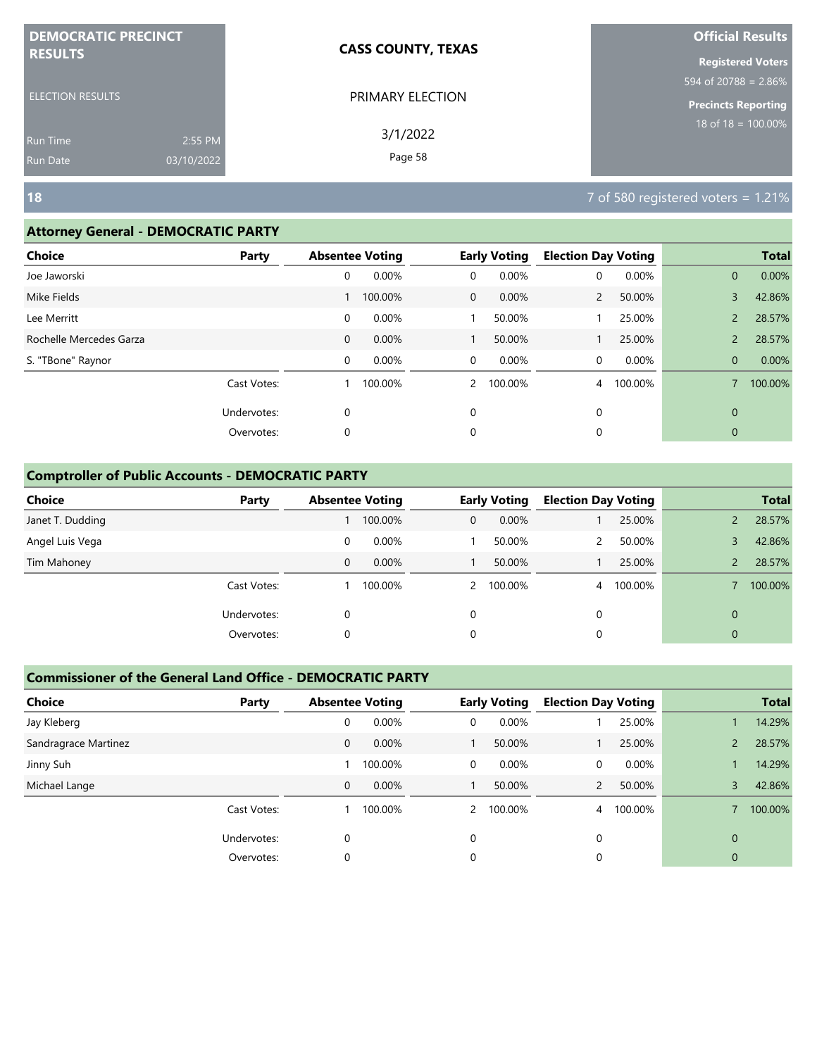| <b>DEMOCRATIC PRECINCT</b> |            | <b>CASS COUNTY, TEXAS</b> | <b>Official Results</b>    |
|----------------------------|------------|---------------------------|----------------------------|
| <b>RESULTS</b>             |            |                           | <b>Registered Voters</b>   |
|                            |            |                           | 594 of 20788 = $2.86\%$    |
| <b>ELECTION RESULTS</b>    |            | PRIMARY ELECTION          | <b>Precincts Reporting</b> |
| Run Time                   | 2:55 PM    | 3/1/2022                  | $18$ of 18 = 100.00%       |
| <b>Run Date</b>            | 03/10/2022 | Page 58                   |                            |

#### **Attorney General - DEMOCRATIC PARTY**

| <b>Choice</b>           | Party       |              | <b>Absentee Voting</b> |               | <b>Early Voting</b> | <b>Election Day Voting</b> |         |                | <b>Total</b> |
|-------------------------|-------------|--------------|------------------------|---------------|---------------------|----------------------------|---------|----------------|--------------|
| Joe Jaworski            |             | 0            | 0.00%                  | 0             | 0.00%               | 0                          | 0.00%   | $\mathbf{0}$   | 0.00%        |
| Mike Fields             |             |              | 100.00%                | $\mathbf{0}$  | 0.00%               | $\overline{2}$             | 50.00%  | 3              | 42.86%       |
| Lee Merritt             |             | 0            | 0.00%                  |               | 50.00%              |                            | 25.00%  | $\overline{2}$ | 28.57%       |
| Rochelle Mercedes Garza |             | $\mathbf{0}$ | 0.00%                  |               | 50.00%              |                            | 25.00%  | $\overline{2}$ | 28.57%       |
| S. "TBone" Raynor       |             | 0            | $0.00\%$               | $\mathbf 0$   | 0.00%               | 0                          | 0.00%   | $\mathbf{0}$   | 0.00%        |
|                         | Cast Votes: |              | 100.00%                | $\mathcal{P}$ | 100.00%             | 4                          | 100.00% |                | 100.00%      |
|                         | Undervotes: | 0            |                        | 0             |                     | 0                          |         | $\mathbf{0}$   |              |
|                         | Overvotes:  | 0            |                        | 0             |                     | 0                          |         | $\mathbf{0}$   |              |
|                         |             |              |                        |               |                     |                            |         |                |              |

#### **Comptroller of Public Accounts - DEMOCRATIC PARTY**

| <b>Choice</b>    | Party       | <b>Absentee Voting</b> |          |   | <b>Early Voting</b> | <b>Election Day Voting</b> |         |          | <b>Total</b> |
|------------------|-------------|------------------------|----------|---|---------------------|----------------------------|---------|----------|--------------|
| Janet T. Dudding |             |                        | 100.00%  | 0 | 0.00%               |                            | 25.00%  |          | 28.57%       |
| Angel Luis Vega  |             | 0                      | 0.00%    |   | 50.00%              |                            | 50.00%  |          | 42.86%       |
| Tim Mahoney      |             | 0                      | $0.00\%$ |   | 50.00%              |                            | 25.00%  |          | 28.57%       |
|                  | Cast Votes: |                        | 100.00%  |   | 2 100.00%           | $\overline{4}$             | 100.00% |          | 100.00%      |
|                  | Undervotes: | 0                      |          | 0 |                     | 0                          |         | $\Omega$ |              |
|                  | Overvotes:  | 0                      |          | 0 |                     | 0                          |         | 0        |              |

| <b>Choice</b>        | Party       | <b>Absentee Voting</b> |         |                | <b>Early Voting</b> | <b>Election Day Voting</b> |         |          | <b>Total</b> |
|----------------------|-------------|------------------------|---------|----------------|---------------------|----------------------------|---------|----------|--------------|
| Jay Kleberg          |             | 0                      | 0.00%   | 0              | 0.00%               |                            | 25.00%  |          | 14.29%       |
| Sandragrace Martinez |             | 0                      | 0.00%   |                | 50.00%              |                            | 25.00%  |          | 28.57%       |
| Jinny Suh            |             |                        | 100.00% | 0              | $0.00\%$            | 0                          | 0.00%   |          | 14.29%       |
| Michael Lange        |             | 0                      | 0.00%   |                | 50.00%              |                            | 50.00%  | 3        | 42.86%       |
|                      | Cast Votes: |                        | 100.00% | $\overline{2}$ | 100.00%             | 4                          | 100.00% |          | 100.00%      |
|                      | Undervotes: | $\Omega$               |         | 0              |                     | $\Omega$                   |         | $\Omega$ |              |
|                      | Overvotes:  | 0                      |         | 0              |                     | 0                          |         | 0        |              |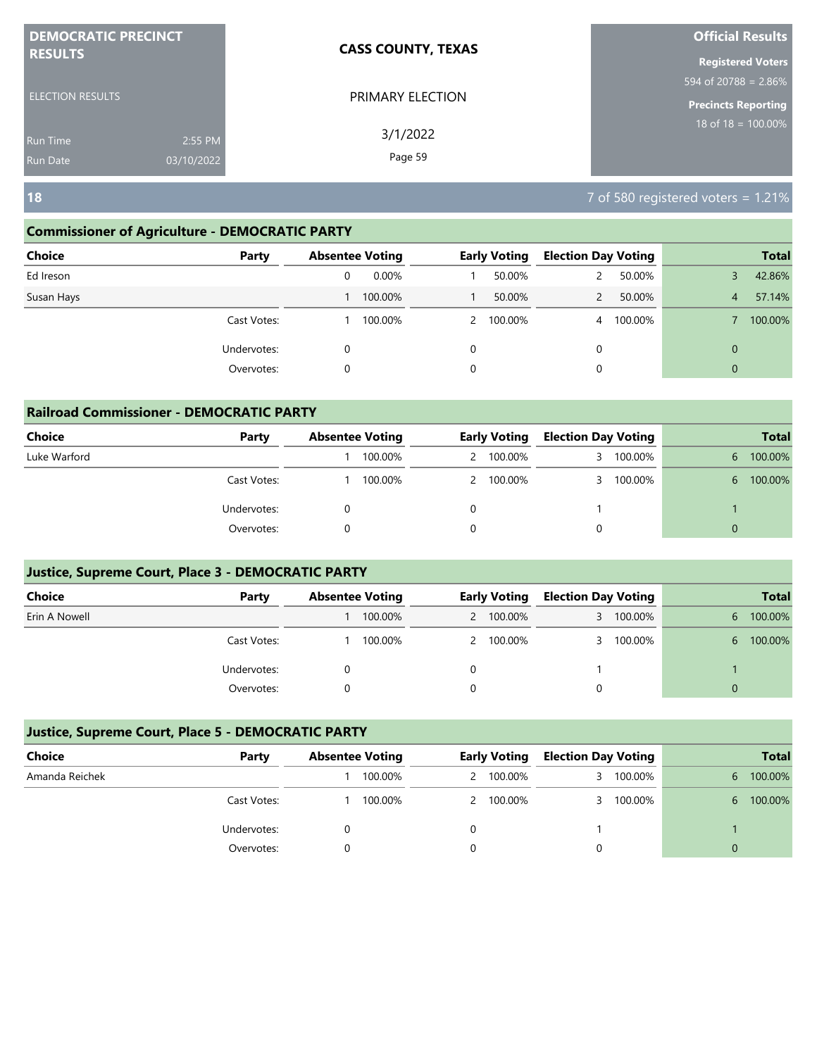| <b>DEMOCRATIC PRECINCT</b> |            | <b>CASS COUNTY, TEXAS</b> | <b>Official Results</b>          |
|----------------------------|------------|---------------------------|----------------------------------|
| <b>RESULTS</b>             |            |                           | <b>Registered Voters</b>         |
|                            |            |                           | $594 \text{ of } 20788 = 2.86\%$ |
| <b>ELECTION RESULTS</b>    |            | PRIMARY ELECTION          | <b>Precincts Reporting</b>       |
| <b>Run Time</b>            | 2:55 PM    | 3/1/2022                  | 18 of 18 = $100.00\%$            |
| <b>Run Date</b>            | 03/10/2022 | Page 59                   |                                  |

#### **Commissioner of Agriculture - DEMOCRATIC PARTY**

| <b>Choice</b><br>Party |   | <b>Absentee Voting</b> |   | <b>Early Voting</b> | <b>Election Day Voting</b> |         |                | <b>Total</b> |
|------------------------|---|------------------------|---|---------------------|----------------------------|---------|----------------|--------------|
| Ed Ireson              | 0 | $0.00\%$               |   | 50.00%              |                            | 50.00%  |                | 42.86%       |
| Susan Hays             |   | 100.00%                |   | 50.00%              |                            | 50.00%  | $\overline{4}$ | 57.14%       |
| Cast Votes:            |   | 100.00%                |   | 2 100.00%           | $\overline{4}$             | 100.00% |                | 100.00%      |
| Undervotes:            | 0 |                        | 0 |                     | 0                          |         | $\mathbf{0}$   |              |
| Overvotes:             | 0 |                        | 0 |                     | 0                          |         | $\mathbf{0}$   |              |

|               | <b>Railroad Commissioner - DEMOCRATIC PARTY</b> |                        |         |  |                     |                            |           |    |              |  |  |  |
|---------------|-------------------------------------------------|------------------------|---------|--|---------------------|----------------------------|-----------|----|--------------|--|--|--|
| <b>Choice</b> | Party                                           | <b>Absentee Voting</b> |         |  | <b>Early Voting</b> | <b>Election Day Voting</b> |           |    | <b>Total</b> |  |  |  |
| Luke Warford  |                                                 |                        | 100.00% |  | 2 100.00%           |                            | 3 100.00% | 6. | 100.00%      |  |  |  |
|               | Cast Votes:                                     |                        | 100.00% |  | 2 100.00%           |                            | 3 100.00% | 6. | 100.00%      |  |  |  |
|               | Undervotes:                                     |                        |         |  |                     |                            |           |    |              |  |  |  |
|               | Overvotes:                                      |                        |         |  |                     | 0                          |           |    |              |  |  |  |

#### **Justice, Supreme Court, Place 3 - DEMOCRATIC PARTY**

| <b>Choice</b> | Party       | <b>Absentee Voting</b> |  | Early Voting | <b>Election Day Voting</b> |         |   | <b>Total</b> |
|---------------|-------------|------------------------|--|--------------|----------------------------|---------|---|--------------|
| Erin A Nowell |             | 100.00%                |  | 2 100.00%    | 3                          | 100.00% | 6 | 100.00%      |
|               | Cast Votes: | 100.00%                |  | 2 100.00%    |                            | 100.00% | 6 | 100.00%      |
|               | Undervotes: |                        |  |              |                            |         |   |              |
|               | Overvotes:  |                        |  |              |                            |         |   |              |

| Choice         | Party       | <b>Absentee Voting</b> |         | <b>Early Voting</b> |           | <b>Election Day Voting</b> |         |    |         |  | <b>Total</b> |
|----------------|-------------|------------------------|---------|---------------------|-----------|----------------------------|---------|----|---------|--|--------------|
| Amanda Reichek |             |                        | 100.00% |                     | 2 100.00% |                            | 100.00% | 6. | 100.00% |  |              |
|                | Cast Votes: |                        | 100.00% |                     | 2 100.00% |                            | 100.00% | 6. | 100.00% |  |              |
|                | Undervotes: |                        |         |                     |           |                            |         |    |         |  |              |
|                | Overvotes:  |                        |         |                     |           |                            |         | 0  |         |  |              |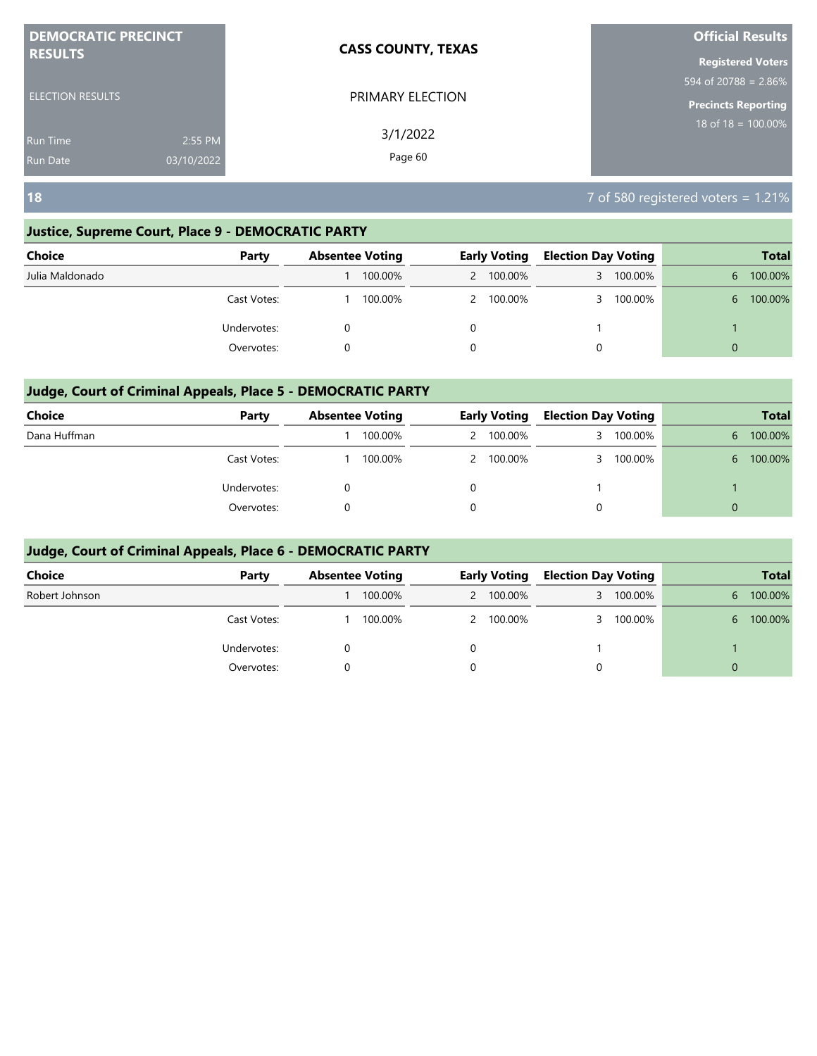| <b>DEMOCRATIC PRECINCT</b>    | <b>CASS COUNTY, TEXAS</b> | <b>Official Results</b>                     |
|-------------------------------|---------------------------|---------------------------------------------|
| <b>RESULTS</b>                |                           | <b>Registered Voters</b>                    |
|                               |                           | $594 \overline{\text{ of } 20788} = 2.86\%$ |
| <b>ELECTION RESULTS</b>       | PRIMARY ELECTION          | <b>Precincts Reporting</b>                  |
| 2:55 PM<br>Run Time           | 3/1/2022                  | $18$ of $18 = 100.00\%$                     |
| 03/10/2022<br><b>Run Date</b> | Page 60                   |                                             |

#### **Justice, Supreme Court, Place 9 - DEMOCRATIC PARTY**

| Choice          | Party       | <b>Absentee Voting</b> |   | <b>Early Voting</b> |   | <b>Election Day Voting</b> | <b>Total</b> |         |
|-----------------|-------------|------------------------|---|---------------------|---|----------------------------|--------------|---------|
| Julia Maldonado |             | 100.00%                |   | 2 100.00%           | 3 | 100.00%                    | 6            | 100.00% |
|                 | Cast Votes: | 100.00%                |   | 2 100.00%           | 3 | 100.00%                    | 6.           | 100.00% |
|                 | Undervotes: |                        |   |                     |   |                            |              |         |
|                 | Overvotes:  |                        | 0 |                     | 0 |                            | $\Omega$     |         |

#### **Judge, Court of Criminal Appeals, Place 5 - DEMOCRATIC PARTY**

| <b>Choice</b> | Party       | <b>Absentee Voting</b> |  | <b>Early Voting</b> |   | <b>Election Day Voting</b> | <b>Total</b> |         |
|---------------|-------------|------------------------|--|---------------------|---|----------------------------|--------------|---------|
| Dana Huffman  |             | 100.00%                |  | 2 100.00%           |   | 100.00%                    | 6            | 100.00% |
|               | Cast Votes: | 100.00%                |  | 2 100.00%           |   | 100.00%                    | 6.           | 100.00% |
|               | Undervotes: |                        |  |                     |   |                            |              |         |
|               | Overvotes:  |                        |  |                     | 0 |                            | $\Omega$     |         |

| Choice         | Party       | <b>Absentee Voting</b> |         | <b>Early Voting</b> |           | <b>Election Day Voting</b> |         | <b>Total</b> |         |
|----------------|-------------|------------------------|---------|---------------------|-----------|----------------------------|---------|--------------|---------|
| Robert Johnson |             |                        | 100.00% |                     | 2 100.00% | 3                          | 100.00% | 6.           | 100.00% |
|                | Cast Votes: |                        | 100.00% |                     | 2 100.00% |                            | 100.00% | 6.           | 100.00% |
|                | Undervotes: |                        |         |                     |           |                            |         |              |         |
|                | Overvotes:  |                        |         |                     |           | 0                          |         | $\Omega$     |         |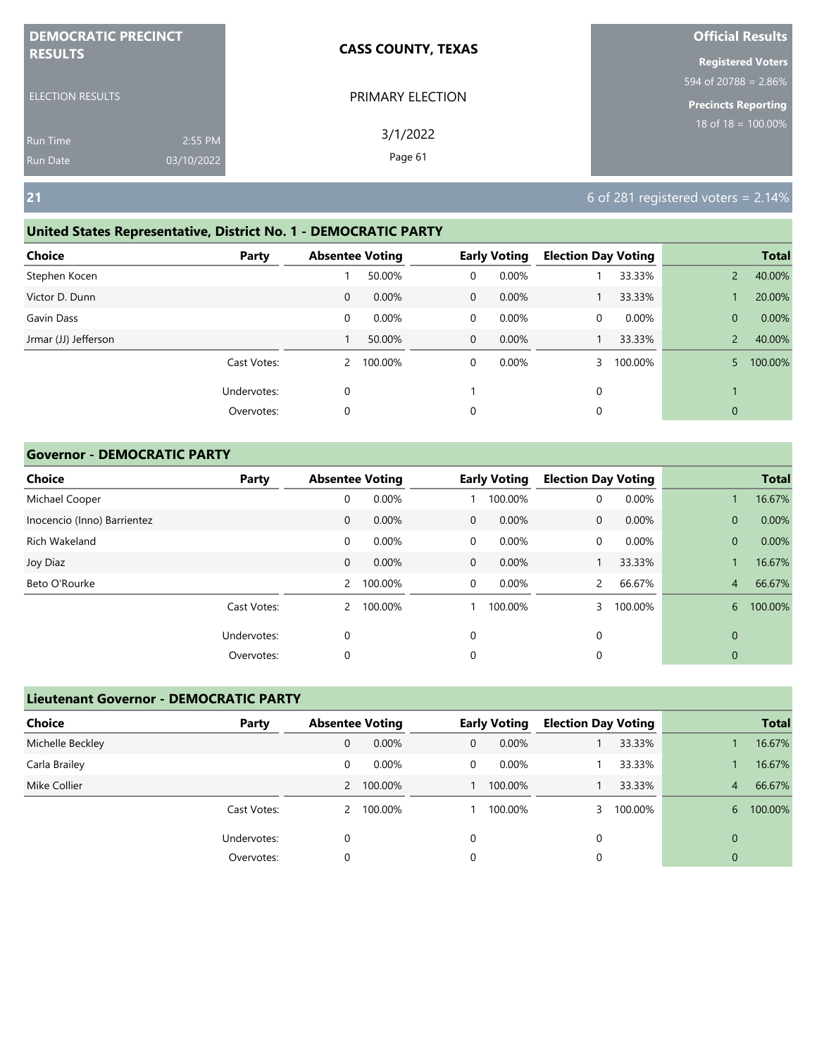| <b>DEMOCRATIC PRECINCT</b> |            | <b>CASS COUNTY, TEXAS</b> | <b>Official Results</b>        |
|----------------------------|------------|---------------------------|--------------------------------|
| <b>RESULTS</b>             |            |                           | <b>Registered Voters</b>       |
|                            |            |                           | 594 of 20788 = $2.86\%$        |
| <b>ELECTION RESULTS</b>    |            | PRIMARY ELECTION          | <b>Precincts Reporting</b>     |
| <b>Run Time</b>            | 2:55 PM    | 3/1/2022                  | $18 \text{ of } 18 = 100.00\%$ |
| Run Date                   | 03/10/2022 | Page 61                   |                                |

# **United States Representative, District No. 1 - DEMOCRATIC PARTY**

| <b>Choice</b>        | Party       | <b>Absentee Voting</b> |         |              | <b>Early Voting</b> | <b>Election Day Voting</b> |         |                | <b>Total</b> |
|----------------------|-------------|------------------------|---------|--------------|---------------------|----------------------------|---------|----------------|--------------|
| Stephen Kocen        |             |                        | 50.00%  | 0            | 0.00%               |                            | 33.33%  | $\overline{2}$ | 40.00%       |
| Victor D. Dunn       |             | 0                      | 0.00%   | $\mathbf{0}$ | $0.00\%$            |                            | 33.33%  |                | 20.00%       |
| Gavin Dass           |             | 0                      | 0.00%   | 0            | 0.00%               | 0                          | 0.00%   | $\mathbf{0}$   | 0.00%        |
| Jrmar (JJ) Jefferson |             |                        | 50.00%  | $\mathbf 0$  | $0.00\%$            |                            | 33.33%  | $\overline{2}$ | 40.00%       |
|                      | Cast Votes: | 2                      | 100.00% | 0            | 0.00%               |                            | 100.00% | 5              | 100.00%      |
|                      | Undervotes: | 0                      |         |              |                     | 0                          |         |                |              |
|                      | Overvotes:  | 0                      |         | 0            |                     | 0                          |         | $\mathbf{0}$   |              |

#### **Governor - DEMOCRATIC PARTY**

| <b>Choice</b>               | Party       | <b>Absentee Voting</b> |         |              | <b>Early Voting</b> | <b>Election Day Voting</b> |         |              | <b>Total</b> |
|-----------------------------|-------------|------------------------|---------|--------------|---------------------|----------------------------|---------|--------------|--------------|
| Michael Cooper              |             | 0                      | 0.00%   |              | 100.00%             | 0                          | 0.00%   |              | 16.67%       |
| Inocencio (Inno) Barrientez |             | $\mathbf 0$            | 0.00%   | $\mathbf{0}$ | 0.00%               | $\mathbf{0}$               | 0.00%   | $\mathbf{0}$ | 0.00%        |
| Rich Wakeland               |             | 0                      | 0.00%   | $\mathbf 0$  | 0.00%               | 0                          | 0.00%   | $\mathbf{0}$ | 0.00%        |
| Joy Diaz                    |             | $\mathbf 0$            | 0.00%   | $\mathbf{0}$ | $0.00\%$            |                            | 33.33%  |              | 16.67%       |
| Beto O'Rourke               |             | 2                      | 100.00% | $\mathbf 0$  | 0.00%               | $\overline{2}$             | 66.67%  | 4            | 66.67%       |
|                             | Cast Votes: | 2                      | 100.00% |              | 100.00%             |                            | 100.00% | 6            | 100.00%      |
|                             | Undervotes: | 0                      |         | 0            |                     | 0                          |         | $\mathbf 0$  |              |
|                             | Overvotes:  | 0                      |         | 0            |                     | 0                          |         | 0            |              |

| <b>Lieutenant Governor - DEMOCRATIC PARTY</b> |             |                        |           |   |                     |   |                            |                |              |
|-----------------------------------------------|-------------|------------------------|-----------|---|---------------------|---|----------------------------|----------------|--------------|
| Choice                                        | Party       | <b>Absentee Voting</b> |           |   | <b>Early Voting</b> |   | <b>Election Day Voting</b> |                | <b>Total</b> |
| Michelle Beckley                              |             | 0                      | 0.00%     | 0 | 0.00%               |   | 33.33%                     |                | 16.67%       |
| Carla Brailey                                 |             | 0                      | 0.00%     | 0 | $0.00\%$            |   | 33.33%                     |                | 16.67%       |
| Mike Collier                                  |             |                        | 2 100.00% |   | 100.00%             |   | 33.33%                     | $\overline{4}$ | 66.67%       |
|                                               | Cast Votes: | 2                      | 100.00%   |   | 100.00%             |   | 100.00%                    | 6.             | 100.00%      |
|                                               | Undervotes: | 0                      |           | 0 |                     | 0 |                            | $\mathbf{0}$   |              |
|                                               | Overvotes:  | 0                      |           | 0 |                     | 0 |                            | $\mathbf{0}$   |              |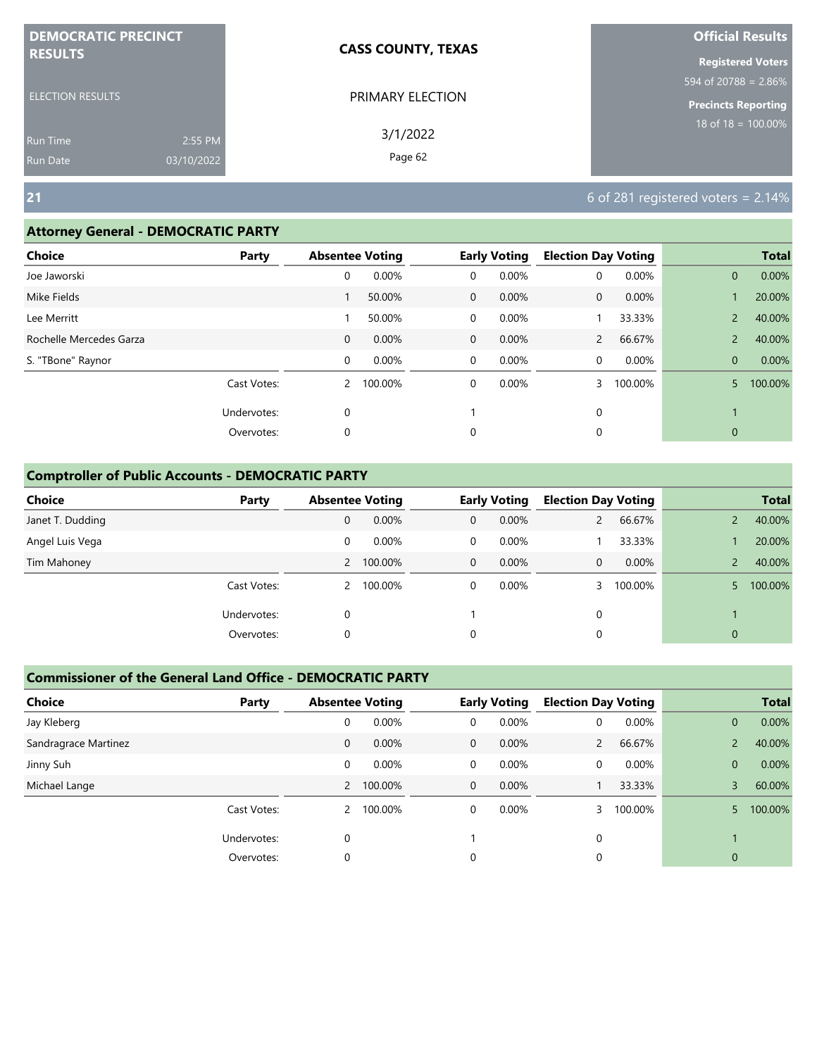| <b>DEMOCRATIC PRECINCT</b> |            | <b>CASS COUNTY, TEXAS</b> | <b>Official Results</b>    |
|----------------------------|------------|---------------------------|----------------------------|
| <b>RESULTS</b>             |            |                           | <b>Registered Voters</b>   |
|                            |            |                           | 594 of 20788 = 2.86%       |
| ELECTION RESULTS           |            | PRIMARY ELECTION          | <b>Precincts Reporting</b> |
| <b>Run Time</b>            | 2:55 PM    | 3/1/2022                  | $18$ of $18 = 100.00\%$    |
| <b>Run Date</b>            | 03/10/2022 | Page 62                   |                            |

#### **Attorney General - DEMOCRATIC PARTY**

| <b>Choice</b>           | Party       | <b>Absentee Voting</b> |         |              | <b>Early Voting</b> | <b>Election Day Voting</b> |         |                | <b>Total</b> |
|-------------------------|-------------|------------------------|---------|--------------|---------------------|----------------------------|---------|----------------|--------------|
| Joe Jaworski            |             | 0                      | 0.00%   | 0            | 0.00%               | 0                          | 0.00%   | $\mathbf{0}$   | 0.00%        |
| Mike Fields             |             |                        | 50.00%  | $\mathbf{0}$ | 0.00%               | 0                          | 0.00%   |                | 20.00%       |
| Lee Merritt             |             |                        | 50.00%  | 0            | 0.00%               |                            | 33.33%  | $\overline{2}$ | 40.00%       |
| Rochelle Mercedes Garza |             | $\mathbf{0}$           | 0.00%   | $\mathbf 0$  | 0.00%               | $\mathbf{2}$               | 66.67%  | $\overline{2}$ | 40.00%       |
| S. "TBone" Raynor       |             | 0                      | 0.00%   | $\mathbf 0$  | 0.00%               | 0                          | 0.00%   | $\mathbf{0}$   | 0.00%        |
|                         | Cast Votes: | $\overline{2}$         | 100.00% | $\mathbf 0$  | 0.00%               | 3                          | 100.00% | 5              | 100.00%      |
|                         | Undervotes: | 0                      |         |              |                     | 0                          |         |                |              |
|                         | Overvotes:  | 0                      |         | 0            |                     | 0                          |         | $\mathbf{0}$   |              |
|                         |             |                        |         |              |                     |                            |         |                |              |

#### **Comptroller of Public Accounts - DEMOCRATIC PARTY**

| <b>Choice</b>    | Party       | <b>Absentee Voting</b> |           |              | <b>Early Voting</b> | <b>Election Day Voting</b> |         |          | <b>Total</b> |
|------------------|-------------|------------------------|-----------|--------------|---------------------|----------------------------|---------|----------|--------------|
| Janet T. Dudding |             | 0                      | 0.00%     | $\mathbf{0}$ | 0.00%               |                            | 66.67%  |          | 40.00%       |
| Angel Luis Vega  |             | 0                      | 0.00%     | 0            | $0.00\%$            |                            | 33.33%  |          | 20.00%       |
| Tim Mahoney      |             |                        | 2 100.00% | $\mathbf 0$  | $0.00\%$            | $\overline{0}$             | 0.00%   |          | 40.00%       |
|                  | Cast Votes: | 2                      | 100.00%   | 0            | $0.00\%$            |                            | 100.00% |          | 100.00%      |
|                  | Undervotes: | 0                      |           |              |                     | 0                          |         |          |              |
|                  | Overvotes:  | 0                      |           | 0            |                     | 0                          |         | $\Omega$ |              |

| <b>Choice</b>        | Party       | <b>Absentee Voting</b> |           |              | <b>Early Voting</b> | <b>Election Day Voting</b> |         |                | <b>Total</b> |
|----------------------|-------------|------------------------|-----------|--------------|---------------------|----------------------------|---------|----------------|--------------|
| Jay Kleberg          |             | 0                      | 0.00%     | 0            | 0.00%               | 0                          | 0.00%   | $\overline{0}$ | 0.00%        |
| Sandragrace Martinez |             | $\mathbf{0}$           | 0.00%     | $\mathbf{0}$ | 0.00%               | $\mathbf{2}$               | 66.67%  |                | 40.00%       |
| Jinny Suh            |             | 0                      | 0.00%     | 0            | 0.00%               | 0                          | 0.00%   | $\overline{0}$ | 0.00%        |
| Michael Lange        |             |                        | 2 100.00% | $\mathbf{0}$ | 0.00%               |                            | 33.33%  | 3              | 60.00%       |
|                      | Cast Votes: | 2                      | 100.00%   | 0            | $0.00\%$            |                            | 100.00% | 5.             | 100.00%      |
|                      | Undervotes: | 0                      |           |              |                     | $\Omega$                   |         |                |              |
|                      | Overvotes:  | 0                      |           | 0            |                     | 0                          |         | 0              |              |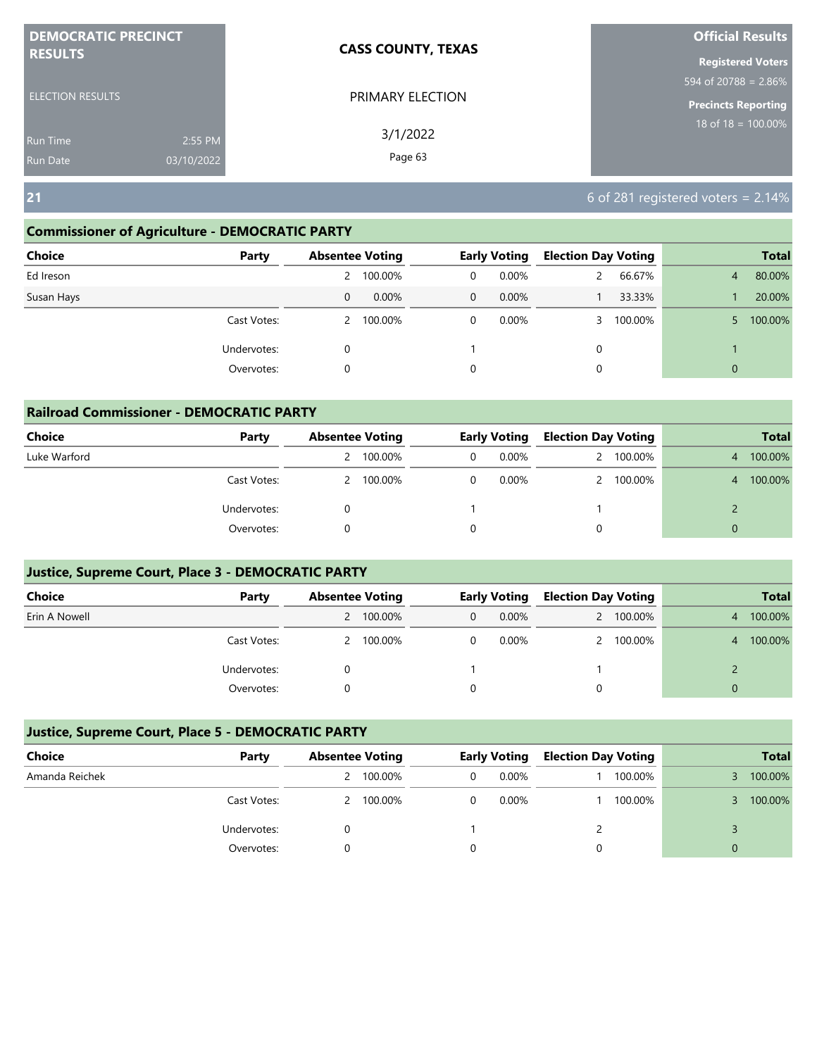| <b>DEMOCRATIC PRECINCT</b>    | <b>CASS COUNTY, TEXAS</b> | <b>Official Results</b>    |
|-------------------------------|---------------------------|----------------------------|
| <b>RESULTS</b>                |                           | <b>Registered Voters</b>   |
|                               |                           | 594 of 20788 = 2.86%       |
| <b>ELECTION RESULTS</b>       | PRIMARY ELECTION          | <b>Precincts Reporting</b> |
| 2:55 PM<br><b>Run Time</b>    | 3/1/2022                  | $18$ of $18 = 100.00\%$    |
| 03/10/2022<br><b>Run Date</b> | Page 63                   |                            |

#### **Commissioner of Agriculture - DEMOCRATIC PARTY**

| <b>Choice</b> | Party       |   | <b>Absentee Voting</b> |             | <b>Early Voting</b> | <b>Election Day Voting</b> |         |                | <b>Total</b> |
|---------------|-------------|---|------------------------|-------------|---------------------|----------------------------|---------|----------------|--------------|
| Ed Ireson     |             |   | 2 100.00%              | $\Omega$    | 0.00%               |                            | 66.67%  | $\overline{4}$ | 80.00%       |
| Susan Hays    |             | 0 | $0.00\%$               | $\mathbf 0$ | $0.00\%$            |                            | 33.33%  |                | 20.00%       |
|               | Cast Votes: |   | 2 100.00%              | 0           | 0.00%               |                            | 100.00% | 5.             | 100.00%      |
|               | Undervotes: | 0 |                        |             |                     | 0                          |         |                |              |
|               | Overvotes:  | 0 |                        | 0           |                     | 0                          |         | $\mathbf{0}$   |              |
|               |             |   |                        |             |                     |                            |         |                |              |

| <b>Railroad Commissioner - DEMOCRATIC PARTY</b> |             |   |                        |   |                     |                            |           |                |              |
|-------------------------------------------------|-------------|---|------------------------|---|---------------------|----------------------------|-----------|----------------|--------------|
| <b>Choice</b>                                   | Party       |   | <b>Absentee Voting</b> |   | <b>Early Voting</b> | <b>Election Day Voting</b> |           |                | <b>Total</b> |
| Luke Warford                                    |             |   | 100.00%                | 0 | $0.00\%$            |                            | 2 100.00% | $\overline{4}$ | 100.00%      |
|                                                 | Cast Votes: | 2 | 100.00%                |   | $0.00\%$            |                            | 2 100.00% | $\overline{4}$ | 100.00%      |
|                                                 | Undervotes: |   |                        |   |                     |                            |           |                |              |
|                                                 | Overvotes:  |   |                        |   |                     | 0                          |           |                |              |

#### **Justice, Supreme Court, Place 3 - DEMOCRATIC PARTY**

| <b>Choice</b> | Party       | <b>Absentee Voting</b> |           |   | <b>Early Voting</b> | <b>Election Day Voting</b> |           |   | <b>Total</b> |
|---------------|-------------|------------------------|-----------|---|---------------------|----------------------------|-----------|---|--------------|
| Erin A Nowell |             |                        | 2 100.00% | 0 | $0.00\%$            |                            | 2 100.00% | 4 | 100.00%      |
|               | Cast Votes: |                        | 2 100.00% |   | $0.00\%$            |                            | 2 100.00% | 4 | 100.00%      |
|               | Undervotes: |                        |           |   |                     |                            |           |   |              |
|               | Overvotes:  |                        |           |   |                     |                            |           | 0 |              |

| Choice         | Party       | <b>Absentee Voting</b> |           |   | <b>Early Voting</b> | <b>Election Day Voting</b> |         |   | <b>Total</b> |
|----------------|-------------|------------------------|-----------|---|---------------------|----------------------------|---------|---|--------------|
| Amanda Reichek |             |                        | 100.00%   | 0 | 0.00%               |                            | 100.00% |   | 100.00%      |
|                | Cast Votes: |                        | 2 100.00% |   | $0.00\%$            |                            | 100.00% |   | 100.00%      |
|                | Undervotes: |                        |           |   |                     |                            |         |   |              |
|                | Overvotes:  |                        |           |   |                     |                            |         | 0 |              |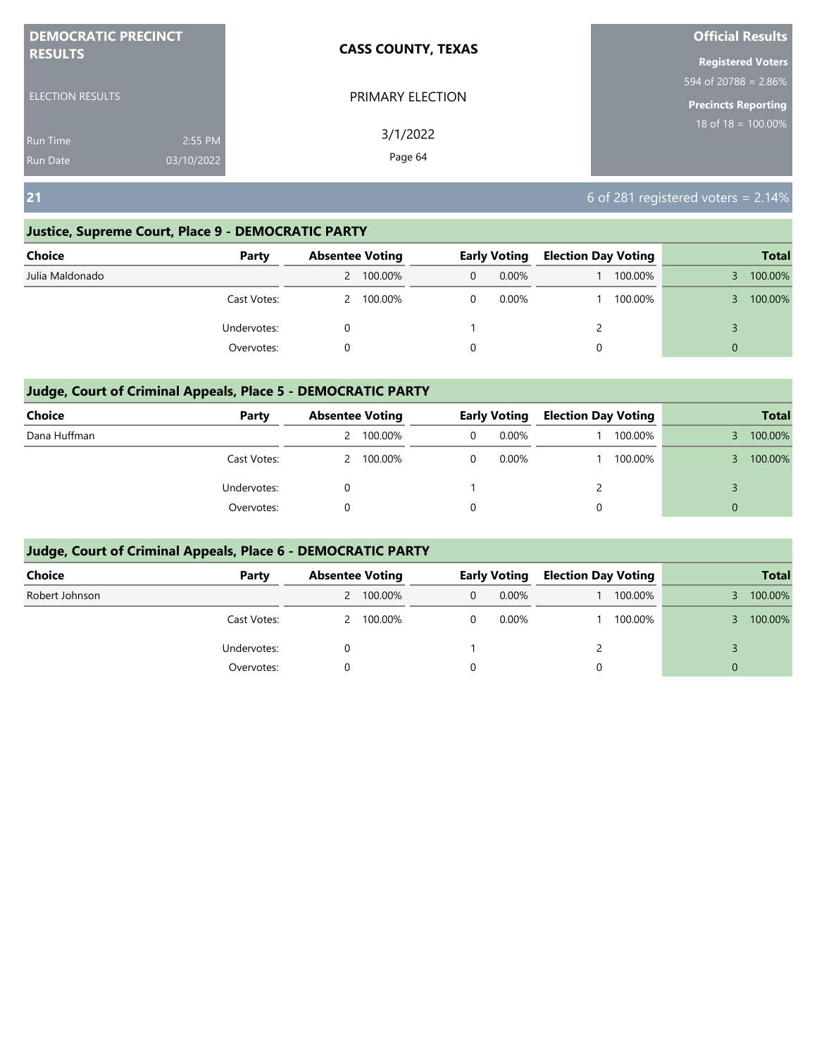| <b>DEMOCRATIC PRECINCT</b>    | <b>CASS COUNTY, TEXAS</b> | <b>Official Results</b>    |
|-------------------------------|---------------------------|----------------------------|
| <b>RESULTS</b>                |                           | <b>Registered Voters</b>   |
|                               |                           | 594 of 20788 = $2.86\%$    |
| <b>ELECTION RESULTS</b>       | PRIMARY ELECTION          | <b>Precincts Reporting</b> |
| 2:55 PM<br><b>Run Time</b>    | 3/1/2022                  | $18$ of 18 = 100.00%       |
| 03/10/2022<br><b>Run Date</b> | Page 64                   |                            |

#### **Justice, Supreme Court, Place 9 - DEMOCRATIC PARTY**

| <b>Choice</b>   | Party       | <b>Absentee Voting</b> |              | <b>Early Voting</b> | <b>Election Day Voting</b> |         |          | <b>Total</b> |
|-----------------|-------------|------------------------|--------------|---------------------|----------------------------|---------|----------|--------------|
| Julia Maldonado |             | 2 100.00%              | $\mathbf{0}$ | $0.00\%$            |                            | 100.00% |          | 100.00%      |
|                 | Cast Votes: | 2 100.00%              | 0            | $0.00\%$            |                            | 100.00% |          | 100.00%      |
|                 | Undervotes: |                        |              |                     |                            |         |          |              |
|                 | Overvotes:  |                        | 0            |                     | 0                          |         | $\Omega$ |              |

#### **Judge, Court of Criminal Appeals, Place 5 - DEMOCRATIC PARTY**

| <b>Choice</b> | Party       | <b>Absentee Voting</b> | <b>Early Voting</b> | <b>Election Day Voting</b> |         |          | <b>Total</b> |
|---------------|-------------|------------------------|---------------------|----------------------------|---------|----------|--------------|
| Dana Huffman  |             | 100.00%                | $0.00\%$            |                            | 100.00% |          | 100.00%      |
|               | Cast Votes: | 2 100.00%              | 0.00%               |                            | 100.00% |          | 100.00%      |
|               | Undervotes: |                        |                     |                            |         |          |              |
|               | Overvotes:  |                        |                     | 0                          |         | $\Omega$ |              |

| Choice         | Party       | <b>Absentee Voting</b> |   | <b>Early Voting</b> | <b>Election Day Voting</b> |         |          | <b>Total</b> |
|----------------|-------------|------------------------|---|---------------------|----------------------------|---------|----------|--------------|
| Robert Johnson |             | 2 100.00%              | 0 | 0.00%               |                            | 100.00% |          | 100.00%      |
|                | Cast Votes: | 2 100.00%              |   | 0.00%               |                            | 100.00% |          | 100.00%      |
|                | Undervotes: |                        |   |                     |                            |         |          |              |
|                | Overvotes:  |                        |   |                     |                            |         | $\Omega$ |              |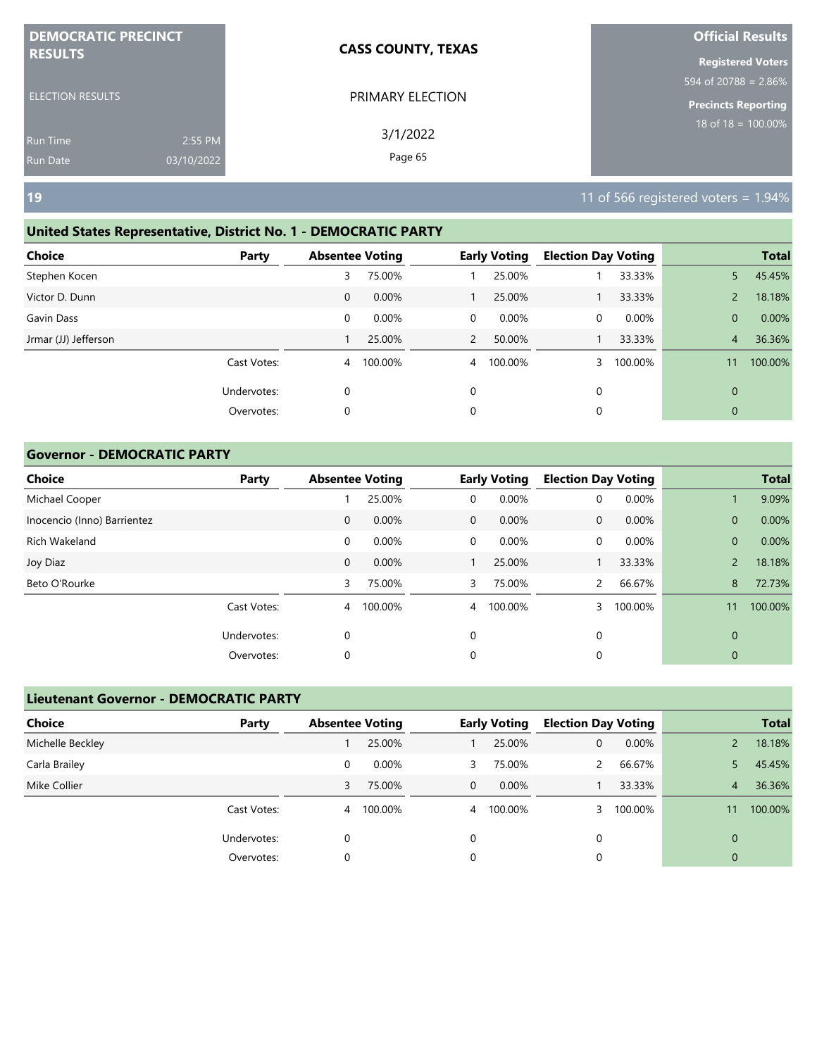| <b>DEMOCRATIC PRECINCT</b>                |                       | <b>CASS COUNTY, TEXAS</b> | <b>Official Results</b>                             |
|-------------------------------------------|-----------------------|---------------------------|-----------------------------------------------------|
| <b>RESULTS</b><br><b>ELECTION RESULTS</b> |                       | PRIMARY ELECTION          | <b>Registered Voters</b><br>594 of 20788 = $2.86\%$ |
| <b>Run Time</b><br>Run Date               | 2:55 PM<br>03/10/2022 | 3/1/2022<br>Page 65       | <b>Precincts Reporting</b><br>$18$ of 18 = 100.00%  |
| <b>19</b>                                 |                       |                           | 11 of 566 registered voters = $1.94\%$              |

#### **United States Representative, District No. 1 - DEMOCRATIC PARTY**

| Choice               | Party       | <b>Absentee Voting</b> |         |                | <b>Early Voting</b> | <b>Election Day Voting</b> |         |                | <b>Total</b> |
|----------------------|-------------|------------------------|---------|----------------|---------------------|----------------------------|---------|----------------|--------------|
| Stephen Kocen        |             | 3                      | 75.00%  |                | 25.00%              |                            | 33.33%  | 5              | 45.45%       |
| Victor D. Dunn       |             | $\mathbf 0$            | 0.00%   |                | 25.00%              |                            | 33.33%  | $\overline{2}$ | 18.18%       |
| Gavin Dass           |             | 0                      | 0.00%   | 0              | 0.00%               | 0                          | 0.00%   | $\mathbf{0}$   | 0.00%        |
| Jrmar (JJ) Jefferson |             |                        | 25.00%  | 2              | 50.00%              |                            | 33.33%  | $\overline{4}$ | 36.36%       |
|                      | Cast Votes: | $\overline{4}$         | 100.00% | $\overline{4}$ | 100.00%             |                            | 100.00% | 11             | 100.00%      |
|                      | Undervotes: | 0                      |         | 0              |                     | 0                          |         | $\mathbf{0}$   |              |
|                      | Overvotes:  | $\mathbf 0$            |         | 0              |                     | 0                          |         | $\mathbf{0}$   |              |
|                      |             |                        |         |                |                     |                            |         |                |              |

#### **Governor - DEMOCRATIC PARTY**

| <b>Choice</b>               | Party       | <b>Absentee Voting</b> |         |              | <b>Early Voting</b> | <b>Election Day Voting</b> |         |                | <b>Total</b> |
|-----------------------------|-------------|------------------------|---------|--------------|---------------------|----------------------------|---------|----------------|--------------|
| Michael Cooper              |             |                        | 25.00%  | 0            | 0.00%               | 0                          | 0.00%   |                | 9.09%        |
| Inocencio (Inno) Barrientez |             | $\mathbf 0$            | 0.00%   | $\mathbf{0}$ | $0.00\%$            | $\mathbf{0}$               | 0.00%   | $\mathbf{0}$   | 0.00%        |
| Rich Wakeland               |             | 0                      | 0.00%   | $\mathbf 0$  | 0.00%               | 0                          | 0.00%   | $\mathbf{0}$   | 0.00%        |
| Joy Diaz                    |             | $\mathbf 0$            | 0.00%   |              | 25.00%              |                            | 33.33%  | $\overline{2}$ | 18.18%       |
| Beto O'Rourke               |             | 3                      | 75.00%  | 3            | 75.00%              | 2                          | 66.67%  | 8              | 72.73%       |
|                             | Cast Votes: | 4                      | 100.00% | 4            | 100.00%             | 3                          | 100.00% | 11             | 100.00%      |
|                             | Undervotes: | 0                      |         | $\mathbf 0$  |                     | 0                          |         | $\mathbf 0$    |              |
|                             | Overvotes:  | 0                      |         | 0            |                     | 0                          |         | 0              |              |

|                  | <b>Lieutenant Governor - DEMOCRATIC PARTY</b> |                        |         |                |                     |                            |          |              |              |  |  |  |
|------------------|-----------------------------------------------|------------------------|---------|----------------|---------------------|----------------------------|----------|--------------|--------------|--|--|--|
| Choice           | Party                                         | <b>Absentee Voting</b> |         |                | <b>Early Voting</b> | <b>Election Day Voting</b> |          |              | <b>Total</b> |  |  |  |
| Michelle Beckley |                                               |                        | 25.00%  |                | 25.00%              | 0                          | $0.00\%$ |              | 18.18%       |  |  |  |
| Carla Brailey    |                                               | 0                      | 0.00%   | 3              | 75.00%              | $\mathbf{2}$               | 66.67%   | 5.           | 45.45%       |  |  |  |
| Mike Collier     |                                               | 3                      | 75.00%  | $\mathbf 0$    | $0.00\%$            |                            | 33.33%   | 4            | 36.36%       |  |  |  |
|                  | Cast Votes:                                   | 4                      | 100.00% | $\overline{4}$ | 100.00%             |                            | 100.00%  | 11           | 100.00%      |  |  |  |
|                  | Undervotes:                                   | 0                      |         | 0              |                     | 0                          |          | $\mathbf{0}$ |              |  |  |  |
|                  | Overvotes:                                    | 0                      |         | 0              |                     | 0                          |          | $\mathbf{0}$ |              |  |  |  |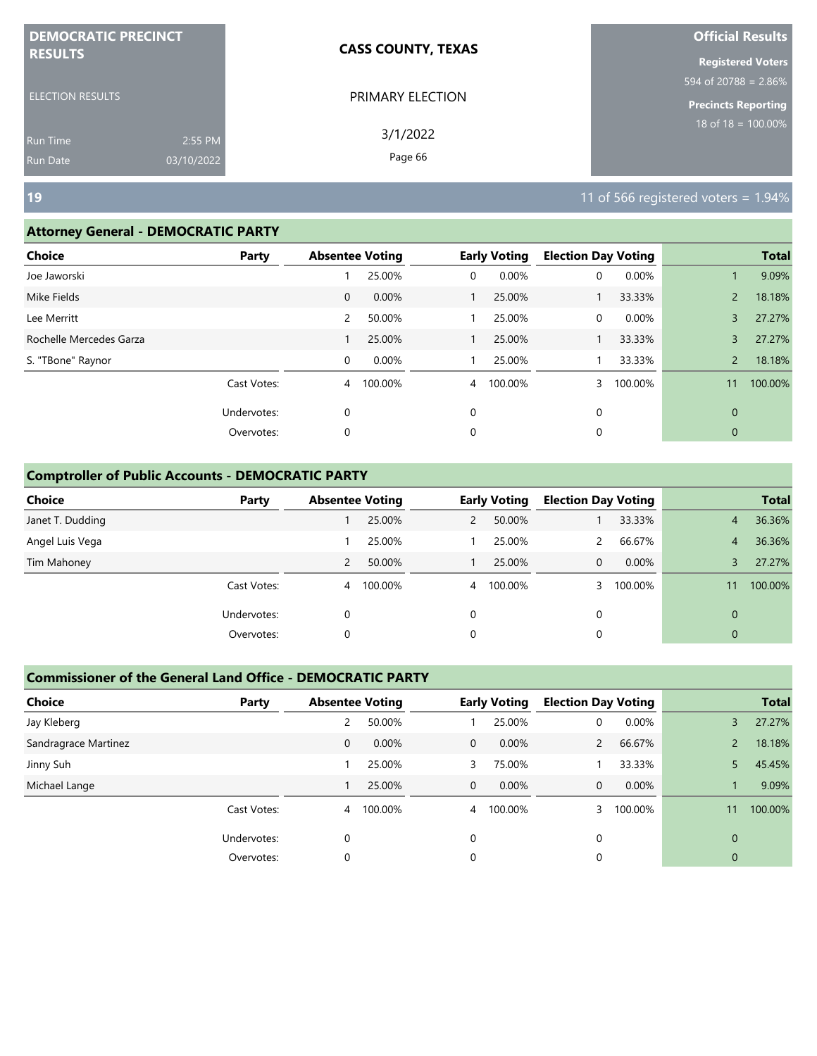| <b>DEMOCRATIC PRECINCT</b>                |                       | <b>CASS COUNTY, TEXAS</b> | <b>Official Results</b>                             |
|-------------------------------------------|-----------------------|---------------------------|-----------------------------------------------------|
| <b>RESULTS</b><br><b>ELECTION RESULTS</b> |                       | PRIMARY ELECTION          | <b>Registered Voters</b><br>594 of 20788 = $2.86\%$ |
| <b>Run Time</b><br><b>Run Date</b>        | 2:55 PM<br>03/10/2022 | 3/1/2022<br>Page 66       | Precincts Reporting<br>$18$ of $18 = 100.00\%$      |
| <b>19</b>                                 |                       |                           | 11 of 566 registered voters = $1.94\%$              |

#### **Attorney General - DEMOCRATIC PARTY**

| Choice                  | <b>Party</b> | <b>Absentee Voting</b> |         |                | <b>Early Voting</b> | <b>Election Day Voting</b> |         |                | <b>Total</b> |
|-------------------------|--------------|------------------------|---------|----------------|---------------------|----------------------------|---------|----------------|--------------|
| Joe Jaworski            |              |                        | 25.00%  | 0              | 0.00%               | 0                          | 0.00%   |                | 9.09%        |
| Mike Fields             |              | $\mathbf 0$            | 0.00%   |                | 25.00%              |                            | 33.33%  | $\overline{2}$ | 18.18%       |
| Lee Merritt             |              | 2                      | 50.00%  |                | 25.00%              | 0                          | 0.00%   | 3              | 27.27%       |
| Rochelle Mercedes Garza |              |                        | 25.00%  |                | 25.00%              |                            | 33.33%  | 3              | 27.27%       |
| S. "TBone" Raynor       |              | 0                      | 0.00%   |                | 25.00%              |                            | 33.33%  | $\overline{2}$ | 18.18%       |
|                         | Cast Votes:  | 4                      | 100.00% | $\overline{4}$ | 100.00%             | 3                          | 100.00% | 11             | 100.00%      |
|                         | Undervotes:  | $\mathbf 0$            |         | 0              |                     | 0                          |         | $\Omega$       |              |
|                         | Overvotes:   | 0                      |         | 0              |                     | 0                          |         | $\mathbf{0}$   |              |
|                         |              |                        |         |                |                     |                            |         |                |              |

#### **Comptroller of Public Accounts - DEMOCRATIC PARTY**

| <b>Choice</b>    | Party       | <b>Absentee Voting</b> |         |          | <b>Early Voting</b> | <b>Election Day Voting</b> |         |                | <b>Total</b> |
|------------------|-------------|------------------------|---------|----------|---------------------|----------------------------|---------|----------------|--------------|
| Janet T. Dudding |             |                        | 25.00%  | 2        | 50.00%              |                            | 33.33%  | 4              | 36.36%       |
| Angel Luis Vega  |             |                        | 25.00%  |          | 25.00%              |                            | 66.67%  | $\overline{4}$ | 36.36%       |
| Tim Mahoney      |             | 2                      | 50.00%  |          | 25.00%              | 0                          | 0.00%   |                | 27.27%       |
|                  | Cast Votes: | $\overline{4}$         | 100.00% |          | 4 100.00%           |                            | 100.00% | 11             | 100.00%      |
|                  | Undervotes: | 0                      |         | $\Omega$ |                     | 0                          |         | $\mathbf{0}$   |              |
|                  | Overvotes:  | 0                      |         | 0        |                     | 0                          |         | $\mathbf{0}$   |              |

| <b>Choice</b>        | Party       | <b>Absentee Voting</b> |          |                | <b>Early Voting</b> | <b>Election Day Voting</b> |         |                | <b>Total</b> |
|----------------------|-------------|------------------------|----------|----------------|---------------------|----------------------------|---------|----------------|--------------|
| Jay Kleberg          |             | 2                      | 50.00%   |                | 25.00%              | 0                          | 0.00%   | 3              | 27.27%       |
| Sandragrace Martinez |             | 0                      | $0.00\%$ | $\mathbf{0}$   | $0.00\%$            | $\overline{2}$             | 66.67%  | $\overline{2}$ | 18.18%       |
| Jinny Suh            |             |                        | 25.00%   | 3              | 75.00%              |                            | 33.33%  | 5              | 45.45%       |
| Michael Lange        |             |                        | 25.00%   | $\mathbf{0}$   | 0.00%               | 0                          | 0.00%   |                | 9.09%        |
|                      | Cast Votes: | $\overline{4}$         | 100.00%  | $\overline{4}$ | 100.00%             |                            | 100.00% | 11             | 100.00%      |
|                      | Undervotes: | 0                      |          | $\Omega$       |                     | $\Omega$                   |         | $\Omega$       |              |
|                      | Overvotes:  | 0                      |          | 0              |                     |                            |         | 0              |              |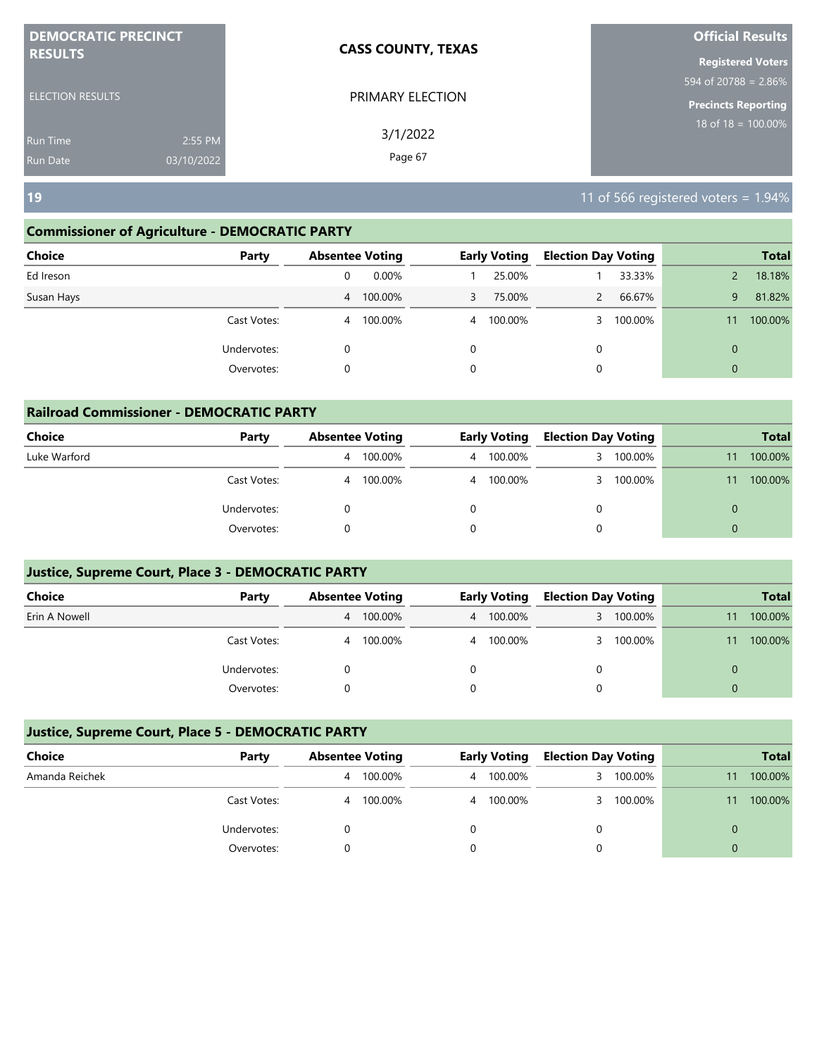| <b>DEMOCRATIC PRECINCT</b><br><b>RESULTS</b> |            | <b>CASS COUNTY, TEXAS</b> | <b>Official Results</b>    |
|----------------------------------------------|------------|---------------------------|----------------------------|
|                                              |            |                           | <b>Registered Voters</b>   |
|                                              |            |                           | 594 of 20788 = 2.86%       |
| <b>ELECTION RESULTS</b>                      |            | PRIMARY ELECTION          | <b>Precincts Reporting</b> |
| <b>Run Time</b>                              | 2:55 PM    | 3/1/2022                  | 18 of 18 = $100.00\%$      |
| <b>Run Date</b>                              | 03/10/2022 | Page 67                   |                            |

**19** 11 of 566 registered voters = 1.94%

#### **Commissioner of Agriculture - DEMOCRATIC PARTY**

| <b>Choice</b> | Party       |                | <b>Absentee Voting</b> |          | <b>Early Voting</b> | <b>Election Day Voting</b> |         |              | <b>Total</b> |
|---------------|-------------|----------------|------------------------|----------|---------------------|----------------------------|---------|--------------|--------------|
| Ed Ireson     |             | 0              | $0.00\%$               |          | 25.00%              |                            | 33.33%  |              | 18.18%       |
| Susan Hays    |             |                | 4 100.00%              | 3        | 75.00%              |                            | 66.67%  | 9            | 81.82%       |
|               | Cast Votes: | $\overline{4}$ | 100.00%                |          | 4 100.00%           |                            | 100.00% | 11           | 100.00%      |
|               | Undervotes: | 0              |                        | $\Omega$ |                     | 0                          |         | $\mathbf{0}$ |              |
|               | Overvotes:  | 0              |                        | 0        |                     | 0                          |         | $\mathbf{0}$ |              |
|               |             |                |                        |          |                     |                            |         |              |              |

| <b>Railroad Commissioner - DEMOCRATIC PARTY</b> |             |   |                        |   |                     |                            |           |          |              |  |
|-------------------------------------------------|-------------|---|------------------------|---|---------------------|----------------------------|-----------|----------|--------------|--|
| <b>Choice</b>                                   | Party       |   | <b>Absentee Voting</b> |   | <b>Early Voting</b> | <b>Election Day Voting</b> |           |          | <b>Total</b> |  |
| Luke Warford                                    |             | 4 | 100.00%                | 4 | 100.00%             | 3                          | 100.00%   | 11       | 100.00%      |  |
|                                                 | Cast Votes: | 4 | 100.00%                | 4 | 100.00%             |                            | 3 100.00% | 11       | 100.00%      |  |
|                                                 | Undervotes: | 0 |                        |   |                     |                            |           | $\Omega$ |              |  |
|                                                 | Overvotes:  |   |                        |   |                     |                            |           | $\Omega$ |              |  |

#### **Justice, Supreme Court, Place 3 - DEMOCRATIC PARTY**

| <b>Choice</b> | Party       | <b>Absentee Voting</b> |         | <b>Early Voting</b> |           | <b>Election Day Voting</b> |         |    | <b>Total</b> |
|---------------|-------------|------------------------|---------|---------------------|-----------|----------------------------|---------|----|--------------|
| Erin A Nowell |             | 4                      | 100.00% |                     | 4 100.00% | 3                          | 100.00% |    | 100.00%      |
|               | Cast Votes: | 4                      | 100.00% |                     | 4 100.00% | 3                          | 100.00% | 11 | 100.00%      |
|               | Undervotes: |                        |         |                     |           |                            |         |    |              |
|               | Overvotes:  |                        |         |                     |           |                            |         |    |              |

| Choice         | Party       | <b>Absentee Voting</b> | <b>Early Voting</b> |  | <b>Election Day Voting</b> |    | <b>Total</b> |
|----------------|-------------|------------------------|---------------------|--|----------------------------|----|--------------|
| Amanda Reichek |             | 100.00%<br>4           | 4 100.00%           |  | 100.00%                    | 11 | 100.00%      |
|                | Cast Votes: | 100.00%<br>4           | 4 100.00%           |  | 100.00%                    |    | 100.00%      |
|                | Undervotes: |                        |                     |  |                            |    |              |
|                | Overvotes:  |                        |                     |  |                            | 0  |              |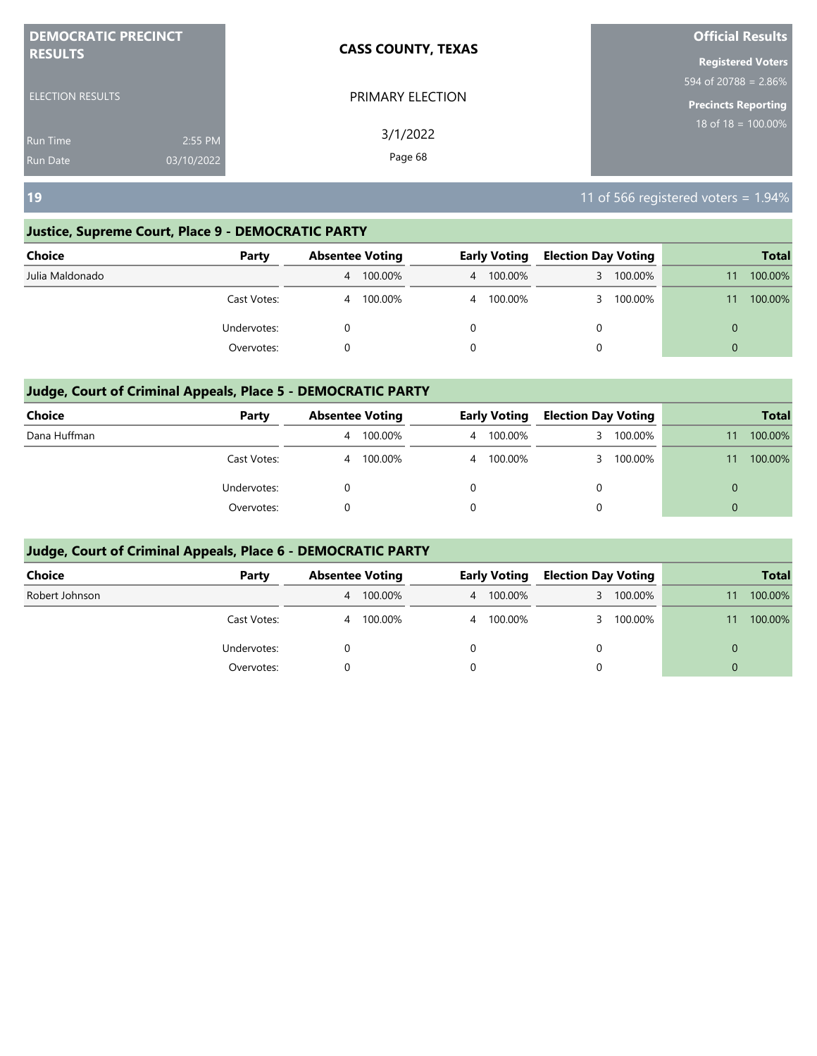| <b>DEMOCRATIC PRECINCT</b> | <b>CASS COUNTY, TEXAS</b> |                                             |
|----------------------------|---------------------------|---------------------------------------------|
| <b>RESULTS</b>             |                           | <b>Registered Voters</b>                    |
|                            |                           | $594 \overline{\text{ of } 20788} = 2.86\%$ |
| <b>ELECTION RESULTS</b>    | PRIMARY ELECTION          | <b>Precincts Reporting</b>                  |
| 2:55 PM<br>Run Time        | 3/1/2022                  | 18 of $18 = 100.00\%$                       |
| 03/10/2022<br>Run Date     | Page 68                   |                                             |

**19** 11 of 566 registered voters = 1.94%

#### **Justice, Supreme Court, Place 9 - DEMOCRATIC PARTY**

| <b>Choice</b>   | Party       | <b>Absentee Voting</b> |         | <b>Early Voting</b> |           | <b>Election Day Voting</b> |         |          | <b>Total</b> |
|-----------------|-------------|------------------------|---------|---------------------|-----------|----------------------------|---------|----------|--------------|
| Julia Maldonado |             | 4                      | 100.00% |                     | 4 100.00% | 3.                         | 100.00% |          | 100.00%      |
|                 | Cast Votes: | 4                      | 100.00% |                     | 4 100.00% | 3                          | 100.00% | 11       | 100.00%      |
|                 | Undervotes: |                        |         |                     |           | 0                          |         | 0        |              |
|                 | Overvotes:  |                        |         |                     |           | 0                          |         | $\Omega$ |              |

#### **Judge, Court of Criminal Appeals, Place 5 - DEMOCRATIC PARTY**

| <b>Choice</b> | Party       |   | <b>Absentee Voting</b> |  | <b>Early Voting</b> |   | <b>Election Day Voting</b> | <b>Total</b> |         |
|---------------|-------------|---|------------------------|--|---------------------|---|----------------------------|--------------|---------|
| Dana Huffman  |             | 4 | 100.00%                |  | 4 100.00%           |   | 100.00%                    | 11           | 100.00% |
|               | Cast Votes: | 4 | 100.00%                |  | 4 100.00%           |   | 100.00%                    |              | 100.00% |
|               | Undervotes: |   |                        |  |                     | 0 |                            | $\Omega$     |         |
|               | Overvotes:  |   |                        |  |                     | 0 |                            | $\Omega$     |         |

| Choice         | Party       | <b>Absentee Voting</b>    | <b>Early Voting</b> | <b>Election Day Voting</b> | <b>Total</b>  |
|----------------|-------------|---------------------------|---------------------|----------------------------|---------------|
| Robert Johnson |             | 100.00%<br>$\overline{4}$ | 4 100.00%           | 100.00%<br>3               | 100.00%<br>11 |
|                | Cast Votes: | 100.00%<br>4              | 4 100.00%           | 100.00%                    | 100.00%<br>11 |
|                | Undervotes: |                           |                     | 0                          | 0             |
|                | Overvotes:  |                           |                     | 0                          | $\Omega$      |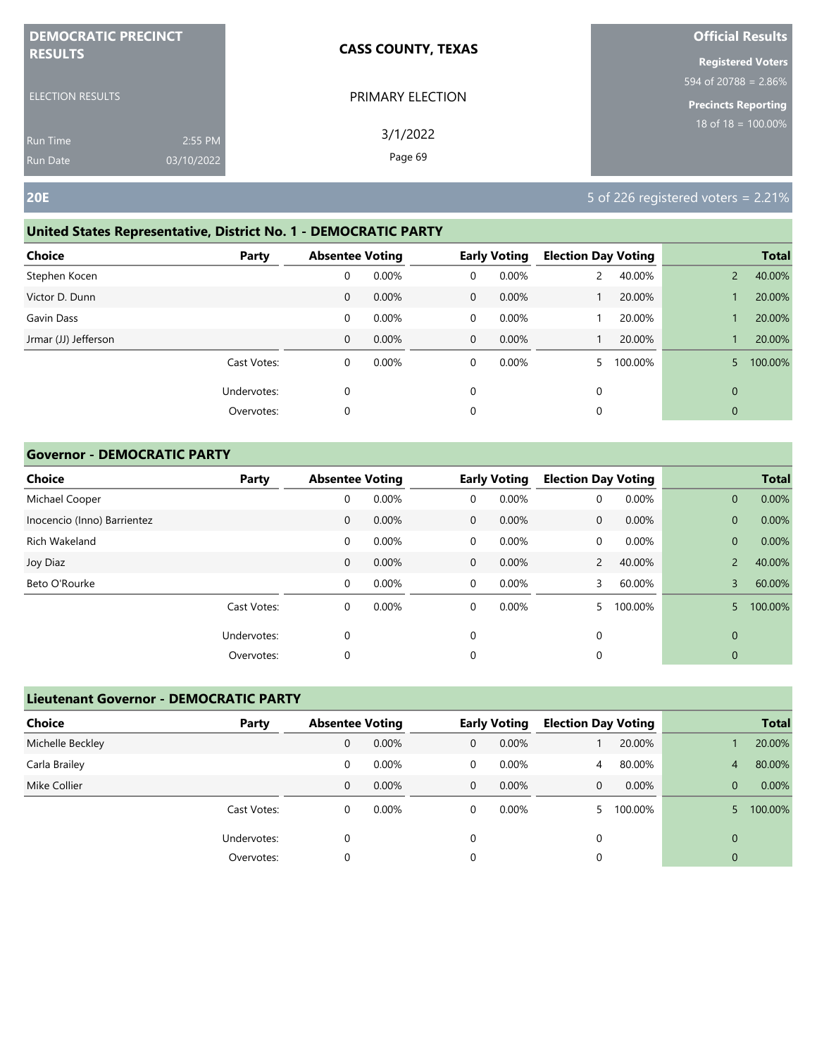| <b>DEMOCRATIC PRECINCT</b><br><b>RESULTS</b> |            | <b>CASS COUNTY, TEXAS</b> | <b>Official Results</b>    |
|----------------------------------------------|------------|---------------------------|----------------------------|
|                                              |            |                           | <b>Registered Voters</b>   |
|                                              |            |                           | 594 of 20788 = $2.86\%$    |
| <b>ELECTION RESULTS</b>                      |            | PRIMARY ELECTION          | <b>Precincts Reporting</b> |
| <b>Run Time</b>                              | 2:55 PM    | 3/1/2022                  | $18$ of $18 = 100.00\%$    |
| Run Date                                     | 03/10/2022 | Page 69                   |                            |

#### **United States Representative, District No. 1 - DEMOCRATIC PARTY**

| <b>Choice</b>        | Party       | <b>Absentee Voting</b> |       |             | <b>Early Voting</b> | <b>Election Day Voting</b> |         |                | <b>Total</b> |
|----------------------|-------------|------------------------|-------|-------------|---------------------|----------------------------|---------|----------------|--------------|
| Stephen Kocen        |             | 0                      | 0.00% | 0           | 0.00%               |                            | 40.00%  | $\overline{2}$ | 40.00%       |
| Victor D. Dunn       |             | 0                      | 0.00% | $\mathbf 0$ | 0.00%               |                            | 20.00%  |                | 20.00%       |
| Gavin Dass           |             | 0                      | 0.00% | 0           | 0.00%               |                            | 20.00%  |                | 20.00%       |
| Jrmar (JJ) Jefferson |             | 0                      | 0.00% | $\mathbf 0$ | $0.00\%$            |                            | 20.00%  |                | 20.00%       |
|                      | Cast Votes: | 0                      | 0.00% | 0           | $0.00\%$            |                            | 100.00% | 5.             | 100.00%      |
|                      | Undervotes: | 0                      |       | $\mathbf 0$ |                     | 0                          |         | $\mathbf{0}$   |              |
|                      | Overvotes:  | 0                      |       | 0           |                     | 0                          |         | $\mathbf 0$    |              |

#### **Governor - DEMOCRATIC PARTY**

| <b>Choice</b>               | Party       | <b>Absentee Voting</b> |       |              | <b>Early Voting</b> | <b>Election Day Voting</b> |         |                | <b>Total</b> |
|-----------------------------|-------------|------------------------|-------|--------------|---------------------|----------------------------|---------|----------------|--------------|
| Michael Cooper              |             | 0                      | 0.00% | 0            | 0.00%               | 0                          | 0.00%   | $\mathbf{0}$   | 0.00%        |
| Inocencio (Inno) Barrientez |             | $\mathbf 0$            | 0.00% | $\mathbf{0}$ | 0.00%               | $\mathbf{0}$               | 0.00%   | $\mathbf{0}$   | 0.00%        |
| Rich Wakeland               |             | 0                      | 0.00% | $\mathbf 0$  | 0.00%               | 0                          | 0.00%   | $\mathbf{0}$   | 0.00%        |
| Joy Diaz                    |             | $\mathbf 0$            | 0.00% | $\mathbf{0}$ | 0.00%               | $\overline{2}$             | 40.00%  | $\overline{2}$ | 40.00%       |
| Beto O'Rourke               |             | 0                      | 0.00% | $\mathbf 0$  | 0.00%               | 3                          | 60.00%  | 3              | 60.00%       |
|                             | Cast Votes: | 0                      | 0.00% | 0            | 0.00%               |                            | 100.00% | 5              | 100.00%      |
|                             | Undervotes: | 0                      |       | $\mathbf 0$  |                     | 0                          |         | $\mathbf 0$    |              |
|                             | Overvotes:  | 0                      |       | 0            |                     | 0                          |         | 0              |              |

| <b>Lieutenant Governor - DEMOCRATIC PARTY</b> |             |                        |          |              |                     |                |                            |          |              |
|-----------------------------------------------|-------------|------------------------|----------|--------------|---------------------|----------------|----------------------------|----------|--------------|
| <b>Choice</b>                                 | Party       | <b>Absentee Voting</b> |          |              | <b>Early Voting</b> |                | <b>Election Day Voting</b> |          | <b>Total</b> |
| Michelle Beckley                              |             | 0                      | 0.00%    | $\mathbf{0}$ | 0.00%               |                | 20.00%                     |          | 20.00%       |
| Carla Brailey                                 |             | 0                      | 0.00%    | $\Omega$     | $0.00\%$            | $\overline{4}$ | 80.00%                     | 4        | 80.00%       |
| Mike Collier                                  |             | 0                      | $0.00\%$ | $\Omega$     | $0.00\%$            | $\Omega$       | $0.00\%$                   | $\Omega$ | 0.00%        |
|                                               | Cast Votes: | 0                      | 0.00%    | 0            | 0.00%               |                | 100.00%                    |          | 100.00%      |
|                                               | Undervotes: | 0                      |          | 0            |                     | 0              |                            | $\Omega$ |              |
|                                               | Overvotes:  | 0                      |          | 0            |                     | 0              |                            | 0        |              |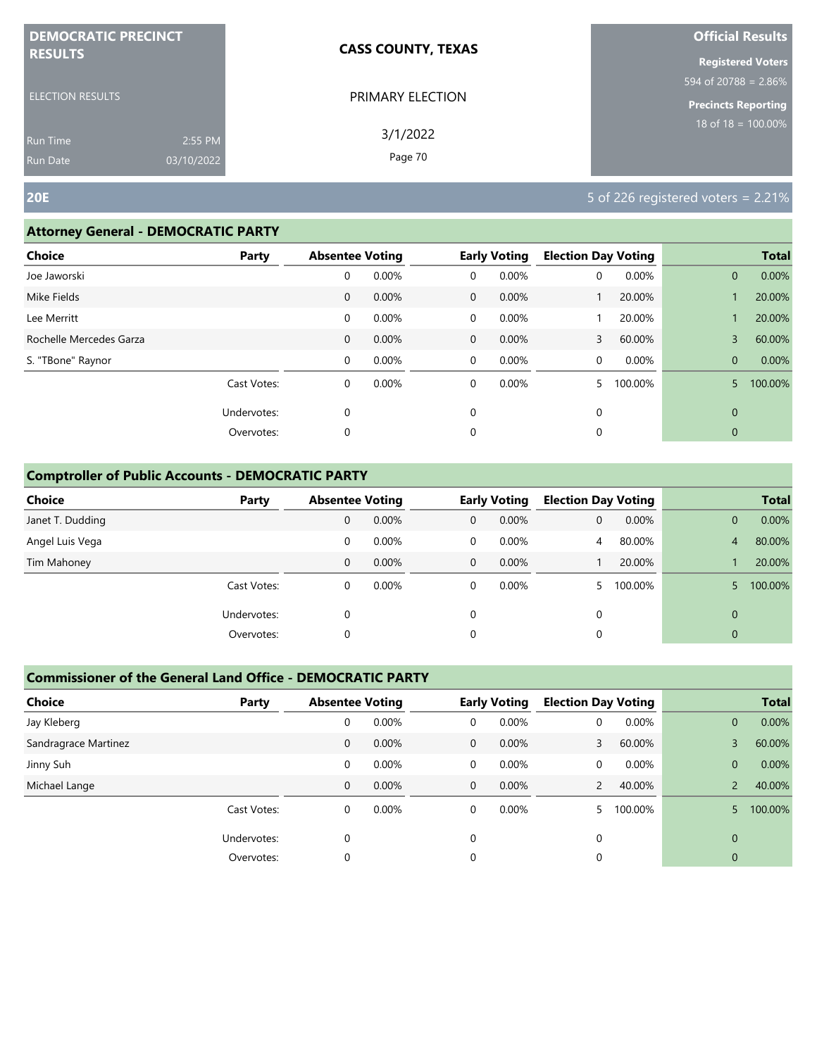| <b>DEMOCRATIC PRECINCT</b>    | <b>CASS COUNTY, TEXAS</b> | <b>Official Results</b>    |
|-------------------------------|---------------------------|----------------------------|
| <b>RESULTS</b>                |                           | <b>Registered Voters</b>   |
|                               |                           | 594 of 20788 = $2.86\%$    |
| <b>ELECTION RESULTS</b>       | PRIMARY ELECTION          | <b>Precincts Reporting</b> |
| 2:55 PM<br><b>Run Time</b>    | 3/1/2022                  | $18$ of $18 = 100.00\%$    |
| 03/10/2022<br><b>Run Date</b> | Page 70                   |                            |

#### **Attorney General - DEMOCRATIC PARTY**

| <b>Choice</b>           | Party       | <b>Absentee Voting</b> |       |                | <b>Early Voting</b> | <b>Election Day Voting</b> |         |              | <b>Total</b> |
|-------------------------|-------------|------------------------|-------|----------------|---------------------|----------------------------|---------|--------------|--------------|
| Joe Jaworski            |             | 0                      | 0.00% | 0              | 0.00%               | 0                          | 0.00%   | $\mathbf{0}$ | 0.00%        |
| Mike Fields             |             | $\mathbf{0}$           | 0.00% | $\overline{0}$ | 0.00%               |                            | 20.00%  |              | 20.00%       |
| Lee Merritt             |             | 0                      | 0.00% | 0              | 0.00%               |                            | 20.00%  |              | 20.00%       |
| Rochelle Mercedes Garza |             | $\mathbf 0$            | 0.00% | $\mathbf 0$    | 0.00%               | 3                          | 60.00%  | 3            | 60.00%       |
| S. "TBone" Raynor       |             | 0                      | 0.00% | 0              | 0.00%               | 0                          | 0.00%   | $\mathbf{0}$ | 0.00%        |
|                         | Cast Votes: | 0                      | 0.00% | $\Omega$       | 0.00%               |                            | 100.00% | 5            | 100.00%      |
|                         | Undervotes: | 0                      |       | $\mathbf 0$    |                     | 0                          |         | $\mathbf{0}$ |              |
|                         | Overvotes:  | 0                      |       | 0              |                     | 0                          |         | $\mathbf{0}$ |              |
|                         |             |                        |       |                |                     |                            |         |              |              |

#### **Comptroller of Public Accounts - DEMOCRATIC PARTY**

| <b>Choice</b>    | Party       | <b>Absentee Voting</b> |          |              | <b>Early Voting</b> | <b>Election Day Voting</b> |         |                | <b>Total</b> |
|------------------|-------------|------------------------|----------|--------------|---------------------|----------------------------|---------|----------------|--------------|
| Janet T. Dudding |             | 0                      | 0.00%    | $\mathbf{0}$ | 0.00%               | 0                          | 0.00%   | 0              | 0.00%        |
| Angel Luis Vega  |             | 0                      | 0.00%    | 0            | $0.00\%$            | $\overline{4}$             | 80.00%  | 4              | 80.00%       |
| Tim Mahoney      |             | 0                      | $0.00\%$ | $\mathbf 0$  | $0.00\%$            |                            | 20.00%  |                | 20.00%       |
|                  | Cast Votes: | 0                      | $0.00\%$ | 0            | 0.00%               |                            | 100.00% |                | 100.00%      |
|                  | Undervotes: | 0                      |          | 0            |                     | 0                          |         | $\Omega$       |              |
|                  | Overvotes:  | 0                      |          | 0            |                     | 0                          |         | $\overline{0}$ |              |

| <b>Choice</b>        | Party       | <b>Absentee Voting</b> |       |              | <b>Early Voting</b> | <b>Election Day Voting</b> |         |                | <b>Total</b> |
|----------------------|-------------|------------------------|-------|--------------|---------------------|----------------------------|---------|----------------|--------------|
| Jay Kleberg          |             | 0                      | 0.00% | 0            | 0.00%               | 0                          | 0.00%   | $\overline{0}$ | 0.00%        |
| Sandragrace Martinez |             | 0                      | 0.00% | $\mathbf{0}$ | $0.00\%$            | 3                          | 60.00%  | 3              | 60.00%       |
| Jinny Suh            |             | 0                      | 0.00% | 0            | $0.00\%$            | $\Omega$                   | 0.00%   | $\overline{0}$ | 0.00%        |
| Michael Lange        |             | 0                      | 0.00% | $\mathbf{0}$ | 0.00%               | $\mathcal{P}$              | 40.00%  | $\mathcal{P}$  | 40.00%       |
|                      | Cast Votes: | 0                      | 0.00% | 0            | 0.00%               |                            | 100.00% |                | 100.00%      |
|                      | Undervotes: | $\Omega$               |       | 0            |                     | $\Omega$                   |         | $\Omega$       |              |
|                      | Overvotes:  | 0                      |       | 0            |                     | 0                          |         | 0              |              |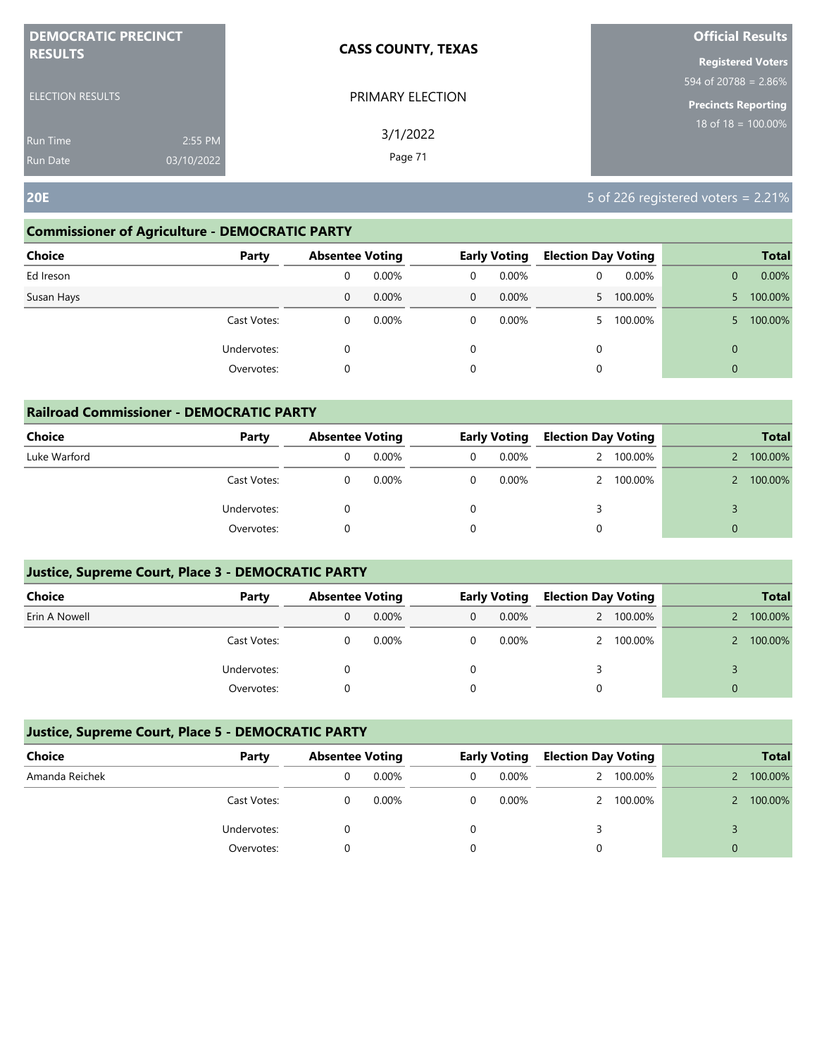| <b>DEMOCRATIC PRECINCT</b> |            | <b>CASS COUNTY, TEXAS</b> | <b>Official Results</b>        |
|----------------------------|------------|---------------------------|--------------------------------|
| <b>RESULTS</b>             |            |                           | <b>Registered Voters</b>       |
|                            |            |                           | 594 of 20788 = 2.86%           |
| <b>ELECTION RESULTS</b>    |            | PRIMARY ELECTION          | <b>Precincts Reporting</b>     |
| <b>Run Time</b>            | 2:55 PM    | 3/1/2022                  | $18 \text{ of } 18 = 100.00\%$ |
| <b>Run Date</b>            | 03/10/2022 | Page 71                   |                                |

#### **Commissioner of Agriculture - DEMOCRATIC PARTY**

| <b>Choice</b><br>Party |   | <b>Absentee Voting</b> |              | <b>Early Voting</b> |    | <b>Election Day Voting</b> |                | <b>Total</b> |
|------------------------|---|------------------------|--------------|---------------------|----|----------------------------|----------------|--------------|
| Ed Ireson              | 0 | 0.00%                  | 0            | 0.00%               | 0  | 0.00%                      |                | 0.00%        |
| Susan Hays             | 0 | $0.00\%$               | $\mathbf{0}$ | $0.00\%$            | 5. | 100.00%                    |                | 100.00%      |
| Cast Votes:            | 0 | $0.00\%$               | 0            | $0.00\%$            |    | 100.00%                    |                | 100.00%      |
| Undervotes:            | 0 |                        | 0            |                     | 0  |                            | $\mathbf 0$    |              |
| Overvotes:             | 0 |                        | 0            |                     | 0  |                            | $\overline{0}$ |              |

| <b>Railroad Commissioner - DEMOCRATIC PARTY</b> |             |                        |          |  |                     |   |                            |          |              |  |
|-------------------------------------------------|-------------|------------------------|----------|--|---------------------|---|----------------------------|----------|--------------|--|
| Choice                                          | Party       | <b>Absentee Voting</b> |          |  | <b>Early Voting</b> |   | <b>Election Day Voting</b> |          | <b>Total</b> |  |
| Luke Warford                                    |             |                        | $0.00\%$ |  | $0.00\%$            |   | 2 100.00%                  |          | 100.00%      |  |
|                                                 | Cast Votes: |                        | 0.00%    |  | $0.00\%$            |   | 2 100.00%                  |          | 100.00%      |  |
|                                                 | Undervotes: |                        |          |  |                     | 3 |                            |          |              |  |
|                                                 | Overvotes:  |                        |          |  |                     | 0 |                            | $\Omega$ |              |  |

#### **Justice, Supreme Court, Place 3 - DEMOCRATIC PARTY**

| Choice        | Party       | <b>Absentee Voting</b> |          | <b>Early Voting</b> |          | <b>Election Day Voting</b> |           |   | <b>Total</b> |
|---------------|-------------|------------------------|----------|---------------------|----------|----------------------------|-----------|---|--------------|
| Erin A Nowell |             | 0                      | $0.00\%$ | 0                   | $0.00\%$ |                            | 2 100.00% |   | 100.00%      |
|               | Cast Votes: |                        | $0.00\%$ | 0                   | $0.00\%$ |                            | 2 100.00% |   | 100.00%      |
|               | Undervotes: |                        |          |                     |          |                            |           |   |              |
|               | Overvotes:  |                        |          |                     |          |                            |           | 0 |              |

| Choice         | Party       | <b>Absentee Voting</b> |          | <b>Early Voting</b> |          | <b>Election Day Voting</b> |           |   | <b>Total</b> |
|----------------|-------------|------------------------|----------|---------------------|----------|----------------------------|-----------|---|--------------|
| Amanda Reichek |             |                        | $0.00\%$ | 0                   | $0.00\%$ | 2                          | 100.00%   |   | 100.00%      |
|                | Cast Votes: |                        | $0.00\%$ | 0                   | $0.00\%$ |                            | 2 100.00% |   | 100.00%      |
|                | Undervotes: |                        |          |                     |          |                            |           |   |              |
|                | Overvotes:  |                        |          |                     |          |                            |           | 0 |              |